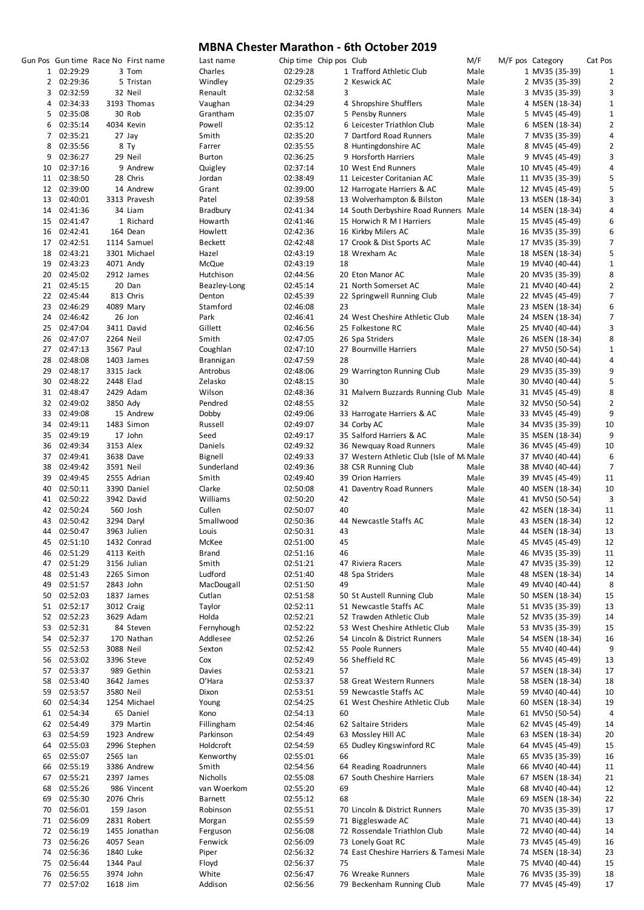|                |             |           | Gun Pos Gun time Race No First name | Last name      | Chip time Chip pos Club |    |                                           | M/F  | M/F pos Category |                 | Cat Pos                 |
|----------------|-------------|-----------|-------------------------------------|----------------|-------------------------|----|-------------------------------------------|------|------------------|-----------------|-------------------------|
| $\mathbf{1}$   | 02:29:29    |           | 3 Tom                               | Charles        | 02:29:28                |    | 1 Trafford Athletic Club                  | Male |                  | 1 MV35 (35-39)  | 1                       |
| $\overline{2}$ | 02:29:36    |           | 5 Tristan                           | Windley        | 02:29:35                |    | 2 Keswick AC                              | Male |                  | 2 MV35 (35-39)  | $\overline{2}$          |
| 3              | 02:32:59    |           | 32 Neil                             | Renault        | 02:32:58                | 3  |                                           | Male |                  | 3 MV35 (35-39)  | 3                       |
| 4              | 02:34:33    |           | 3193 Thomas                         | Vaughan        | 02:34:29                |    | 4 Shropshire Shufflers                    | Male |                  | 4 MSEN (18-34)  | $\mathbf 1$             |
| 5              | 02:35:08    |           | 30 Rob                              | Grantham       | 02:35:07                |    | 5 Pensby Runners                          | Male |                  | 5 MV45 (45-49)  | $\mathbf{1}$            |
|                |             |           |                                     |                |                         |    |                                           |      |                  |                 |                         |
| 6              | 02:35:14    |           | 4034 Kevin                          | Powell         | 02:35:12                |    | 6 Leicester Triathlon Club                | Male |                  | 6 MSEN (18-34)  | $\mathbf{2}$            |
| 7              | 02:35:21    |           | 27 Jay                              | Smith          | 02:35:20                |    | 7 Dartford Road Runners                   | Male |                  | 7 MV35 (35-39)  | 4                       |
| 8              | 02:35:56    |           | 8 Ty                                | Farrer         | 02:35:55                |    | 8 Huntingdonshire AC                      | Male |                  | 8 MV45 (45-49)  | $\mathbf{2}$            |
| 9              | 02:36:27    |           | 29 Neil                             | <b>Burton</b>  | 02:36:25                |    | 9 Horsforth Harriers                      | Male |                  | 9 MV45 (45-49)  | 3                       |
| 10             | 02:37:16    |           | 9 Andrew                            | Quigley        | 02:37:14                |    | 10 West End Runners                       | Male |                  | 10 MV45 (45-49) | 4                       |
| 11             | 02:38:50    |           | 28 Chris                            | Jordan         | 02:38:49                |    | 11 Leicester Coritanian AC                | Male |                  | 11 MV35 (35-39) | 5                       |
|                |             |           |                                     |                |                         |    |                                           |      |                  |                 |                         |
| 12             | 02:39:00    |           | 14 Andrew                           | Grant          | 02:39:00                |    | 12 Harrogate Harriers & AC                | Male |                  | 12 MV45 (45-49) | 5                       |
| 13             | 02:40:01    |           | 3313 Pravesh                        | Patel          | 02:39:58                |    | 13 Wolverhampton & Bilston                | Male |                  | 13 MSEN (18-34) | 3                       |
| 14             | 02:41:36    |           | 34 Liam                             | Bradbury       | 02:41:34                |    | 14 South Derbyshire Road Runners          | Male |                  | 14 MSEN (18-34) | 4                       |
| 15             | 02:41:47    |           | 1 Richard                           | Howarth        | 02:41:46                |    | 15 Horwich R M I Harriers                 | Male |                  | 15 MV45 (45-49) | 6                       |
| 16             | 02:42:41    |           | 164 Dean                            | Howlett        | 02:42:36                |    | 16 Kirkby Milers AC                       | Male |                  | 16 MV35 (35-39) | 6                       |
| 17             | 02:42:51    |           | 1114 Samuel                         | <b>Beckett</b> | 02:42:48                |    | 17 Crook & Dist Sports AC                 | Male |                  | 17 MV35 (35-39) | 7                       |
|                |             |           |                                     |                |                         |    |                                           |      |                  |                 |                         |
| 18             | 02:43:21    |           | 3301 Michael                        | Hazel          | 02:43:19                |    | 18 Wrexham Ac                             | Male |                  | 18 MSEN (18-34) | 5                       |
| 19             | 02:43:23    |           | 4071 Andy                           | McQue          | 02:43:19                | 18 |                                           | Male |                  | 19 MV40 (40-44) | $\mathbf{1}$            |
| 20             | 02:45:02    |           | 2912 James                          | Hutchison      | 02:44:56                |    | 20 Eton Manor AC                          | Male |                  | 20 MV35 (35-39) | 8                       |
| 21             | 02:45:15    |           | 20 Dan                              | Beazley-Long   | 02:45:14                |    | 21 North Somerset AC                      | Male |                  | 21 MV40 (40-44) | $\overline{\mathbf{c}}$ |
| 22             | 02:45:44    |           | 813 Chris                           | Denton         | 02:45:39                |    | 22 Springwell Running Club                | Male |                  | 22 MV45 (45-49) | 7                       |
| 23             | 02:46:29    |           | 4089 Mary                           | Stamford       | 02:46:08                | 23 |                                           | Male |                  | 23 MSEN (18-34) | 6                       |
|                |             |           |                                     |                |                         |    |                                           |      |                  |                 |                         |
| 24             | 02:46:42    |           | 26 Jon                              | Park           | 02:46:41                |    | 24 West Cheshire Athletic Club            | Male |                  | 24 MSEN (18-34) | 7                       |
| 25             | 02:47:04    |           | 3411 David                          | Gillett        | 02:46:56                |    | 25 Folkestone RC                          | Male |                  | 25 MV40 (40-44) | 3                       |
| 26             | 02:47:07    | 2264 Neil |                                     | Smith          | 02:47:05                |    | 26 Spa Striders                           | Male |                  | 26 MSEN (18-34) | 8                       |
| 27             | 02:47:13    | 3567 Paul |                                     | Coughlan       | 02:47:10                |    | 27 Bournville Harriers                    | Male |                  | 27 MV50 (50-54) | $\mathbf 1$             |
| 28             | 02:48:08    |           | 1403 James                          | Brannigan      | 02:47:59                | 28 |                                           | Male |                  | 28 MV40 (40-44) | 4                       |
|                |             |           |                                     |                |                         |    |                                           |      |                  |                 | 9                       |
| 29             | 02:48:17    | 3315 Jack |                                     | Antrobus       | 02:48:06                |    | 29 Warrington Running Club                | Male |                  | 29 MV35 (35-39) |                         |
| 30             | 02:48:22    | 2448 Elad |                                     | Zelasko        | 02:48:15                | 30 |                                           | Male |                  | 30 MV40 (40-44) | 5                       |
| 31             | 02:48:47    |           | 2429 Adam                           | Wilson         | 02:48:36                |    | 31 Malvern Buzzards Running Club          | Male |                  | 31 MV45 (45-49) | 8                       |
| 32             | 02:49:02    | 3850 Ady  |                                     | Pendred        | 02:48:55                | 32 |                                           | Male |                  | 32 MV50 (50-54) | $\overline{2}$          |
| 33             | 02:49:08    |           | 15 Andrew                           | Dobby          | 02:49:06                |    | 33 Harrogate Harriers & AC                | Male |                  | 33 MV45 (45-49) | 9                       |
| 34             | 02:49:11    |           | 1483 Simon                          | Russell        | 02:49:07                |    | 34 Corby AC                               | Male |                  | 34 MV35 (35-39) | 10                      |
|                |             |           |                                     |                |                         |    |                                           |      |                  |                 |                         |
| 35             | 02:49:19    |           | 17 John                             | Seed           | 02:49:17                |    | 35 Salford Harriers & AC                  | Male |                  | 35 MSEN (18-34) | 9                       |
| 36             | 02:49:34    | 3153 Alex |                                     | Daniels        | 02:49:32                |    | 36 Newquay Road Runners                   | Male |                  | 36 MV45 (45-49) | 10                      |
| 37             | 02:49:41    |           | 3638 Dave                           | Bignell        | 02:49:33                |    | 37 Western Athletic Club (Isle of M. Male |      |                  | 37 MV40 (40-44) | 6                       |
| 38             | 02:49:42    | 3591 Neil |                                     | Sunderland     | 02:49:36                |    | 38 CSR Running Club                       | Male |                  | 38 MV40 (40-44) | $\overline{7}$          |
| 39             | 02:49:45    |           | 2555 Adrian                         | Smith          | 02:49:40                |    | 39 Orion Harriers                         | Male |                  | 39 MV45 (45-49) | 11                      |
| 40             | 02:50:11    |           | 3390 Daniel                         | Clarke         | 02:50:08                |    | 41 Daventry Road Runners                  | Male |                  | 40 MSEN (18-34) | 10                      |
|                |             |           |                                     |                |                         |    |                                           |      |                  |                 |                         |
| 41             | 02:50:22    |           | 3942 David                          | Williams       | 02:50:20                | 42 |                                           | Male |                  | 41 MV50 (50-54) | 3                       |
| 42             | 02:50:24    |           | 560 Josh                            | Cullen         | 02:50:07                | 40 |                                           | Male |                  | 42 MSEN (18-34) | 11                      |
| 43             | 02:50:42    |           | 3294 Daryl                          | Smallwood      | 02:50:36                |    | 44 Newcastle Staffs AC                    | Male |                  | 43 MSEN (18-34) | 12                      |
| 44             | 02:50:47    |           | 3963 Julien                         | Louis          | 02:50:31                | 43 |                                           | Male |                  | 44 MSEN (18-34) | 13                      |
| 45             | 02:51:10    |           | 1432 Conrad                         | McKee          | 02:51:00                | 45 |                                           | Male |                  | 45 MV45 (45-49) | 12                      |
|                |             |           |                                     |                |                         |    |                                           |      |                  |                 |                         |
| 46             | 02:51:29    |           | 4113 Keith                          | Brand          | 02:51:16                | 46 |                                           | Male |                  | 46 MV35 (35-39) | 11                      |
| 47             | 02:51:29    |           | 3156 Julian                         | Smith          | 02:51:21                |    | 47 Riviera Racers                         | Male |                  | 47 MV35 (35-39) | 12                      |
| 48             | 02:51:43    |           | 2265 Simon                          | Ludford        | 02:51:40                |    | 48 Spa Striders                           | Male |                  | 48 MSEN (18-34) | 14                      |
| 49             | 02:51:57    | 2843 John |                                     | MacDougall     | 02:51:50                | 49 |                                           | Male |                  | 49 MV40 (40-44) | 8                       |
| 50             | 02:52:03    |           | 1837 James                          | Cutlan         | 02:51:58                |    | 50 St Austell Running Club                | Male |                  | 50 MSEN (18-34) | 15                      |
| 51             | 02:52:17    |           | 3012 Craig                          | Taylor         | 02:52:11                |    | 51 Newcastle Staffs AC                    | Male |                  | 51 MV35 (35-39) | 13                      |
|                |             |           |                                     |                |                         |    | 52 Trawden Athletic Club                  |      |                  |                 |                         |
| 52             | 02:52:23    |           | 3629 Adam                           | Holda          | 02:52:21                |    |                                           | Male |                  | 52 MV35 (35-39) | 14                      |
| 53             | 02:52:31    |           | 84 Steven                           | Fernyhough     | 02:52:22                |    | 53 West Cheshire Athletic Club            | Male |                  | 53 MV35 (35-39) | 15                      |
| 54             | 02:52:37    |           | 170 Nathan                          | Addlesee       | 02:52:26                |    | 54 Lincoln & District Runners             | Male |                  | 54 MSEN (18-34) | 16                      |
| 55             | 02:52:53    | 3088 Neil |                                     | Sexton         | 02:52:42                |    | 55 Poole Runners                          | Male |                  | 55 MV40 (40-44) | 9                       |
| 56             | 02:53:02    |           | 3396 Steve                          | Cox            | 02:52:49                |    | 56 Sheffield RC                           | Male |                  | 56 MV45 (45-49) | 13                      |
| 57             | 02:53:37    |           | 989 Gethin                          | Davies         | 02:53:21                | 57 |                                           | Male |                  | 57 MSEN (18-34) | 17                      |
|                | 02:53:40    |           |                                     |                |                         |    |                                           | Male |                  |                 | 18                      |
| 58             |             |           | 3642 James                          | O'Hara         | 02:53:37                |    | 58 Great Western Runners                  |      |                  | 58 MSEN (18-34) |                         |
| 59             | 02:53:57    | 3580 Neil |                                     | Dixon          | 02:53:51                |    | 59 Newcastle Staffs AC                    | Male |                  | 59 MV40 (40-44) | 10                      |
| 60             | 02:54:34    |           | 1254 Michael                        | Young          | 02:54:25                |    | 61 West Cheshire Athletic Club            | Male |                  | 60 MSEN (18-34) | 19                      |
| 61             | 02:54:34    |           | 65 Daniel                           | Kono           | 02:54:13                | 60 |                                           | Male |                  | 61 MV50 (50-54) | 4                       |
| 62             | 02:54:49    |           | 379 Martin                          | Fillingham     | 02:54:46                |    | 62 Saltaire Striders                      | Male |                  | 62 MV45 (45-49) | 14                      |
| 63             | 02:54:59    |           | 1923 Andrew                         | Parkinson      | 02:54:49                |    | 63 Mossley Hill AC                        | Male |                  | 63 MSEN (18-34) | 20                      |
|                | 02:55:03    |           | 2996 Stephen                        | Holdcroft      | 02:54:59                |    |                                           | Male |                  | 64 MV45 (45-49) | 15                      |
| 64             |             |           |                                     |                |                         |    | 65 Dudley Kingswinford RC                 |      |                  |                 |                         |
| 65             | 02:55:07    | 2565 lan  |                                     | Kenworthy      | 02:55:01                | 66 |                                           | Male |                  | 65 MV35 (35-39) | 16                      |
| 66             | 02:55:19    |           | 3386 Andrew                         | Smith          | 02:54:56                |    | 64 Reading Roadrunners                    | Male |                  | 66 MV40 (40-44) | 11                      |
| 67             | 02:55:21    |           | 2397 James                          | Nicholls       | 02:55:08                |    | 67 South Cheshire Harriers                | Male |                  | 67 MSEN (18-34) | 21                      |
| 68             | 02:55:26    |           | 986 Vincent                         | van Woerkom    | 02:55:20                | 69 |                                           | Male |                  | 68 MV40 (40-44) | 12                      |
|                | 02:55:30    |           | 2076 Chris                          |                |                         | 68 |                                           |      |                  |                 |                         |
| 69             |             |           |                                     | <b>Barnett</b> | 02:55:12                |    |                                           | Male |                  | 69 MSEN (18-34) | 22                      |
| 70             | 02:56:01    |           | 159 Jason                           | Robinson       | 02:55:51                |    | 70 Lincoln & District Runners             | Male |                  | 70 MV35 (35-39) | 17                      |
|                | 71 02:56:09 |           | 2831 Robert                         | Morgan         | 02:55:59                |    | 71 Biggleswade AC                         | Male |                  | 71 MV40 (40-44) | 13                      |
|                | 72 02:56:19 |           | 1455 Jonathan                       | Ferguson       | 02:56:08                |    | 72 Rossendale Triathlon Club              | Male |                  | 72 MV40 (40-44) | 14                      |
| 73             | 02:56:26    |           | 4057 Sean                           | Fenwick        | 02:56:09                |    | 73 Lonely Goat RC                         | Male |                  | 73 MV45 (45-49) | 16                      |
|                | 74 02:56:36 |           | 1840 Luke                           | Piper          | 02:56:32                |    | 74 East Cheshire Harriers & Tamesi Male   |      |                  | 74 MSEN (18-34) | 23                      |
| 75             | 02:56:44    | 1344 Paul |                                     |                |                         | 75 |                                           | Male |                  | 75 MV40 (40-44) | 15                      |
|                |             |           |                                     | Floyd          | 02:56:37                |    |                                           |      |                  |                 |                         |
| 76             | 02:56:55    |           | 3974 John                           | White          | 02:56:47                |    | 76 Wreake Runners                         | Male |                  | 76 MV35 (35-39) | 18                      |
|                | 77 02:57:02 | 1618 Jim  |                                     | Addison        | 02:56:56                |    | 79 Beckenham Running Club                 | Male |                  | 77 MV45 (45-49) | 17                      |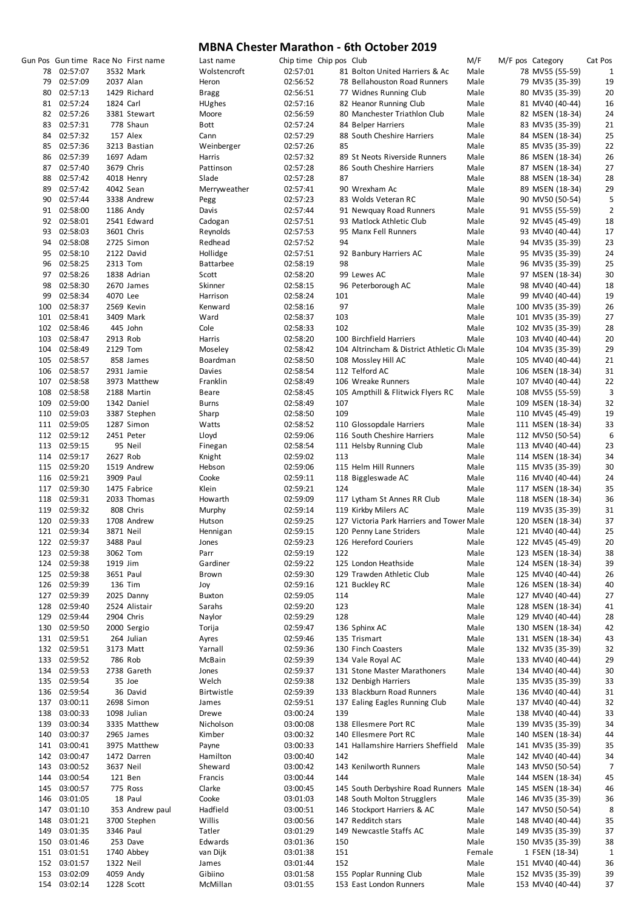|     |              |           | Gun Pos Gun time Race No First name | Last name        | Chip time Chip pos Club |     |                                            | M/F    | M/F pos Category | Cat Pos        |
|-----|--------------|-----------|-------------------------------------|------------------|-------------------------|-----|--------------------------------------------|--------|------------------|----------------|
| 78  | 02:57:07     |           | 3532 Mark                           | Wolstencroft     | 02:57:01                |     | 81 Bolton United Harriers & Ac             | Male   | 78 MV55 (55-59)  | $\mathbf{1}$   |
| 79  | 02:57:09     | 2037 Alan |                                     | Heron            | 02:56:52                |     | 78 Bellahouston Road Runners               | Male   | 79 MV35 (35-39)  | 19             |
| 80  | 02:57:13     |           | 1429 Richard                        | <b>Bragg</b>     | 02:56:51                |     | 77 Widnes Running Club                     | Male   | 80 MV35 (35-39)  | 20             |
| 81  | 02:57:24     | 1824 Carl |                                     | <b>HUghes</b>    | 02:57:16                |     | 82 Heanor Running Club                     | Male   | 81 MV40 (40-44)  | 16             |
|     | 02:57:26     |           |                                     |                  | 02:56:59                |     |                                            |        |                  |                |
| 82  |              |           | 3381 Stewart                        | Moore            |                         |     | 80 Manchester Triathlon Club               | Male   | 82 MSEN (18-34)  | 24             |
| 83  | 02:57:31     |           | 778 Shaun                           | Bott             | 02:57:24                |     | 84 Belper Harriers                         | Male   | 83 MV35 (35-39)  | 21             |
| 84  | 02:57:32     |           | 157 Alex                            | Cann             | 02:57:29                |     | 88 South Cheshire Harriers                 | Male   | 84 MSEN (18-34)  | 25             |
| 85  | 02:57:36     |           | 3213 Bastian                        | Weinberger       | 02:57:26                | 85  |                                            | Male   | 85 MV35 (35-39)  | 22             |
| 86  | 02:57:39     |           | 1697 Adam                           | Harris           | 02:57:32                |     | 89 St Neots Riverside Runners              | Male   | 86 MSEN (18-34)  | 26             |
| 87  | 02:57:40     |           | 3679 Chris                          | Pattinson        | 02:57:28                |     | 86 South Cheshire Harriers                 | Male   | 87 MSEN (18-34)  | 27             |
| 88  | 02:57:42     |           | 4018 Henry                          | Slade            | 02:57:28                | 87  |                                            | Male   | 88 MSEN (18-34)  | 28             |
| 89  | 02:57:42     |           | 4042 Sean                           | Merryweather     | 02:57:41                |     | 90 Wrexham Ac                              | Male   | 89 MSEN (18-34)  | 29             |
|     |              |           |                                     |                  |                         |     |                                            |        |                  |                |
| 90  | 02:57:44     |           | 3338 Andrew                         | Pegg             | 02:57:23                |     | 83 Wolds Veteran RC                        | Male   | 90 MV50 (50-54)  | 5              |
| 91  | 02:58:00     |           | 1186 Andy                           | Davis            | 02:57:44                |     | 91 Newquay Road Runners                    | Male   | 91 MV55 (55-59)  | $\overline{2}$ |
| 92  | 02:58:01     |           | 2541 Edward                         | Cadogan          | 02:57:51                |     | 93 Matlock Athletic Club                   | Male   | 92 MV45 (45-49)  | 18             |
| 93  | 02:58:03     |           | 3601 Chris                          | Reynolds         | 02:57:53                |     | 95 Manx Fell Runners                       | Male   | 93 MV40 (40-44)  | 17             |
| 94  | 02:58:08     |           | 2725 Simon                          | Redhead          | 02:57:52                | 94  |                                            | Male   | 94 MV35 (35-39)  | 23             |
| 95  | 02:58:10     |           | 2122 David                          | Hollidge         | 02:57:51                |     | 92 Banbury Harriers AC                     | Male   | 95 MV35 (35-39)  | 24             |
| 96  | 02:58:25     | 2313 Tom  |                                     | <b>Battarbee</b> | 02:58:19                | 98  |                                            | Male   |                  | 25             |
|     |              |           |                                     |                  |                         |     |                                            |        | 96 MV35 (35-39)  |                |
| 97  | 02:58:26     |           | 1838 Adrian                         | Scott            | 02:58:20                |     | 99 Lewes AC                                | Male   | 97 MSEN (18-34)  | 30             |
| 98  | 02:58:30     |           | 2670 James                          | Skinner          | 02:58:15                |     | 96 Peterborough AC                         | Male   | 98 MV40 (40-44)  | 18             |
| 99  | 02:58:34     | 4070 Lee  |                                     | Harrison         | 02:58:24                | 101 |                                            | Male   | 99 MV40 (40-44)  | 19             |
| 100 | 02:58:37     |           | 2569 Kevin                          | Kenward          | 02:58:16                | 97  |                                            | Male   | 100 MV35 (35-39) | 26             |
| 101 | 02:58:41     |           | 3409 Mark                           | Ward             | 02:58:37                | 103 |                                            | Male   | 101 MV35 (35-39) | 27             |
|     | 102 02:58:46 |           | 445 John                            | Cole             | 02:58:33                | 102 |                                            | Male   | 102 MV35 (35-39) | 28             |
| 103 | 02:58:47     | 2913 Rob  |                                     | Harris           | 02:58:20                |     | 100 Birchfield Harriers                    | Male   | 103 MV40 (40-44) | 20             |
|     |              |           |                                     |                  |                         |     |                                            |        |                  |                |
| 104 | 02:58:49     | 2129 Tom  |                                     | Moseley          | 02:58:42                |     | 104 Altrincham & District Athletic CluMale |        | 104 MV35 (35-39) | 29             |
|     | 105 02:58:57 |           | 858 James                           | Boardman         | 02:58:50                |     | 108 Mossley Hill AC                        | Male   | 105 MV40 (40-44) | 21             |
| 106 | 02:58:57     |           | 2931 Jamie                          | Davies           | 02:58:54                |     | 112 Telford AC                             | Male   | 106 MSEN (18-34) | 31             |
| 107 | 02:58:58     |           | 3973 Matthew                        | Franklin         | 02:58:49                |     | 106 Wreake Runners                         | Male   | 107 MV40 (40-44) | 22             |
| 108 | 02:58:58     |           | 2188 Martin                         | Beare            | 02:58:45                |     | 105 Ampthill & Flitwick Flyers RC          | Male   | 108 MV55 (55-59) | 3              |
| 109 | 02:59:00     |           | 1342 Daniel                         | Burns            | 02:58:49                | 107 |                                            | Male   | 109 MSEN (18-34) | 32             |
|     |              |           |                                     |                  |                         |     |                                            |        |                  |                |
|     | 110 02:59:03 |           | 3387 Stephen                        | Sharp            | 02:58:50                | 109 |                                            | Male   | 110 MV45 (45-49) | 19             |
|     | 111 02:59:05 |           | 1287 Simon                          | Watts            | 02:58:52                |     | 110 Glossopdale Harriers                   | Male   | 111 MSEN (18-34) | 33             |
|     | 112 02:59:12 |           | 2451 Peter                          | Lloyd            | 02:59:06                |     | 116 South Cheshire Harriers                | Male   | 112 MV50 (50-54) | 6              |
|     | 113 02:59:15 |           | 95 Neil                             | Finegan          | 02:58:54                |     | 111 Helsby Running Club                    | Male   | 113 MV40 (40-44) | 23             |
|     | 114 02:59:17 | 2627 Rob  |                                     | Knight           | 02:59:02                | 113 |                                            | Male   | 114 MSEN (18-34) | 34             |
|     | 115 02:59:20 |           | 1519 Andrew                         | Hebson           | 02:59:06                |     | 115 Helm Hill Runners                      | Male   | 115 MV35 (35-39) | 30             |
|     | 116 02:59:21 | 3909 Paul |                                     | Cooke            | 02:59:11                |     | 118 Biggleswade AC                         | Male   | 116 MV40 (40-44) | 24             |
|     |              |           |                                     |                  |                         |     |                                            |        |                  |                |
|     | 117 02:59:30 |           | 1475 Fabrice                        | Klein            | 02:59:21                | 124 |                                            | Male   | 117 MSEN (18-34) | 35             |
|     | 118 02:59:31 |           | 2033 Thomas                         | Howarth          | 02:59:09                |     | 117 Lytham St Annes RR Club                | Male   | 118 MSEN (18-34) | 36             |
|     | 119 02:59:32 |           | 808 Chris                           | Murphy           | 02:59:14                |     | 119 Kirkby Milers AC                       | Male   | 119 MV35 (35-39) | 31             |
|     | 120 02:59:33 |           | 1708 Andrew                         | Hutson           | 02:59:25                |     | 127 Victoria Park Harriers and Tower Male  |        | 120 MSEN (18-34) | 37             |
|     | 121 02:59:34 | 3871 Neil |                                     | Hennigan         | 02:59:15                |     | 120 Penny Lane Striders                    | Male   | 121 MV40 (40-44) | 25             |
| 122 | 02:59:37     | 3488 Paul |                                     | Jones            | 02:59:23                |     | 126 Hereford Couriers                      | Male   | 122 MV45 (45-49) | 20             |
| 123 | 02:59:38     | 3062 Tom  |                                     | Parr             | 02:59:19                | 122 |                                            | Male   | 123 MSEN (18-34) | 38             |
|     |              |           |                                     | Gardiner         |                         |     |                                            |        |                  |                |
|     | 124 02:59:38 | 1919 Jim  |                                     |                  | 02:59:22                |     | 125 London Heathside                       | Male   | 124 MSEN (18-34) | 39             |
|     | 125 02:59:38 | 3651 Paul |                                     | Brown            | 02:59:30                |     | 129 Trawden Athletic Club                  | Male   | 125 MV40 (40-44) | 26             |
| 126 | 02:59:39     |           | 136 Tim                             | Joy              | 02:59:16                |     | 121 Buckley RC                             | Male   | 126 MSEN (18-34) | 40             |
| 127 | 02:59:39     |           | 2025 Danny                          | <b>Buxton</b>    | 02:59:05                | 114 |                                            | Male   | 127 MV40 (40-44) | 27             |
|     | 128 02:59:40 |           | 2524 Alistair                       | Sarahs           | 02:59:20                | 123 |                                            | Male   | 128 MSEN (18-34) | 41             |
| 129 | 02:59:44     |           | 2904 Chris                          | Naylor           | 02:59:29                | 128 |                                            | Male   | 129 MV40 (40-44) | 28             |
|     | 130 02:59:50 |           | 2000 Sergio                         | Torija           | 02:59:47                |     | 136 Sphinx AC                              | Male   | 130 MSEN (18-34) | 42             |
|     | 131 02:59:51 |           | 264 Julian                          |                  |                         |     |                                            | Male   |                  |                |
|     |              |           |                                     | Ayres            | 02:59:46                |     | 135 Trismart                               |        | 131 MSEN (18-34) | 43             |
|     | 132 02:59:51 |           | 3173 Matt                           | Yarnall          | 02:59:36                |     | 130 Finch Coasters                         | Male   | 132 MV35 (35-39) | 32             |
|     | 133 02:59:52 |           | 786 Rob                             | McBain           | 02:59:39                |     | 134 Vale Royal AC                          | Male   | 133 MV40 (40-44) | 29             |
|     | 134 02:59:53 |           | 2738 Gareth                         | Jones            | 02:59:37                |     | 131 Stone Master Marathoners               | Male   | 134 MV40 (40-44) | 30             |
|     | 135 02:59:54 |           | 35 Joe                              | Welch            | 02:59:38                |     | 132 Denbigh Harriers                       | Male   | 135 MV35 (35-39) | 33             |
|     | 136 02:59:54 |           | 36 David                            | Birtwistle       | 02:59:39                |     | 133 Blackburn Road Runners                 | Male   | 136 MV40 (40-44) | 31             |
| 137 | 03:00:11     |           | 2698 Simon                          | James            | 02:59:51                |     | 137 Ealing Eagles Running Club             | Male   | 137 MV40 (40-44) | 32             |
|     |              |           |                                     |                  |                         | 139 |                                            |        |                  |                |
| 138 | 03:00:33     |           | 1098 Julian                         | Drewe            | 03:00:24                |     |                                            | Male   | 138 MV40 (40-44) | 33             |
| 139 | 03:00:34     |           | 3335 Matthew                        | Nicholson        | 03:00:08                |     | 138 Ellesmere Port RC                      | Male   | 139 MV35 (35-39) | 34             |
| 140 | 03:00:37     |           | 2965 James                          | Kimber           | 03:00:32                |     | 140 Ellesmere Port RC                      | Male   | 140 MSEN (18-34) | 44             |
| 141 | 03:00:41     |           | 3975 Matthew                        | Payne            | 03:00:33                |     | 141 Hallamshire Harriers Sheffield         | Male   | 141 MV35 (35-39) | 35             |
|     | 142 03:00:47 |           | 1472 Darren                         | Hamilton         | 03:00:40                | 142 |                                            | Male   | 142 MV40 (40-44) | 34             |
| 143 | 03:00:52     | 3637 Neil |                                     | Sheward          | 03:00:42                |     | 143 Kenilworth Runners                     | Male   | 143 MV50 (50-54) | $\overline{7}$ |
| 144 | 03:00:54     |           | 121 Ben                             | Francis          | 03:00:44                | 144 |                                            | Male   | 144 MSEN (18-34) | 45             |
|     |              |           |                                     |                  |                         |     |                                            |        |                  |                |
| 145 | 03:00:57     |           | 775 Ross                            | Clarke           | 03:00:45                |     | 145 South Derbyshire Road Runners          | Male   | 145 MSEN (18-34) | 46             |
| 146 | 03:01:05     |           | 18 Paul                             | Cooke            | 03:01:03                |     | 148 South Molton Strugglers                | Male   | 146 MV35 (35-39) | 36             |
| 147 | 03:01:10     |           | 353 Andrew paul                     | Hadfield         | 03:00:51                |     | 146 Stockport Harriers & AC                | Male   | 147 MV50 (50-54) | 8              |
| 148 | 03:01:21     |           | 3700 Stephen                        | Willis           | 03:00:56                |     | 147 Redditch stars                         | Male   | 148 MV40 (40-44) | 35             |
| 149 | 03:01:35     | 3346 Paul |                                     | Tatler           | 03:01:29                |     | 149 Newcastle Staffs AC                    | Male   | 149 MV35 (35-39) | 37             |
| 150 | 03:01:46     |           | 253 Dave                            | Edwards          | 03:01:36                | 150 |                                            | Male   | 150 MV35 (35-39) | 38             |
|     | 151 03:01:51 |           | 1740 Abbey                          | van Dijk         | 03:01:38                | 151 |                                            | Female | 1 FSEN (18-34)   | 1              |
| 152 | 03:01:57     | 1322 Neil |                                     | James            | 03:01:44                | 152 |                                            | Male   | 151 MV40 (40-44) | 36             |
|     |              |           |                                     |                  |                         |     |                                            |        |                  |                |
| 153 | 03:02:09     |           | 4059 Andy                           | Gibiino          | 03:01:58                |     | 155 Poplar Running Club                    | Male   | 152 MV35 (35-39) | 39             |
|     | 154 03:02:14 |           | 1228 Scott                          | McMillan         | 03:01:55                |     | 153 East London Runners                    | Male   | 153 MV40 (40-44) | 37             |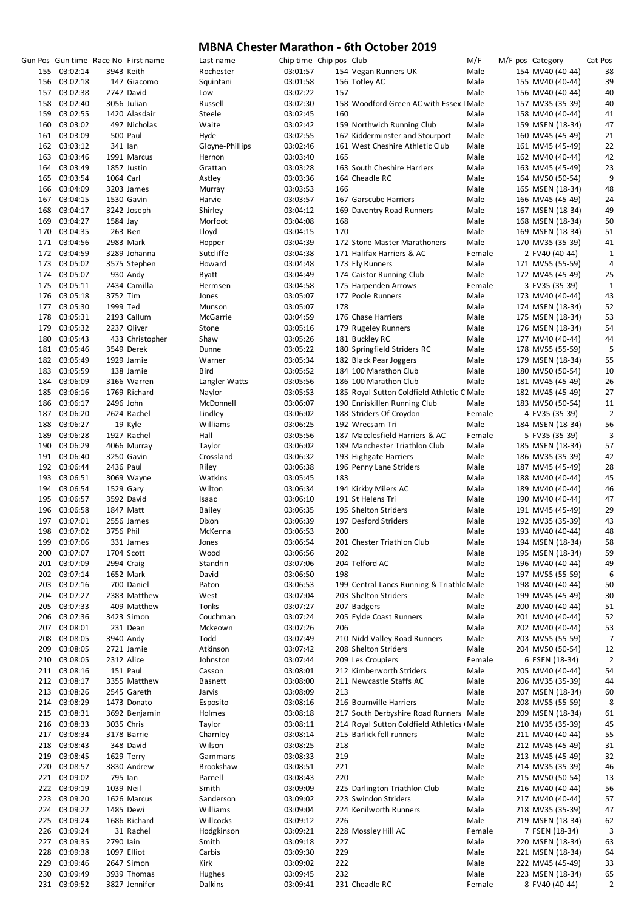|     |              |           | Gun Pos Gun time Race No First name | Last name       | Chip time Chip pos Club |     |                                             | M/F    | M/F pos Category | Cat Pos        |
|-----|--------------|-----------|-------------------------------------|-----------------|-------------------------|-----|---------------------------------------------|--------|------------------|----------------|
|     | 155 03:02:14 |           | 3943 Keith                          | Rochester       | 03:01:57                |     | 154 Vegan Runners UK                        | Male   | 154 MV40 (40-44) | 38             |
|     | 156 03:02:18 |           | 147 Giacomo                         | Squintani       | 03:01:58                |     | 156 Totley AC                               | Male   | 155 MV40 (40-44) | 39             |
|     | 157 03:02:38 |           | 2747 David                          | Low             | 03:02:22                | 157 |                                             | Male   | 156 MV40 (40-44) | 40             |
|     | 158 03:02:40 |           | 3056 Julian                         | Russell         | 03:02:30                |     | 158 Woodford Green AC with Essex I Male     |        | 157 MV35 (35-39) | 40             |
|     | 159 03:02:55 |           | 1420 Alasdair                       | Steele          | 03:02:45                | 160 |                                             | Male   | 158 MV40 (40-44) | 41             |
|     | 160 03:03:02 |           | 497 Nicholas                        | Waite           | 03:02:42                |     | 159 Northwich Running Club                  | Male   | 159 MSEN (18-34) | 47             |
|     | 161 03:03:09 |           | 500 Paul                            | Hyde            | 03:02:55                |     | 162 Kidderminster and Stourport             | Male   | 160 MV45 (45-49) | 21             |
|     | 162 03:03:12 | 341 lan   |                                     | Gloyne-Phillips | 03:02:46                |     | 161 West Cheshire Athletic Club             | Male   | 161 MV45 (45-49) | 22             |
|     | 163 03:03:46 |           | 1991 Marcus                         | Hernon          | 03:03:40                | 165 |                                             | Male   | 162 MV40 (40-44) | 42             |
|     | 164 03:03:49 |           | 1857 Justin                         | Grattan         | 03:03:28                |     | 163 South Cheshire Harriers                 | Male   | 163 MV45 (45-49) | 23             |
|     | 165 03:03:54 | 1064 Carl |                                     | Astley          | 03:03:36                |     | 164 Cheadle RC                              | Male   | 164 MV50 (50-54) | 9              |
|     | 166 03:04:09 |           | 3203 James                          | Murray          | 03:03:53                | 166 |                                             | Male   | 165 MSEN (18-34) | 48             |
|     | 167 03:04:15 |           | 1530 Gavin                          | Harvie          | 03:03:57                |     | 167 Garscube Harriers                       | Male   | 166 MV45 (45-49) | 24             |
| 168 | 03:04:17     |           | 3242 Joseph                         | Shirley         | 03:04:12                |     | 169 Daventry Road Runners                   | Male   | 167 MSEN (18-34) | 49             |
|     | 169 03:04:27 |           |                                     | Morfoot         |                         | 168 |                                             | Male   |                  | 50             |
|     | 170 03:04:35 | 1584 Jay  |                                     |                 | 03:04:08                | 170 |                                             | Male   | 168 MSEN (18-34) | 51             |
|     |              |           | 263 Ben                             | Lloyd           | 03:04:15                |     |                                             |        | 169 MSEN (18-34) |                |
|     | 171 03:04:56 |           | 2983 Mark                           | Hopper          | 03:04:39                |     | 172 Stone Master Marathoners                | Male   | 170 MV35 (35-39) | 41             |
|     | 172 03:04:59 |           | 3289 Johanna                        | Sutcliffe       | 03:04:38                |     | 171 Halifax Harriers & AC                   | Female | 2 FV40 (40-44)   | 1              |
|     | 173 03:05:02 |           | 3575 Stephen                        | Howard          | 03:04:48                |     | 173 Ely Runners                             | Male   | 171 MV55 (55-59) | 4              |
|     | 174 03:05:07 |           | 930 Andy                            | Byatt           | 03:04:49                |     | 174 Caistor Running Club                    | Male   | 172 MV45 (45-49) | 25             |
|     | 175 03:05:11 |           | 2434 Camilla                        | Hermsen         | 03:04:58                |     | 175 Harpenden Arrows                        | Female | 3 FV35 (35-39)   | 1              |
|     | 176 03:05:18 | 3752 Tim  |                                     | Jones           | 03:05:07                |     | 177 Poole Runners                           | Male   | 173 MV40 (40-44) | 43             |
|     | 177 03:05:30 | 1999 Ted  |                                     | Munson          | 03:05:07                | 178 |                                             | Male   | 174 MSEN (18-34) | 52             |
|     | 178 03:05:31 |           | 2193 Callum                         | McGarrie        | 03:04:59                |     | 176 Chase Harriers                          | Male   | 175 MSEN (18-34) | 53             |
|     | 179 03:05:32 |           | 2237 Oliver                         | Stone           | 03:05:16                |     | 179 Rugeley Runners                         | Male   | 176 MSEN (18-34) | 54             |
|     | 180 03:05:43 |           | 433 Christopher                     | Shaw            | 03:05:26                |     | 181 Buckley RC                              | Male   | 177 MV40 (40-44) | 44             |
|     | 181 03:05:46 |           | 3549 Derek                          | Dunne           | 03:05:22                |     | 180 Springfield Striders RC                 | Male   | 178 MV55 (55-59) | 5              |
|     | 182 03:05:49 |           | 1929 Jamie                          | Warner          | 03:05:34                |     | 182 Black Pear Joggers                      | Male   | 179 MSEN (18-34) | 55             |
|     | 183 03:05:59 |           | 138 Jamie                           | Bird            | 03:05:52                |     | 184 100 Marathon Club                       | Male   | 180 MV50 (50-54) | 10             |
|     | 184 03:06:09 |           | 3166 Warren                         | Langler Watts   | 03:05:56                |     | 186 100 Marathon Club                       | Male   | 181 MV45 (45-49) | 26             |
|     | 185 03:06:16 |           | 1769 Richard                        | Naylor          | 03:05:53                |     | 185 Royal Sutton Coldfield Athletic C Male  |        | 182 MV45 (45-49) | 27             |
|     | 186 03:06:17 | 2496 John |                                     | McDonnell       | 03:06:07                |     | 190 Enniskillen Running Club                | Male   | 183 MV50 (50-54) | 11             |
|     | 187 03:06:20 |           | 2624 Rachel                         | Lindley         | 03:06:02                |     | 188 Striders Of Croydon                     | Female | 4 FV35 (35-39)   | $\overline{2}$ |
| 188 | 03:06:27     |           | 19 Kyle                             | Williams        | 03:06:25                |     | 192 Wrecsam Tri                             | Male   | 184 MSEN (18-34) | 56             |
| 189 | 03:06:28     |           | 1927 Rachel                         | Hall            | 03:05:56                |     | 187 Macclesfield Harriers & AC              | Female | 5 FV35 (35-39)   | 3              |
|     | 190 03:06:29 |           | 4066 Murray                         | Taylor          | 03:06:02                |     | 189 Manchester Triathlon Club               | Male   | 185 MSEN (18-34) | 57             |
|     | 191 03:06:40 |           | 3250 Gavin                          | Crossland       | 03:06:32                |     | 193 Highgate Harriers                       | Male   | 186 MV35 (35-39) | 42             |
|     | 192 03:06:44 | 2436 Paul |                                     | Riley           | 03:06:38                |     | 196 Penny Lane Striders                     | Male   | 187 MV45 (45-49) | 28             |
|     | 193 03:06:51 |           | 3069 Wayne                          | Watkins         | 03:05:45                | 183 |                                             | Male   | 188 MV40 (40-44) | 45             |
|     | 194 03:06:54 |           | 1529 Gary                           | Wilton          | 03:06:34                |     | 194 Kirkby Milers AC                        | Male   | 189 MV40 (40-44) | 46             |
|     | 195 03:06:57 |           | 3592 David                          | Isaac           | 03:06:10                |     | 191 St Helens Tri                           | Male   | 190 MV40 (40-44) | 47             |
|     | 196 03:06:58 |           | 1847 Matt                           | <b>Bailey</b>   | 03:06:35                |     | 195 Shelton Striders                        | Male   | 191 MV45 (45-49) | 29             |
|     | 197 03:07:01 |           | 2556 James                          | Dixon           | 03:06:39                |     | 197 Desford Striders                        | Male   | 192 MV35 (35-39) | 43             |
|     | 198 03:07:02 | 3756 Phil |                                     | McKenna         | 03:06:53                | 200 |                                             | Male   | 193 MV40 (40-44) | 48             |
|     | 199 03:07:06 |           | 331 James                           | Jones           | 03:06:54                |     | 201 Chester Triathlon Club                  | Male   | 194 MSEN (18-34) | 58             |
|     | 200 03:07:07 |           | 1704 Scott                          | Wood            | 03:06:56                | 202 |                                             | Male   | 195 MSEN (18-34) | 59             |
|     | 201 03:07:09 |           | 2994 Craig                          | Standrin        | 03:07:06                |     | 204 Telford AC                              | Male   | 196 MV40 (40-44) | 49             |
|     | 202 03:07:14 |           | 1652 Mark                           | David           | 03:06:50                | 198 |                                             | Male   | 197 MV55 (55-59) | 6              |
|     |              |           |                                     |                 |                         |     | 199 Central Lancs Running & Triathlc Male   |        |                  |                |
|     | 203 03:07:16 |           | 700 Daniel                          | Paton           | 03:06:53                |     |                                             |        | 198 MV40 (40-44) | 50             |
|     | 204 03:07:27 |           | 2383 Matthew                        | West            | 03:07:04                |     | 203 Shelton Striders                        | Male   | 199 MV45 (45-49) | 30             |
|     | 205 03:07:33 |           | 409 Matthew                         | Tonks           | 03:07:27                |     | 207 Badgers                                 | Male   | 200 MV40 (40-44) | 51             |
|     | 206 03:07:36 |           | 3423 Simon                          | Couchman        | 03:07:24                |     | 205 Fylde Coast Runners                     | Male   | 201 MV40 (40-44) | 52             |
|     | 207 03:08:01 |           | 231 Dean                            | Mckeown         | 03:07:26                | 206 |                                             | Male   | 202 MV40 (40-44) | 53             |
|     | 208 03:08:05 |           | 3940 Andy                           | Todd            | 03:07:49                |     | 210 Nidd Valley Road Runners                | Male   | 203 MV55 (55-59) | 7              |
|     | 209 03:08:05 |           | 2721 Jamie                          | Atkinson        | 03:07:42                |     | 208 Shelton Striders                        | Male   | 204 MV50 (50-54) | 12             |
|     | 210 03:08:05 |           | 2312 Alice                          | Johnston        | 03:07:44                |     | 209 Les Croupiers                           | Female | 6 FSEN (18-34)   | $\overline{2}$ |
|     | 211 03:08:16 |           | 151 Paul                            | Casson          | 03:08:01                |     | 212 Kimberworth Striders                    | Male   | 205 MV40 (40-44) | 54             |
|     | 212 03:08:17 |           | 3355 Matthew                        | Basnett         | 03:08:00                |     | 211 Newcastle Staffs AC                     | Male   | 206 MV35 (35-39) | 44             |
|     | 213 03:08:26 |           | 2545 Gareth                         | Jarvis          | 03:08:09                | 213 |                                             | Male   | 207 MSEN (18-34) | 60             |
|     | 214 03:08:29 |           | 1473 Donato                         | Esposito        | 03:08:16                |     | 216 Bournville Harriers                     | Male   | 208 MV55 (55-59) | 8              |
|     | 215 03:08:31 |           | 3692 Benjamin                       | Holmes          | 03:08:18                |     | 217 South Derbyshire Road Runners Male      |        | 209 MSEN (18-34) | 61             |
|     | 216 03:08:33 |           | 3035 Chris                          | Taylor          | 03:08:11                |     | 214 Royal Sutton Coldfield Athletics I Male |        | 210 MV35 (35-39) | 45             |
|     | 217 03:08:34 |           | 3178 Barrie                         | Charnley        | 03:08:14                |     | 215 Barlick fell runners                    | Male   | 211 MV40 (40-44) | 55             |
|     | 218 03:08:43 |           | 348 David                           | Wilson          | 03:08:25                | 218 |                                             | Male   | 212 MV45 (45-49) | 31             |
|     | 219 03:08:45 |           | 1629 Terry                          | Gammans         | 03:08:33                | 219 |                                             | Male   | 213 MV45 (45-49) | 32             |
|     | 220 03:08:57 |           | 3830 Andrew                         | Brookshaw       | 03:08:51                | 221 |                                             | Male   | 214 MV35 (35-39) | 46             |
|     | 221 03:09:02 | 795 Ian   |                                     | Parnell         | 03:08:43                | 220 |                                             | Male   | 215 MV50 (50-54) | 13             |
|     | 222 03:09:19 | 1039 Neil |                                     | Smith           | 03:09:09                |     | 225 Darlington Triathlon Club               | Male   | 216 MV40 (40-44) | 56             |
|     | 223 03:09:20 |           | 1626 Marcus                         | Sanderson       | 03:09:02                |     | 223 Swindon Striders                        | Male   | 217 MV40 (40-44) | 57             |
|     | 224 03:09:22 |           | 1485 Dewi                           | Williams        | 03:09:04                |     | 224 Kenilworth Runners                      | Male   | 218 MV35 (35-39) | 47             |
|     | 225 03:09:24 |           | 1686 Richard                        | Willcocks       | 03:09:12                | 226 |                                             | Male   | 219 MSEN (18-34) | 62             |
|     | 226 03:09:24 |           | 31 Rachel                           | Hodgkinson      | 03:09:21                |     | 228 Mossley Hill AC                         | Female | 7 FSEN (18-34)   | 3              |
|     | 227 03:09:35 | 2790 lain |                                     | Smith           | 03:09:18                | 227 |                                             | Male   | 220 MSEN (18-34) | 63             |
|     | 228 03:09:38 |           | 1097 Elliot                         | Carbis          | 03:09:30                | 229 |                                             | Male   | 221 MSEN (18-34) | 64             |
| 229 | 03:09:46     |           | 2647 Simon                          | Kirk            | 03:09:02                | 222 |                                             | Male   | 222 MV45 (45-49) | 33             |
| 230 | 03:09:49     |           | 3939 Thomas                         | Hughes          | 03:09:45                | 232 |                                             | Male   | 223 MSEN (18-34) | 65             |
|     | 231 03:09:52 |           | 3827 Jennifer                       | Dalkins         | 03:09:41                |     | 231 Cheadle RC                              | Female | 8 FV40 (40-44)   | 2              |
|     |              |           |                                     |                 |                         |     |                                             |        |                  |                |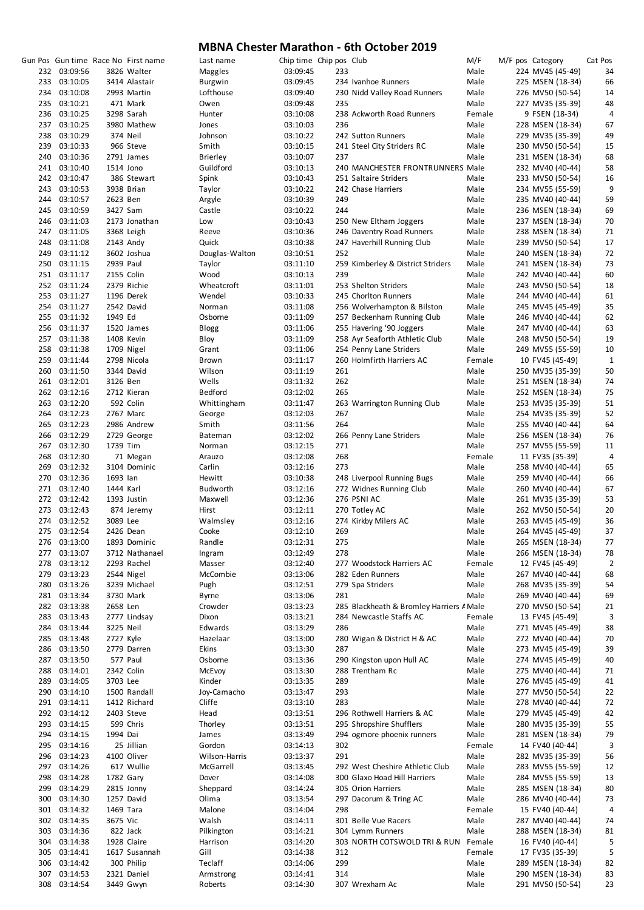|     |              |           |                                     |                 |                         |     | THE CHESTER INTERNATION - OUR OCCODER 2015 |        |  |                  |                  |         |
|-----|--------------|-----------|-------------------------------------|-----------------|-------------------------|-----|--------------------------------------------|--------|--|------------------|------------------|---------|
|     |              |           | Gun Pos Gun time Race No First name | Last name       | Chip time Chip pos Club |     |                                            | M/F    |  | M/F pos Category |                  | Cat Pos |
|     | 232 03:09:56 |           | 3826 Walter                         | Maggles         | 03:09:45                | 233 |                                            | Male   |  |                  | 224 MV45 (45-49) | 34      |
| 233 | 03:10:05     |           | 3414 Alastair                       | Burgwin         | 03:09:45                |     | 234 Ivanhoe Runners                        | Male   |  |                  | 225 MSEN (18-34) | 66      |
| 234 | 03:10:08     |           | 2993 Martin                         | Lofthouse       | 03:09:40                |     | 230 Nidd Valley Road Runners               | Male   |  |                  | 226 MV50 (50-54) | 14      |
| 235 | 03:10:21     |           | 471 Mark                            | Owen            | 03:09:48                | 235 |                                            | Male   |  |                  | 227 MV35 (35-39) | 48      |
|     | 03:10:25     |           | 3298 Sarah                          |                 |                         |     | 238 Ackworth Road Runners                  | Female |  |                  |                  | 4       |
| 236 |              |           |                                     | Hunter          | 03:10:08                |     |                                            |        |  |                  | 9 FSEN (18-34)   |         |
|     | 237 03:10:25 |           | 3980 Mathew                         | Jones           | 03:10:03                | 236 |                                            | Male   |  |                  | 228 MSEN (18-34) | 67      |
| 238 | 03:10:29     |           | 374 Neil                            | Johnson         | 03:10:22                |     | 242 Sutton Runners                         | Male   |  |                  | 229 MV35 (35-39) | 49      |
| 239 | 03:10:33     |           | 966 Steve                           | Smith           | 03:10:15                |     | 241 Steel City Striders RC                 | Male   |  |                  | 230 MV50 (50-54) | 15      |
| 240 | 03:10:36     |           | 2791 James                          | <b>Brierley</b> | 03:10:07                | 237 |                                            | Male   |  |                  | 231 MSEN (18-34) | 68      |
|     | 241 03:10:40 | 1514 Jono |                                     | Guildford       | 03:10:13                |     | 240 MANCHESTER FRONTRUNNERS Male           |        |  |                  | 232 MV40 (40-44) | 58      |
|     | 242 03:10:47 |           | 386 Stewart                         | Spink           | 03:10:43                |     | 251 Saltaire Striders                      | Male   |  |                  | 233 MV50 (50-54) | 16      |
| 243 | 03:10:53     |           | 3938 Brian                          | Taylor          | 03:10:22                |     | 242 Chase Harriers                         | Male   |  |                  | 234 MV55 (55-59) | 9       |
|     |              |           |                                     |                 |                         |     |                                            |        |  |                  |                  |         |
| 244 | 03:10:57     | 2623 Ben  |                                     | Argyle          | 03:10:39                | 249 |                                            | Male   |  |                  | 235 MV40 (40-44) | 59      |
| 245 | 03:10:59     | 3427 Sam  |                                     | Castle          | 03:10:22                | 244 |                                            | Male   |  |                  | 236 MSEN (18-34) | 69      |
| 246 | 03:11:03     |           | 2173 Jonathan                       | Low             | 03:10:43                |     | 250 New Eltham Joggers                     | Male   |  |                  | 237 MSEN (18-34) | 70      |
| 247 | 03:11:05     |           | 3368 Leigh                          | Reeve           | 03:10:36                |     | 246 Daventry Road Runners                  | Male   |  |                  | 238 MSEN (18-34) | 71      |
| 248 | 03:11:08     |           | 2143 Andy                           | Quick           | 03:10:38                |     | 247 Haverhill Running Club                 | Male   |  |                  | 239 MV50 (50-54) | 17      |
| 249 | 03:11:12     |           | 3602 Joshua                         | Douglas-Walton  | 03:10:51                | 252 |                                            | Male   |  |                  | 240 MSEN (18-34) | 72      |
|     | 250 03:11:15 | 2939 Paul |                                     | Taylor          | 03:11:10                |     | 259 Kimberley & District Striders          | Male   |  |                  | 241 MSEN (18-34) | 73      |
|     | 251 03:11:17 |           | 2155 Colin                          | Wood            | 03:10:13                | 239 |                                            | Male   |  |                  | 242 MV40 (40-44) | 60      |
|     |              |           |                                     |                 |                         |     |                                            |        |  |                  |                  |         |
|     | 252 03:11:24 |           | 2379 Richie                         | Wheatcroft      | 03:11:01                |     | 253 Shelton Striders                       | Male   |  |                  | 243 MV50 (50-54) | 18      |
| 253 | 03:11:27     |           | 1196 Derek                          | Wendel          | 03:10:33                |     | 245 Chorlton Runners                       | Male   |  |                  | 244 MV40 (40-44) | 61      |
| 254 | 03:11:27     |           | 2542 David                          | Norman          | 03:11:08                |     | 256 Wolverhampton & Bilston                | Male   |  |                  | 245 MV45 (45-49) | 35      |
| 255 | 03:11:32     | 1949 Ed   |                                     | Osborne         | 03:11:09                |     | 257 Beckenham Running Club                 | Male   |  |                  | 246 MV40 (40-44) | 62      |
| 256 | 03:11:37     |           | 1520 James                          | Blogg           | 03:11:06                |     | 255 Havering '90 Joggers                   | Male   |  |                  | 247 MV40 (40-44) | 63      |
|     | 257 03:11:38 |           | 1408 Kevin                          | Bloy            | 03:11:09                |     | 258 Ayr Seaforth Athletic Club             | Male   |  |                  | 248 MV50 (50-54) | 19      |
| 258 | 03:11:38     |           | 1709 Nigel                          | Grant           | 03:11:06                |     | 254 Penny Lane Striders                    | Male   |  |                  | 249 MV55 (55-59) | 10      |
| 259 | 03:11:44     |           | 2798 Nicola                         |                 | 03:11:17                |     | 260 Holmfirth Harriers AC                  | Female |  | 10 FV45 (45-49)  |                  | 1       |
|     |              |           |                                     | Brown           |                         |     |                                            |        |  |                  |                  |         |
| 260 | 03:11:50     |           | 3344 David                          | Wilson          | 03:11:19                | 261 |                                            | Male   |  |                  | 250 MV35 (35-39) | 50      |
|     | 261 03:12:01 | 3126 Ben  |                                     | Wells           | 03:11:32                | 262 |                                            | Male   |  |                  | 251 MSEN (18-34) | 74      |
|     | 262 03:12:16 |           | 2712 Kieran                         | Bedford         | 03:12:02                | 265 |                                            | Male   |  |                  | 252 MSEN (18-34) | 75      |
| 263 | 03:12:20     |           | 592 Colin                           | Whittingham     | 03:11:47                |     | 263 Warrington Running Club                | Male   |  |                  | 253 MV35 (35-39) | 51      |
| 264 | 03:12:23     |           | 2767 Marc                           | George          | 03:12:03                | 267 |                                            | Male   |  |                  | 254 MV35 (35-39) | 52      |
| 265 | 03:12:23     |           | 2986 Andrew                         | Smith           | 03:11:56                | 264 |                                            | Male   |  |                  | 255 MV40 (40-44) | 64      |
| 266 | 03:12:29     |           | 2729 George                         | Bateman         | 03:12:02                |     | 266 Penny Lane Striders                    | Male   |  |                  | 256 MSEN (18-34) | 76      |
|     |              |           |                                     |                 |                         |     |                                            |        |  |                  |                  |         |
|     | 267 03:12:30 | 1739 Tim  |                                     | Norman          | 03:12:15                | 271 |                                            | Male   |  |                  | 257 MV55 (55-59) | 11      |
| 268 | 03:12:30     |           | 71 Megan                            | Arauzo          | 03:12:08                | 268 |                                            | Female |  | 11 FV35 (35-39)  |                  | 4       |
|     | 269 03:12:32 |           | 3104 Dominic                        | Carlin          | 03:12:16                | 273 |                                            | Male   |  |                  | 258 MV40 (40-44) | 65      |
| 270 | 03:12:36     | 1693 lan  |                                     | Hewitt          | 03:10:38                |     | 248 Liverpool Running Bugs                 | Male   |  |                  | 259 MV40 (40-44) | 66      |
|     | 271 03:12:40 | 1444 Karl |                                     | Budworth        | 03:12:16                |     | 272 Widnes Running Club                    | Male   |  |                  | 260 MV40 (40-44) | 67      |
|     | 272 03:12:42 |           | 1393 Justin                         | Maxwell         | 03:12:36                |     | 276 PSNI AC                                | Male   |  |                  | 261 MV35 (35-39) | 53      |
| 273 | 03:12:43     |           | 874 Jeremy                          | Hirst           | 03:12:11                |     | 270 Totley AC                              | Male   |  |                  | 262 MV50 (50-54) | 20      |
|     | 274 03:12:52 | 3089 Lee  |                                     | Walmsley        | 03:12:16                |     | 274 Kirkby Milers AC                       | Male   |  |                  | 263 MV45 (45-49) | 36      |
|     |              |           |                                     |                 |                         |     |                                            |        |  |                  |                  |         |
|     | 275 03:12:54 |           | 2426 Dean                           | Cooke           | 03:12:10                | 269 |                                            | Male   |  |                  | 264 MV45 (45-49) | 37      |
| 276 | 03:13:00     |           | 1893 Dominic                        | Randle          | 03:12:31                | 275 |                                            | Male   |  |                  | 265 MSEN (18-34) | 77      |
| 277 | 03:13:07     |           | 3712 Nathanael                      | Ingram          | 03:12:49                | 278 |                                            | Male   |  |                  | 266 MSEN (18-34) | 78      |
| 278 | 03:13:12     |           | 2293 Rachel                         | Masser          | 03:12:40                |     | 277 Woodstock Harriers AC                  | Female |  | 12 FV45 (45-49)  |                  | 2       |
|     | 279 03:13:23 |           | 2544 Nigel                          | McCombie        | 03:13:06                |     | 282 Eden Runners                           | Male   |  |                  | 267 MV40 (40-44) | 68      |
|     | 280 03:13:26 |           | 3239 Michael                        | Pugh            | 03:12:51                |     | 279 Spa Striders                           | Male   |  |                  | 268 MV35 (35-39) | 54      |
|     | 281 03:13:34 |           | 3730 Mark                           | <b>Byrne</b>    | 03:13:06                | 281 |                                            | Male   |  |                  | 269 MV40 (40-44) | 69      |
|     | 282 03:13:38 | 2658 Len  |                                     | Crowder         |                         |     | 285 Blackheath & Bromley Harriers A Male   |        |  |                  |                  |         |
|     |              |           |                                     |                 | 03:13:23                |     |                                            |        |  |                  | 270 MV50 (50-54) | 21      |
| 283 | 03:13:43     |           | 2777 Lindsay                        | Dixon           | 03:13:21                |     | 284 Newcastle Staffs AC                    | Female |  | 13 FV45 (45-49)  |                  | 3       |
| 284 | 03:13:44     | 3225 Neil |                                     | Edwards         | 03:13:29                | 286 |                                            | Male   |  |                  | 271 MV45 (45-49) | 38      |
|     | 285 03:13:48 | 2727 Kyle |                                     | Hazelaar        | 03:13:00                |     | 280 Wigan & District H & AC                | Male   |  |                  | 272 MV40 (40-44) | 70      |
| 286 | 03:13:50     |           | 2779 Darren                         | Ekins           | 03:13:30                | 287 |                                            | Male   |  |                  | 273 MV45 (45-49) | 39      |
|     | 287 03:13:50 |           | 577 Paul                            | Osborne         | 03:13:36                |     | 290 Kingston upon Hull AC                  | Male   |  |                  | 274 MV45 (45-49) | 40      |
| 288 | 03:14:01     |           | 2342 Colin                          | McEvoy          | 03:13:30                |     | 288 Trentham Rc                            | Male   |  |                  | 275 MV40 (40-44) | 71      |
| 289 | 03:14:05     | 3703 Lee  |                                     | Kinder          | 03:13:35                | 289 |                                            | Male   |  |                  | 276 MV45 (45-49) | 41      |
|     | 290 03:14:10 |           | 1500 Randall                        | Joy-Camacho     | 03:13:47                | 293 |                                            | Male   |  |                  | 277 MV50 (50-54) | 22      |
|     |              |           |                                     |                 |                         |     |                                            |        |  |                  |                  |         |
|     | 291 03:14:11 |           | 1412 Richard                        | Cliffe          | 03:13:10                | 283 |                                            | Male   |  |                  | 278 MV40 (40-44) | 72      |
|     | 292 03:14:12 |           | 2403 Steve                          | Head            | 03:13:51                |     | 296 Rothwell Harriers & AC                 | Male   |  |                  | 279 MV45 (45-49) | 42      |
| 293 | 03:14:15     |           | 599 Chris                           | Thorley         | 03:13:51                |     | 295 Shropshire Shufflers                   | Male   |  |                  | 280 MV35 (35-39) | 55      |
| 294 | 03:14:15     | 1994 Dai  |                                     | James           | 03:13:49                |     | 294 ogmore phoenix runners                 | Male   |  |                  | 281 MSEN (18-34) | 79      |
| 295 | 03:14:16     |           | 25 Jillian                          | Gordon          | 03:14:13                | 302 |                                            | Female |  | 14 FV40 (40-44)  |                  | 3       |
|     | 296 03:14:23 |           | 4100 Oliver                         | Wilson-Harris   | 03:13:37                | 291 |                                            | Male   |  |                  | 282 MV35 (35-39) | 56      |
|     | 297 03:14:26 |           | 617 Wullie                          | McGarrell       | 03:13:45                |     | 292 West Cheshire Athletic Club            | Male   |  |                  | 283 MV55 (55-59) | 12      |
| 298 | 03:14:28     |           | 1782 Gary                           | Dover           | 03:14:08                |     | 300 Glaxo Hoad Hill Harriers               | Male   |  |                  | 284 MV55 (55-59) | 13      |
|     |              |           |                                     |                 |                         |     |                                            |        |  |                  |                  |         |
| 299 | 03:14:29     |           | 2815 Jonny                          | Sheppard        | 03:14:24                |     | 305 Orion Harriers                         | Male   |  |                  | 285 MSEN (18-34) | 80      |
| 300 | 03:14:30     |           | 1257 David                          | Olima           | 03:13:54                |     | 297 Dacorum & Tring AC                     | Male   |  |                  | 286 MV40 (40-44) | 73      |
|     | 301 03:14:32 | 1469 Tara |                                     | Malone          | 03:14:04                | 298 |                                            | Female |  | 15 FV40 (40-44)  |                  | 4       |
|     | 302 03:14:35 | 3675 Vic  |                                     | Walsh           | 03:14:11                |     | 301 Belle Vue Racers                       | Male   |  |                  | 287 MV40 (40-44) | 74      |
| 303 | 03:14:36     |           | 822 Jack                            | Pilkington      | 03:14:21                |     | 304 Lymm Runners                           | Male   |  |                  | 288 MSEN (18-34) | 81      |
| 304 | 03:14:38     |           | 1928 Claire                         | Harrison        | 03:14:20                |     | 303 NORTH COTSWOLD TRI & RUN Female        |        |  | 16 FV40 (40-44)  |                  | 5       |
| 305 | 03:14:41     |           | 1617 Susannah                       | Gill            | 03:14:38                | 312 |                                            | Female |  | 17 FV35 (35-39)  |                  | 5       |
| 306 | 03:14:42     |           | 300 Philip                          | Teclaff         | 03:14:06                | 299 |                                            | Male   |  |                  | 289 MSEN (18-34) | 82      |
| 307 | 03:14:53     |           | 2321 Daniel                         | Armstrong       | 03:14:41                | 314 |                                            | Male   |  |                  | 290 MSEN (18-34) | 83      |
|     |              |           |                                     |                 |                         |     |                                            |        |  |                  |                  |         |
| 308 | 03:14:54     |           | 3449 Gwyn                           | Roberts         | 03:14:30                |     | 307 Wrexham Ac                             | Male   |  |                  | 291 MV50 (50-54) | 23      |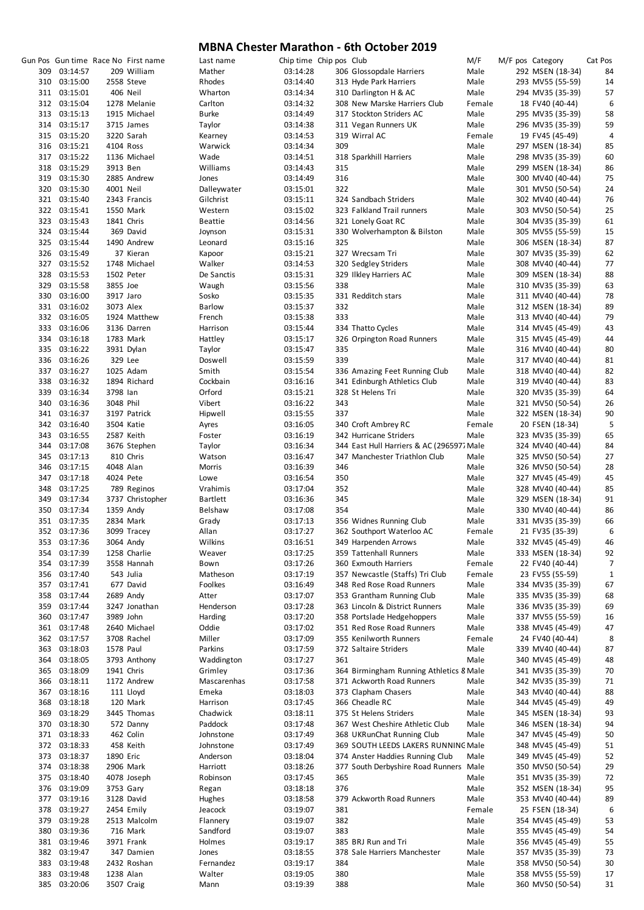|            |                              |                        | Gun Pos Gun time Race No First name | Last name            | Chip time Chip pos Club |            |                                                                        | M/F          | M/F pos Category                     | Cat Pos     |
|------------|------------------------------|------------------------|-------------------------------------|----------------------|-------------------------|------------|------------------------------------------------------------------------|--------------|--------------------------------------|-------------|
| 309        | 03:14:57                     |                        | 209 William                         | Mather               | 03:14:28                |            | 306 Glossopdale Harriers                                               | Male         | 292 MSEN (18-34)                     | 84          |
|            | 310 03:15:00                 |                        | 2558 Steve                          | Rhodes               | 03:14:40                |            | 313 Hyde Park Harriers                                                 | Male         | 293 MV55 (55-59)                     | 14          |
|            | 311 03:15:01                 |                        | 406 Neil                            | Wharton              | 03:14:34                |            | 310 Darlington H & AC                                                  | Male         | 294 MV35 (35-39)                     | 57          |
|            | 312 03:15:04                 |                        | 1278 Melanie                        | Carlton              | 03:14:32                |            | 308 New Marske Harriers Club                                           | Female       | 18 FV40 (40-44)                      | 6           |
|            | 313 03:15:13                 |                        | 1915 Michael                        | <b>Burke</b>         | 03:14:49                |            | 317 Stockton Striders AC                                               | Male         | 295 MV35 (35-39)                     | 58          |
|            | 314 03:15:17                 |                        | 3715 James                          | Taylor               | 03:14:38                |            | 311 Vegan Runners UK                                                   | Male         | 296 MV35 (35-39)                     | 59          |
|            | 315 03:15:20                 |                        | 3220 Sarah                          | Kearney              | 03:14:53                | 309        | 319 Wirral AC                                                          | Female       | 19 FV45 (45-49)                      | 4           |
|            | 316 03:15:21<br>317 03:15:22 | 4104 Ross              | 1136 Michael                        | Warwick<br>Wade      | 03:14:34<br>03:14:51    |            |                                                                        | Male<br>Male | 297 MSEN (18-34)                     | 85<br>60    |
|            | 318 03:15:29                 | 3913 Ben               |                                     | Williams             | 03:14:43                | 315        | 318 Sparkhill Harriers                                                 | Male         | 298 MV35 (35-39)                     | 86          |
|            | 319 03:15:30                 |                        | 2885 Andrew                         | Jones                | 03:14:49                | 316        |                                                                        | Male         | 299 MSEN (18-34)<br>300 MV40 (40-44) | 75          |
|            | 320 03:15:30                 | 4001 Neil              |                                     | Dalleywater          | 03:15:01                | 322        |                                                                        | Male         | 301 MV50 (50-54)                     | 24          |
|            | 321 03:15:40                 |                        | 2343 Francis                        | Gilchrist            | 03:15:11                |            | 324 Sandbach Striders                                                  | Male         | 302 MV40 (40-44)                     | 76          |
|            | 322 03:15:41                 |                        | 1550 Mark                           | Western              | 03:15:02                |            | 323 Falkland Trail runners                                             | Male         | 303 MV50 (50-54)                     | 25          |
|            | 323 03:15:43                 |                        | 1841 Chris                          | <b>Beattie</b>       | 03:14:56                |            | 321 Lonely Goat RC                                                     | Male         | 304 MV35 (35-39)                     | 61          |
|            | 324 03:15:44                 |                        | 369 David                           | Joynson              | 03:15:31                |            | 330 Wolverhampton & Bilston                                            | Male         | 305 MV55 (55-59)                     | 15          |
|            | 325 03:15:44                 |                        | 1490 Andrew                         | Leonard              | 03:15:16                | 325        |                                                                        | Male         | 306 MSEN (18-34)                     | 87          |
|            | 326 03:15:49                 |                        | 37 Kieran                           | Kapoor               | 03:15:21                |            | 327 Wrecsam Tri                                                        | Male         | 307 MV35 (35-39)                     | 62          |
| 327        | 03:15:52                     |                        | 1748 Michael                        | Walker               | 03:14:53                |            | 320 Sedgley Striders                                                   | Male         | 308 MV40 (40-44)                     | 77          |
| 328        | 03:15:53                     |                        | 1502 Peter                          | De Sanctis           | 03:15:31                |            | 329 Ilkley Harriers AC                                                 | Male         | 309 MSEN (18-34)                     | 88          |
| 329        | 03:15:58                     | 3855 Joe               |                                     | Waugh                | 03:15:56                | 338        |                                                                        | Male         | 310 MV35 (35-39)                     | 63          |
|            | 330 03:16:00                 | 3917 Jaro              |                                     | Sosko                | 03:15:35                |            | 331 Redditch stars                                                     | Male         | 311 MV40 (40-44)                     | 78          |
|            | 331 03:16:02                 | 3073 Alex              |                                     | <b>Barlow</b>        | 03:15:37                | 332        |                                                                        | Male         | 312 MSEN (18-34)                     | 89          |
| 332        | 03:16:05                     |                        | 1924 Matthew                        | French               | 03:15:38                | 333        |                                                                        | Male         | 313 MV40 (40-44)                     | 79          |
| 333        | 03:16:06                     |                        | 3136 Darren                         | Harrison             | 03:15:44                |            | 334 Thatto Cycles                                                      | Male         | 314 MV45 (45-49)                     | 43          |
| 334        | 03:16:18                     |                        | 1783 Mark                           | Hattley              | 03:15:17                |            | 326 Orpington Road Runners                                             | Male         | 315 MV45 (45-49)                     | 44          |
|            | 335 03:16:22                 |                        | 3931 Dylan                          | Taylor               | 03:15:47                | 335        |                                                                        | Male         | 316 MV40 (40-44)                     | 80          |
|            | 336 03:16:26                 | 329 Lee                |                                     | Doswell              | 03:15:59                | 339        |                                                                        | Male         | 317 MV40 (40-44)                     | 81          |
| 337        | 03:16:27                     |                        | 1025 Adam                           | Smith                | 03:15:54                |            | 336 Amazing Feet Running Club                                          | Male         | 318 MV40 (40-44)                     | 82          |
| 338        | 03:16:32                     |                        | 1894 Richard                        | Cockbain             | 03:16:16                |            | 341 Edinburgh Athletics Club                                           | Male         | 319 MV40 (40-44)                     | 83          |
| 339        | 03:16:34                     | 3798 lan               |                                     | Orford               | 03:15:21                |            | 328 St Helens Tri                                                      | Male         | 320 MV35 (35-39)                     | 64          |
| 340        | 03:16:36                     | 3048 Phil              |                                     | Vibert               | 03:16:22                | 343        |                                                                        | Male         | 321 MV50 (50-54)                     | 26          |
|            | 341 03:16:37                 |                        | 3197 Patrick                        | Hipwell              | 03:15:55                | 337        |                                                                        | Male         | 322 MSEN (18-34)                     | 90          |
|            | 342 03:16:40                 |                        | 3504 Katie                          | Ayres                | 03:16:05                |            | 340 Croft Ambrey RC                                                    | Female       | 20 FSEN (18-34)                      | 5           |
| 343        | 03:16:55                     |                        | 2587 Keith                          | Foster               | 03:16:19                |            | 342 Hurricane Striders                                                 | Male         | 323 MV35 (35-39)                     | 65          |
| 344        | 03:17:08                     |                        | 3676 Stephen                        | Taylor               | 03:16:34                |            | 344 East Hull Harriers & AC (2965977 Male                              |              | 324 MV40 (40-44)                     | 84          |
|            | 345 03:17:13                 |                        | 810 Chris                           | Watson               | 03:16:47                |            | 347 Manchester Triathlon Club                                          | Male         | 325 MV50 (50-54)                     | 27          |
| 346<br>347 | 03:17:15<br>03:17:18         | 4048 Alan<br>4024 Pete |                                     | Morris               | 03:16:39<br>03:16:54    | 346<br>350 |                                                                        | Male<br>Male | 326 MV50 (50-54)<br>327 MV45 (45-49) | 28<br>45    |
| 348        | 03:17:25                     |                        | 789 Reginos                         | Lowe<br>Vrahimis     | 03:17:04                | 352        |                                                                        | Male         | 328 MV40 (40-44)                     | 85          |
| 349        | 03:17:34                     |                        | 3737 Christopher                    | <b>Bartlett</b>      | 03:16:36                | 345        |                                                                        | Male         | 329 MSEN (18-34)                     | 91          |
|            | 350 03:17:34                 |                        | 1359 Andy                           | Belshaw              | 03:17:08                | 354        |                                                                        | Male         | 330 MV40 (40-44)                     | 86          |
|            | 351 03:17:35                 |                        | 2834 Mark                           | Grady                | 03:17:13                |            | 356 Widnes Running Club                                                | Male         | 331 MV35 (35-39)                     | 66          |
|            | 352 03:17:36                 |                        | 3099 Tracey                         | Allan                | 03:17:27                |            | 362 Southport Waterloo AC                                              | Female       | 21 FV35 (35-39)                      | 6           |
|            | 353 03:17:36                 |                        | 3064 Andy                           | Wilkins              | 03:16:51                |            | 349 Harpenden Arrows                                                   | Male         | 332 MV45 (45-49)                     | 46          |
| 354        | 03:17:39                     |                        | 1258 Charlie                        | Weaver               | 03:17:25                |            | 359 Tattenhall Runners                                                 | Male         | 333 MSEN (18-34)                     | 92          |
| 354        | 03:17:39                     |                        | 3558 Hannah                         | Bown                 | 03:17:26                |            | 360 Exmouth Harriers                                                   | Female       | 22 FV40 (40-44)                      | 7           |
| 356        | 03:17:40                     |                        | 543 Julia                           | Matheson             | 03:17:19                |            | 357 Newcastle (Staffs) Tri Club                                        | Female       | 23 FV55 (55-59)                      | $\mathbf 1$ |
| 357        | 03:17:41                     |                        | 677 David                           | Foolkes              | 03:16:49                |            | 348 Red Rose Road Runners                                              | Male         | 334 MV35 (35-39)                     | 67          |
| 358        | 03:17:44                     |                        | 2689 Andy                           | Atter                | 03:17:07                |            | 353 Grantham Running Club                                              | Male         | 335 MV35 (35-39)                     | 68          |
| 359        | 03:17:44                     |                        | 3247 Jonathan                       | Henderson            | 03:17:28                |            | 363 Lincoln & District Runners                                         | Male         | 336 MV35 (35-39)                     | 69          |
| 360        | 03:17:47                     | 3989 John              |                                     | Harding              | 03:17:20                |            | 358 Portslade Hedgehoppers                                             | Male         | 337 MV55 (55-59)                     | 16          |
| 361        | 03:17:48                     |                        | 2640 Michael                        | Oddie                | 03:17:02                |            | 351 Red Rose Road Runners                                              | Male         | 338 MV45 (45-49)                     | 47          |
| 362        | 03:17:57                     |                        | 3708 Rachel                         | Miller               | 03:17:09                |            | 355 Kenilworth Runners                                                 | Female       | 24 FV40 (40-44)                      | 8           |
| 363        | 03:18:03                     | 1578 Paul              |                                     | Parkins              | 03:17:59                |            | 372 Saltaire Striders                                                  | Male         | 339 MV40 (40-44)                     | 87          |
| 364        | 03:18:05                     |                        | 3793 Anthony                        | Waddington           | 03:17:27                | 361        |                                                                        | Male         | 340 MV45 (45-49)                     | 48          |
| 365        | 03:18:09                     |                        | 1941 Chris                          | Grimley              | 03:17:36                |            | 364 Birmingham Running Athletics 8 Male                                |              | 341 MV35 (35-39)                     | 70          |
| 366        | 03:18:11                     |                        | 1172 Andrew                         | Mascarenhas          | 03:17:58                |            | 371 Ackworth Road Runners                                              | Male         | 342 MV35 (35-39)                     | 71          |
| 367        | 03:18:16                     |                        | 111 Lloyd                           | Emeka                | 03:18:03                |            | 373 Clapham Chasers                                                    | Male         | 343 MV40 (40-44)                     | 88          |
| 368        | 03:18:18                     |                        | 120 Mark                            | Harrison             | 03:17:45                |            | 366 Cheadle RC                                                         | Male         | 344 MV45 (45-49)                     | 49          |
| 369        | 03:18:29                     |                        | 3445 Thomas                         | Chadwick             | 03:18:11                |            | 375 St Helens Striders                                                 | Male         | 345 MSEN (18-34)                     | 93          |
| 370        | 03:18:30                     |                        | 572 Danny                           | Paddock              | 03:17:48                |            | 367 West Cheshire Athletic Club                                        | Male         | 346 MSEN (18-34)                     | 94          |
| 371        | 03:18:33                     |                        | 462 Colin                           | Johnstone            | 03:17:49                |            | 368 UKRunChat Running Club                                             | Male         | 347 MV45 (45-49)                     | 50          |
| 372        | 03:18:33                     |                        | 458 Keith                           | Johnstone            | 03:17:49                |            | 369 SOUTH LEEDS LAKERS RUNNING Male<br>374 Anster Haddies Running Club | Male         | 348 MV45 (45-49)                     | 51          |
| 373        | 03:18:37<br>03:18:38         | 1890 Eric              |                                     | Anderson             | 03:18:04                |            |                                                                        |              | 349 MV45 (45-49)                     | 52          |
| 374<br>375 | 03:18:40                     |                        | 2906 Mark<br>4078 Joseph            | Harriott<br>Robinson | 03:18:26<br>03:17:45    | 365        | 377 South Derbyshire Road Runners Male                                 | Male         | 350 MV50 (50-54)<br>351 MV35 (35-39) | 29<br>72    |
| 376        | 03:19:09                     |                        | 3753 Gary                           | Regan                | 03:18:18                | 376        |                                                                        | Male         | 352 MSEN (18-34)                     | 95          |
| 377        | 03:19:16                     |                        | 3128 David                          | Hughes               | 03:18:58                |            | 379 Ackworth Road Runners                                              | Male         | 353 MV40 (40-44)                     | 89          |
| 378        | 03:19:27                     |                        | 2454 Emily                          | Jeacock              | 03:19:07                | 381        |                                                                        | Female       | 25 FSEN (18-34)                      | 6           |
| 379        | 03:19:28                     |                        | 2513 Malcolm                        | Flannery             | 03:19:07                | 382        |                                                                        | Male         | 354 MV45 (45-49)                     | 53          |
| 380        | 03:19:36                     |                        | 716 Mark                            | Sandford             | 03:19:07                | 383        |                                                                        | Male         | 355 MV45 (45-49)                     | 54          |
| 381        | 03:19:46                     |                        | 3971 Frank                          | Holmes               | 03:19:17                |            | 385 BRJ Run and Tri                                                    | Male         | 356 MV45 (45-49)                     | 55          |
| 382        | 03:19:47                     |                        | 347 Damien                          | Jones                | 03:18:55                |            | 378 Sale Harriers Manchester                                           | Male         | 357 MV35 (35-39)                     | 73          |
| 383        | 03:19:48                     |                        | 2432 Roshan                         | Fernandez            | 03:19:17                | 384        |                                                                        | Male         | 358 MV50 (50-54)                     | 30          |
| 383        | 03:19:48                     | 1238 Alan              |                                     | Walter               | 03:19:05                | 380        |                                                                        | Male         | 358 MV55 (55-59)                     | 17          |
|            | 385 03:20:06                 |                        | 3507 Craig                          | Mann                 | 03:19:39                | 388        |                                                                        | Male         | 360 MV50 (50-54)                     | 31          |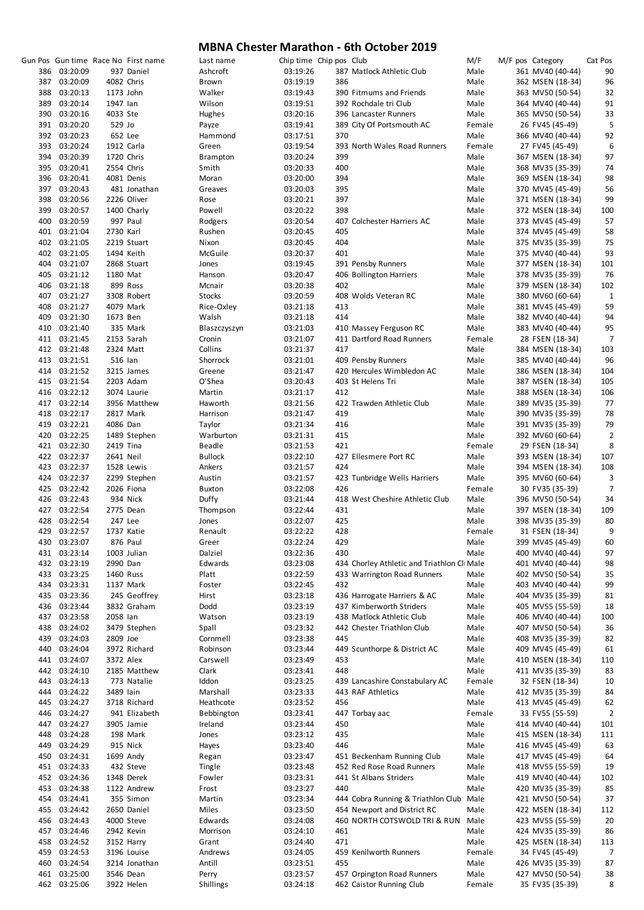|     |              |           | Gun Pos Gun time Race No First name | Last name       |          | Chip time Chip pos Club |                                             | M/F    | M/F pos Category | Cat Pos        |
|-----|--------------|-----------|-------------------------------------|-----------------|----------|-------------------------|---------------------------------------------|--------|------------------|----------------|
|     |              |           |                                     |                 |          |                         |                                             |        |                  |                |
| 386 | 03:20:09     |           | 937 Daniel                          | Ashcroft        | 03:19:26 |                         | 387 Matlock Athletic Club                   | Male   | 361 MV40 (40-44) | 90             |
| 387 | 03:20:09     |           | 4082 Chris                          | Brown           | 03:19:19 | 386                     |                                             | Male   | 362 MSEN (18-34) | 96             |
| 388 | 03:20:13     | 1173 John |                                     | Walker          | 03:19:43 |                         | 390 Fitmums and Friends                     | Male   | 363 MV50 (50-54) | 32             |
|     |              |           |                                     |                 |          |                         |                                             |        |                  |                |
| 389 | 03:20:14     | 1947 lan  |                                     | Wilson          | 03:19:51 |                         | 392 Rochdale tri Club                       | Male   | 364 MV40 (40-44) | 91             |
| 390 | 03:20:16     | 4033 Ste  |                                     | Hughes          | 03:20:16 |                         | 396 Lancaster Runners                       | Male   | 365 MV50 (50-54) | 33             |
|     | 391 03:20:20 | 529 Jo    |                                     | Payze           | 03:19:41 |                         | 389 City Of Portsmouth AC                   | Female | 26 FV45 (45-49)  | 5              |
|     | 392 03:20:23 | 652 Lee   |                                     | Hammond         | 03:17:51 | 370                     |                                             | Male   | 366 MV40 (40-44) | 92             |
|     |              |           |                                     |                 |          |                         |                                             |        |                  |                |
|     | 393 03:20:24 |           | 1912 Carla                          | Green           | 03:19:54 |                         | 393 North Wales Road Runners                | Female | 27 FV45 (45-49)  | 6              |
| 394 | 03:20:39     |           | 1720 Chris                          | <b>Brampton</b> | 03:20:24 | 399                     |                                             | Male   | 367 MSEN (18-34) | 97             |
| 395 | 03:20:41     |           | 2554 Chris                          | Smith           | 03:20:33 | 400                     |                                             | Male   | 368 MV35 (35-39) | 74             |
|     |              |           |                                     |                 |          |                         |                                             |        |                  |                |
|     | 396 03:20:41 |           | 4081 Denis                          | Moran           | 03:20:00 | 394                     |                                             | Male   | 369 MSEN (18-34) | 98             |
| 397 | 03:20:43     |           | 481 Jonathan                        | Greaves         | 03:20:03 | 395                     |                                             | Male   | 370 MV45 (45-49) | 56             |
| 398 | 03:20:56     |           | 2226 Oliver                         | Rose            | 03:20:21 | 397                     |                                             | Male   | 371 MSEN (18-34) | 99             |
|     |              |           |                                     |                 |          |                         |                                             |        |                  |                |
| 399 | 03:20:57     |           | 1400 Charly                         | Powell          | 03:20:22 | 398                     |                                             | Male   | 372 MSEN (18-34) | 100            |
| 400 | 03:20:59     |           | 997 Paul                            | Rodgers         | 03:20:54 |                         | 407 Colchester Harriers AC                  | Male   | 373 MV45 (45-49) | 57             |
| 401 | 03:21:04     | 2730 Karl |                                     | Rushen          | 03:20:45 | 405                     |                                             | Male   | 374 MV45 (45-49) | 58             |
| 402 | 03:21:05     |           |                                     |                 |          | 404                     |                                             | Male   |                  | 75             |
|     |              |           | 2219 Stuart                         | Nixon           | 03:20:45 |                         |                                             |        | 375 MV35 (35-39) |                |
|     | 402 03:21:05 |           | 1494 Keith                          | McGuile         | 03:20:37 | 401                     |                                             | Male   | 375 MV40 (40-44) | 93             |
| 404 | 03:21:07     |           | 2868 Stuart                         | Jones           | 03:19:45 |                         | 391 Pensby Runners                          | Male   | 377 MSEN (18-34) | 101            |
| 405 | 03:21:12     | 1180 Mat  |                                     | Hanson          | 03:20:47 |                         | 406 Bollington Harriers                     | Male   | 378 MV35 (35-39) | 76             |
|     |              |           |                                     |                 |          |                         |                                             |        |                  |                |
| 406 | 03:21:18     |           | 899 Ross                            | Mcnair          | 03:20:38 | 402                     |                                             | Male   | 379 MSEN (18-34) | 102            |
| 407 | 03:21:27     |           | 3308 Robert                         | Stocks          | 03:20:59 |                         | 408 Wolds Veteran RC                        | Male   | 380 MV60 (60-64) | $\mathbf 1$    |
| 408 | 03:21:27     |           | 4079 Mark                           | Rice-Oxley      | 03:21:18 | 413                     |                                             | Male   | 381 MV45 (45-49) | 59             |
|     |              |           |                                     |                 |          |                         |                                             |        |                  |                |
| 409 | 03:21:30     | 1673 Ben  |                                     | Walsh           | 03:21:18 | 414                     |                                             | Male   | 382 MV40 (40-44) | 94             |
| 410 | 03:21:40     |           | 335 Mark                            | Blaszczyszyn    | 03:21:03 |                         | 410 Massey Ferguson RC                      | Male   | 383 MV40 (40-44) | 95             |
|     | 411 03:21:45 |           | 2153 Sarah                          | Cronin          | 03:21:07 |                         | 411 Dartford Road Runners                   | Female | 28 FSEN (18-34)  | $\overline{7}$ |
|     |              |           |                                     |                 |          |                         |                                             |        |                  |                |
|     | 412 03:21:48 |           | 2324 Matt                           | Collins         | 03:21:37 | 417                     |                                             | Male   | 384 MSEN (18-34) | 103            |
|     | 413 03:21:51 | 516 lan   |                                     | Shorrock        | 03:21:01 |                         | 409 Pensby Runners                          | Male   | 385 MV40 (40-44) | 96             |
|     | 414 03:21:52 |           | 3215 James                          | Greene          | 03:21:47 |                         | 420 Hercules Wimbledon AC                   | Male   | 386 MSEN (18-34) | 104            |
|     |              |           |                                     |                 |          |                         |                                             |        |                  |                |
|     | 415 03:21:54 |           | 2203 Adam                           | O'Shea          | 03:20:43 |                         | 403 St Helens Tri                           | Male   | 387 MSEN (18-34) | 105            |
|     | 416 03:22:12 |           | 3074 Laurie                         | Martin          | 03:21:17 | 412                     |                                             | Male   | 388 MSEN (18-34) | 106            |
|     | 417 03:22:14 |           | 3956 Matthew                        | Haworth         | 03:21:56 |                         | 422 Trawden Athletic Club                   | Male   | 389 MV35 (35-39) | 77             |
|     | 418 03:22:17 |           | 2817 Mark                           | Harrison        | 03:21:47 | 419                     |                                             | Male   |                  | 78             |
|     |              |           |                                     |                 |          |                         |                                             |        | 390 MV35 (35-39) |                |
|     | 419 03:22:21 | 4086 Dan  |                                     | Taylor          | 03:21:34 | 416                     |                                             | Male   | 391 MV35 (35-39) | 79             |
|     | 420 03:22:25 |           | 1489 Stephen                        | Warburton       | 03:21:31 | 415                     |                                             | Male   | 392 MV60 (60-64) | $\overline{2}$ |
|     | 421 03:22:30 | 2419 Tina |                                     | Beadle          | 03:21:53 | 421                     |                                             | Female | 29 FSEN (18-34)  | 8              |
|     |              |           |                                     |                 |          |                         |                                             |        |                  |                |
|     | 422 03:22:37 | 2641 Neil |                                     | <b>Bullock</b>  | 03:22:10 |                         | 427 Ellesmere Port RC                       | Male   | 393 MSEN (18-34) | 107            |
|     | 423 03:22:37 |           | 1528 Lewis                          | Ankers          | 03:21:57 | 424                     |                                             | Male   | 394 MSEN (18-34) | 108            |
| 424 | 03:22:37     |           | 2299 Stephen                        | Austin          | 03:21:57 |                         | 423 Tunbridge Wells Harriers                | Male   | 395 MV60 (60-64) | 3              |
|     |              |           |                                     |                 |          |                         |                                             |        |                  |                |
|     | 425 03:22:42 |           | 2026 Fiona                          | <b>Buxton</b>   | 03:22:08 | 426                     |                                             | Female | 30 FV35 (35-39)  | $\overline{7}$ |
|     | 426 03:22:43 |           | 934 Nick                            | Duffy           | 03:21:44 |                         | 418 West Cheshire Athletic Club             | Male   | 396 MV50 (50-54) | 34             |
|     | 427 03:22:54 |           | 2775 Dean                           | Thompson        | 03:22:44 | 431                     |                                             | Male   | 397 MSEN (18-34) | 109            |
|     |              |           |                                     |                 |          |                         |                                             |        |                  |                |
|     | 428 03:22:54 |           | 247 Lee                             | Jones           | 03:22:07 | 425                     |                                             | Male   | 398 MV35 (35-39) | 80             |
|     | 429 03:22:57 |           | 1737 Katie                          | Renault         | 03:22:22 | 428                     |                                             | Female | 31 FSEN (18-34)  | 9              |
| 430 | 03:23:07     |           | 876 Paul                            | Greer           | 03:22:24 | 429                     |                                             | Male   | 399 MV45 (45-49) | 60             |
| 431 |              |           |                                     | Dalziel         | 03:22:36 | 430                     |                                             | Male   | 400 MV40 (40-44) | 97             |
|     | 03:23:14     |           | 1003 Julian                         |                 |          |                         |                                             |        |                  |                |
| 432 | 03:23:19     | 2990 Dan  |                                     | Edwards         | 03:23:08 |                         | 434 Chorley Athletic and Triathlon Cli Male |        | 401 MV40 (40-44) | 98             |
| 433 | 03:23:25     |           | 1460 Russ                           | Platt           | 03:22:59 |                         | 433 Warrington Road Runners                 | Male   | 402 MV50 (50-54) | 35             |
| 434 | 03:23:31     |           | 1137 Mark                           | Foster          | 03:22:45 | 432                     |                                             | Male   | 403 MV40 (40-44) | 99             |
|     |              |           |                                     |                 |          |                         |                                             |        |                  |                |
| 435 | 03:23:36     |           | 245 Geoffrey                        | Hirst           | 03:23:18 |                         | 436 Harrogate Harriers & AC                 | Male   | 404 MV35 (35-39) | 81             |
| 436 | 03:23:44     |           | 3832 Graham                         | Dodd            | 03:23:19 |                         | 437 Kimberworth Striders                    | Male   | 405 MV55 (55-59) | 18             |
| 437 | 03:23:58     | 2058 lan  |                                     | Watson          | 03:23:19 |                         | 438 Matlock Athletic Club                   | Male   | 406 MV40 (40-44) | 100            |
|     |              |           |                                     |                 |          |                         |                                             |        |                  |                |
| 438 | 03:24:02     |           | 3479 Stephen                        | Spall           | 03:23:32 |                         | 442 Chester Triathlon Club                  | Male   | 407 MV50 (50-54) | 36             |
| 439 | 03:24:03     | 2809 Joe  |                                     | Cornmell        | 03:23:38 | 445                     |                                             | Male   | 408 MV35 (35-39) | 82             |
| 440 | 03:24:04     |           | 3972 Richard                        | Robinson        | 03:23:44 |                         | 449 Scunthorpe & District AC                | Male   | 409 MV45 (45-49) | 61             |
|     |              |           |                                     |                 |          |                         |                                             |        |                  |                |
| 441 | 03:24:07     | 3372 Alex |                                     | Carswell        | 03:23:49 | 453                     |                                             | Male   | 410 MSEN (18-34) | 110            |
| 442 | 03:24:10     |           | 2185 Matthew                        | Clark           | 03:23:41 | 448                     |                                             | Male   | 411 MV35 (35-39) | 83             |
| 443 | 03:24:13     |           | 773 Natalie                         | Iddon           | 03:23:25 |                         | 439 Lancashire Constabulary AC              | Female | 32 FSEN (18-34)  | 10             |
|     |              |           |                                     |                 |          |                         |                                             |        |                  |                |
| 444 | 03:24:22     | 3489 lain |                                     | Marshall        | 03:23:33 |                         | 443 RAF Athletics                           | Male   | 412 MV35 (35-39) | 84             |
| 445 | 03:24:27     |           | 3718 Richard                        | Heathcote       | 03:23:52 | 456                     |                                             | Male   | 413 MV45 (45-49) | 62             |
| 446 | 03:24:27     |           | 941 Elizabeth                       | Bebbington      | 03:23:41 |                         | 447 Torbay aac                              | Female | 33 FV55 (55-59)  | $\overline{2}$ |
| 447 | 03:24:27     |           | 3905 Jamie                          | Ireland         | 03:23:44 | 450                     |                                             | Male   | 414 MV40 (40-44) | 101            |
|     |              |           |                                     |                 |          |                         |                                             |        |                  |                |
| 448 | 03:24:28     |           | 198 Mark                            | Jones           | 03:23:12 | 435                     |                                             | Male   | 415 MSEN (18-34) | 111            |
| 449 | 03:24:29     |           | 915 Nick                            | Hayes           | 03:23:40 | 446                     |                                             | Male   | 416 MV45 (45-49) | 63             |
| 450 | 03:24:31     |           | 1699 Andy                           | Regan           | 03:23:47 |                         | 451 Beckenham Running Club                  | Male   | 417 MV45 (45-49) | 64             |
|     |              |           |                                     |                 |          |                         |                                             |        |                  |                |
|     | 451 03:24:33 |           | 432 Steve                           | Tingle          | 03:23:48 |                         | 452 Red Rose Road Runners                   | Male   | 418 MV55 (55-59) | 19             |
| 452 | 03:24:36     |           | 1348 Derek                          | Fowler          | 03:23:31 |                         | 441 St Albans Striders                      | Male   | 419 MV40 (40-44) | 102            |
| 453 | 03:24:38     |           | 1122 Andrew                         | Frost           | 03:23:27 | 440                     |                                             | Male   | 420 MV35 (35-39) | 85             |
|     |              |           |                                     |                 |          |                         |                                             |        |                  |                |
| 454 | 03:24:41     |           | 355 Simon                           | Martin          | 03:23:34 |                         | 444 Cobra Running & Triathlon Club Male     |        | 421 MV50 (50-54) | 37             |
| 455 | 03:24:42     |           | 2650 Daniel                         | Miles           | 03:23:50 |                         | 454 Newport and District RC                 | Male   | 422 MSEN (18-34) | 112            |
| 456 | 03:24:43     |           | 4000 Steve                          | Edwards         | 03:24:08 |                         | 460 NORTH COTSWOLD TRI & RUN                | Male   | 423 MV55 (55-59) | 20             |
|     |              |           |                                     |                 |          |                         |                                             |        |                  |                |
| 457 | 03:24:46     |           | 2942 Kevin                          | Morrison        | 03:24:10 | 461                     |                                             | Male   | 424 MV35 (35-39) | 86             |
| 458 | 03:24:52     |           | 3152 Harry                          | Grant           | 03:24:40 | 471                     |                                             | Male   | 425 MSEN (18-34) | 113            |
| 459 | 03:24:53     |           | 3196 Louise                         | Andrews         | 03:24:05 |                         | 459 Kenilworth Runners                      | Female | 34 FV45 (45-49)  | 7              |
| 460 | 03:24:54     |           | 3214 Jonathan                       | Antill          |          | 455                     |                                             | Male   |                  | 87             |
|     |              |           |                                     |                 | 03:23:51 |                         |                                             |        | 426 MV35 (35-39) |                |
| 461 | 03:25:00     |           | 3546 Dean                           | Perry           | 03:23:57 |                         | 457 Orpington Road Runners                  | Male   | 427 MV50 (50-54) | 38             |
| 462 | 03:25:06     |           | 3922 Helen                          | Shillings       | 03:24:18 |                         | 462 Caistor Running Club                    | Female | 35 FV35 (35-39)  | 8              |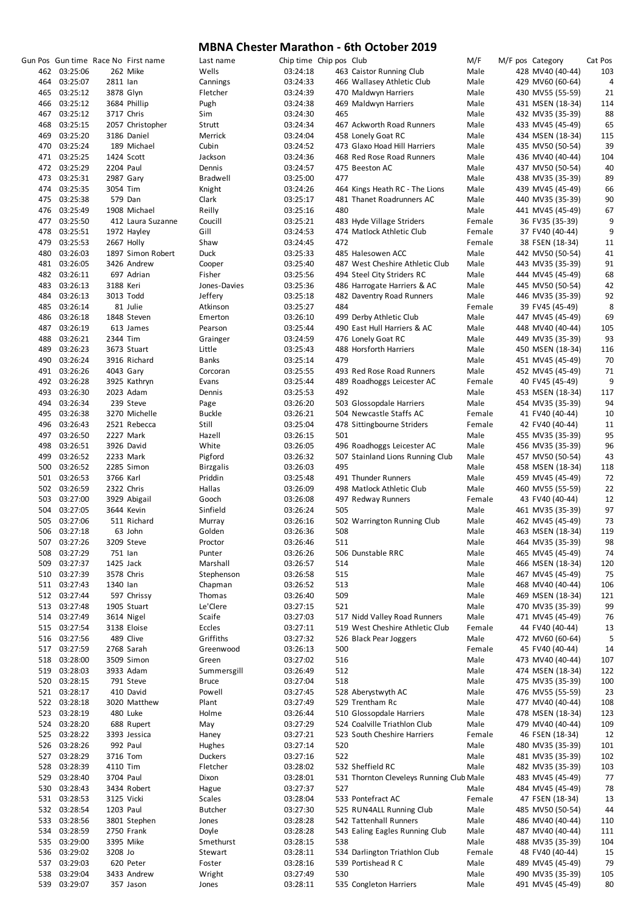|     |              |           | Gun Pos Gun time Race No First name | Last name        | Chip time Chip pos Club |     |                                          | M/F    | M/F pos Category | Cat Pos |
|-----|--------------|-----------|-------------------------------------|------------------|-------------------------|-----|------------------------------------------|--------|------------------|---------|
|     | 462 03:25:06 |           | 262 Mike                            | Wells            | 03:24:18                |     | 463 Caistor Running Club                 | Male   | 428 MV40 (40-44) | 103     |
|     | 464 03:25:07 | 2811 lan  |                                     | Cannings         | 03:24:33                |     | 466 Wallasey Athletic Club               | Male   | 429 MV60 (60-64) | 4       |
|     | 465 03:25:12 |           | 3878 Glyn                           | Fletcher         | 03:24:39                |     | 470 Maldwyn Harriers                     | Male   | 430 MV55 (55-59) | 21      |
|     | 466 03:25:12 |           | 3684 Phillip                        | Pugh             | 03:24:38                |     | 469 Maldwyn Harriers                     | Male   | 431 MSEN (18-34) | 114     |
|     | 467 03:25:12 |           | 3717 Chris                          | Sim              | 03:24:30                | 465 |                                          | Male   | 432 MV35 (35-39) | 88      |
|     | 468 03:25:15 |           | 2057 Christopher                    |                  |                         |     | 467 Ackworth Road Runners                |        |                  |         |
|     |              |           |                                     | Strutt           | 03:24:34                |     |                                          | Male   | 433 MV45 (45-49) | 65      |
|     | 469 03:25:20 |           | 3186 Daniel                         | Merrick          | 03:24:04                |     | 458 Lonely Goat RC                       | Male   | 434 MSEN (18-34) | 115     |
|     | 470 03:25:24 |           | 189 Michael                         | Cubin            | 03:24:52                |     | 473 Glaxo Hoad Hill Harriers             | Male   | 435 MV50 (50-54) | 39      |
|     | 471 03:25:25 |           | 1424 Scott                          | Jackson          | 03:24:36                |     | 468 Red Rose Road Runners                | Male   | 436 MV40 (40-44) | 104     |
|     | 472 03:25:29 | 2204 Paul |                                     | Dennis           | 03:24:57                |     | 475 Beeston AC                           | Male   | 437 MV50 (50-54) | 40      |
|     | 473 03:25:31 |           | 2987 Gary                           | <b>Bradwell</b>  | 03:25:00                | 477 |                                          | Male   | 438 MV35 (35-39) | 89      |
|     | 474 03:25:35 | 3054 Tim  |                                     | Knight           | 03:24:26                |     | 464 Kings Heath RC - The Lions           | Male   | 439 MV45 (45-49) | 66      |
|     |              |           |                                     |                  |                         |     | 481 Thanet Roadrunners AC                |        |                  |         |
|     | 475 03:25:38 |           | 579 Dan                             | Clark            | 03:25:17                |     |                                          | Male   | 440 MV35 (35-39) | 90      |
|     | 476 03:25:49 |           | 1908 Michael                        | Reilly           | 03:25:16                | 480 |                                          | Male   | 441 MV45 (45-49) | 67      |
|     | 477 03:25:50 |           | 412 Laura Suzanne                   | Coucill          | 03:25:21                |     | 483 Hyde Village Striders                | Female | 36 FV35 (35-39)  | 9       |
|     | 478 03:25:51 |           | 1972 Hayley                         | Gill             | 03:24:53                |     | 474 Matlock Athletic Club                | Female | 37 FV40 (40-44)  | 9       |
| 479 | 03:25:53     |           | 2667 Holly                          | Shaw             | 03:24:45                | 472 |                                          | Female | 38 FSEN (18-34)  | 11      |
| 480 | 03:26:03     |           | 1897 Simon Robert                   | Duck             | 03:25:33                |     | 485 Halesowen ACC                        | Male   | 442 MV50 (50-54) | 41      |
|     | 481 03:26:05 |           | 3426 Andrew                         | Cooper           | 03:25:40                |     | 487 West Cheshire Athletic Club          | Male   | 443 MV35 (35-39) | 91      |
|     |              |           |                                     |                  |                         |     |                                          |        |                  |         |
|     | 482 03:26:11 |           | 697 Adrian                          | Fisher           | 03:25:56                |     | 494 Steel City Striders RC               | Male   | 444 MV45 (45-49) | 68      |
|     | 483 03:26:13 | 3188 Keri |                                     | Jones-Davies     | 03:25:36                |     | 486 Harrogate Harriers & AC              | Male   | 445 MV50 (50-54) | 42      |
|     | 484 03:26:13 |           | 3013 Todd                           | Jeffery          | 03:25:18                |     | 482 Daventry Road Runners                | Male   | 446 MV35 (35-39) | 92      |
|     | 485 03:26:14 |           | 81 Julie                            | Atkinson         | 03:25:27                | 484 |                                          | Female | 39 FV45 (45-49)  | 8       |
|     | 486 03:26:18 |           | 1848 Steven                         | Emerton          | 03:26:10                |     | 499 Derby Athletic Club                  | Male   | 447 MV45 (45-49) | 69      |
| 487 | 03:26:19     |           | 613 James                           | Pearson          | 03:25:44                |     | 490 East Hull Harriers & AC              | Male   | 448 MV40 (40-44) | 105     |
|     | 488 03:26:21 | 2344 Tim  |                                     | Grainger         | 03:24:59                |     | 476 Lonely Goat RC                       | Male   | 449 MV35 (35-39) | 93      |
|     |              |           |                                     |                  |                         |     |                                          |        |                  |         |
| 489 | 03:26:23     |           | 3673 Stuart                         | Little           | 03:25:43                |     | 488 Horsforth Harriers                   | Male   | 450 MSEN (18-34) | 116     |
|     | 490 03:26:24 |           | 3916 Richard                        | Banks            | 03:25:14                | 479 |                                          | Male   | 451 MV45 (45-49) | 70      |
|     | 491 03:26:26 |           | 4043 Gary                           | Corcoran         | 03:25:55                |     | 493 Red Rose Road Runners                | Male   | 452 MV45 (45-49) | 71      |
|     | 492 03:26:28 |           | 3925 Kathryn                        | Evans            | 03:25:44                |     | 489 Roadhoggs Leicester AC               | Female | 40 FV45 (45-49)  | 9       |
|     | 493 03:26:30 |           | 2023 Adam                           | Dennis           | 03:25:53                | 492 |                                          | Male   | 453 MSEN (18-34) | 117     |
|     | 494 03:26:34 |           | 239 Steve                           | Page             | 03:26:20                |     | 503 Glossopdale Harriers                 | Male   | 454 MV35 (35-39) | 94      |
|     | 495 03:26:38 |           | 3270 Michelle                       | <b>Buckle</b>    | 03:26:21                |     | 504 Newcastle Staffs AC                  | Female | 41 FV40 (40-44)  | 10      |
|     |              |           |                                     |                  |                         |     |                                          |        |                  |         |
|     | 496 03:26:43 |           | 2521 Rebecca                        | Still            | 03:25:04                |     | 478 Sittingbourne Striders               | Female | 42 FV40 (40-44)  | 11      |
|     | 497 03:26:50 |           | 2227 Mark                           | Hazell           | 03:26:15                | 501 |                                          | Male   | 455 MV35 (35-39) | 95      |
|     | 498 03:26:51 |           | 3926 David                          | White            | 03:26:05                |     | 496 Roadhoggs Leicester AC               | Male   | 456 MV35 (35-39) | 96      |
| 499 | 03:26:52     |           | 2233 Mark                           | Pigford          | 03:26:32                |     | 507 Stainland Lions Running Club         | Male   | 457 MV50 (50-54) | 43      |
|     | 500 03:26:52 |           | 2285 Simon                          | <b>Birzgalis</b> | 03:26:03                | 495 |                                          | Male   | 458 MSEN (18-34) | 118     |
|     | 501 03:26:53 | 3766 Karl |                                     | Priddin          | 03:25:48                |     | 491 Thunder Runners                      | Male   | 459 MV45 (45-49) | 72      |
|     | 502 03:26:59 |           | 2322 Chris                          | Hallas           | 03:26:09                |     | 498 Matlock Athletic Club                | Male   | 460 MV55 (55-59) | 22      |
|     | 503 03:27:00 |           |                                     | Gooch            | 03:26:08                |     | 497 Redway Runners                       | Female | 43 FV40 (40-44)  | 12      |
|     |              |           | 3929 Abigail                        |                  |                         |     |                                          |        |                  |         |
|     | 504 03:27:05 |           | 3644 Kevin                          | Sinfield         | 03:26:24                | 505 |                                          | Male   | 461 MV35 (35-39) | 97      |
|     | 505 03:27:06 |           | 511 Richard                         | Murray           | 03:26:16                |     | 502 Warrington Running Club              | Male   | 462 MV45 (45-49) | 73      |
|     | 506 03:27:18 |           | 63 John                             | Golden           | 03:26:36                | 508 |                                          | Male   | 463 MSEN (18-34) | 119     |
|     | 507 03:27:26 |           | 3209 Steve                          | Proctor          | 03:26:46                | 511 |                                          | Male   | 464 MV35 (35-39) | 98      |
|     | 508 03:27:29 | 751 lan   |                                     | Punter           | 03:26:26                |     | 506 Dunstable RRC                        | Male   | 465 MV45 (45-49) | 74      |
|     | 509 03:27:37 |           | 1425 Jack                           | Marshall         | 03:26:57                | 514 |                                          | Male   | 466 MSEN (18-34) | 120     |
|     | 510 03:27:39 |           | 3578 Chris                          | Stephenson       | 03:26:58                | 515 |                                          | Male   | 467 MV45 (45-49) | 75      |
|     |              |           |                                     |                  |                         |     |                                          |        |                  |         |
|     | 511 03:27:43 | 1340 lan  |                                     | Chapman          | 03:26:52                | 513 |                                          | Male   | 468 MV40 (40-44) | 106     |
|     | 512 03:27:44 |           | 597 Chrissy                         | Thomas           | 03:26:40                | 509 |                                          | Male   | 469 MSEN (18-34) | 121     |
|     | 513 03:27:48 |           | 1905 Stuart                         | Le'Clere         | 03:27:15                | 521 |                                          | Male   | 470 MV35 (35-39) | 99      |
|     | 514 03:27:49 |           | 3614 Nigel                          | Scaife           | 03:27:03                |     | 517 Nidd Valley Road Runners             | Male   | 471 MV45 (45-49) | 76      |
|     | 515 03:27:54 |           | 3138 Eloise                         | Eccles           | 03:27:11                |     | 519 West Cheshire Athletic Club          | Female | 44 FV40 (40-44)  | 13      |
|     | 516 03:27:56 |           | 489 Clive                           | Griffiths        | 03:27:32                |     | 526 Black Pear Joggers                   | Male   | 472 MV60 (60-64) | 5       |
|     | 517 03:27:59 |           | 2768 Sarah                          | Greenwood        | 03:26:13                | 500 |                                          | Female | 45 FV40 (40-44)  | 14      |
|     | 518 03:28:00 |           | 3509 Simon                          | Green            | 03:27:02                | 516 |                                          | Male   | 473 MV40 (40-44) | 107     |
|     |              |           |                                     |                  |                         |     |                                          |        |                  |         |
|     | 519 03:28:03 |           | 3933 Adam                           | Summersgill      | 03:26:49                | 512 |                                          | Male   | 474 MSEN (18-34) | 122     |
|     | 520 03:28:15 |           | 791 Steve                           | <b>Bruce</b>     | 03:27:04                | 518 |                                          | Male   | 475 MV35 (35-39) | 100     |
|     | 521 03:28:17 |           | 410 David                           | Powell           | 03:27:45                |     | 528 Aberystwyth AC                       | Male   | 476 MV55 (55-59) | 23      |
|     | 522 03:28:18 |           | 3020 Matthew                        | Plant            | 03:27:49                |     | 529 Trentham Rc                          | Male   | 477 MV40 (40-44) | 108     |
|     | 523 03:28:19 |           | 480 Luke                            | Holme            | 03:26:44                |     | 510 Glossopdale Harriers                 | Male   | 478 MSEN (18-34) | 123     |
|     | 524 03:28:20 |           | 688 Rupert                          | May              | 03:27:29                |     | 524 Coalville Triathlon Club             | Male   | 479 MV40 (40-44) | 109     |
|     | 525 03:28:22 |           | 3393 Jessica                        | Haney            | 03:27:21                |     | 523 South Cheshire Harriers              | Female | 46 FSEN (18-34)  | 12      |
|     |              |           |                                     |                  |                         |     |                                          |        |                  |         |
|     | 526 03:28:26 |           | 992 Paul                            | Hughes           | 03:27:14                | 520 |                                          | Male   | 480 MV35 (35-39) | 101     |
|     | 527 03:28:29 | 3716 Tom  |                                     | <b>Duckers</b>   | 03:27:16                | 522 |                                          | Male   | 481 MV35 (35-39) | 102     |
|     | 528 03:28:39 | 4110 Tim  |                                     | Fletcher         | 03:28:02                |     | 532 Sheffield RC                         | Male   | 482 MV35 (35-39) | 103     |
|     | 529 03:28:40 | 3704 Paul |                                     | Dixon            | 03:28:01                |     | 531 Thornton Cleveleys Running Club Male |        | 483 MV45 (45-49) | 77      |
|     | 530 03:28:43 |           | 3434 Robert                         | Hague            | 03:27:37                | 527 |                                          | Male   | 484 MV45 (45-49) | 78      |
|     | 531 03:28:53 |           | 3125 Vicki                          | <b>Scales</b>    | 03:28:04                |     | 533 Pontefract AC                        | Female | 47 FSEN (18-34)  | 13      |
|     | 532 03:28:54 | 1203 Paul |                                     | <b>Butcher</b>   | 03:27:30                |     | 525 RUN4ALL Running Club                 | Male   | 485 MV50 (50-54) | 44      |
|     |              |           |                                     |                  |                         |     |                                          |        |                  |         |
|     | 533 03:28:56 |           | 3801 Stephen                        | Jones            | 03:28:28                |     | 542 Tattenhall Runners                   | Male   | 486 MV40 (40-44) | 110     |
|     | 534 03:28:59 |           | 2750 Frank                          | Doyle            | 03:28:28                |     | 543 Ealing Eagles Running Club           | Male   | 487 MV40 (40-44) | 111     |
|     | 535 03:29:00 |           | 3395 Mike                           | Smethurst        | 03:28:15                | 538 |                                          | Male   | 488 MV35 (35-39) | 104     |
|     | 536 03:29:02 | 3208 Jo   |                                     | Stewart          | 03:28:11                |     | 534 Darlington Triathlon Club            | Female | 48 FV40 (40-44)  | 15      |
|     | 537 03:29:03 |           | 620 Peter                           | Foster           | 03:28:16                |     | 539 Portishead R C                       | Male   | 489 MV45 (45-49) | 79      |
|     | 538 03:29:04 |           | 3433 Andrew                         | Wright           | 03:27:49                | 530 |                                          | Male   | 490 MV35 (35-39) | 105     |
|     | 539 03:29:07 |           | 357 Jason                           | Jones            | 03:28:11                |     | 535 Congleton Harriers                   | Male   | 491 MV45 (45-49) | 80      |
|     |              |           |                                     |                  |                         |     |                                          |        |                  |         |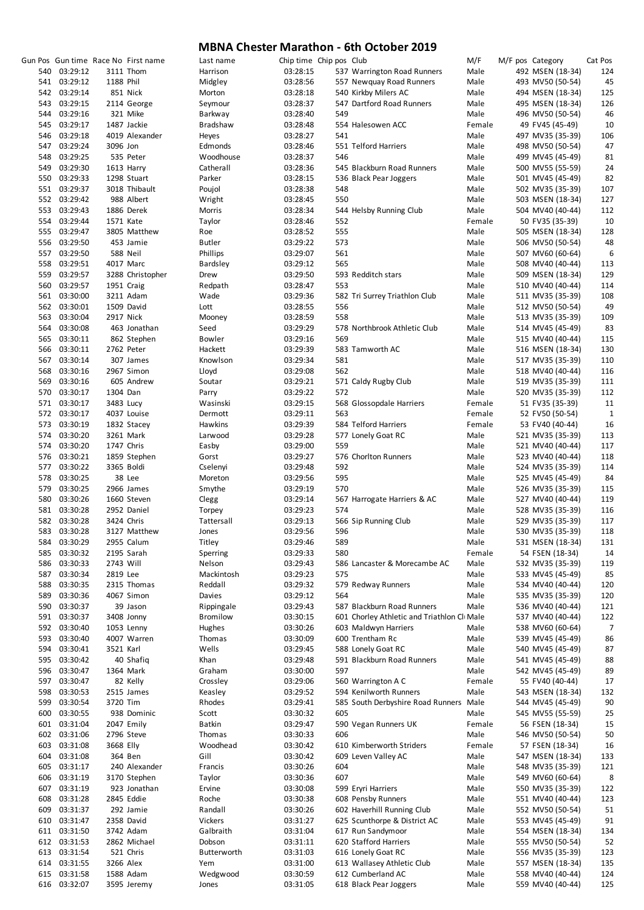|     |              |            | Gun Pos Gun time Race No First name | Last name       | Chip time Chip pos Club |     |                                             | M/F    | M/F pos Category | Cat Pos |
|-----|--------------|------------|-------------------------------------|-----------------|-------------------------|-----|---------------------------------------------|--------|------------------|---------|
|     | 540 03:29:12 |            | 3111 Thom                           | Harrison        | 03:28:15                |     | 537 Warrington Road Runners                 | Male   | 492 MSEN (18-34) | 124     |
|     | 541 03:29:12 | 1188 Phil  |                                     | Midgley         | 03:28:56                |     | 557 Newquay Road Runners                    | Male   | 493 MV50 (50-54) | 45      |
|     | 542 03:29:14 |            | 851 Nick                            | Morton          | 03:28:18                |     | 540 Kirkby Milers AC                        | Male   | 494 MSEN (18-34) | 125     |
|     | 543 03:29:15 |            | 2114 George                         | Seymour         | 03:28:37                |     | 547 Dartford Road Runners                   | Male   | 495 MSEN (18-34) | 126     |
| 544 | 03:29:16     |            | 321 Mike                            | Barkway         | 03:28:40                | 549 |                                             | Male   | 496 MV50 (50-54) | 46      |
|     | 545 03:29:17 |            | 1487 Jackie                         | Bradshaw        | 03:28:48                |     | 554 Halesowen ACC                           | Female | 49 FV45 (45-49)  | 10      |
| 546 | 03:29:18     |            | 4019 Alexander                      | Heyes           | 03:28:27                | 541 |                                             | Male   | 497 MV35 (35-39) | 106     |
| 547 | 03:29:24     | 3096 Jon   |                                     | Edmonds         | 03:28:46                |     | 551 Telford Harriers                        | Male   | 498 MV50 (50-54) | 47      |
| 548 | 03:29:25     |            | 535 Peter                           | Woodhouse       | 03:28:37                | 546 |                                             | Male   | 499 MV45 (45-49) | 81      |
| 549 | 03:29:30     |            | 1613 Harry                          | Catherall       | 03:28:36                |     | 545 Blackburn Road Runners                  | Male   | 500 MV55 (55-59) | 24      |
|     | 550 03:29:33 |            | 1298 Stuart                         | Parker          | 03:28:15                |     | 536 Black Pear Joggers                      | Male   | 501 MV45 (45-49) | 82      |
|     | 551 03:29:37 |            | 3018 Thibault                       | Poujol          | 03:28:38                | 548 |                                             | Male   | 502 MV35 (35-39) | 107     |
|     | 552 03:29:42 |            | 988 Albert                          | Wright          | 03:28:45                | 550 |                                             | Male   | 503 MSEN (18-34) | 127     |
| 553 | 03:29:43     |            | 1886 Derek                          | Morris          | 03:28:34                |     | 544 Helsby Running Club                     | Male   | 504 MV40 (40-44) | 112     |
| 554 | 03:29:44     | 1571 Kate  |                                     | Taylor          | 03:28:46                | 552 |                                             | Female | 50 FV35 (35-39)  | 10      |
|     | 555 03:29:47 |            | 3805 Matthew                        | Roe             | 03:28:52                | 555 |                                             | Male   | 505 MSEN (18-34) | 128     |
| 556 | 03:29:50     |            | 453 Jamie                           | <b>Butler</b>   | 03:29:22                | 573 |                                             | Male   | 506 MV50 (50-54) | 48      |
| 557 | 03:29:50     |            | 588 Neil                            | Phillips        | 03:29:07                | 561 |                                             | Male   | 507 MV60 (60-64) | 6       |
|     |              |            |                                     |                 |                         | 565 |                                             |        |                  |         |
| 558 | 03:29:51     |            | 4017 Marc                           | <b>Bardsley</b> | 03:29:12                |     |                                             | Male   | 508 MV40 (40-44) | 113     |
| 559 | 03:29:57     |            | 3288 Christopher                    | Drew            | 03:29:50                |     | 593 Redditch stars                          | Male   | 509 MSEN (18-34) | 129     |
|     | 560 03:29:57 | 1951 Craig |                                     | Redpath         | 03:28:47                | 553 |                                             | Male   | 510 MV40 (40-44) | 114     |
| 561 | 03:30:00     |            | 3211 Adam                           | Wade            | 03:29:36                |     | 582 Tri Surrey Triathlon Club               | Male   | 511 MV35 (35-39) | 108     |
|     | 562 03:30:01 |            | 1509 David                          | Lott            | 03:28:55                | 556 |                                             | Male   | 512 MV50 (50-54) | 49      |
| 563 | 03:30:04     | 2917 Nick  |                                     | Mooney          | 03:28:59                | 558 |                                             | Male   | 513 MV35 (35-39) | 109     |
| 564 | 03:30:08     |            | 463 Jonathan                        | Seed            | 03:29:29                |     | 578 Northbrook Athletic Club                | Male   | 514 MV45 (45-49) | 83      |
| 565 | 03:30:11     |            | 862 Stephen                         | <b>Bowler</b>   | 03:29:16                | 569 |                                             | Male   | 515 MV40 (40-44) | 115     |
| 566 | 03:30:11     |            | 2762 Peter                          | Hackett         | 03:29:39                |     | 583 Tamworth AC                             | Male   | 516 MSEN (18-34) | 130     |
| 567 | 03:30:14     |            | 307 James                           | Knowlson        | 03:29:34                | 581 |                                             | Male   | 517 MV35 (35-39) | 110     |
| 568 | 03:30:16     |            | 2967 Simon                          | Lloyd           | 03:29:08                | 562 |                                             | Male   | 518 MV40 (40-44) | 116     |
| 569 | 03:30:16     |            | 605 Andrew                          | Soutar          | 03:29:21                |     | 571 Caldy Rugby Club                        | Male   | 519 MV35 (35-39) | 111     |
|     | 570 03:30:17 | 1304 Dan   |                                     | Parry           | 03:29:22                | 572 |                                             | Male   | 520 MV35 (35-39) | 112     |
|     | 571 03:30:17 | 3483 Lucy  |                                     | Wasinski        | 03:29:15                |     | 568 Glossopdale Harriers                    | Female | 51 FV35 (35-39)  | 11      |
|     | 572 03:30:17 |            | 4037 Louise                         | Dermott         | 03:29:11                | 563 |                                             | Female | 52 FV50 (50-54)  | 1       |
| 573 | 03:30:19     |            | 1832 Stacey                         | Hawkins         | 03:29:39                |     | 584 Telford Harriers                        | Female | 53 FV40 (40-44)  | 16      |
| 574 | 03:30:20     |            | 3261 Mark                           | Larwood         | 03:29:28                |     | 577 Lonely Goat RC                          | Male   | 521 MV35 (35-39) | 113     |
| 574 | 03:30:20     | 1747 Chris |                                     | Easby           | 03:29:00                | 559 |                                             | Male   | 521 MV40 (40-44) | 117     |
| 576 | 03:30:21     |            | 1859 Stephen                        | Gorst           | 03:29:27                |     | 576 Chorlton Runners                        | Male   | 523 MV40 (40-44) | 118     |
|     | 577 03:30:22 |            | 3365 Boldi                          | Cselenyi        | 03:29:48                | 592 |                                             | Male   | 524 MV35 (35-39) | 114     |
|     |              |            |                                     |                 |                         | 595 |                                             |        |                  | 84      |
| 578 | 03:30:25     |            | 38 Lee                              | Moreton         | 03:29:56                |     |                                             | Male   | 525 MV45 (45-49) |         |
| 579 | 03:30:25     |            | 2966 James                          | Smythe          | 03:29:19                | 570 |                                             | Male   | 526 MV35 (35-39) | 115     |
| 580 | 03:30:26     |            | 1660 Steven                         | Clegg           | 03:29:14                |     | 567 Harrogate Harriers & AC                 | Male   | 527 MV40 (40-44) | 119     |
|     | 581 03:30:28 |            | 2952 Daniel                         | Torpey          | 03:29:23                | 574 |                                             | Male   | 528 MV35 (35-39) | 116     |
|     | 582 03:30:28 | 3424 Chris |                                     | Tattersall      | 03:29:13                |     | 566 Sip Running Club                        | Male   | 529 MV35 (35-39) | 117     |
|     | 583 03:30:28 |            | 3127 Matthew                        | Jones           | 03:29:56                | 596 |                                             | Male   | 530 MV35 (35-39) | 118     |
| 584 | 03:30:29     |            | 2955 Calum                          | Titley          | 03:29:46                | 589 |                                             | Male   | 531 MSEN (18-34) | 131     |
| 585 | 03:30:32     |            | 2195 Sarah                          | Sperring        | 03:29:33                | 580 |                                             | Female | 54 FSEN (18-34)  | 14      |
| 586 | 03:30:33     | 2743 Will  |                                     | Nelson          | 03:29:43                |     | 586 Lancaster & Morecambe AC                | Male   | 532 MV35 (35-39) | 119     |
| 587 | 03:30:34     | 2819 Lee   |                                     | Mackintosh      | 03:29:23                | 575 |                                             | Male   | 533 MV45 (45-49) | 85      |
| 588 | 03:30:35     |            | 2315 Thomas                         | Reddall         | 03:29:32                |     | 579 Redway Runners                          | Male   | 534 MV40 (40-44) | 120     |
| 589 | 03:30:36     |            | 4067 Simon                          | Davies          | 03:29:12                | 564 |                                             | Male   | 535 MV35 (35-39) | 120     |
| 590 | 03:30:37     |            | 39 Jason                            | Rippingale      | 03:29:43                |     | 587 Blackburn Road Runners                  | Male   | 536 MV40 (40-44) | 121     |
| 591 | 03:30:37     |            | 3408 Jonny                          | <b>Bromilow</b> | 03:30:15                |     | 601 Chorley Athletic and Triathlon Cli Male |        | 537 MV40 (40-44) | 122     |
| 592 | 03:30:40     |            | 1053 Lenny                          | Hughes          | 03:30:26                |     | 603 Maldwyn Harriers                        | Male   | 538 MV60 (60-64) | 7       |
| 593 | 03:30:40     |            | 4007 Warren                         | Thomas          | 03:30:09                |     | 600 Trentham Rc                             | Male   | 539 MV45 (45-49) | 86      |
| 594 | 03:30:41     | 3521 Karl  |                                     | Wells           | 03:29:45                |     | 588 Lonely Goat RC                          | Male   | 540 MV45 (45-49) | 87      |
| 595 | 03:30:42     |            | 40 Shafiq                           | Khan            | 03:29:48                |     | 591 Blackburn Road Runners                  | Male   | 541 MV45 (45-49) | 88      |
| 596 | 03:30:47     |            | 1364 Mark                           | Graham          | 03:30:00                | 597 |                                             | Male   | 542 MV45 (45-49) | 89      |
| 597 | 03:30:47     |            | 82 Kelly                            | Crossley        | 03:29:06                |     | 560 Warrington A C                          | Female | 55 FV40 (40-44)  | 17      |
| 598 | 03:30:53     |            | 2515 James                          | Keasley         | 03:29:52                |     | 594 Kenilworth Runners                      | Male   | 543 MSEN (18-34) | 132     |
| 599 | 03:30:54     | 3720 Tim   |                                     | Rhodes          | 03:29:41                |     | 585 South Derbyshire Road Runners Male      |        | 544 MV45 (45-49) | 90      |
| 600 | 03:30:55     |            | 938 Dominic                         | Scott           | 03:30:32                | 605 |                                             | Male   | 545 MV55 (55-59) | 25      |
| 601 | 03:31:04     |            | 2047 Emily                          | <b>Batkin</b>   | 03:29:47                |     | 590 Vegan Runners UK                        | Female | 56 FSEN (18-34)  | 15      |
|     | 03:31:06     |            |                                     |                 |                         | 606 |                                             | Male   |                  |         |
| 602 |              |            | 2796 Steve                          | Thomas          | 03:30:33                |     |                                             |        | 546 MV50 (50-54) | 50      |
| 603 | 03:31:08     | 3668 Elly  |                                     | Woodhead        | 03:30:42                |     | 610 Kimberworth Striders                    | Female | 57 FSEN (18-34)  | 16      |
| 604 | 03:31:08     |            | 364 Ben                             | Gill            | 03:30:42                |     | 609 Leven Valley AC                         | Male   | 547 MSEN (18-34) | 133     |
| 605 | 03:31:17     |            | 240 Alexander                       | Francis         | 03:30:26                | 604 |                                             | Male   | 548 MV35 (35-39) | 121     |
| 606 | 03:31:19     |            | 3170 Stephen                        | Taylor          | 03:30:36                | 607 |                                             | Male   | 549 MV60 (60-64) | 8       |
| 607 | 03:31:19     |            | 923 Jonathan                        | Ervine          | 03:30:08                |     | 599 Eryri Harriers                          | Male   | 550 MV35 (35-39) | 122     |
| 608 | 03:31:28     |            | 2845 Eddie                          | Roche           | 03:30:38                |     | 608 Pensby Runners                          | Male   | 551 MV40 (40-44) | 123     |
| 609 | 03:31:37     |            | 292 Jamie                           | Randall         | 03:30:26                |     | 602 Haverhill Running Club                  | Male   | 552 MV50 (50-54) | 51      |
| 610 | 03:31:47     |            | 2358 David                          | Vickers         | 03:31:27                |     | 625 Scunthorpe & District AC                | Male   | 553 MV45 (45-49) | 91      |
| 611 | 03:31:50     |            | 3742 Adam                           | Galbraith       | 03:31:04                |     | 617 Run Sandymoor                           | Male   | 554 MSEN (18-34) | 134     |
| 612 | 03:31:53     |            | 2862 Michael                        | Dobson          | 03:31:11                |     | 620 Stafford Harriers                       | Male   | 555 MV50 (50-54) | 52      |
| 613 | 03:31:54     |            | 521 Chris                           | Butterworth     | 03:31:03                |     | 616 Lonely Goat RC                          | Male   | 556 MV35 (35-39) | 123     |
| 614 | 03:31:55     | 3266 Alex  |                                     | Yem             | 03:31:00                |     | 613 Wallasey Athletic Club                  | Male   | 557 MSEN (18-34) | 135     |
| 615 | 03:31:58     |            | 1588 Adam                           | Wedgwood        | 03:30:59                |     | 612 Cumberland AC                           | Male   | 558 MV40 (40-44) | 124     |
|     | 616 03:32:07 |            | 3595 Jeremy                         | Jones           | 03:31:05                |     | 618 Black Pear Joggers                      | Male   | 559 MV40 (40-44) | 125     |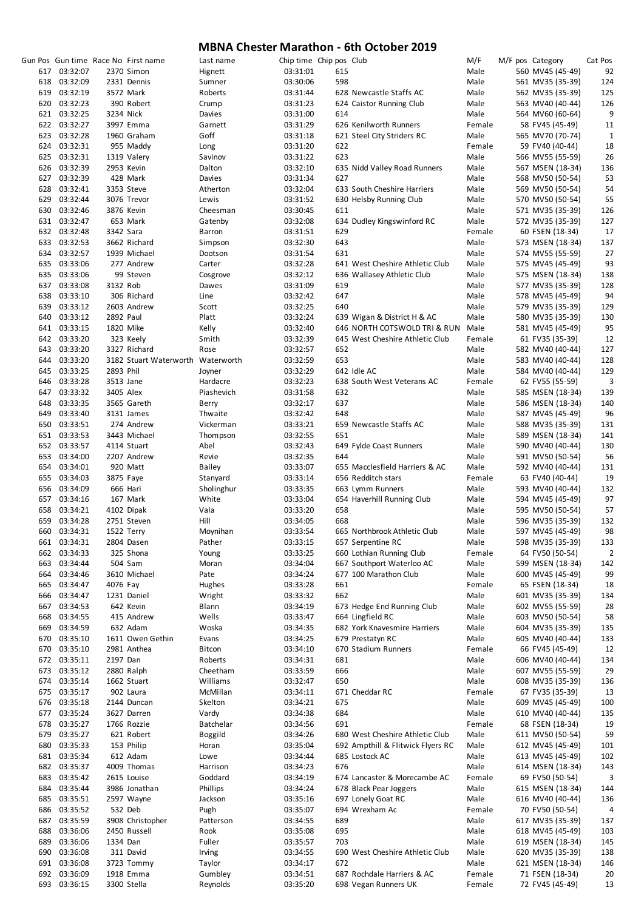|            |                      |           | Gun Pos Gun time Race No First name | Last name           | Chip time Chip pos Club |     |                                   | M/F    | M/F pos Category |                                     | Cat Pos        |
|------------|----------------------|-----------|-------------------------------------|---------------------|-------------------------|-----|-----------------------------------|--------|------------------|-------------------------------------|----------------|
| 617        | 03:32:07             |           | 2370 Simon                          | Hignett             | 03:31:01                | 615 |                                   | Male   |                  | 560 MV45 (45-49)                    | 92             |
| 618        | 03:32:09             |           | 2331 Dennis                         | Sumner              | 03:30:06                | 598 |                                   | Male   |                  | 561 MV35 (35-39)                    | 124            |
|            | 619 03:32:19         |           | 3572 Mark                           | Roberts             | 03:31:44                |     | 628 Newcastle Staffs AC           | Male   |                  | 562 MV35 (35-39)                    | 125            |
| 620        | 03:32:23             |           | 390 Robert                          | Crump               | 03:31:23                |     | 624 Caistor Running Club          | Male   |                  | 563 MV40 (40-44)                    | 126            |
|            | 621 03:32:25         | 3234 Nick |                                     | Davies              | 03:31:00                | 614 |                                   | Male   |                  | 564 MV60 (60-64)                    | 9              |
|            | 622 03:32:27         |           | 3997 Emma                           | Garnett             | 03:31:29                |     | 626 Kenilworth Runners            | Female |                  | 58 FV45 (45-49)                     | 11             |
| 623        | 03:32:28             |           | 1960 Graham                         | Goff                | 03:31:18                |     | 621 Steel City Striders RC        | Male   |                  | 565 MV70 (70-74)                    | $\mathbf{1}$   |
|            | 624 03:32:31         |           | 955 Maddy                           | Long                | 03:31:20                | 622 |                                   | Female |                  | 59 FV40 (40-44)                     | 18             |
|            | 625 03:32:31         |           | 1319 Valery                         | Savinov             | 03:31:22                | 623 |                                   | Male   |                  | 566 MV55 (55-59)                    | 26             |
|            | 626 03:32:39         |           | 2953 Kevin                          | Dalton              | 03:32:10                |     | 635 Nidd Valley Road Runners      | Male   |                  | 567 MSEN (18-34)                    | 136            |
|            | 627 03:32:39         |           | 428 Mark                            | Davies              | 03:31:34                | 627 |                                   | Male   |                  | 568 MV50 (50-54)                    | 53             |
|            |                      |           | 3353 Steve                          |                     |                         |     | 633 South Cheshire Harriers       |        |                  | 569 MV50 (50-54)                    |                |
|            | 628 03:32:41         |           |                                     | Atherton            | 03:32:04                |     |                                   | Male   |                  |                                     | 54             |
|            | 629 03:32:44         |           | 3076 Trevor                         | Lewis               | 03:31:52                |     | 630 Helsby Running Club           | Male   |                  | 570 MV50 (50-54)                    | 55             |
| 630        | 03:32:46             |           | 3876 Kevin                          | Cheesman            | 03:30:45                | 611 |                                   | Male   |                  | 571 MV35 (35-39)                    | 126            |
|            | 631 03:32:47         |           | 653 Mark                            | Gatenby             | 03:32:08                |     | 634 Dudley Kingswinford RC        | Male   |                  | 572 MV35 (35-39)                    | 127            |
|            | 632 03:32:48         | 3342 Sara |                                     | Barron              | 03:31:51                | 629 |                                   | Female |                  | 60 FSEN (18-34)                     | 17             |
|            | 633 03:32:53         |           | 3662 Richard                        | Simpson             | 03:32:30                | 643 |                                   | Male   |                  | 573 MSEN (18-34)                    | 137            |
|            | 634 03:32:57         |           | 1939 Michael                        | Dootson             | 03:31:54                | 631 |                                   | Male   |                  | 574 MV55 (55-59)                    | 27             |
| 635        | 03:33:06             |           | 277 Andrew                          | Carter              | 03:32:28                |     | 641 West Cheshire Athletic Club   | Male   |                  | 575 MV45 (45-49)                    | 93             |
|            | 635 03:33:06         |           | 99 Steven                           | Cosgrove            | 03:32:12                |     | 636 Wallasey Athletic Club        | Male   |                  | 575 MSEN (18-34)                    | 138            |
| 637        | 03:33:08             | 3132 Rob  |                                     | Dawes               | 03:31:09                | 619 |                                   | Male   |                  | 577 MV35 (35-39)                    | 128            |
| 638        | 03:33:10             |           | 306 Richard                         | Line                | 03:32:42                | 647 |                                   | Male   |                  | 578 MV45 (45-49)                    | 94             |
|            | 639 03:33:12         |           | 2603 Andrew                         | Scott               | 03:32:25                | 640 |                                   | Male   |                  | 579 MV35 (35-39)                    | 129            |
| 640        | 03:33:12             | 2892 Paul |                                     | Platt               | 03:32:24                |     | 639 Wigan & District H & AC       | Male   |                  | 580 MV35 (35-39)                    | 130            |
| 641        | 03:33:15             |           | 1820 Mike                           | Kelly               | 03:32:40                |     | 646 NORTH COTSWOLD TRI & RUN      | Male   |                  | 581 MV45 (45-49)                    | 95             |
| 642        | 03:33:20             |           | 323 Keely                           | Smith               | 03:32:39                |     | 645 West Cheshire Athletic Club   | Female |                  | 61 FV35 (35-39)                     | 12             |
| 643        | 03:33:20             |           | 3327 Richard                        | Rose                | 03:32:57                | 652 |                                   | Male   |                  | 582 MV40 (40-44)                    | 127            |
|            | 644 03:33:20         |           | 3182 Stuart Waterworth Waterworth   |                     | 03:32:59                | 653 |                                   | Male   |                  | 583 MV40 (40-44)                    | 128            |
| 645        | 03:33:25             | 2893 Phil |                                     | Joyner              | 03:32:29                |     | 642 Idle AC                       | Male   |                  | 584 MV40 (40-44)                    | 129            |
| 646        | 03:33:28             | 3513 Jane |                                     | Hardacre            | 03:32:23                |     | 638 South West Veterans AC        | Female |                  | 62 FV55 (55-59)                     | 3              |
| 647        | 03:33:32             | 3405 Alex |                                     | Piashevich          | 03:31:58                | 632 |                                   | Male   |                  | 585 MSEN (18-34)                    | 139            |
| 648        | 03:33:35             |           | 3565 Gareth                         | Berry               | 03:32:17                | 637 |                                   | Male   |                  | 586 MSEN (18-34)                    | 140            |
| 649        | 03:33:40             |           | 3131 James                          | Thwaite             | 03:32:42                | 648 |                                   | Male   |                  | 587 MV45 (45-49)                    | 96             |
| 650        | 03:33:51             |           | 274 Andrew                          | Vickerman           | 03:33:21                |     | 659 Newcastle Staffs AC           | Male   |                  | 588 MV35 (35-39)                    | 131            |
| 651        | 03:33:53             |           | 3443 Michael                        | Thompson            | 03:32:55                | 651 |                                   | Male   |                  | 589 MSEN (18-34)                    | 141            |
| 652        | 03:33:57             |           | 4114 Stuart                         | Abel                | 03:32:43                |     | 649 Fylde Coast Runners           | Male   |                  | 590 MV40 (40-44)                    | 130            |
| 653        | 03:34:00             |           | 2207 Andrew                         | Revie               | 03:32:35                | 644 |                                   | Male   |                  | 591 MV50 (50-54)                    | 56             |
|            | 654 03:34:01         |           | 920 Matt                            | <b>Bailey</b>       | 03:33:07                |     | 655 Macclesfield Harriers & AC    | Male   |                  | 592 MV40 (40-44)                    | 131            |
| 655        | 03:34:03             |           | 3875 Faye                           | Stanyard            | 03:33:14                |     | 656 Redditch stars                | Female |                  | 63 FV40 (40-44)                     | 19             |
|            | 656 03:34:09         |           | 666 Hari                            | Sholinghur          | 03:33:35                |     | 663 Lymm Runners                  | Male   |                  | 593 MV40 (40-44)                    | 132            |
|            | 657 03:34:16         |           | 167 Mark                            | White               | 03:33:04                |     | 654 Haverhill Running Club        | Male   |                  | 594 MV45 (45-49)                    | 97             |
| 658        | 03:34:21             |           | 4102 Dipak                          | Vala                | 03:33:20                | 658 |                                   | Male   |                  | 595 MV50 (50-54)                    | 57             |
| 659        | 03:34:28             |           | 2751 Steven                         | Hill                | 03:34:05                | 668 |                                   | Male   |                  | 596 MV35 (35-39)                    | 132            |
| 660        | 03:34:31             |           | 1522 Terry                          | Moynihan            | 03:33:54                |     | 665 Northbrook Athletic Club      | Male   |                  | 597 MV45 (45-49)                    | 98             |
| 661        | 03:34:31             |           | 2804 Dasen                          | Pather              | 03:33:15                |     | 657 Serpentine RC                 | Male   |                  | 598 MV35 (35-39)                    | 133            |
| 662        | 03:34:33             |           | 325 Shona                           | Young               | 03:33:25                |     | 660 Lothian Running Club          | Female |                  | 64 FV50 (50-54)                     | $\overline{2}$ |
| 663        | 03:34:44             |           | 504 Sam                             | Moran               | 03:34:04                |     | 667 Southport Waterloo AC         | Male   |                  | 599 MSEN (18-34)                    | 142            |
| 664        | 03:34:46             |           | 3610 Michael                        | Pate                | 03:34:24                |     | 677 100 Marathon Club             | Male   |                  | 600 MV45 (45-49)                    | 99             |
| 665        | 03:34:47             | 4076 Fay  |                                     | Hughes              | 03:33:28                | 661 |                                   | Female |                  | 65 FSEN (18-34)                     | 18             |
| 666        | 03:34:47             |           | 1231 Daniel                         | Wright              | 03:33:32                | 662 |                                   | Male   |                  | 601 MV35 (35-39)                    | 134            |
| 667        | 03:34:53             |           | 642 Kevin                           | Blann               | 03:34:19                |     | 673 Hedge End Running Club        | Male   |                  | 602 MV55 (55-59)                    | 28             |
| 668        | 03:34:55             |           | 415 Andrew                          | Wells               | 03:33:47                |     | 664 Lingfield RC                  | Male   |                  | 603 MV50 (50-54)                    | 58             |
| 669        | 03:34:59             |           | 632 Adam                            | Woska               | 03:34:35                |     | 682 York Knavesmire Harriers      | Male   |                  | 604 MV35 (35-39)                    | 135            |
| 670        | 03:35:10             |           | 1611 Owen Gethin                    | Evans               | 03:34:25                |     | 679 Prestatyn RC                  | Male   |                  | 605 MV40 (40-44)                    | 133            |
| 670        | 03:35:10             |           | 2981 Anthea                         | Bitcon              | 03:34:10                |     | 670 Stadium Runners               | Female |                  | 66 FV45 (45-49)                     | 12             |
|            | 672 03:35:11         | 2197 Dan  |                                     | Roberts             | 03:34:31                | 681 |                                   | Male   |                  | 606 MV40 (40-44)                    | 134            |
| 673        | 03:35:12             |           | 2880 Ralph                          | Cheetham            | 03:33:59                | 666 |                                   | Male   |                  | 607 MV55 (55-59)                    | 29             |
| 674        | 03:35:14             |           | 1662 Stuart                         | Williams            | 03:32:47                | 650 |                                   | Male   |                  | 608 MV35 (35-39)                    | 136            |
|            | 675 03:35:17         |           | 902 Laura                           | McMillan            | 03:34:11                |     | 671 Cheddar RC                    | Female |                  | 67 FV35 (35-39)                     | 13             |
|            | 676 03:35:18         |           | 2144 Duncan                         | Skelton             | 03:34:21                | 675 |                                   | Male   |                  | 609 MV45 (45-49)                    | 100            |
| 677        | 03:35:24             |           | 3627 Darren                         | Vardy               | 03:34:38                | 684 |                                   | Male   |                  | 610 MV40 (40-44)                    | 135            |
| 678        | 03:35:27             |           | 1766 Rozzie                         | Batchelar           | 03:34:56                | 691 |                                   | Female |                  | 68 FSEN (18-34)                     | 19             |
| 679        | 03:35:27             |           | 621 Robert                          | <b>Boggild</b>      | 03:34:26                |     | 680 West Cheshire Athletic Club   | Male   |                  | 611 MV50 (50-54)                    | 59             |
| 680        | 03:35:33             |           | 153 Philip                          | Horan               | 03:35:04                |     | 692 Ampthill & Flitwick Flyers RC | Male   |                  | 612 MV45 (45-49)                    | 101            |
| 681        | 03:35:34             |           | 612 Adam                            | Lowe                | 03:34:44                |     | 685 Lostock AC                    | Male   |                  | 613 MV45 (45-49)                    | 102            |
|            |                      |           |                                     |                     |                         |     |                                   | Male   |                  |                                     |                |
| 682<br>683 | 03:35:37<br>03:35:42 |           | 4009 Thomas<br>2615 Louise          | Harrison<br>Goddard | 03:34:23<br>03:34:19    | 676 | 674 Lancaster & Morecambe AC      | Female |                  | 614 MSEN (18-34)<br>69 FV50 (50-54) | 143<br>3       |
|            |                      |           |                                     |                     |                         |     |                                   |        |                  |                                     |                |
| 684        | 03:35:44             |           | 3986 Jonathan                       | Phillips            | 03:34:24                |     | 678 Black Pear Joggers            | Male   |                  | 615 MSEN (18-34)                    | 144            |
| 685        | 03:35:51             |           | 2597 Wayne                          | Jackson             | 03:35:16                |     | 697 Lonely Goat RC                | Male   |                  | 616 MV40 (40-44)                    | 136            |
| 686        | 03:35:52             |           | 532 Deb                             | Pugh                | 03:35:07                |     | 694 Wrexham Ac                    | Female |                  | 70 FV50 (50-54)                     | 4              |
| 687        | 03:35:59             |           | 3908 Christopher                    | Patterson           | 03:34:55                | 689 |                                   | Male   |                  | 617 MV35 (35-39)                    | 137            |
| 688        | 03:36:06             |           | 2450 Russell                        | Rook                | 03:35:08                | 695 |                                   | Male   |                  | 618 MV45 (45-49)                    | 103            |
| 689        | 03:36:06             | 1334 Dan  |                                     | Fuller              | 03:35:57                | 703 |                                   | Male   |                  | 619 MSEN (18-34)                    | 145            |
| 690        | 03:36:08             |           | 311 David                           | Irving              | 03:34:55                |     | 690 West Cheshire Athletic Club   | Male   |                  | 620 MV35 (35-39)                    | 138            |
| 691        | 03:36:08             |           | 3723 Tommy                          | Taylor              | 03:34:17                | 672 |                                   | Male   |                  | 621 MSEN (18-34)                    | 146            |
| 692        | 03:36:09             |           | 1918 Emma                           | Gumbley             | 03:34:51                |     | 687 Rochdale Harriers & AC        | Female |                  | 71 FSEN (18-34)                     | 20             |
|            | 693 03:36:15         |           | 3300 Stella                         | Reynolds            | 03:35:20                |     | 698 Vegan Runners UK              | Female |                  | 72 FV45 (45-49)                     | 13             |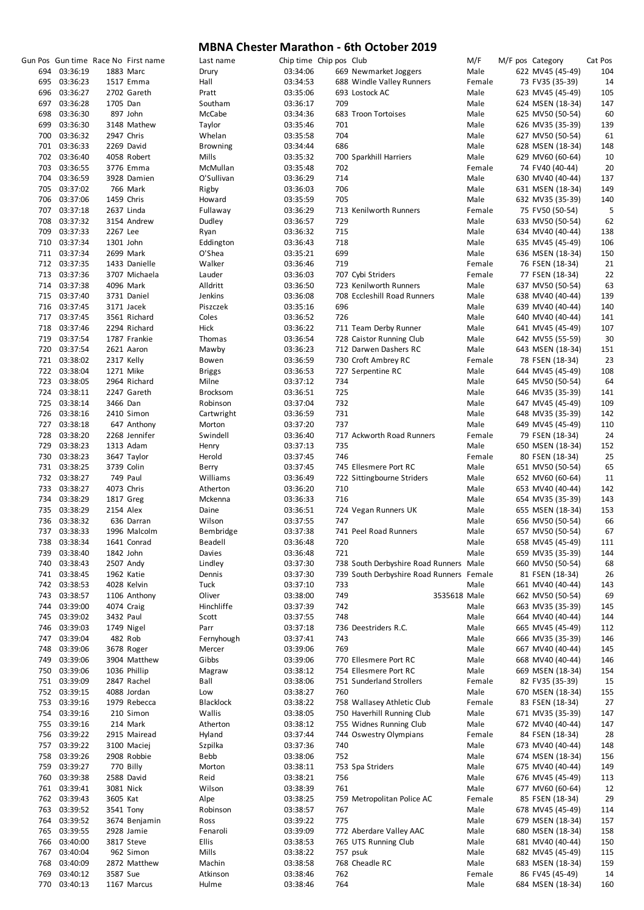|     |              |           | Gun Pos Gun time Race No First name | Last name       |          | Chip time Chip pos Club |                                          | M/F          |  | M/F pos Category | Cat Pos |
|-----|--------------|-----------|-------------------------------------|-----------------|----------|-------------------------|------------------------------------------|--------------|--|------------------|---------|
|     | 694 03:36:19 |           | 1883 Marc                           | Drury           | 03:34:06 |                         | 669 Newmarket Joggers                    | Male         |  | 622 MV45 (45-49) | 104     |
|     | 695 03:36:23 |           | 1517 Emma                           | Hall            | 03:34:53 |                         | 688 Windle Valley Runners                | Female       |  | 73 FV35 (35-39)  | 14      |
|     | 696 03:36:27 |           |                                     |                 |          |                         | 693 Lostock AC                           |              |  | 623 MV45 (45-49) | 105     |
|     |              |           | 2702 Gareth                         | Pratt           | 03:35:06 |                         |                                          | Male         |  |                  |         |
|     | 697 03:36:28 | 1705 Dan  |                                     | Southam         | 03:36:17 | 709                     |                                          | Male         |  | 624 MSEN (18-34) | 147     |
|     | 698 03:36:30 |           | 897 John                            | McCabe          | 03:34:36 |                         | 683 Troon Tortoises                      | Male         |  | 625 MV50 (50-54) | 60      |
|     | 699 03:36:30 |           | 3148 Mathew                         | Taylor          | 03:35:46 | 701                     |                                          | Male         |  | 626 MV35 (35-39) | 139     |
|     | 700 03:36:32 |           | 2947 Chris                          | Whelan          | 03:35:58 | 704                     |                                          | Male         |  | 627 MV50 (50-54) | 61      |
|     | 701 03:36:33 |           | 2269 David                          | <b>Browning</b> | 03:34:44 | 686                     |                                          | Male         |  | 628 MSEN (18-34) | 148     |
|     | 702 03:36:40 |           | 4058 Robert                         | Mills           |          |                         |                                          | Male         |  |                  |         |
|     |              |           |                                     |                 | 03:35:32 |                         | 700 Sparkhill Harriers                   |              |  | 629 MV60 (60-64) | 10      |
|     | 703 03:36:55 |           | 3776 Emma                           | McMullan        | 03:35:48 | 702                     |                                          | Female       |  | 74 FV40 (40-44)  | 20      |
|     | 704 03:36:59 |           | 3928 Damien                         | O'Sullivan      | 03:36:29 | 714                     |                                          | Male         |  | 630 MV40 (40-44) | 137     |
|     | 705 03:37:02 |           | 766 Mark                            | Rigby           | 03:36:03 | 706                     |                                          | Male         |  | 631 MSEN (18-34) | 149     |
|     | 706 03:37:06 |           | 1459 Chris                          | Howard          | 03:35:59 | 705                     |                                          | Male         |  | 632 MV35 (35-39) | 140     |
|     | 707 03:37:18 |           | 2637 Linda                          | Fullaway        | 03:36:29 |                         | 713 Kenilworth Runners                   | Female       |  | 75 FV50 (50-54)  | 5       |
|     |              |           |                                     |                 |          |                         |                                          |              |  |                  |         |
|     | 708 03:37:32 |           | 3154 Andrew                         | Dudley          | 03:36:57 | 729                     |                                          | Male         |  | 633 MV50 (50-54) | 62      |
|     | 709 03:37:33 | 2267 Lee  |                                     | Ryan            | 03:36:32 | 715                     |                                          | Male         |  | 634 MV40 (40-44) | 138     |
|     | 710 03:37:34 | 1301 John |                                     | Eddington       | 03:36:43 | 718                     |                                          | Male         |  | 635 MV45 (45-49) | 106     |
|     | 711 03:37:34 |           | 2699 Mark                           | O'Shea          | 03:35:21 | 699                     |                                          | Male         |  | 636 MSEN (18-34) | 150     |
|     | 712 03:37:35 |           | 1433 Danielle                       | Walker          | 03:36:46 | 719                     |                                          | Female       |  | 76 FSEN (18-34)  | 21      |
|     |              |           |                                     |                 |          |                         |                                          |              |  |                  |         |
|     | 713 03:37:36 |           | 3707 Michaela                       | Lauder          | 03:36:03 |                         | 707 Cybi Striders                        | Female       |  | 77 FSEN (18-34)  | 22      |
|     | 714 03:37:38 |           | 4096 Mark                           | Alldritt        | 03:36:50 |                         | 723 Kenilworth Runners                   | Male         |  | 637 MV50 (50-54) | 63      |
|     | 715 03:37:40 |           | 3731 Daniel                         | Jenkins         | 03:36:08 |                         | 708 Eccleshill Road Runners              | Male         |  | 638 MV40 (40-44) | 139     |
|     | 716 03:37:45 |           | 3171 Jacek                          | Piszczek        | 03:35:16 | 696                     |                                          | Male         |  | 639 MV40 (40-44) | 140     |
|     | 717 03:37:45 |           | 3561 Richard                        | Coles           | 03:36:52 | 726                     |                                          | Male         |  | 640 MV40 (40-44) | 141     |
|     |              |           |                                     |                 |          |                         |                                          |              |  |                  |         |
|     | 718 03:37:46 |           | 2294 Richard                        | Hick            | 03:36:22 |                         | 711 Team Derby Runner                    | Male         |  | 641 MV45 (45-49) | 107     |
|     | 719 03:37:54 |           | 1787 Frankie                        | Thomas          | 03:36:54 |                         | 728 Caistor Running Club                 | Male         |  | 642 MV55 (55-59) | 30      |
|     | 720 03:37:54 |           | 2621 Aaron                          | Mawby           | 03:36:23 |                         | 712 Darwen Dashers RC                    | Male         |  | 643 MSEN (18-34) | 151     |
|     | 721 03:38:02 |           | 2317 Kelly                          | Bowen           | 03:36:59 |                         | 730 Croft Ambrey RC                      | Female       |  | 78 FSEN (18-34)  | 23      |
|     | 722 03:38:04 |           | 1271 Mike                           | <b>Briggs</b>   | 03:36:53 |                         | 727 Serpentine RC                        | Male         |  | 644 MV45 (45-49) | 108     |
|     |              |           |                                     |                 |          |                         |                                          |              |  |                  |         |
|     | 723 03:38:05 |           | 2964 Richard                        | Milne           | 03:37:12 | 734                     |                                          | Male         |  | 645 MV50 (50-54) | 64      |
|     | 724 03:38:11 |           | 2247 Gareth                         | <b>Brocksom</b> | 03:36:51 | 725                     |                                          | Male         |  | 646 MV35 (35-39) | 141     |
|     | 725 03:38:14 | 3466 Dan  |                                     | Robinson        | 03:37:04 | 732                     |                                          | Male         |  | 647 MV45 (45-49) | 109     |
|     | 726 03:38:16 |           | 2410 Simon                          | Cartwright      | 03:36:59 | 731                     |                                          | Male         |  | 648 MV35 (35-39) | 142     |
|     | 727 03:38:18 |           | 647 Anthony                         | Morton          | 03:37:20 | 737                     |                                          | Male         |  | 649 MV45 (45-49) | 110     |
|     |              |           |                                     |                 |          |                         |                                          |              |  |                  |         |
|     | 728 03:38:20 |           | 2268 Jennifer                       | Swindell        | 03:36:40 |                         | 717 Ackworth Road Runners                | Female       |  | 79 FSEN (18-34)  | 24      |
|     | 729 03:38:23 |           | 1313 Adam                           | Henry           | 03:37:13 | 735                     |                                          | Male         |  | 650 MSEN (18-34) | 152     |
|     | 730 03:38:23 |           | 3647 Taylor                         | Herold          | 03:37:45 | 746                     |                                          | Female       |  | 80 FSEN (18-34)  | 25      |
|     | 731 03:38:25 |           | 3739 Colin                          | Berry           | 03:37:45 |                         | 745 Ellesmere Port RC                    | Male         |  | 651 MV50 (50-54) | 65      |
|     | 732 03:38:27 |           | 749 Paul                            | Williams        | 03:36:49 |                         | 722 Sittingbourne Striders               | Male         |  | 652 MV60 (60-64) | 11      |
|     | 733 03:38:27 |           | 4073 Chris                          | Atherton        | 03:36:20 | 710                     |                                          | Male         |  | 653 MV40 (40-44) | 142     |
|     |              |           |                                     |                 |          |                         |                                          |              |  |                  |         |
|     | 734 03:38:29 |           | 1817 Greg                           | Mckenna         | 03:36:33 | 716                     |                                          | Male         |  | 654 MV35 (35-39) | 143     |
|     | 735 03:38:29 | 2154 Alex |                                     | Daine           | 03:36:51 |                         | 724 Vegan Runners UK                     | Male         |  | 655 MSEN (18-34) | 153     |
|     | 736 03:38:32 |           | 636 Darran                          | Wilson          | 03:37:55 | 747                     |                                          | Male         |  | 656 MV50 (50-54) | 66      |
|     | 737 03:38:33 |           | 1996 Malcolm                        | Bembridge       | 03:37:38 |                         | 741 Peel Road Runners                    | Male         |  | 657 MV50 (50-54) | 67      |
|     | 738 03:38:34 |           | 1641 Conrad                         | Beadell         | 03:36:48 | 720                     |                                          | Male         |  | 658 MV45 (45-49) | 111     |
|     |              |           |                                     |                 |          |                         |                                          |              |  |                  |         |
|     | 739 03:38:40 | 1842 John |                                     | Davies          | 03:36:48 | 721                     |                                          | Male         |  | 659 MV35 (35-39) | 144     |
|     | 740 03:38:43 |           | 2507 Andy                           | Lindley         | 03:37:30 |                         | 738 South Derbyshire Road Runners Male   |              |  | 660 MV50 (50-54) | 68      |
|     | 741 03:38:45 |           | 1962 Katie                          | Dennis          | 03:37:30 |                         | 739 South Derbyshire Road Runners Female |              |  | 81 FSEN (18-34)  | 26      |
|     | 742 03:38:53 |           | 4028 Kelvin                         | Tuck            | 03:37:10 | 733                     |                                          | Male         |  | 661 MV40 (40-44) | 143     |
|     | 743 03:38:57 |           | 1106 Anthony                        | Oliver          | 03:38:00 | 749                     |                                          | 3535618 Male |  | 662 MV50 (50-54) | 69      |
|     |              |           |                                     |                 |          |                         |                                          |              |  |                  |         |
|     | 744 03:39:00 |           | 4074 Craig                          | Hinchliffe      | 03:37:39 | 742                     |                                          | Male         |  | 663 MV35 (35-39) | 145     |
|     | 745 03:39:02 | 3432 Paul |                                     | Scott           | 03:37:55 | 748                     |                                          | Male         |  | 664 MV40 (40-44) | 144     |
|     | 746 03:39:03 |           | 1749 Nigel                          | Parr            | 03:37:18 |                         | 736 Deestriders R.C.                     | Male         |  | 665 MV45 (45-49) | 112     |
|     | 747 03:39:04 |           | 482 Rob                             | Fernyhough      | 03:37:41 | 743                     |                                          | Male         |  | 666 MV35 (35-39) | 146     |
|     | 748 03:39:06 |           | 3678 Roger                          | Mercer          | 03:39:06 | 769                     |                                          | Male         |  | 667 MV40 (40-44) | 145     |
|     |              |           |                                     |                 |          |                         |                                          |              |  |                  |         |
|     | 749 03:39:06 |           | 3904 Matthew                        | Gibbs           | 03:39:06 |                         | 770 Ellesmere Port RC                    | Male         |  | 668 MV40 (40-44) | 146     |
|     | 750 03:39:06 |           | 1036 Phillip                        | Magraw          | 03:38:12 |                         | 754 Ellesmere Port RC                    | Male         |  | 669 MSEN (18-34) | 154     |
|     | 751 03:39:09 |           | 2847 Rachel                         | Ball            | 03:38:06 |                         | 751 Sunderland Strollers                 | Female       |  | 82 FV35 (35-39)  | 15      |
|     | 752 03:39:15 |           | 4088 Jordan                         | Low             | 03:38:27 | 760                     |                                          | Male         |  | 670 MSEN (18-34) | 155     |
|     | 753 03:39:16 |           | 1979 Rebecca                        | Blacklock       | 03:38:22 |                         | 758 Wallasey Athletic Club               | Female       |  | 83 FSEN (18-34)  | 27      |
|     |              |           |                                     |                 |          |                         |                                          |              |  |                  |         |
|     | 754 03:39:16 |           | 210 Simon                           | Wallis          | 03:38:05 |                         | 750 Haverhill Running Club               | Male         |  | 671 MV35 (35-39) | 147     |
|     | 755 03:39:16 |           | 214 Mark                            | Atherton        | 03:38:12 |                         | 755 Widnes Running Club                  | Male         |  | 672 MV40 (40-44) | 147     |
|     | 756 03:39:22 |           | 2915 Mairead                        | Hyland          | 03:37:44 |                         | 744 Oswestry Olympians                   | Female       |  | 84 FSEN (18-34)  | 28      |
|     | 757 03:39:22 |           | 3100 Maciej                         | Szpilka         | 03:37:36 | 740                     |                                          | Male         |  | 673 MV40 (40-44) | 148     |
|     | 758 03:39:26 |           | 2908 Robbie                         | Bebb            | 03:38:06 | 752                     |                                          | Male         |  | 674 MSEN (18-34) | 156     |
|     |              |           |                                     |                 |          |                         |                                          |              |  |                  |         |
|     | 759 03:39:27 |           | 770 Billy                           | Morton          | 03:38:11 |                         | 753 Spa Striders                         | Male         |  | 675 MV40 (40-44) | 149     |
|     | 760 03:39:38 |           | 2588 David                          | Reid            | 03:38:21 | 756                     |                                          | Male         |  | 676 MV45 (45-49) | 113     |
|     | 761 03:39:41 | 3081 Nick |                                     | Wilson          | 03:38:39 | 761                     |                                          | Male         |  | 677 MV60 (60-64) | 12      |
|     | 762 03:39:43 | 3605 Kat  |                                     | Alpe            | 03:38:25 |                         | 759 Metropolitan Police AC               | Female       |  | 85 FSEN (18-34)  | 29      |
|     | 763 03:39:52 |           | 3541 Tony                           | Robinson        | 03:38:57 | 767                     |                                          | Male         |  | 678 MV45 (45-49) | 114     |
|     |              |           |                                     |                 |          |                         |                                          |              |  |                  |         |
|     | 764 03:39:52 |           | 3674 Benjamin                       | Ross            | 03:39:22 | 775                     |                                          | Male         |  | 679 MSEN (18-34) | 157     |
|     | 765 03:39:55 |           | 2928 Jamie                          | Fenaroli        | 03:39:09 |                         | 772 Aberdare Valley AAC                  | Male         |  | 680 MSEN (18-34) | 158     |
|     | 766 03:40:00 |           | 3817 Steve                          | <b>Ellis</b>    | 03:38:53 |                         | 765 UTS Running Club                     | Male         |  | 681 MV40 (40-44) | 150     |
|     | 767 03:40:04 |           | 962 Simon                           | Mills           | 03:38:22 |                         | 757 psuk                                 | Male         |  | 682 MV45 (45-49) | 115     |
|     | 768 03:40:09 |           | 2872 Matthew                        | Machin          | 03:38:58 |                         | 768 Cheadle RC                           | Male         |  | 683 MSEN (18-34) | 159     |
|     |              |           |                                     |                 |          |                         |                                          |              |  |                  |         |
| 769 | 03:40:12     | 3587 Sue  |                                     | Atkinson        | 03:38:46 | 762                     |                                          | Female       |  | 86 FV45 (45-49)  | 14      |
| 770 | 03:40:13     |           | 1167 Marcus                         | Hulme           | 03:38:46 | 764                     |                                          | Male         |  | 684 MSEN (18-34) | 160     |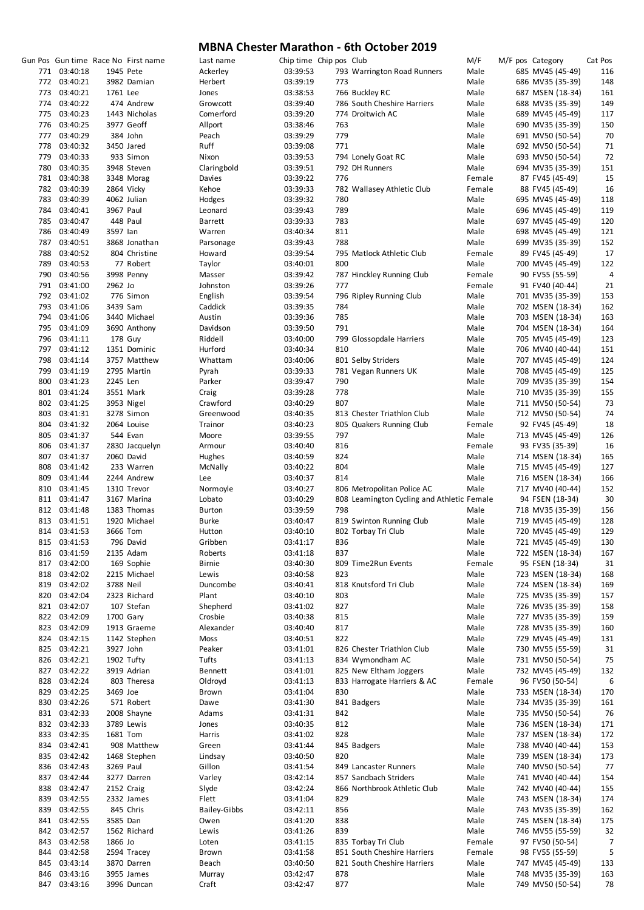|     |                              |           | Gun Pos Gun time Race No First name | Last name                | Chip time Chip pos Club |     |                                            | M/F            | M/F pos Category | Cat Pos |
|-----|------------------------------|-----------|-------------------------------------|--------------------------|-------------------------|-----|--------------------------------------------|----------------|------------------|---------|
|     | 771 03:40:18                 | 1945 Pete |                                     | Ackerley                 | 03:39:53                |     | 793 Warrington Road Runners                | Male           | 685 MV45 (45-49) | 116     |
|     | 772 03:40:21                 |           | 3982 Damian                         | Herbert                  | 03:39:19                | 773 |                                            | Male           | 686 MV35 (35-39) | 148     |
|     | 773 03:40:21                 | 1761 Lee  |                                     | Jones                    | 03:38:53                |     | 766 Buckley RC                             | Male           | 687 MSEN (18-34) | 161     |
|     | 774 03:40:22                 |           | 474 Andrew                          | Growcott                 | 03:39:40                |     | 786 South Cheshire Harriers                | Male           | 688 MV35 (35-39) | 149     |
|     | 775 03:40:23                 |           | 1443 Nicholas                       | Comerford                | 03:39:20                |     | 774 Droitwich AC                           | Male           | 689 MV45 (45-49) | 117     |
|     | 776 03:40:25                 |           | 3977 Geoff                          | Allport                  | 03:38:46                | 763 |                                            | Male           | 690 MV35 (35-39) | 150     |
|     | 777 03:40:29                 |           | 384 John                            | Peach                    | 03:39:29                | 779 |                                            | Male           | 691 MV50 (50-54) | 70      |
|     | 778 03:40:32                 |           | 3450 Jared                          | Ruff                     | 03:39:08                | 771 |                                            | Male           | 692 MV50 (50-54) | 71      |
|     | 779 03:40:33                 |           | 933 Simon                           | Nixon                    | 03:39:53                |     | 794 Lonely Goat RC                         | Male           | 693 MV50 (50-54) | 72      |
|     | 780 03:40:35                 |           | 3948 Steven                         | Claringbold              | 03:39:51                |     | 792 DH Runners                             | Male           | 694 MV35 (35-39) | 151     |
|     | 781 03:40:38                 |           | 3348 Morag                          | Davies                   | 03:39:22                | 776 |                                            | Female         | 87 FV45 (45-49)  | 15      |
|     | 782 03:40:39                 |           | 2864 Vicky                          | Kehoe                    | 03:39:33                |     | 782 Wallasey Athletic Club                 | Female         | 88 FV45 (45-49)  | 16      |
|     | 783 03:40:39                 |           | 4062 Julian                         | Hodges                   | 03:39:32                | 780 |                                            | Male           | 695 MV45 (45-49) | 118     |
|     | 784 03:40:41                 | 3967 Paul |                                     | Leonard                  | 03:39:43                | 789 |                                            | Male           | 696 MV45 (45-49) | 119     |
|     | 785 03:40:47                 |           | 448 Paul                            | <b>Barrett</b>           | 03:39:33                | 783 |                                            | Male           | 697 MV45 (45-49) | 120     |
|     | 786 03:40:49                 | 3597 lan  |                                     | Warren                   | 03:40:34                | 811 |                                            | Male           | 698 MV45 (45-49) | 121     |
|     | 787 03:40:51                 |           | 3868 Jonathan                       | Parsonage                | 03:39:43                | 788 |                                            | Male           | 699 MV35 (35-39) | 152     |
|     | 788 03:40:52                 |           | 804 Christine                       | Howard                   | 03:39:54                |     | 795 Matlock Athletic Club                  | Female         | 89 FV45 (45-49)  | 17      |
|     | 789 03:40:53                 |           | 77 Robert                           | Taylor                   | 03:40:01                | 800 |                                            | Male           | 700 MV45 (45-49) | 122     |
|     | 790 03:40:56                 |           | 3998 Penny                          | Masser                   | 03:39:42                |     | 787 Hinckley Running Club                  | Female         | 90 FV55 (55-59)  | 4       |
|     | 791 03:41:00                 | 2962 Jo   |                                     | Johnston                 | 03:39:26                | 777 |                                            | Female         | 91 FV40 (40-44)  | 21      |
|     | 792 03:41:02                 |           | 776 Simon                           | English                  | 03:39:54                |     | 796 Ripley Running Club                    | Male           | 701 MV35 (35-39) | 153     |
|     | 793 03:41:06                 | 3439 Sam  |                                     | Caddick                  | 03:39:35                | 784 |                                            | Male           | 702 MSEN (18-34) | 162     |
|     | 794 03:41:06                 |           | 3440 Michael                        | Austin                   | 03:39:36                | 785 |                                            | Male           | 703 MSEN (18-34) | 163     |
|     | 795 03:41:09                 |           | 3690 Anthony                        | Davidson                 | 03:39:50                | 791 |                                            | Male           | 704 MSEN (18-34) | 164     |
|     | 796 03:41:11                 |           | <b>178 Guy</b>                      | Riddell                  | 03:40:00                |     | 799 Glossopdale Harriers                   | Male           | 705 MV45 (45-49) | 123     |
|     | 797 03:41:12                 |           | 1351 Dominic                        | Hurford                  | 03:40:34                | 810 |                                            | Male           | 706 MV40 (40-44) | 151     |
|     | 798 03:41:14                 |           | 3757 Matthew                        | Whattam                  | 03:40:06                |     | 801 Selby Striders                         | Male           | 707 MV45 (45-49) | 124     |
|     | 799 03:41:19                 |           | 2795 Martin                         | Pyrah                    | 03:39:33                |     | 781 Vegan Runners UK                       | Male           | 708 MV45 (45-49) | 125     |
| 800 | 03:41:23                     | 2245 Len  |                                     | Parker                   | 03:39:47                | 790 |                                            | Male           | 709 MV35 (35-39) | 154     |
|     | 801 03:41:24                 |           | 3551 Mark                           | Craig                    | 03:39:28                | 778 |                                            | Male           | 710 MV35 (35-39) | 155     |
|     | 802 03:41:25                 |           | 3953 Nigel                          | Crawford                 | 03:40:29                | 807 |                                            | Male           | 711 MV50 (50-54) | 73      |
|     | 803 03:41:31                 |           | 3278 Simon                          | Greenwood                | 03:40:35                |     | 813 Chester Triathlon Club                 | Male           | 712 MV50 (50-54) | 74      |
|     | 804 03:41:32                 |           | 2064 Louise                         | Trainor                  | 03:40:23                |     | 805 Quakers Running Club                   | Female         | 92 FV45 (45-49)  | 18      |
|     | 805 03:41:37                 |           | 544 Evan                            | Moore                    | 03:39:55                | 797 |                                            | Male           | 713 MV45 (45-49) | 126     |
|     | 806 03:41:37                 |           | 2830 Jacquelyn                      | Armour                   | 03:40:40                | 816 |                                            | Female         | 93 FV35 (35-39)  | 16      |
|     | 807 03:41:37                 |           | 2060 David                          | Hughes                   | 03:40:59                | 824 |                                            | Male           | 714 MSEN (18-34) | 165     |
|     | 808 03:41:42                 |           | 233 Warren                          | McNally                  | 03:40:22                | 804 |                                            | Male           | 715 MV45 (45-49) | 127     |
|     | 809 03:41:44                 |           | 2244 Andrew                         | Lee                      | 03:40:37                | 814 |                                            | Male           | 716 MSEN (18-34) | 166     |
|     | 810 03:41:45                 |           | 1310 Trevor                         | Normoyle                 | 03:40:27                |     | 806 Metropolitan Police AC                 | Male           | 717 MV40 (40-44) | 152     |
|     | 811 03:41:47                 |           | 3167 Marina                         | Lobato                   | 03:40:29                |     | 808 Leamington Cycling and Athletic Female |                | 94 FSEN (18-34)  | 30      |
|     | 812 03:41:48                 |           | 1383 Thomas                         | <b>Burton</b>            | 03:39:59                | 798 |                                            | Male           | 718 MV35 (35-39) | 156     |
|     | 813 03:41:51                 |           | 1920 Michael                        | <b>Burke</b>             | 03:40:47                |     | 819 Swinton Running Club                   | Male           | 719 MV45 (45-49) | 128     |
|     | 814 03:41:53                 | 3666 Tom  |                                     | Hutton                   | 03:40:10                |     | 802 Torbay Tri Club                        | Male           | 720 MV45 (45-49) | 129     |
|     | 815 03:41:53                 |           | 796 David                           | Gribben                  | 03:41:17                | 836 |                                            | Male           | 721 MV45 (45-49) | 130     |
|     |                              |           |                                     |                          |                         | 837 |                                            |                |                  |         |
|     | 816 03:41:59                 |           | 2135 Adam                           | Roberts<br><b>Birnie</b> | 03:41:18<br>03:40:30    |     |                                            | Male<br>Female | 722 MSEN (18-34) | 167     |
|     | 817 03:42:00<br>818 03:42:02 |           | 169 Sophie                          |                          |                         | 823 | 809 Time2Run Events                        | Male           | 95 FSEN (18-34)  | 31      |
|     |                              |           | 2215 Michael                        | Lewis                    | 03:40:58                |     |                                            |                | 723 MSEN (18-34) | 168     |
|     | 819 03:42:02                 | 3788 Neil |                                     | Duncombe                 | 03:40:41                |     | 818 Knutsford Tri Club                     | Male           | 724 MSEN (18-34) | 169     |
|     | 820 03:42:04                 |           | 2323 Richard                        | Plant                    | 03:40:10                | 803 |                                            | Male           | 725 MV35 (35-39) | 157     |
|     | 821 03:42:07                 |           | 107 Stefan                          | Shepherd                 | 03:41:02                | 827 |                                            | Male           | 726 MV35 (35-39) | 158     |
|     | 822 03:42:09                 |           | 1700 Gary                           | Crosbie                  | 03:40:38                | 815 |                                            | Male           | 727 MV35 (35-39) | 159     |
|     | 823 03:42:09                 |           | 1913 Graeme                         | Alexander                | 03:40:40                | 817 |                                            | Male           | 728 MV35 (35-39) | 160     |
|     | 824 03:42:15                 |           | 1142 Stephen                        | Moss                     | 03:40:51                | 822 |                                            | Male           | 729 MV45 (45-49) | 131     |
|     | 825 03:42:21                 | 3927 John |                                     | Peaker                   | 03:41:01                |     | 826 Chester Triathlon Club                 | Male           | 730 MV55 (55-59) | 31      |
|     | 826 03:42:21                 |           | 1902 Tufty                          | Tufts                    | 03:41:13                |     | 834 Wymondham AC                           | Male           | 731 MV50 (50-54) | 75      |
|     | 827 03:42:22                 |           | 3919 Adrian                         | <b>Bennett</b>           | 03:41:01                |     | 825 New Eltham Joggers                     | Male           | 732 MV45 (45-49) | 132     |
|     | 828 03:42:24                 |           | 803 Theresa                         | Oldroyd                  | 03:41:13                |     | 833 Harrogate Harriers & AC                | Female         | 96 FV50 (50-54)  | 6       |
|     | 829 03:42:25                 | 3469 Joe  |                                     | Brown                    | 03:41:04                | 830 |                                            | Male           | 733 MSEN (18-34) | 170     |
|     | 830 03:42:26                 |           | 571 Robert                          | Dawe                     | 03:41:30                |     | 841 Badgers                                | Male           | 734 MV35 (35-39) | 161     |
|     | 831 03:42:33                 |           | 2008 Shayne                         | Adams                    | 03:41:31                | 842 |                                            | Male           | 735 MV50 (50-54) | 76      |
|     | 832 03:42:33                 |           | 3789 Lewis                          | Jones                    | 03:40:35                | 812 |                                            | Male           | 736 MSEN (18-34) | 171     |
|     | 833 03:42:35                 | 1681 Tom  |                                     | Harris                   | 03:41:02                | 828 |                                            | Male           | 737 MSEN (18-34) | 172     |
|     | 834 03:42:41                 |           | 908 Matthew                         | Green                    | 03:41:44                |     | 845 Badgers                                | Male           | 738 MV40 (40-44) | 153     |
|     | 835 03:42:42                 |           | 1468 Stephen                        | Lindsay                  | 03:40:50                | 820 |                                            | Male           | 739 MSEN (18-34) | 173     |
|     | 836 03:42:43                 | 3269 Paul |                                     | Gillon                   | 03:41:54                |     | 849 Lancaster Runners                      | Male           | 740 MV50 (50-54) | 77      |
|     | 837 03:42:44                 |           | 3277 Darren                         | Varley                   | 03:42:14                |     | 857 Sandbach Striders                      | Male           | 741 MV40 (40-44) | 154     |
|     | 838 03:42:47                 |           | 2152 Craig                          | Slyde                    | 03:42:24                |     | 866 Northbrook Athletic Club               | Male           | 742 MV40 (40-44) | 155     |
|     | 839 03:42:55                 |           | 2332 James                          | Flett                    | 03:41:04                | 829 |                                            | Male           | 743 MSEN (18-34) | 174     |
|     | 839 03:42:55                 |           | 845 Chris                           | <b>Bailey-Gibbs</b>      | 03:42:11                | 856 |                                            | Male           | 743 MV35 (35-39) | 162     |
|     | 841 03:42:55                 | 3585 Dan  |                                     | Owen                     | 03:41:20                | 838 |                                            | Male           | 745 MSEN (18-34) | 175     |
|     | 842 03:42:57                 |           | 1562 Richard                        | Lewis                    | 03:41:26                | 839 |                                            | Male           | 746 MV55 (55-59) | 32      |
|     | 843 03:42:58                 | 1866 Jo   |                                     | Loten                    | 03:41:15                |     | 835 Torbay Tri Club                        | Female         | 97 FV50 (50-54)  | 7       |
| 844 | 03:42:58                     |           | 2594 Tracey                         | Brown                    | 03:41:58                |     | 851 South Cheshire Harriers                | Female         | 98 FV55 (55-59)  | 5       |
|     | 845 03:43:14                 |           | 3870 Darren                         | Beach                    | 03:40:50                |     | 821 South Cheshire Harriers                | Male           | 747 MV45 (45-49) | 133     |
|     | 846 03:43:16                 |           | 3955 James                          | Murray                   | 03:42:47                | 878 |                                            | Male           | 748 MV35 (35-39) | 163     |
|     | 847 03:43:16                 |           | 3996 Duncan                         | Craft                    | 03:42:47                | 877 |                                            | Male           | 749 MV50 (50-54) | 78      |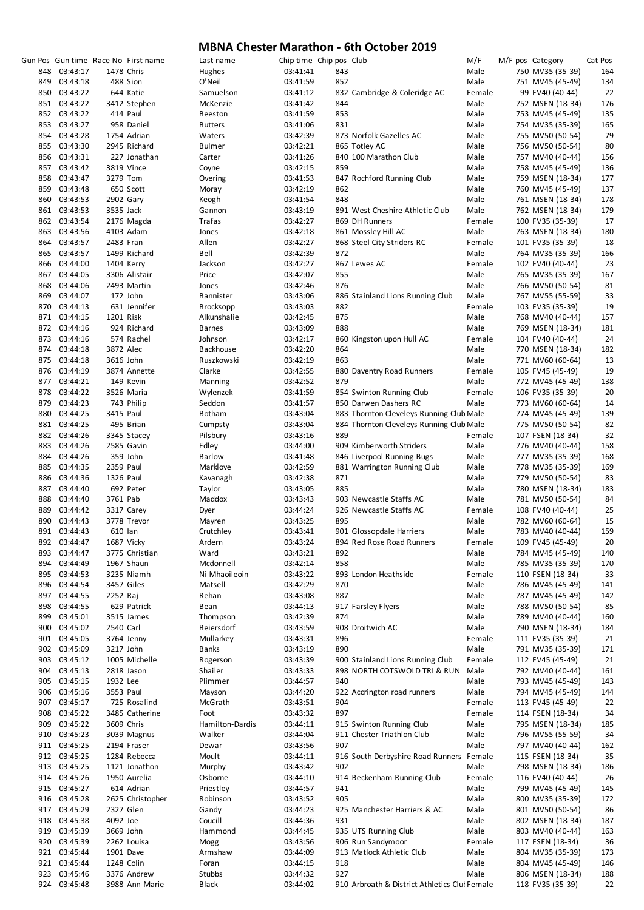|     |              |            | Gun Pos Gun time Race No First name | Last name       | Chip time Chip pos Club |     |                                               | M/F    |  | M/F pos Category | Cat Pos |
|-----|--------------|------------|-------------------------------------|-----------------|-------------------------|-----|-----------------------------------------------|--------|--|------------------|---------|
| 848 | 03:43:17     | 1478 Chris |                                     | Hughes          | 03:41:41                | 843 |                                               | Male   |  | 750 MV35 (35-39) | 164     |
| 849 | 03:43:18     |            | 488 Sion                            | O'Neil          | 03:41:59                | 852 |                                               | Male   |  | 751 MV45 (45-49) | 134     |
| 850 | 03:43:22     |            | 644 Katie                           | Samuelson       | 03:41:12                |     | 832 Cambridge & Coleridge AC                  | Female |  | 99 FV40 (40-44)  | 22      |
| 851 | 03:43:22     |            | 3412 Stephen                        | McKenzie        | 03:41:42                | 844 |                                               | Male   |  | 752 MSEN (18-34) | 176     |
|     | 852 03:43:22 |            | 414 Paul                            | <b>Beeston</b>  | 03:41:59                | 853 |                                               | Male   |  | 753 MV45 (45-49) | 135     |
| 853 | 03:43:27     |            | 958 Daniel                          | <b>Butters</b>  | 03:41:06                | 831 |                                               | Male   |  | 754 MV35 (35-39) | 165     |
| 854 | 03:43:28     |            | 1754 Adrian                         | Waters          | 03:42:39                |     | 873 Norfolk Gazelles AC                       | Male   |  | 755 MV50 (50-54) | 79      |
|     |              |            |                                     |                 |                         |     |                                               |        |  |                  |         |
|     | 855 03:43:30 |            | 2945 Richard                        | <b>Bulmer</b>   | 03:42:21                |     | 865 Totley AC                                 | Male   |  | 756 MV50 (50-54) | 80      |
| 856 | 03:43:31     |            | 227 Jonathan                        | Carter          | 03:41:26                |     | 840 100 Marathon Club                         | Male   |  | 757 MV40 (40-44) | 156     |
| 857 | 03:43:42     |            | 3819 Vince                          | Coyne           | 03:42:15                | 859 |                                               | Male   |  | 758 MV45 (45-49) | 136     |
| 858 | 03:43:47     | 3279 Tom   |                                     | Overing         | 03:41:53                |     | 847 Rochford Running Club                     | Male   |  | 759 MSEN (18-34) | 177     |
|     | 859 03:43:48 |            | 650 Scott                           | Moray           | 03:42:19                | 862 |                                               | Male   |  | 760 MV45 (45-49) | 137     |
| 860 | 03:43:53     | 2902 Gary  |                                     | Keogh           | 03:41:54                | 848 |                                               | Male   |  | 761 MSEN (18-34) | 178     |
|     | 861 03:43:53 | 3535 Jack  |                                     | Gannon          | 03:43:19                |     | 891 West Cheshire Athletic Club               | Male   |  | 762 MSEN (18-34) | 179     |
| 862 | 03:43:54     |            | 2176 Magda                          | Trafas          | 03:42:27                |     | 869 DH Runners                                | Female |  | 100 FV35 (35-39) | 17      |
| 863 | 03:43:56     |            | 4103 Adam                           | Jones           | 03:42:18                |     | 861 Mossley Hill AC                           | Male   |  | 763 MSEN (18-34) | 180     |
| 864 | 03:43:57     | 2483 Fran  |                                     | Allen           | 03:42:27                |     | 868 Steel City Striders RC                    | Female |  | 101 FV35 (35-39) | 18      |
| 865 | 03:43:57     |            | 1499 Richard                        | Bell            | 03:42:39                | 872 |                                               | Male   |  | 764 MV35 (35-39) | 166     |
| 866 | 03:44:00     |            | 1404 Kerry                          | Jackson         | 03:42:27                |     | 867 Lewes AC                                  | Female |  | 102 FV40 (40-44) | 23      |
| 867 | 03:44:05     |            | 3306 Alistair                       | Price           | 03:42:07                | 855 |                                               | Male   |  | 765 MV35 (35-39) | 167     |
| 868 | 03:44:06     |            | 2493 Martin                         | Jones           | 03:42:46                | 876 |                                               | Male   |  | 766 MV50 (50-54) | 81      |
| 869 | 03:44:07     |            | 172 John                            | Bannister       | 03:43:06                |     | 886 Stainland Lions Running Club              | Male   |  | 767 MV55 (55-59) | 33      |
|     |              |            |                                     |                 | 03:43:03                | 882 |                                               |        |  |                  |         |
| 870 | 03:44:13     |            | 631 Jennifer                        | Brocksopp       |                         |     |                                               | Female |  | 103 FV35 (35-39) | 19      |
| 871 | 03:44:15     | 1201 Risk  |                                     | Alkunshalie     | 03:42:45                | 875 |                                               | Male   |  | 768 MV40 (40-44) | 157     |
|     | 872 03:44:16 |            | 924 Richard                         | <b>Barnes</b>   | 03:43:09                | 888 |                                               | Male   |  | 769 MSEN (18-34) | 181     |
|     | 873 03:44:16 |            | 574 Rachel                          | Johnson         | 03:42:17                |     | 860 Kingston upon Hull AC                     | Female |  | 104 FV40 (40-44) | 24      |
|     | 874 03:44:18 | 3872 Alec  |                                     | Backhouse       | 03:42:20                | 864 |                                               | Male   |  | 770 MSEN (18-34) | 182     |
|     | 875 03:44:18 | 3616 John  |                                     | Ruszkowski      | 03:42:19                | 863 |                                               | Male   |  | 771 MV60 (60-64) | 13      |
| 876 | 03:44:19     |            | 3874 Annette                        | Clarke          | 03:42:55                |     | 880 Daventry Road Runners                     | Female |  | 105 FV45 (45-49) | 19      |
|     | 877 03:44:21 |            | 149 Kevin                           | Manning         | 03:42:52                | 879 |                                               | Male   |  | 772 MV45 (45-49) | 138     |
| 878 | 03:44:22     |            | 3526 Maria                          | Wylenzek        | 03:41:59                |     | 854 Swinton Running Club                      | Female |  | 106 FV35 (35-39) | 20      |
| 879 | 03:44:23     |            | 743 Philip                          | Seddon          | 03:41:57                |     | 850 Darwen Dashers RC                         | Male   |  | 773 MV60 (60-64) | 14      |
| 880 | 03:44:25     | 3415 Paul  |                                     | <b>Botham</b>   | 03:43:04                |     | 883 Thornton Cleveleys Running Club Male      |        |  | 774 MV45 (45-49) | 139     |
| 881 | 03:44:25     |            | 495 Brian                           | Cumpsty         | 03:43:04                |     | 884 Thornton Cleveleys Running Club Male      |        |  | 775 MV50 (50-54) | 82      |
| 882 | 03:44:26     |            |                                     |                 | 03:43:16                | 889 |                                               | Female |  | 107 FSEN (18-34) | 32      |
|     |              |            | 3345 Stacey                         | Pilsbury        |                         |     |                                               |        |  |                  |         |
| 883 | 03:44:26     |            | 2585 Gavin                          | Edley           | 03:44:00                |     | 909 Kimberworth Striders                      | Male   |  | 776 MV40 (40-44) | 158     |
| 884 | 03:44:26     |            | 359 John                            | <b>Barlow</b>   | 03:41:48                |     | 846 Liverpool Running Bugs                    | Male   |  | 777 MV35 (35-39) | 168     |
| 885 | 03:44:35     | 2359 Paul  |                                     | Marklove        | 03:42:59                |     | 881 Warrington Running Club                   | Male   |  | 778 MV35 (35-39) | 169     |
| 886 | 03:44:36     | 1326 Paul  |                                     | Kavanagh        | 03:42:38                | 871 |                                               | Male   |  | 779 MV50 (50-54) | 83      |
| 887 | 03:44:40     |            | 692 Peter                           | Taylor          | 03:43:05                | 885 |                                               | Male   |  | 780 MSEN (18-34) | 183     |
| 888 | 03:44:40     | 3761 Pab   |                                     | Maddox          | 03:43:43                |     | 903 Newcastle Staffs AC                       | Male   |  | 781 MV50 (50-54) | 84      |
| 889 | 03:44:42     |            | 3317 Carey                          | Dyer            | 03:44:24                |     | 926 Newcastle Staffs AC                       | Female |  | 108 FV40 (40-44) | 25      |
| 890 | 03:44:43     |            | 3778 Trevor                         | Mayren          | 03:43:25                | 895 |                                               | Male   |  | 782 MV60 (60-64) | 15      |
|     | 891 03:44:43 | 610 lan    |                                     | Crutchley       | 03:43:41                |     | 901 Glossopdale Harriers                      | Male   |  | 783 MV40 (40-44) | 159     |
| 892 | 03:44:47     |            | 1687 Vicky                          | Ardern          | 03:43:24                |     | 894 Red Rose Road Runners                     | Female |  | 109 FV45 (45-49) | 20      |
| 893 | 03:44:47     |            | 3775 Christian                      | Ward            | 03:43:21                | 892 |                                               | Male   |  | 784 MV45 (45-49) | 140     |
| 894 | 03:44:49     |            | 1967 Shaun                          | Mcdonnell       | 03:42:14                | 858 |                                               | Male   |  | 785 MV35 (35-39) | 170     |
| 895 | 03:44:53     |            | 3235 Niamh                          | Ni Mhaoileoin   | 03:43:22                |     | 893 London Heathside                          | Female |  | 110 FSEN (18-34) | 33      |
|     |              |            |                                     |                 |                         |     |                                               |        |  |                  |         |
| 896 | 03:44:54     |            | 3457 Giles                          | Matsell         | 03:42:29                | 870 |                                               | Male   |  | 786 MV45 (45-49) | 141     |
| 897 | 03:44:55     | 2252 Raj   |                                     | Rehan           | 03:43:08                | 887 |                                               | Male   |  | 787 MV45 (45-49) | 142     |
| 898 | 03:44:55     |            | 629 Patrick                         | Bean            | 03:44:13                |     | 917 Farsley Flyers                            | Male   |  | 788 MV50 (50-54) | 85      |
| 899 | 03:45:01     |            | 3515 James                          | Thompson        | 03:42:39                | 874 |                                               | Male   |  | 789 MV40 (40-44) | 160     |
| 900 | 03:45:02     | 2540 Carl  |                                     | Beiersdorf      | 03:43:59                |     | 908 Droitwich AC                              | Male   |  | 790 MSEN (18-34) | 184     |
| 901 | 03:45:05     |            | 3764 Jenny                          | Mullarkey       | 03:43:31                | 896 |                                               | Female |  | 111 FV35 (35-39) | 21      |
| 902 | 03:45:09     | 3217 John  |                                     | Banks           | 03:43:19                | 890 |                                               | Male   |  | 791 MV35 (35-39) | 171     |
| 903 | 03:45:12     |            | 1005 Michelle                       | Rogerson        | 03:43:39                |     | 900 Stainland Lions Running Club              | Female |  | 112 FV45 (45-49) | 21      |
| 904 | 03:45:13     |            | 2818 Jason                          | Shailer         | 03:43:33                |     | 898 NORTH COTSWOLD TRI & RUN                  | Male   |  | 792 MV40 (40-44) | 161     |
| 905 | 03:45:15     | 1932 Lee   |                                     | Plimmer         | 03:44:57                | 940 |                                               | Male   |  | 793 MV45 (45-49) | 143     |
| 906 | 03:45:16     | 3553 Paul  |                                     | Mayson          | 03:44:20                |     | 922 Accrington road runners                   | Male   |  | 794 MV45 (45-49) | 144     |
| 907 | 03:45:17     |            | 725 Rosalind                        | McGrath         | 03:43:51                | 904 |                                               | Female |  | 113 FV45 (45-49) | 22      |
| 908 | 03:45:22     |            | 3485 Catherine                      | Foot            | 03:43:32                | 897 |                                               | Female |  | 114 FSEN (18-34) | 34      |
| 909 | 03:45:22     |            | 3609 Chris                          | Hamilton-Dardis | 03:44:11                |     | 915 Swinton Running Club                      | Male   |  | 795 MSEN (18-34) | 185     |
|     | 03:45:23     |            |                                     | Walker          |                         |     |                                               | Male   |  |                  |         |
| 910 |              |            | 3039 Magnus                         |                 | 03:44:04                |     | 911 Chester Triathlon Club                    |        |  | 796 MV55 (55-59) | 34      |
| 911 | 03:45:25     |            | 2194 Fraser                         | Dewar           | 03:43:56                | 907 |                                               | Male   |  | 797 MV40 (40-44) | 162     |
| 912 | 03:45:25     |            | 1284 Rebecca                        | Moult           | 03:44:11                |     | 916 South Derbyshire Road Runners Female      |        |  | 115 FSEN (18-34) | 35      |
| 913 | 03:45:25     |            | 1121 Jonathon                       | Murphy          | 03:43:42                | 902 |                                               | Male   |  | 798 MSEN (18-34) | 186     |
| 914 | 03:45:26     |            | 1950 Aurelia                        | Osborne         | 03:44:10                |     | 914 Beckenham Running Club                    | Female |  | 116 FV40 (40-44) | 26      |
| 915 | 03:45:27     |            | 614 Adrian                          | Priestley       | 03:44:57                | 941 |                                               | Male   |  | 799 MV45 (45-49) | 145     |
| 916 | 03:45:28     |            | 2625 Christopher                    | Robinson        | 03:43:52                | 905 |                                               | Male   |  | 800 MV35 (35-39) | 172     |
|     | 917 03:45:29 | 2327 Glen  |                                     | Gandy           | 03:44:23                |     | 925 Manchester Harriers & AC                  | Male   |  | 801 MV50 (50-54) | 86      |
| 918 | 03:45:38     | 4092 Joe   |                                     | Coucill         | 03:44:36                | 931 |                                               | Male   |  | 802 MSEN (18-34) | 187     |
| 919 | 03:45:39     | 3669 John  |                                     | Hammond         | 03:44:45                |     | 935 UTS Running Club                          | Male   |  | 803 MV40 (40-44) | 163     |
| 920 | 03:45:39     |            | 2262 Louisa                         | Mogg            | 03:43:56                |     | 906 Run Sandymoor                             | Female |  | 117 FSEN (18-34) | 36      |
| 921 | 03:45:44     | 1901 Dave  |                                     | Armshaw         | 03:44:09                |     | 913 Matlock Athletic Club                     | Male   |  | 804 MV35 (35-39) | 173     |
| 921 | 03:45:44     |            | 1248 Colin                          | Foran           | 03:44:15                | 918 |                                               | Male   |  | 804 MV45 (45-49) | 146     |
| 923 | 03:45:46     |            | 3376 Andrew                         | Stubbs          | 03:44:32                | 927 |                                               | Male   |  | 806 MSEN (18-34) | 188     |
| 924 | 03:45:48     |            | 3988 Ann-Marie                      | Black           | 03:44:02                |     | 910 Arbroath & District Athletics Clul Female |        |  | 118 FV35 (35-39) | 22      |
|     |              |            |                                     |                 |                         |     |                                               |        |  |                  |         |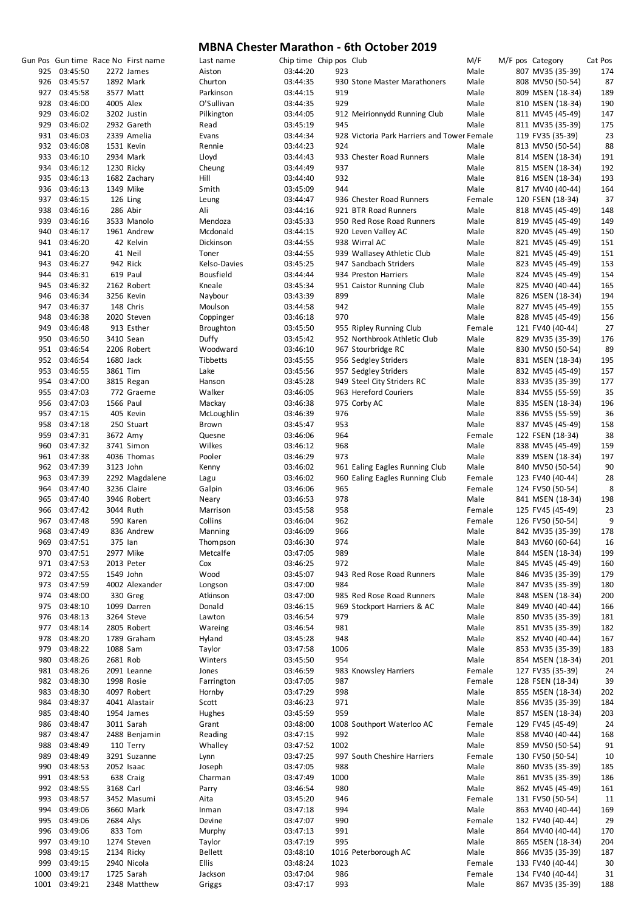|      |               |           | Gun Pos Gun time Race No First name | Last name        | Chip time Chip pos Club |      |                                             | M/F    | M/F pos Category | Cat Pos |
|------|---------------|-----------|-------------------------------------|------------------|-------------------------|------|---------------------------------------------|--------|------------------|---------|
|      | 925 03:45:50  |           | 2272 James                          | Aiston           | 03:44:20                | 923  |                                             | Male   | 807 MV35 (35-39) | 174     |
|      | 926 03:45:57  |           | 1892 Mark                           | Churton          | 03:44:35                |      | 930 Stone Master Marathoners                | Male   | 808 MV50 (50-54) | 87      |
|      | 927 03:45:58  |           | 3577 Matt                           | Parkinson        | 03:44:15                | 919  |                                             | Male   | 809 MSEN (18-34) | 189     |
|      | 928 03:46:00  | 4005 Alex |                                     | O'Sullivan       | 03:44:35                | 929  |                                             | Male   | 810 MSEN (18-34) | 190     |
|      | 929 03:46:02  |           | 3202 Justin                         | Pilkington       | 03:44:05                |      | 912 Meirionnydd Running Club                | Male   | 811 MV45 (45-49) | 147     |
|      | 929 03:46:02  |           | 2932 Gareth                         | Read             | 03:45:19                | 945  |                                             | Male   | 811 MV35 (35-39) | 175     |
|      | 931 03:46:03  |           | 2339 Amelia                         | Evans            | 03:44:34                |      | 928 Victoria Park Harriers and Tower Female |        | 119 FV35 (35-39) | 23      |
|      | 932 03:46:08  |           | 1531 Kevin                          | Rennie           | 03:44:23                | 924  |                                             | Male   | 813 MV50 (50-54) | 88      |
|      | 933 03:46:10  |           | 2934 Mark                           | Lloyd            | 03:44:43                |      | 933 Chester Road Runners                    | Male   | 814 MSEN (18-34) | 191     |
|      | 934 03:46:12  |           | 1230 Ricky                          | Cheung           | 03:44:49                | 937  |                                             | Male   | 815 MSEN (18-34) | 192     |
|      | 935 03:46:13  |           | 1682 Zachary                        | Hill             | 03:44:40                | 932  |                                             | Male   | 816 MSEN (18-34) | 193     |
|      | 936 03:46:13  |           | 1349 Mike                           | Smith            | 03:45:09                | 944  |                                             | Male   | 817 MV40 (40-44) | 164     |
|      | 937 03:46:15  |           | 126 Ling                            | Leung            | 03:44:47                |      | 936 Chester Road Runners                    | Female | 120 FSEN (18-34) | 37      |
|      | 938 03:46:16  |           | 286 Abir                            | Ali              | 03:44:16                |      | 921 BTR Road Runners                        | Male   | 818 MV45 (45-49) | 148     |
|      | 939 03:46:16  |           | 3533 Manolo                         | Mendoza          | 03:45:33                |      | 950 Red Rose Road Runners                   | Male   | 819 MV45 (45-49) | 149     |
|      | 940 03:46:17  |           | 1961 Andrew                         | Mcdonald         | 03:44:15                |      | 920 Leven Valley AC                         | Male   | 820 MV45 (45-49) | 150     |
|      | 941 03:46:20  |           | 42 Kelvin                           | Dickinson        | 03:44:55                |      | 938 Wirral AC                               | Male   | 821 MV45 (45-49) | 151     |
|      | 941 03:46:20  |           | 41 Neil                             | Toner            | 03:44:55                |      | 939 Wallasey Athletic Club                  | Male   | 821 MV45 (45-49) | 151     |
|      | 943 03:46:27  |           | 942 Rick                            | Kelso-Davies     | 03:45:25                |      | 947 Sandbach Striders                       | Male   | 823 MV45 (45-49) | 153     |
|      | 944 03:46:31  |           | 619 Paul                            | <b>Bousfield</b> | 03:44:44                |      | 934 Preston Harriers                        | Male   | 824 MV45 (45-49) | 154     |
|      | 945 03:46:32  |           | 2162 Robert                         | Kneale           | 03:45:34                |      | 951 Caistor Running Club                    | Male   | 825 MV40 (40-44) | 165     |
|      | 946 03:46:34  |           | 3256 Kevin                          | Naybour          | 03:43:39                | 899  |                                             | Male   | 826 MSEN (18-34) | 194     |
|      | 947 03:46:37  |           | 148 Chris                           | Moulson          | 03:44:58                | 942  |                                             | Male   | 827 MV45 (45-49) | 155     |
|      | 948 03:46:38  |           | 2020 Steven                         | Coppinger        | 03:46:18                | 970  |                                             | Male   | 828 MV45 (45-49) | 156     |
|      | 949 03:46:48  |           | 913 Esther                          | <b>Broughton</b> | 03:45:50                |      | 955 Ripley Running Club                     | Female | 121 FV40 (40-44) | 27      |
|      | 950 03:46:50  |           | 3410 Sean                           | Duffy            | 03:45:42                |      | 952 Northbrook Athletic Club                | Male   | 829 MV35 (35-39) | 176     |
|      | 951 03:46:54  |           | 2206 Robert                         | Woodward         | 03:46:10                |      | 967 Stourbridge RC                          | Male   | 830 MV50 (50-54) | 89      |
|      | 952 03:46:54  | 1680 Jack |                                     | Tibbetts         | 03:45:55                |      | 956 Sedgley Striders                        | Male   | 831 MSEN (18-34) | 195     |
|      | 953 03:46:55  | 3861 Tim  |                                     | Lake             | 03:45:56                |      | 957 Sedgley Striders                        | Male   | 832 MV45 (45-49) | 157     |
|      | 954 03:47:00  |           | 3815 Regan                          | Hanson           | 03:45:28                |      | 949 Steel City Striders RC                  | Male   | 833 MV35 (35-39) | 177     |
|      | 955 03:47:03  |           | 772 Graeme                          | Walker           | 03:46:05                |      | 963 Hereford Couriers                       | Male   | 834 MV55 (55-59) | 35      |
|      | 956 03:47:03  | 1566 Paul |                                     | Mackay           | 03:46:38                |      | 975 Corby AC                                | Male   | 835 MSEN (18-34) | 196     |
|      | 957 03:47:15  |           | 405 Kevin                           | McLoughlin       | 03:46:39                | 976  |                                             | Male   | 836 MV55 (55-59) | 36      |
|      | 958 03:47:18  |           | 250 Stuart                          | Brown            | 03:45:47                | 953  |                                             | Male   | 837 MV45 (45-49) | 158     |
|      | 959 03:47:31  | 3672 Amy  |                                     | Quesne           | 03:46:06                | 964  |                                             | Female | 122 FSEN (18-34) | 38      |
|      | 960 03:47:32  |           | 3741 Simon                          | Wilkes           | 03:46:12                | 968  |                                             | Male   | 838 MV45 (45-49) | 159     |
|      | 961 03:47:38  |           | 4036 Thomas                         | Pooler           | 03:46:29                | 973  |                                             | Male   | 839 MSEN (18-34) | 197     |
|      | 962 03:47:39  | 3123 John |                                     | Kenny            | 03:46:02                |      | 961 Ealing Eagles Running Club              | Male   | 840 MV50 (50-54) | 90      |
|      | 963 03:47:39  |           | 2292 Magdalene                      | Lagu             | 03:46:02                |      | 960 Ealing Eagles Running Club              | Female | 123 FV40 (40-44) | 28      |
|      | 964 03:47:40  |           | 3236 Claire                         | Galpin           | 03:46:06                | 965  |                                             | Female | 124 FV50 (50-54) | 8       |
|      | 965 03:47:40  |           | 3946 Robert                         | Neary            | 03:46:53                | 978  |                                             | Male   | 841 MSEN (18-34) | 198     |
|      | 966 03:47:42  | 3044 Ruth |                                     | Marrison         | 03:45:58                | 958  |                                             | Female | 125 FV45 (45-49) | 23      |
|      | 967 03:47:48  |           | 590 Karen                           | Collins          | 03:46:04                | 962  |                                             | Female | 126 FV50 (50-54) | 9       |
|      | 968 03:47:49  |           | 836 Andrew                          | Manning          | 03:46:09                | 966  |                                             | Male   | 842 MV35 (35-39) | 178     |
|      | 969 03:47:51  | 375 Ian   |                                     | Thompson         | 03:46:30                | 974  |                                             | Male   | 843 MV60 (60-64) | 16      |
|      | 970 03:47:51  |           | 2977 Mike                           | Metcalfe         | 03:47:05                | 989  |                                             | Male   | 844 MSEN (18-34) | 199     |
|      | 971 03:47:53  |           | 2013 Peter                          | Cox              | 03:46:25                | 972  |                                             | Male   | 845 MV45 (45-49) | 160     |
|      | 972 03:47:55  | 1549 John |                                     | Wood             | 03:45:07                |      | 943 Red Rose Road Runners                   | Male   | 846 MV35 (35-39) | 179     |
|      | 973 03:47:59  |           | 4002 Alexander                      | Longson          | 03:47:00                | 984  |                                             | Male   | 847 MV35 (35-39) | 180     |
|      | 974 03:48:00  |           | 330 Greg                            | Atkinson         | 03:47:00                |      | 985 Red Rose Road Runners                   | Male   | 848 MSEN (18-34) | 200     |
|      | 975 03:48:10  |           | 1099 Darren                         | Donald           | 03:46:15                |      | 969 Stockport Harriers & AC                 | Male   | 849 MV40 (40-44) | 166     |
|      | 976 03:48:13  |           | 3264 Steve                          | Lawton           | 03:46:54                | 979  |                                             | Male   | 850 MV35 (35-39) | 181     |
|      | 977 03:48:14  |           | 2805 Robert                         | Wareing          | 03:46:54                | 981  |                                             | Male   | 851 MV35 (35-39) | 182     |
|      | 978 03:48:20  |           | 1789 Graham                         | Hyland           | 03:45:28                | 948  |                                             | Male   | 852 MV40 (40-44) | 167     |
|      | 979 03:48:22  | 1088 Sam  |                                     | Taylor           | 03:47:58                | 1006 |                                             | Male   | 853 MV35 (35-39) | 183     |
|      | 980 03:48:26  | 2681 Rob  |                                     | Winters          | 03:45:50                | 954  |                                             | Male   | 854 MSEN (18-34) | 201     |
|      | 981 03:48:26  |           | 2091 Leanne                         | Jones            | 03:46:59                |      | 983 Knowsley Harriers                       | Female | 127 FV35 (35-39) | 24      |
|      | 982 03:48:30  |           | 1998 Rosie                          | Farrington       | 03:47:05                | 987  |                                             | Female | 128 FSEN (18-34) | 39      |
|      | 983 03:48:30  |           | 4097 Robert                         | Hornby           | 03:47:29                | 998  |                                             | Male   | 855 MSEN (18-34) | 202     |
|      | 984 03:48:37  |           | 4041 Alastair                       | Scott            | 03:46:23                | 971  |                                             | Male   | 856 MV35 (35-39) | 184     |
|      | 985 03:48:40  |           | 1954 James                          | Hughes           | 03:45:59                | 959  |                                             | Male   | 857 MSEN (18-34) | 203     |
|      | 986 03:48:47  |           | 3011 Sarah                          | Grant            | 03:48:00                |      | 1008 Southport Waterloo AC                  | Female | 129 FV45 (45-49) | 24      |
|      | 987 03:48:47  |           | 2488 Benjamin                       | Reading          | 03:47:15                | 992  |                                             | Male   | 858 MV40 (40-44) | 168     |
|      | 988 03:48:49  |           | 110 Terry                           | Whalley          | 03:47:52                | 1002 |                                             | Male   | 859 MV50 (50-54) | 91      |
|      | 989 03:48:49  |           | 3291 Suzanne                        | Lynn             | 03:47:25                |      | 997 South Cheshire Harriers                 | Female | 130 FV50 (50-54) | 10      |
|      | 990 03:48:53  |           | 2052 Isaac                          | Joseph           | 03:47:05                | 988  |                                             | Male   | 860 MV35 (35-39) | 185     |
|      | 991 03:48:53  |           | 638 Craig                           | Charman          | 03:47:49                | 1000 |                                             | Male   | 861 MV35 (35-39) | 186     |
|      | 992 03:48:55  | 3168 Carl |                                     | Parry            | 03:46:54                | 980  |                                             | Male   | 862 MV45 (45-49) | 161     |
|      | 993 03:48:57  |           | 3452 Masumi                         | Aita             | 03:45:20                | 946  |                                             | Female | 131 FV50 (50-54) | 11      |
|      | 994 03:49:06  |           | 3660 Mark                           | Inman            | 03:47:18                | 994  |                                             | Male   | 863 MV40 (40-44) | 169     |
|      | 995 03:49:06  | 2684 Alys |                                     | Devine           | 03:47:07                | 990  |                                             | Female | 132 FV40 (40-44) | 29      |
|      | 996 03:49:06  |           | 833 Tom                             | Murphy           | 03:47:13                | 991  |                                             | Male   | 864 MV40 (40-44) | 170     |
|      | 997 03:49:10  |           | 1274 Steven                         | Taylor           | 03:47:19                | 995  |                                             | Male   | 865 MSEN (18-34) | 204     |
|      | 998 03:49:15  |           | 2134 Ricky                          | <b>Bellett</b>   | 03:48:10                |      | 1016 Peterborough AC                        | Male   | 866 MV35 (35-39) | 187     |
| 999  | 03:49:15      |           | 2940 Nicola                         | <b>Ellis</b>     | 03:48:24                | 1023 |                                             | Female | 133 FV40 (40-44) | 30      |
| 1000 | 03:49:17      |           | 1725 Sarah                          | Jackson          | 03:47:04                | 986  |                                             | Female | 134 FV40 (40-44) | 31      |
|      | 1001 03:49:21 |           | 2348 Matthew                        | Griggs           | 03:47:17                | 993  |                                             | Male   | 867 MV35 (35-39) | 188     |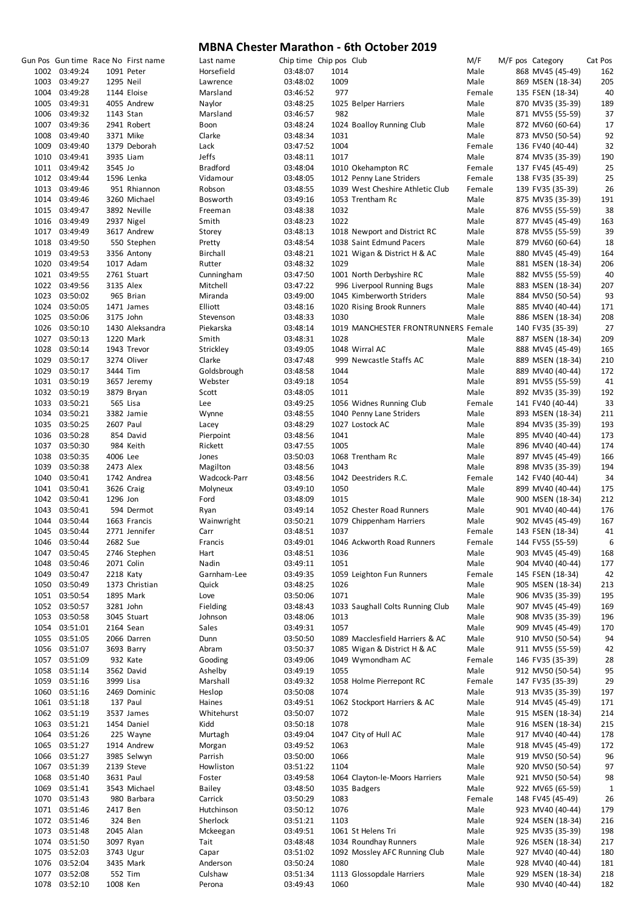|      |               |           | Gun Pos Gun time Race No First name | Last name       | Chip time Chip pos Club |      |                                     | M/F    |  | M/F pos Category | Cat Pos |
|------|---------------|-----------|-------------------------------------|-----------------|-------------------------|------|-------------------------------------|--------|--|------------------|---------|
|      | 1002 03:49:24 |           | 1091 Peter                          | Horsefield      | 03:48:07                | 1014 |                                     | Male   |  | 868 MV45 (45-49) | 162     |
|      | 1003 03:49:27 | 1295 Neil |                                     | Lawrence        | 03:48:02                | 1009 |                                     | Male   |  | 869 MSEN (18-34) | 205     |
|      | 1004 03:49:28 |           | 1144 Eloise                         | Marsland        | 03:46:52                | 977  |                                     | Female |  | 135 FSEN (18-34) | 40      |
|      | 1005 03:49:31 |           | 4055 Andrew                         | Naylor          | 03:48:25                |      | 1025 Belper Harriers                | Male   |  | 870 MV35 (35-39) | 189     |
|      | 1006 03:49:32 | 1143 Stan |                                     | Marsland        | 03:46:57                | 982  |                                     | Male   |  | 871 MV55 (55-59) | 37      |
|      |               |           |                                     |                 |                         |      |                                     |        |  |                  |         |
|      | 1007 03:49:36 |           | 2941 Robert                         | Boon            | 03:48:24                |      | 1024 Boalloy Running Club           | Male   |  | 872 MV60 (60-64) | 17      |
| 1008 | 03:49:40      |           | 3371 Mike                           | Clarke          | 03:48:34                | 1031 |                                     | Male   |  | 873 MV50 (50-54) | 92      |
| 1009 | 03:49:40      |           | 1379 Deborah                        | Lack            | 03:47:52                | 1004 |                                     | Female |  | 136 FV40 (40-44) | 32      |
|      | 1010 03:49:41 |           | 3935 Liam                           | Jeffs           | 03:48:11                | 1017 |                                     | Male   |  | 874 MV35 (35-39) | 190     |
|      |               |           |                                     |                 |                         |      |                                     |        |  |                  |         |
|      | 1011 03:49:42 | 3545 Jo   |                                     | <b>Bradford</b> | 03:48:04                |      | 1010 Okehampton RC                  | Female |  | 137 FV45 (45-49) | 25      |
|      | 1012 03:49:44 |           | 1596 Lenka                          | Vidamour        | 03:48:05                |      | 1012 Penny Lane Striders            | Female |  | 138 FV35 (35-39) | 25      |
|      | 1013 03:49:46 |           | 951 Rhiannon                        | Robson          | 03:48:55                |      | 1039 West Cheshire Athletic Club    | Female |  | 139 FV35 (35-39) | 26      |
|      | 1014 03:49:46 |           | 3260 Michael                        | Bosworth        | 03:49:16                |      | 1053 Trentham Rc                    | Male   |  | 875 MV35 (35-39) | 191     |
|      |               |           |                                     |                 |                         |      |                                     |        |  |                  |         |
|      | 1015 03:49:47 |           | 3892 Neville                        | Freeman         | 03:48:38                | 1032 |                                     | Male   |  | 876 MV55 (55-59) | 38      |
|      | 1016 03:49:49 |           | 2937 Nigel                          | Smith           | 03:48:23                | 1022 |                                     | Male   |  | 877 MV45 (45-49) | 163     |
|      | 1017 03:49:49 |           | 3617 Andrew                         | Storey          | 03:48:13                |      | 1018 Newport and District RC        | Male   |  | 878 MV55 (55-59) | 39      |
|      | 1018 03:49:50 |           | 550 Stephen                         | Pretty          | 03:48:54                |      | 1038 Saint Edmund Pacers            | Male   |  | 879 MV60 (60-64) | 18      |
|      | 1019 03:49:53 |           |                                     | Birchall        | 03:48:21                |      | 1021 Wigan & District H & AC        | Male   |  |                  | 164     |
|      |               |           | 3356 Antony                         |                 |                         |      |                                     |        |  | 880 MV45 (45-49) |         |
|      | 1020 03:49:54 |           | 1017 Adam                           | Rutter          | 03:48:32                | 1029 |                                     | Male   |  | 881 MSEN (18-34) | 206     |
|      | 1021 03:49:55 |           | 2761 Stuart                         | Cunningham      | 03:47:50                |      | 1001 North Derbyshire RC            | Male   |  | 882 MV55 (55-59) | 40      |
|      | 1022 03:49:56 | 3135 Alex |                                     | Mitchell        | 03:47:22                |      | 996 Liverpool Running Bugs          | Male   |  | 883 MSEN (18-34) | 207     |
|      | 1023 03:50:02 |           | 965 Brian                           | Miranda         | 03:49:00                |      | 1045 Kimberworth Striders           | Male   |  | 884 MV50 (50-54) | 93      |
|      |               |           |                                     |                 |                         |      |                                     |        |  |                  |         |
|      | 1024 03:50:05 |           | 1471 James                          | Elliott         | 03:48:16                |      | 1020 Rising Brook Runners           | Male   |  | 885 MV40 (40-44) | 171     |
|      | 1025 03:50:06 | 3175 John |                                     | Stevenson       | 03:48:33                | 1030 |                                     | Male   |  | 886 MSEN (18-34) | 208     |
|      | 1026 03:50:10 |           | 1430 Aleksandra                     | Piekarska       | 03:48:14                |      | 1019 MANCHESTER FRONTRUNNERS Female |        |  | 140 FV35 (35-39) | 27      |
|      | 1027 03:50:13 |           | 1220 Mark                           | Smith           | 03:48:31                | 1028 |                                     | Male   |  | 887 MSEN (18-34) | 209     |
|      |               |           |                                     |                 |                         |      |                                     |        |  |                  |         |
| 1028 | 03:50:14      |           | 1943 Trevor                         | Strickley       | 03:49:05                |      | 1048 Wirral AC                      | Male   |  | 888 MV45 (45-49) | 165     |
|      | 1029 03:50:17 |           | 3274 Oliver                         | Clarke          | 03:47:48                |      | 999 Newcastle Staffs AC             | Male   |  | 889 MSEN (18-34) | 210     |
|      | 1029 03:50:17 | 3444 Tim  |                                     | Goldsbrough     | 03:48:58                | 1044 |                                     | Male   |  | 889 MV40 (40-44) | 172     |
|      | 1031 03:50:19 |           | 3657 Jeremy                         | Webster         | 03:49:18                | 1054 |                                     | Male   |  | 891 MV55 (55-59) | 41      |
|      | 1032 03:50:19 |           | 3879 Bryan                          | Scott           | 03:48:05                | 1011 |                                     | Male   |  | 892 MV35 (35-39) | 192     |
|      |               |           |                                     |                 |                         |      |                                     |        |  |                  |         |
|      | 1033 03:50:21 |           | 565 Lisa                            | Lee             | 03:49:25                |      | 1056 Widnes Running Club            | Female |  | 141 FV40 (40-44) | 33      |
|      | 1034 03:50:21 |           | 3382 Jamie                          | Wynne           | 03:48:55                |      | 1040 Penny Lane Striders            | Male   |  | 893 MSEN (18-34) | 211     |
|      | 1035 03:50:25 | 2607 Paul |                                     | Lacey           | 03:48:29                |      | 1027 Lostock AC                     | Male   |  | 894 MV35 (35-39) | 193     |
|      | 1036 03:50:28 |           | 854 David                           | Pierpoint       | 03:48:56                | 1041 |                                     | Male   |  | 895 MV40 (40-44) | 173     |
|      |               |           |                                     |                 |                         |      |                                     |        |  |                  |         |
|      | 1037 03:50:30 |           | 984 Keith                           | Rickett         | 03:47:55                | 1005 |                                     | Male   |  | 896 MV40 (40-44) | 174     |
|      | 1038 03:50:35 | 4006 Lee  |                                     | Jones           | 03:50:03                |      | 1068 Trentham Rc                    | Male   |  | 897 MV45 (45-49) | 166     |
|      | 1039 03:50:38 | 2473 Alex |                                     | Magilton        | 03:48:56                | 1043 |                                     | Male   |  | 898 MV35 (35-39) | 194     |
|      | 1040 03:50:41 |           | 1742 Andrea                         | Wadcock-Parr    | 03:48:56                |      | 1042 Deestriders R.C.               | Female |  | 142 FV40 (40-44) | 34      |
|      | 1041 03:50:41 |           | 3626 Craig                          | Molyneux        | 03:49:10                | 1050 |                                     | Male   |  | 899 MV40 (40-44) | 175     |
|      |               |           |                                     |                 |                         |      |                                     |        |  |                  |         |
|      | 1042 03:50:41 | 1296 Jon  |                                     | Ford            | 03:48:09                | 1015 |                                     | Male   |  | 900 MSEN (18-34) | 212     |
|      | 1043 03:50:41 |           | 594 Dermot                          | Ryan            | 03:49:14                |      | 1052 Chester Road Runners           | Male   |  | 901 MV40 (40-44) | 176     |
|      | 1044 03:50:44 |           | 1663 Francis                        | Wainwright      | 03:50:21                |      | 1079 Chippenham Harriers            | Male   |  | 902 MV45 (45-49) | 167     |
|      | 1045 03:50:44 |           | 2771 Jennifer                       | Carr            | 03:48:51                | 1037 |                                     | Female |  | 143 FSEN (18-34) | 41      |
|      |               | 2682 Sue  |                                     |                 |                         |      |                                     |        |  | 144 FV55 (55-59) |         |
|      | 1046 03:50:44 |           |                                     | Francis         | 03:49:01                |      | 1046 Ackworth Road Runners          | Female |  |                  | 6       |
|      | 1047 03:50:45 |           | 2746 Stephen                        | Hart            | 03:48:51                | 1036 |                                     | Male   |  | 903 MV45 (45-49) | 168     |
| 1048 | 03:50:46      |           | 2071 Colin                          | Nadin           | 03:49:11                | 1051 |                                     | Male   |  | 904 MV40 (40-44) | 177     |
|      | 1049 03:50:47 | 2218 Katy |                                     | Garnham-Lee     | 03:49:35                |      | 1059 Leighton Fun Runners           | Female |  | 145 FSEN (18-34) | 42      |
|      | 1050 03:50:49 |           | 1373 Christian                      | Quick           | 03:48:25                | 1026 |                                     | Male   |  |                  |         |
|      |               |           |                                     |                 |                         |      |                                     |        |  | 905 MSEN (18-34) | 213     |
|      | 1051 03:50:54 |           | 1895 Mark                           | Love            | 03:50:06                | 1071 |                                     | Male   |  | 906 MV35 (35-39) | 195     |
|      | 1052 03:50:57 |           | 3281 John                           | Fielding        | 03:48:43                |      | 1033 Saughall Colts Running Club    | Male   |  | 907 MV45 (45-49) | 169     |
|      | 1053 03:50:58 |           | 3045 Stuart                         | Johnson         | 03:48:06                | 1013 |                                     | Male   |  | 908 MV35 (35-39) | 196     |
|      | 1054 03:51:01 |           | 2164 Sean                           | Sales           | 03:49:31                | 1057 |                                     | Male   |  | 909 MV45 (45-49) | 170     |
|      | 1055 03:51:05 |           | 2066 Darren                         | Dunn            | 03:50:50                |      | 1089 Macclesfield Harriers & AC     | Male   |  | 910 MV50 (50-54) | 94      |
|      |               |           |                                     |                 |                         |      |                                     |        |  |                  |         |
|      | 1056 03:51:07 |           | 3693 Barry                          | Abram           | 03:50:37                |      | 1085 Wigan & District H & AC        | Male   |  | 911 MV55 (55-59) | 42      |
|      | 1057 03:51:09 |           | 932 Kate                            | Gooding         | 03:49:06                |      | 1049 Wymondham AC                   | Female |  | 146 FV35 (35-39) | 28      |
|      | 1058 03:51:14 |           | 3562 David                          | Ashelby         | 03:49:19                | 1055 |                                     | Male   |  | 912 MV50 (50-54) | 95      |
|      | 1059 03:51:16 | 3999 Lisa |                                     | Marshall        | 03:49:32                |      | 1058 Holme Pierrepont RC            | Female |  | 147 FV35 (35-39) | 29      |
|      | 1060 03:51:16 |           |                                     |                 |                         | 1074 |                                     |        |  |                  | 197     |
|      |               |           | 2469 Dominic                        | Heslop          | 03:50:08                |      |                                     | Male   |  | 913 MV35 (35-39) |         |
|      | 1061 03:51:18 |           | 137 Paul                            | Haines          | 03:49:51                |      | 1062 Stockport Harriers & AC        | Male   |  | 914 MV45 (45-49) | 171     |
|      | 1062 03:51:19 |           | 3537 James                          | Whitehurst      | 03:50:07                | 1072 |                                     | Male   |  | 915 MSEN (18-34) | 214     |
|      | 1063 03:51:21 |           | 1454 Daniel                         | Kidd            | 03:50:18                | 1078 |                                     | Male   |  | 916 MSEN (18-34) | 215     |
|      | 1064 03:51:26 |           | 225 Wayne                           | Murtagh         | 03:49:04                |      | 1047 City of Hull AC                | Male   |  | 917 MV40 (40-44) | 178     |
|      |               |           |                                     |                 |                         |      |                                     |        |  |                  |         |
|      | 1065 03:51:27 |           | 1914 Andrew                         | Morgan          | 03:49:52                | 1063 |                                     | Male   |  | 918 MV45 (45-49) | 172     |
|      | 1066 03:51:27 |           | 3985 Selwyn                         | Parrish         | 03:50:00                | 1066 |                                     | Male   |  | 919 MV50 (50-54) | 96      |
|      | 1067 03:51:39 |           | 2139 Steve                          | Howliston       | 03:51:22                | 1104 |                                     | Male   |  | 920 MV50 (50-54) | 97      |
|      | 1068 03:51:40 | 3631 Paul |                                     | Foster          | 03:49:58                |      | 1064 Clayton-le-Moors Harriers      | Male   |  | 921 MV50 (50-54) | 98      |
|      |               |           |                                     |                 |                         |      |                                     | Male   |  |                  |         |
|      | 1069 03:51:41 |           | 3543 Michael                        | <b>Bailey</b>   | 03:48:50                |      | 1035 Badgers                        |        |  | 922 MV65 (65-59) | 1       |
|      | 1070 03:51:43 |           | 980 Barbara                         | Carrick         | 03:50:29                | 1083 |                                     | Female |  | 148 FV45 (45-49) | 26      |
|      | 1071 03:51:46 | 2417 Ben  |                                     | Hutchinson      | 03:50:12                | 1076 |                                     | Male   |  | 923 MV40 (40-44) | 179     |
|      | 1072 03:51:46 |           | 324 Ben                             | Sherlock        | 03:51:21                | 1103 |                                     | Male   |  | 924 MSEN (18-34) | 216     |
|      | 1073 03:51:48 | 2045 Alan |                                     | Mckeegan        | 03:49:51                |      | 1061 St Helens Tri                  | Male   |  | 925 MV35 (35-39) | 198     |
|      |               |           |                                     |                 |                         |      |                                     |        |  |                  |         |
|      | 1074 03:51:50 |           | 3097 Ryan                           | Tait            | 03:48:48                |      | 1034 Roundhay Runners               | Male   |  | 926 MSEN (18-34) | 217     |
|      | 1075 03:52:03 |           | 3743 Ugur                           | Capar           | 03:51:02                |      | 1092 Mossley AFC Running Club       | Male   |  | 927 MV40 (40-44) | 180     |
|      | 1076 03:52:04 |           | 3435 Mark                           | Anderson        | 03:50:24                | 1080 |                                     | Male   |  | 928 MV40 (40-44) | 181     |
|      | 1077 03:52:08 |           | 552 Tim                             | Culshaw         | 03:51:34                |      | 1113 Glossopdale Harriers           | Male   |  | 929 MSEN (18-34) | 218     |
|      | 1078 03:52:10 | 1008 Ken  |                                     | Perona          | 03:49:43                | 1060 |                                     | Male   |  | 930 MV40 (40-44) | 182     |
|      |               |           |                                     |                 |                         |      |                                     |        |  |                  |         |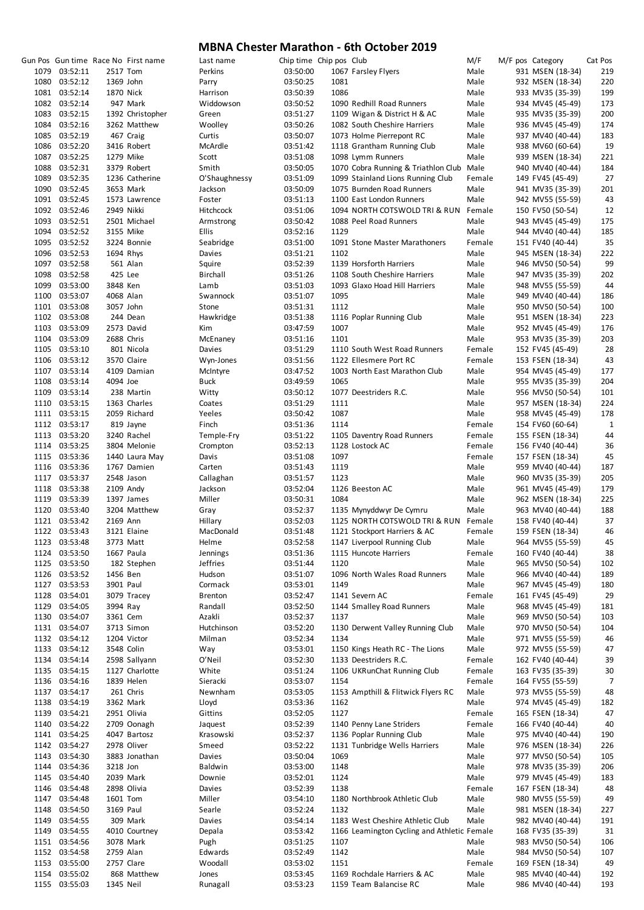|               |           | Gun Pos Gun time Race No First name | Last name       | Chip time Chip pos Club |      |                                             | M/F    | M/F pos Category | Cat Pos      |
|---------------|-----------|-------------------------------------|-----------------|-------------------------|------|---------------------------------------------|--------|------------------|--------------|
| 1079 03:52:11 | 2517 Tom  |                                     | Perkins         | 03:50:00                |      | 1067 Farsley Flyers                         | Male   | 931 MSEN (18-34) | 219          |
|               |           |                                     |                 |                         |      |                                             |        |                  |              |
| 1080 03:52:12 | 1369 John |                                     | Parry           | 03:50:25                | 1081 |                                             | Male   | 932 MSEN (18-34) | 220          |
| 1081 03:52:14 | 1870 Nick |                                     | Harrison        | 03:50:39                | 1086 |                                             | Male   | 933 MV35 (35-39) | 199          |
| 1082 03:52:14 |           | 947 Mark                            | Widdowson       | 03:50:52                |      | 1090 Redhill Road Runners                   | Male   | 934 MV45 (45-49) | 173          |
|               |           |                                     |                 |                         |      |                                             |        |                  |              |
| 1083 03:52:15 |           | 1392 Christopher                    | Green           | 03:51:27                |      | 1109 Wigan & District H & AC                | Male   | 935 MV35 (35-39) | 200          |
| 1084 03:52:16 |           | 3262 Matthew                        | Woolley         | 03:50:26                |      | 1082 South Cheshire Harriers                | Male   | 936 MV45 (45-49) | 174          |
| 1085 03:52:19 |           | 467 Craig                           | Curtis          | 03:50:07                |      | 1073 Holme Pierrepont RC                    | Male   | 937 MV40 (40-44) | 183          |
|               |           |                                     |                 |                         |      |                                             |        |                  |              |
| 1086 03:52:20 |           | 3416 Robert                         | McArdle         | 03:51:42                |      | 1118 Grantham Running Club                  | Male   | 938 MV60 (60-64) | 19           |
| 1087 03:52:25 |           | 1279 Mike                           | Scott           | 03:51:08                |      | 1098 Lymm Runners                           | Male   | 939 MSEN (18-34) | 221          |
| 1088 03:52:31 |           | 3379 Robert                         | Smith           | 03:50:05                |      | 1070 Cobra Running & Triathlon Club Male    |        | 940 MV40 (40-44) | 184          |
| 1089 03:52:35 |           |                                     |                 |                         |      |                                             |        |                  | 27           |
|               |           | 1236 Catherine                      | O'Shaughnessy   | 03:51:09                |      | 1099 Stainland Lions Running Club           | Female | 149 FV45 (45-49) |              |
| 1090 03:52:45 |           | 3653 Mark                           | Jackson         | 03:50:09                |      | 1075 Burnden Road Runners                   | Male   | 941 MV35 (35-39) | 201          |
| 1091 03:52:45 |           | 1573 Lawrence                       | Foster          | 03:51:13                |      | 1100 East London Runners                    | Male   | 942 MV55 (55-59) | 43           |
| 1092 03:52:46 |           | 2949 Nikki                          | Hitchcock       | 03:51:06                |      | 1094 NORTH COTSWOLD TRI & RUN               | Female | 150 FV50 (50-54) | 12           |
|               |           |                                     |                 |                         |      |                                             |        |                  |              |
| 1093 03:52:51 |           | 2501 Michael                        | Armstrong       | 03:50:42                |      | 1088 Peel Road Runners                      | Male   | 943 MV45 (45-49) | 175          |
| 1094 03:52:52 |           | 3155 Mike                           | <b>Ellis</b>    | 03:52:16                | 1129 |                                             | Male   | 944 MV40 (40-44) | 185          |
| 1095 03:52:52 |           | 3224 Bonnie                         | Seabridge       | 03:51:00                |      | 1091 Stone Master Marathoners               | Female | 151 FV40 (40-44) | 35           |
|               |           |                                     |                 |                         |      |                                             |        |                  |              |
| 1096 03:52:53 | 1694 Rhys |                                     | Davies          | 03:51:21                | 1102 |                                             | Male   | 945 MSEN (18-34) | 222          |
| 1097 03:52:58 |           | 561 Alan                            | Squire          | 03:52:39                |      | 1139 Horsforth Harriers                     | Male   | 946 MV50 (50-54) | 99           |
| 1098 03:52:58 |           | 425 Lee                             | Birchall        | 03:51:26                |      | 1108 South Cheshire Harriers                | Male   | 947 MV35 (35-39) | 202          |
| 1099 03:53:00 | 3848 Ken  |                                     | Lamb            | 03:51:03                |      | 1093 Glaxo Hoad Hill Harriers               | Male   | 948 MV55 (55-59) | 44           |
|               |           |                                     |                 |                         |      |                                             |        |                  |              |
| 1100 03:53:07 | 4068 Alan |                                     | Swannock        | 03:51:07                | 1095 |                                             | Male   | 949 MV40 (40-44) | 186          |
| 1101 03:53:08 | 3057 John |                                     | Stone           | 03:51:31                | 1112 |                                             | Male   | 950 MV50 (50-54) | 100          |
| 1102 03:53:08 |           | 244 Dean                            | Hawkridge       | 03:51:38                |      | 1116 Poplar Running Club                    | Male   | 951 MSEN (18-34) | 223          |
|               |           |                                     |                 |                         |      |                                             |        |                  |              |
| 1103 03:53:09 |           | 2573 David                          | Kim             | 03:47:59                | 1007 |                                             | Male   | 952 MV45 (45-49) | 176          |
| 1104 03:53:09 |           | 2688 Chris                          | McEnaney        | 03:51:16                | 1101 |                                             | Male   | 953 MV35 (35-39) | 203          |
| 1105 03:53:10 |           | 801 Nicola                          | Davies          | 03:51:29                |      | 1110 South West Road Runners                | Female | 152 FV45 (45-49) | 28           |
|               |           |                                     |                 |                         |      |                                             |        |                  |              |
| 1106 03:53:12 |           | 3570 Claire                         | Wyn-Jones       | 03:51:56                |      | 1122 Ellesmere Port RC                      | Female | 153 FSEN (18-34) | 43           |
| 1107 03:53:14 |           | 4109 Damian                         | McIntyre        | 03:47:52                |      | 1003 North East Marathon Club               | Male   | 954 MV45 (45-49) | 177          |
| 1108 03:53:14 | 4094 Joe  |                                     | Buck            | 03:49:59                | 1065 |                                             | Male   | 955 MV35 (35-39) | 204          |
|               |           |                                     |                 |                         |      |                                             |        |                  |              |
| 1109 03:53:14 |           | 238 Martin                          | Witty           | 03:50:12                |      | 1077 Deestriders R.C.                       | Male   | 956 MV50 (50-54) | 101          |
| 1110 03:53:15 |           | 1363 Charles                        | Coates          | 03:51:29                | 1111 |                                             | Male   | 957 MSEN (18-34) | 224          |
| 1111 03:53:15 |           | 2059 Richard                        | Yeeles          | 03:50:42                | 1087 |                                             | Male   | 958 MV45 (45-49) | 178          |
|               |           |                                     |                 |                         |      |                                             |        |                  |              |
| 1112 03:53:17 |           | 819 Jayne                           | Finch           | 03:51:36                | 1114 |                                             | Female | 154 FV60 (60-64) | $\mathbf{1}$ |
| 1113 03:53:20 |           | 3240 Rachel                         | Temple-Fry      | 03:51:22                |      | 1105 Daventry Road Runners                  | Female | 155 FSEN (18-34) | 44           |
| 1114 03:53:25 |           | 3804 Melonie                        | Crompton        | 03:52:13                |      | 1128 Lostock AC                             | Female | 156 FV40 (40-44) | 36           |
| 1115 03:53:36 |           | 1440 Laura May                      | Davis           | 03:51:08                | 1097 |                                             | Female | 157 FSEN (18-34) | 45           |
|               |           |                                     |                 |                         |      |                                             |        |                  |              |
| 1116 03:53:36 |           | 1767 Damien                         | Carten          | 03:51:43                | 1119 |                                             | Male   | 959 MV40 (40-44) | 187          |
| 1117 03:53:37 |           | 2548 Jason                          | Callaghan       | 03:51:57                | 1123 |                                             | Male   | 960 MV35 (35-39) | 205          |
| 1118 03:53:38 |           | 2109 Andy                           | Jackson         | 03:52:04                |      | 1126 Beeston AC                             | Male   | 961 MV45 (45-49) | 179          |
|               |           |                                     |                 |                         |      |                                             |        |                  |              |
| 1119 03:53:39 |           | 1397 James                          | Miller          | 03:50:31                | 1084 |                                             | Male   | 962 MSEN (18-34) | 225          |
| 1120 03:53:40 |           | 3204 Matthew                        | Gray            | 03:52:37                |      | 1135 Mynyddwyr De Cymru                     | Male   | 963 MV40 (40-44) | 188          |
| 1121 03:53:42 | 2169 Ann  |                                     | Hillary         | 03:52:03                |      | 1125 NORTH COTSWOLD TRI & RUN               | Female | 158 FV40 (40-44) | 37           |
|               |           |                                     |                 |                         |      |                                             |        |                  |              |
| 1122 03:53:43 |           | 3121 Elaine                         | MacDonald       | 03:51:48                |      | 1121 Stockport Harriers & AC                | Female | 159 FSEN (18-34) | 46           |
| 1123 03:53:48 |           | 3773 Matt                           | Helme           | 03:52:58                |      | 1147 Liverpool Running Club                 | Male   | 964 MV55 (55-59) | 45           |
| 1124 03:53:50 |           | 1667 Paula                          | Jennings        | 03:51:36                |      | 1115 Huncote Harriers                       | Female | 160 FV40 (40-44) | 38           |
|               |           |                                     | <b>Jeffries</b> |                         | 1120 |                                             |        | 965 MV50 (50-54) |              |
| 1125 03:53:50 |           | 182 Stephen                         |                 | 03:51:44                |      |                                             | Male   |                  | 102          |
| 1126 03:53:52 | 1456 Ben  |                                     | Hudson          | 03:51:07                |      | 1096 North Wales Road Runners               | Male   | 966 MV40 (40-44) | 189          |
| 1127 03:53:53 | 3901 Paul |                                     | Cormack         | 03:53:01                | 1149 |                                             | Male   | 967 MV45 (45-49) | 180          |
| 1128 03:54:01 |           | 3079 Tracey                         | <b>Brenton</b>  | 03:52:47                |      | 1141 Severn AC                              | Female | 161 FV45 (45-49) | 29           |
|               |           |                                     |                 |                         |      |                                             |        |                  |              |
| 1129 03:54:05 | 3994 Ray  |                                     | Randall         | 03:52:50                |      | 1144 Smalley Road Runners                   | Male   | 968 MV45 (45-49) | 181          |
| 1130 03:54:07 | 3361 Cem  |                                     | Azakli          | 03:52:37                | 1137 |                                             | Male   | 969 MV50 (50-54) | 103          |
| 1131 03:54:07 |           | 3713 Simon                          | Hutchinson      | 03:52:20                |      | 1130 Derwent Valley Running Club            | Male   | 970 MV50 (50-54) | 104          |
|               |           |                                     |                 |                         |      |                                             |        |                  |              |
| 1132 03:54:12 |           | 1204 Victor                         | Milman          | 03:52:34                | 1134 |                                             | Male   | 971 MV55 (55-59) | 46           |
| 1133 03:54:12 |           | 3548 Colin                          | Way             | 03:53:01                |      | 1150 Kings Heath RC - The Lions             | Male   | 972 MV55 (55-59) | 47           |
| 1134 03:54:14 |           | 2598 Sallyann                       | O'Neil          | 03:52:30                |      | 1133 Deestriders R.C.                       | Female | 162 FV40 (40-44) | 39           |
|               |           |                                     | White           |                         |      | 1106 UKRunChat Running Club                 | Female | 163 FV35 (35-39) |              |
| 1135 03:54:15 |           | 1127 Charlotte                      |                 | 03:51:24                |      |                                             |        |                  | 30           |
| 1136 03:54:16 |           | 1839 Helen                          | Sieracki        | 03:53:07                | 1154 |                                             | Female | 164 FV55 (55-59) | 7            |
| 1137 03:54:17 |           | 261 Chris                           | Newnham         | 03:53:05                |      | 1153 Ampthill & Flitwick Flyers RC          | Male   | 973 MV55 (55-59) | 48           |
| 1138 03:54:19 |           | 3362 Mark                           | Lloyd           | 03:53:36                | 1162 |                                             | Male   | 974 MV45 (45-49) | 182          |
|               |           |                                     |                 |                         |      |                                             |        |                  |              |
| 1139 03:54:21 |           | 2951 Olivia                         | Gittins         | 03:52:05                | 1127 |                                             | Female | 165 FSEN (18-34) | 47           |
| 1140 03:54:22 |           | 2709 Oonagh                         | Jaquest         | 03:52:39                |      | 1140 Penny Lane Striders                    | Female | 166 FV40 (40-44) | 40           |
| 1141 03:54:25 |           | 4047 Bartosz                        | Krasowski       | 03:52:37                |      | 1136 Poplar Running Club                    | Male   | 975 MV40 (40-44) | 190          |
|               |           |                                     |                 |                         |      |                                             |        |                  |              |
| 1142 03:54:27 |           | 2978 Oliver                         | Smeed           | 03:52:22                |      | 1131 Tunbridge Wells Harriers               | Male   | 976 MSEN (18-34) | 226          |
| 1143 03:54:30 |           | 3883 Jonathan                       | Davies          | 03:50:04                | 1069 |                                             | Male   | 977 MV50 (50-54) | 105          |
| 1144 03:54:36 | 3218 Jon  |                                     | Baldwin         | 03:53:00                | 1148 |                                             | Male   | 978 MV35 (35-39) | 206          |
|               |           |                                     |                 |                         |      |                                             |        |                  |              |
| 1145 03:54:40 |           | 2039 Mark                           | Downie          | 03:52:01                | 1124 |                                             | Male   | 979 MV45 (45-49) | 183          |
| 1146 03:54:48 |           | 2898 Olivia                         | Davies          | 03:52:39                | 1138 |                                             | Female | 167 FSEN (18-34) | 48           |
| 1147 03:54:48 | 1601 Tom  |                                     | Miller          | 03:54:10                |      | 1180 Northbrook Athletic Club               | Male   | 980 MV55 (55-59) | 49           |
|               |           |                                     |                 |                         |      |                                             |        |                  |              |
| 1148 03:54:50 | 3169 Paul |                                     | Searle          | 03:52:24                | 1132 |                                             | Male   | 981 MSEN (18-34) | 227          |
| 1149 03:54:55 |           | 309 Mark                            | Davies          | 03:54:14                |      | 1183 West Cheshire Athletic Club            | Male   | 982 MV40 (40-44) | 191          |
| 1149 03:54:55 |           | 4010 Courtney                       | Depala          | 03:53:42                |      | 1166 Leamington Cycling and Athletic Female |        | 168 FV35 (35-39) | 31           |
|               |           |                                     |                 |                         |      |                                             |        |                  |              |
| 1151 03:54:56 |           | 3078 Mark                           | Pugh            | 03:51:25                | 1107 |                                             | Male   | 983 MV50 (50-54) | 106          |
| 1152 03:54:58 |           | 2759 Alan                           | Edwards         | 03:52:49                | 1142 |                                             | Male   | 984 MV50 (50-54) | 107          |
| 1153 03:55:00 |           | 2757 Clare                          | Woodall         | 03:53:02                | 1151 |                                             | Female | 169 FSEN (18-34) | 49           |
| 1154 03:55:02 |           | 868 Matthew                         | Jones           | 03:53:45                |      | 1169 Rochdale Harriers & AC                 | Male   | 985 MV40 (40-44) | 192          |
|               |           |                                     |                 |                         |      |                                             |        |                  |              |
| 1155 03:55:03 | 1345 Neil |                                     | Runagall        | 03:53:23                |      | 1159 Team Balancise RC                      | Male   | 986 MV40 (40-44) | 193          |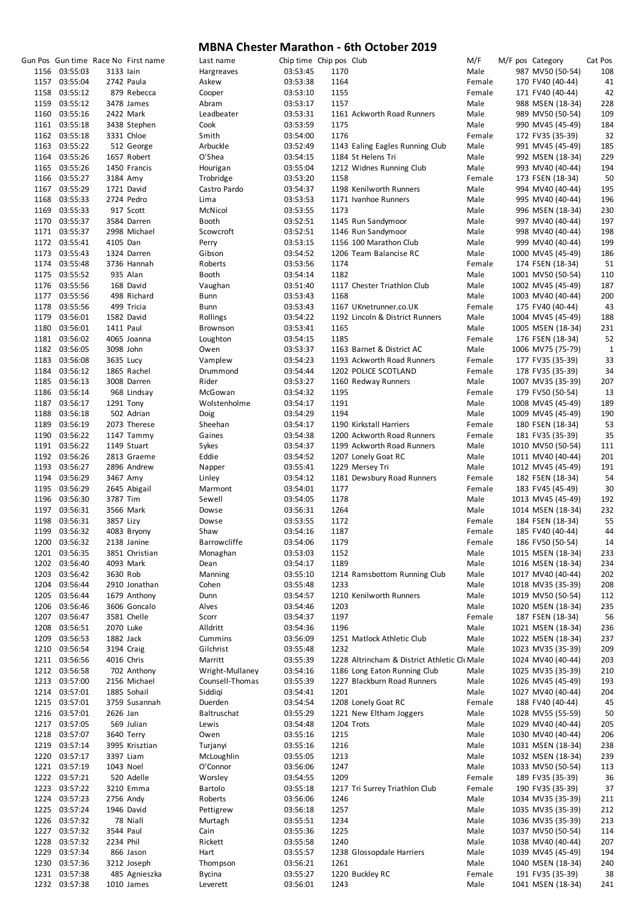|      |               |           | Gun Pos Gun time Race No First name | Last name       | Chip time Chip pos Club |            |                                             | M/F    | M/F pos Category  | Cat Pos |
|------|---------------|-----------|-------------------------------------|-----------------|-------------------------|------------|---------------------------------------------|--------|-------------------|---------|
|      | 1156 03:55:03 | 3133 lain |                                     | Hargreaves      | 03:53:45                | 1170       |                                             | Male   | 987 MV50 (50-54)  | 108     |
|      | 1157 03:55:04 |           | 2742 Paula                          | Askew           | 03:53:38                | 1164       |                                             | Female | 170 FV40 (40-44)  | 41      |
|      | 1158 03:55:12 |           | 879 Rebecca                         | Cooper          | 03:53:10                | 1155       |                                             | Female | 171 FV40 (40-44)  | 42      |
|      | 1159 03:55:12 |           | 3478 James                          | Abram           | 03:53:17                | 1157       |                                             | Male   | 988 MSEN (18-34)  | 228     |
|      | 1160 03:55:16 |           | 2422 Mark                           | Leadbeater      | 03:53:31                |            | 1161 Ackworth Road Runners                  | Male   | 989 MV50 (50-54)  | 109     |
|      | 1161 03:55:18 |           | 3438 Stephen                        | Cook            | 03:53:59                | 1175       |                                             | Male   | 990 MV45 (45-49)  | 184     |
|      | 1162 03:55:18 |           | 3331 Chloe                          | Smith           | 03:54:00                | 1176       |                                             | Female | 172 FV35 (35-39)  | 32      |
|      | 1163 03:55:22 |           | 512 George                          | Arbuckle        | 03:52:49                |            | 1143 Ealing Eagles Running Club             | Male   | 991 MV45 (45-49)  | 185     |
|      | 1164 03:55:26 |           | 1657 Robert                         | O'Shea          | 03:54:15                |            | 1184 St Helens Tri                          | Male   | 992 MSEN (18-34)  | 229     |
|      | 1165 03:55:26 |           | 1450 Francis                        | Hourigan        | 03:55:04                |            | 1212 Widnes Running Club                    | Male   | 993 MV40 (40-44)  | 194     |
|      | 1166 03:55:27 | 3184 Amy  |                                     | Trobridge       | 03:53:20                | 1158       |                                             | Female | 173 FSEN (18-34)  | 50      |
|      | 1167 03:55:29 |           | 1721 David                          | Castro Pardo    | 03:54:37                |            | 1198 Kenilworth Runners                     | Male   | 994 MV40 (40-44)  | 195     |
|      | 1168 03:55:33 |           | 2724 Pedro                          | Lima            | 03:53:53                |            | 1171 Ivanhoe Runners                        | Male   | 995 MV40 (40-44)  | 196     |
|      | 1169 03:55:33 |           | 917 Scott                           | McNicol         | 03:53:55                | 1173       |                                             | Male   | 996 MSEN (18-34)  | 230     |
|      | 1170 03:55:37 |           | 3584 Darren                         | Booth           | 03:52:51                |            | 1145 Run Sandymoor                          | Male   | 997 MV40 (40-44)  | 197     |
|      | 1171 03:55:37 |           | 2998 Michael                        | Scowcroft       | 03:52:51                |            | 1146 Run Sandymoor                          | Male   | 998 MV40 (40-44)  | 198     |
|      | 1172 03:55:41 | 4105 Dan  |                                     | Perry           | 03:53:15                |            | 1156 100 Marathon Club                      | Male   | 999 MV40 (40-44)  | 199     |
|      | 1173 03:55:43 |           | 1324 Darren                         | Gibson          | 03:54:52                |            | 1206 Team Balancise RC                      | Male   | 1000 MV45 (45-49) | 186     |
|      | 1174 03:55:48 |           | 3736 Hannah                         | Roberts         | 03:53:56                | 1174       |                                             | Female | 174 FSEN (18-34)  | 51      |
|      | 1175 03:55:52 |           | 935 Alan                            | <b>Booth</b>    | 03:54:14                | 1182       |                                             | Male   | 1001 MV50 (50-54) | 110     |
|      | 1176 03:55:56 |           | 168 David                           | Vaughan         | 03:51:40                |            | 1117 Chester Triathlon Club                 | Male   | 1002 MV45 (45-49) | 187     |
|      | 1177 03:55:56 |           | 498 Richard                         | Bunn            | 03:53:43                | 1168       |                                             | Male   | 1003 MV40 (40-44) | 200     |
|      | 1178 03:55:56 |           | 499 Tricia                          | Bunn            | 03:53:43                |            | 1167 UKnetrunner.co.UK                      | Female | 175 FV40 (40-44)  | 43      |
|      | 1179 03:56:01 |           | 1582 David                          | Rollings        | 03:54:22                |            | 1192 Lincoln & District Runners             | Male   | 1004 MV45 (45-49) | 188     |
|      | 1180 03:56:01 | 1411 Paul |                                     | Brownson        | 03:53:41                | 1165       |                                             | Male   | 1005 MSEN (18-34) | 231     |
|      | 1181 03:56:02 |           | 4065 Joanna                         | Loughton        | 03:54:15                | 1185       |                                             | Female | 176 FSEN (18-34)  | 52      |
|      | 1182 03:56:05 | 3098 John |                                     | Owen            | 03:53:37                |            | 1163 Barnet & District AC                   | Male   | 1006 MV75 (75-79) | 1       |
|      | 1183 03:56:08 | 3635 Lucy |                                     | Vamplew         | 03:54:23                |            | 1193 Ackworth Road Runners                  | Female | 177 FV35 (35-39)  | 33      |
|      | 1184 03:56:12 |           | 1865 Rachel                         | Drummond        | 03:54:44                |            | 1202 POLICE SCOTLAND                        | Female | 178 FV35 (35-39)  | 34      |
|      | 1185 03:56:13 |           | 3008 Darren                         | Rider           | 03:53:27                |            | 1160 Redway Runners                         | Male   | 1007 MV35 (35-39) | 207     |
|      | 1186 03:56:14 |           | 968 Lindsay                         | McGowan         | 03:54:32                | 1195       |                                             | Female | 179 FV50 (50-54)  | 13      |
|      | 1187 03:56:17 |           | 1291 Tony                           | Wolstenholme    | 03:54:17                | 1191       |                                             | Male   | 1008 MV45 (45-49) | 189     |
|      | 1188 03:56:18 |           | 502 Adrian                          | Doig            | 03:54:29                | 1194       |                                             | Male   | 1009 MV45 (45-49) | 190     |
| 1189 | 03:56:19      |           | 2073 Therese                        | Sheehan         | 03:54:17                |            | 1190 Kirkstall Harriers                     | Female | 180 FSEN (18-34)  | 53      |
|      | 1190 03:56:22 |           | 1147 Tammy                          | Gaines          | 03:54:38                |            | 1200 Ackworth Road Runners                  | Female | 181 FV35 (35-39)  | 35      |
|      | 1191 03:56:22 |           | 1149 Stuart                         | Sykes           | 03:54:37                |            | 1199 Ackworth Road Runners                  | Male   | 1010 MV50 (50-54) | 111     |
|      | 1192 03:56:26 |           | 2813 Graeme                         | Eddie           | 03:54:52                |            | 1207 Lonely Goat RC                         | Male   | 1011 MV40 (40-44) | 201     |
|      | 1193 03:56:27 |           | 2896 Andrew                         | Napper          | 03:55:41                |            | 1229 Mersey Tri                             | Male   | 1012 MV45 (45-49) | 191     |
|      | 1194 03:56:29 | 3467 Amy  |                                     | Linley          | 03:54:12                |            | 1181 Dewsbury Road Runners                  | Female | 182 FSEN (18-34)  | 54      |
|      | 1195 03:56:29 |           | 2645 Abigail                        | Marmont         | 03:54:01                | 1177       |                                             | Female | 183 FV45 (45-49)  | 30      |
|      | 1196 03:56:30 | 3787 Tim  |                                     | Sewell          | 03:54:05                | 1178       |                                             | Male   | 1013 MV45 (45-49) | 192     |
|      | 1197 03:56:31 |           | 3566 Mark                           | Dowse           | 03:56:31                | 1264       |                                             | Male   | 1014 MSEN (18-34) | 232     |
|      | 1198 03:56:31 | 3857 Lizy |                                     | Dowse           | 03:53:55                | 1172       |                                             | Female | 184 FSEN (18-34)  | 55      |
|      | 1199 03:56:32 |           | 4083 Bryony                         | Shaw            | 03:54:16                | 1187       |                                             | Female | 185 FV40 (40-44)  | 44      |
|      | 1200 03:56:32 |           | 2138 Janine                         | Barrowcliffe    | 03:54:06                | 1179       |                                             | Female | 186 FV50 (50-54)  | 14      |
|      | 1201 03:56:35 |           | 3851 Christian                      | Monaghan        | 03:53:03                | 1152       |                                             | Male   | 1015 MSEN (18-34) | 233     |
|      | 1202 03:56:40 |           | 4093 Mark                           | Dean            | 03:54:17                | 1189       |                                             | Male   | 1016 MSEN (18-34) | 234     |
|      | 1203 03:56:42 | 3630 Rob  |                                     | Manning         | 03:55:10                |            | 1214 Ramsbottom Running Club                | Male   | 1017 MV40 (40-44) | 202     |
|      | 1204 03:56:44 |           | 2910 Jonathan                       | Cohen           | 03:55:48                | 1233       |                                             | Male   | 1018 MV35 (35-39) | 208     |
|      | 1205 03:56:44 |           | 1679 Anthony                        | Dunn            | 03:54:57                |            | 1210 Kenilworth Runners                     | Male   | 1019 MV50 (50-54) | 112     |
|      | 1206 03:56:46 |           | 3606 Goncalo                        | Alves           | 03:54:46                | 1203       |                                             | Male   | 1020 MSEN (18-34) | 235     |
|      | 1207 03:56:47 |           | 3581 Chelle                         | Scorr           | 03:54:37                | 1197       |                                             | Female | 187 FSEN (18-34)  | 56      |
|      | 1208 03:56:51 | 2070 Luke |                                     | Alldritt        | 03:54:36                | 1196       |                                             | Male   | 1021 MSEN (18-34) | 236     |
|      | 1209 03:56:53 | 1882 Jack |                                     | Cummins         | 03:56:09                |            | 1251 Matlock Athletic Club                  | Male   | 1022 MSEN (18-34) | 237     |
|      | 1210 03:56:54 |           | 3194 Craig                          | Gilchrist       | 03:55:48                | 1232       |                                             | Male   | 1023 MV35 (35-39) | 209     |
|      | 1211 03:56:56 |           | 4016 Chris                          | Marritt         | 03:55:39                |            | 1228 Altrincham & District Athletic CluMale |        | 1024 MV40 (40-44) | 203     |
|      | 1212 03:56:58 |           | 702 Anthony                         | Wright-Mullaney | 03:54:16                |            | 1186 Long Eaton Running Club                | Male   | 1025 MV35 (35-39) | 210     |
|      | 1213 03:57:00 |           | 2156 Michael                        | Counsell-Thomas | 03:55:39                |            | 1227 Blackburn Road Runners                 | Male   | 1026 MV45 (45-49) | 193     |
|      | 1214 03:57:01 |           | 1885 Sohail                         | Siddigi         | 03:54:41                | 1201       |                                             | Male   | 1027 MV40 (40-44) | 204     |
|      | 1215 03:57:01 |           | 3759 Susannah                       | Duerden         | 03:54:54                |            | 1208 Lonely Goat RC                         | Female | 188 FV40 (40-44)  | 45      |
|      | 1216 03:57:01 | 2626 Jan  |                                     | Baltruschat     | 03:55:29                |            | 1221 New Eltham Joggers                     | Male   | 1028 MV55 (55-59) | 50      |
|      | 1217 03:57:05 |           | 569 Julian                          | Lewis           | 03:54:48                | 1204 Trots |                                             | Male   | 1029 MV40 (40-44) | 205     |
|      | 1218 03:57:07 |           | 3640 Terry                          | Owen            | 03:55:16                | 1215       |                                             | Male   | 1030 MV40 (40-44) | 206     |
|      | 1219 03:57:14 |           | 3995 Krisztian                      | Turjanyi        | 03:55:16                | 1216       |                                             | Male   | 1031 MSEN (18-34) | 238     |
|      | 1220 03:57:17 |           | 3397 Liam                           | McLoughlin      | 03:55:05                | 1213       |                                             | Male   | 1032 MSEN (18-34) | 239     |
|      | 1221 03:57:19 | 1043 Noel |                                     | O'Connor        | 03:56:06                | 1247       |                                             | Male   | 1033 MV50 (50-54) | 113     |
|      | 1222 03:57:21 |           | 520 Adelle                          | Worsley         | 03:54:55                | 1209       |                                             | Female | 189 FV35 (35-39)  | 36      |
|      | 1223 03:57:22 |           | 3210 Emma                           | Bartolo         | 03:55:18                |            | 1217 Tri Surrey Triathlon Club              | Female | 190 FV35 (35-39)  | 37      |
|      | 1224 03:57:23 |           | 2756 Andy                           | Roberts         | 03:56:06                | 1246       |                                             | Male   | 1034 MV35 (35-39) | 211     |
|      | 1225 03:57:24 |           | 1946 David                          | Pettigrew       | 03:56:18                | 1257       |                                             | Male   |                   | 212     |
|      | 1226 03:57:32 |           |                                     |                 |                         | 1234       |                                             | Male   | 1035 MV35 (35-39) |         |
|      |               |           | 78 Niall                            | Murtagh         | 03:55:51                |            |                                             | Male   | 1036 MV35 (35-39) | 213     |
|      | 1227 03:57:32 | 3544 Paul |                                     | Cain            | 03:55:36                | 1225       |                                             |        | 1037 MV50 (50-54) | 114     |
|      | 1228 03:57:32 | 2234 Phil |                                     | Rickett         | 03:55:58                | 1240       |                                             | Male   | 1038 MV40 (40-44) | 207     |
|      | 1229 03:57:34 |           | 866 Jason                           | Hart            | 03:55:57                |            | 1238 Glossopdale Harriers                   | Male   | 1039 MV45 (45-49) | 194     |
|      | 1230 03:57:36 |           | 3212 Joseph                         | Thompson        | 03:56:21                | 1261       |                                             | Male   | 1040 MSEN (18-34) | 240     |
|      | 1231 03:57:38 |           | 485 Agnieszka                       | <b>Bycina</b>   | 03:55:27                |            | 1220 Buckley RC                             | Female | 191 FV35 (35-39)  | 38      |
|      | 1232 03:57:38 |           | 1010 James                          | Leverett        | 03:56:01                | 1243       |                                             | Male   | 1041 MSEN (18-34) | 241     |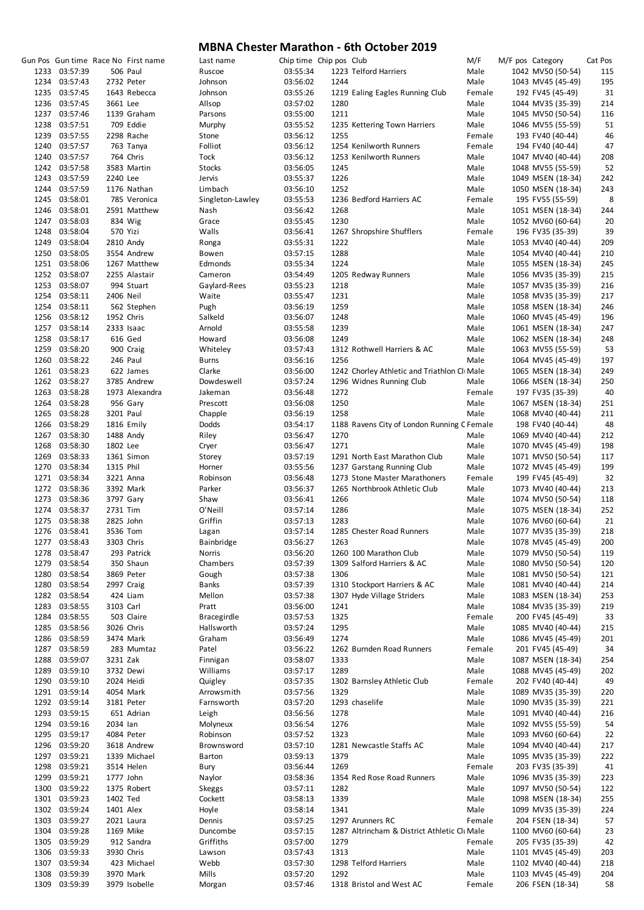|      |               |           | Gun Pos Gun time Race No First name | Last name          | Chip time Chip pos Club |      |                                              | M/F    | M/F pos Category  | Cat Pos |
|------|---------------|-----------|-------------------------------------|--------------------|-------------------------|------|----------------------------------------------|--------|-------------------|---------|
|      | 1233 03:57:39 |           | <b>506 Paul</b>                     | Ruscoe             | 03:55:34                |      | 1223 Telford Harriers                        | Male   | 1042 MV50 (50-54) | 115     |
|      | 1234 03:57:43 |           | 2732 Peter                          | Johnson            | 03:56:02                | 1244 |                                              | Male   | 1043 MV45 (45-49) | 195     |
|      | 1235 03:57:45 |           | 1643 Rebecca                        | Johnson            | 03:55:26                |      | 1219 Ealing Eagles Running Club              | Female | 192 FV45 (45-49)  | 31      |
|      | 1236 03:57:45 | 3661 Lee  |                                     | Allsop             | 03:57:02                | 1280 |                                              | Male   | 1044 MV35 (35-39) | 214     |
|      | 1237 03:57:46 |           | 1139 Graham                         | Parsons            | 03:55:00                | 1211 |                                              | Male   | 1045 MV50 (50-54) | 116     |
|      | 1238 03:57:51 |           | 709 Eddie                           | Murphy             | 03:55:52                |      | 1235 Kettering Town Harriers                 | Male   | 1046 MV55 (55-59) | 51      |
|      |               |           |                                     |                    |                         |      |                                              |        |                   |         |
|      | 1239 03:57:55 |           | 2298 Rache                          | Stone              | 03:56:12                | 1255 |                                              | Female | 193 FV40 (40-44)  | 46      |
|      | 1240 03:57:57 |           | 763 Tanya                           | Folliot            | 03:56:12                |      | 1254 Kenilworth Runners                      | Female | 194 FV40 (40-44)  | 47      |
|      | 1240 03:57:57 |           | 764 Chris                           | Tock               | 03:56:12                |      | 1253 Kenilworth Runners                      | Male   | 1047 MV40 (40-44) | 208     |
|      | 1242 03:57:58 |           | 3583 Martin                         | Stocks             | 03:56:05                | 1245 |                                              | Male   | 1048 MV55 (55-59) | 52      |
|      | 1243 03:57:59 | 2240 Lee  |                                     | Jervis             | 03:55:37                | 1226 |                                              | Male   | 1049 MSEN (18-34) | 242     |
|      | 1244 03:57:59 |           | 1176 Nathan                         | Limbach            | 03:56:10                | 1252 |                                              | Male   | 1050 MSEN (18-34) | 243     |
|      | 1245 03:58:01 |           | 785 Veronica                        | Singleton-Lawley   | 03:55:53                |      | 1236 Bedford Harriers AC                     | Female | 195 FV55 (55-59)  | 8       |
|      | 1246 03:58:01 |           | 2591 Matthew                        | Nash               | 03:56:42                | 1268 |                                              | Male   | 1051 MSEN (18-34) | 244     |
|      | 1247 03:58:03 |           | 834 Wig                             | Grace              | 03:55:45                | 1230 |                                              | Male   | 1052 MV60 (60-64) | 20      |
|      | 1248 03:58:04 | 570 Yizi  |                                     | Walls              | 03:56:41                |      | 1267 Shropshire Shufflers                    | Female | 196 FV35 (35-39)  | 39      |
|      | 1249 03:58:04 |           | 2810 Andy                           |                    | 03:55:31                | 1222 |                                              | Male   | 1053 MV40 (40-44) | 209     |
|      |               |           |                                     | Ronga              |                         |      |                                              |        |                   |         |
|      | 1250 03:58:05 |           | 3554 Andrew                         | Bowen              | 03:57:15                | 1288 |                                              | Male   | 1054 MV40 (40-44) | 210     |
|      | 1251 03:58:06 |           | 1267 Matthew                        | Edmonds            | 03:55:34                | 1224 |                                              | Male   | 1055 MSEN (18-34) | 245     |
|      | 1252 03:58:07 |           | 2255 Alastair                       | Cameron            | 03:54:49                |      | 1205 Redway Runners                          | Male   | 1056 MV35 (35-39) | 215     |
|      | 1253 03:58:07 |           | 994 Stuart                          | Gaylard-Rees       | 03:55:23                | 1218 |                                              | Male   | 1057 MV35 (35-39) | 216     |
|      | 1254 03:58:11 | 2406 Neil |                                     | Waite              | 03:55:47                | 1231 |                                              | Male   | 1058 MV35 (35-39) | 217     |
|      | 1254 03:58:11 |           | 562 Stephen                         | Pugh               | 03:56:19                | 1259 |                                              | Male   | 1058 MSEN (18-34) | 246     |
|      | 1256 03:58:12 |           | 1952 Chris                          | Salkeld            | 03:56:07                | 1248 |                                              | Male   | 1060 MV45 (45-49) | 196     |
|      | 1257 03:58:14 |           | 2333 Isaac                          | Arnold             | 03:55:58                | 1239 |                                              | Male   | 1061 MSEN (18-34) | 247     |
|      | 1258 03:58:17 |           | 616 Ged                             | Howard             | 03:56:08                | 1249 |                                              | Male   | 1062 MSEN (18-34) | 248     |
|      | 1259 03:58:20 |           | 900 Craig                           | Whiteley           | 03:57:43                |      | 1312 Rothwell Harriers & AC                  | Male   | 1063 MV55 (55-59) | 53      |
|      | 1260 03:58:22 |           |                                     |                    |                         |      |                                              |        |                   |         |
|      |               |           | 246 Paul                            | <b>Burns</b>       | 03:56:16                | 1256 |                                              | Male   | 1064 MV45 (45-49) | 197     |
|      | 1261 03:58:23 |           | 622 James                           | Clarke             | 03:56:00                |      | 1242 Chorley Athletic and Triathlon Cli Male |        | 1065 MSEN (18-34) | 249     |
|      | 1262 03:58:27 |           | 3785 Andrew                         | Dowdeswell         | 03:57:24                |      | 1296 Widnes Running Club                     | Male   | 1066 MSEN (18-34) | 250     |
|      | 1263 03:58:28 |           | 1973 Alexandra                      | Jakeman            | 03:56:48                | 1272 |                                              | Female | 197 FV35 (35-39)  | 40      |
|      | 1264 03:58:28 |           | 956 Gary                            | Prescott           | 03:56:08                | 1250 |                                              | Male   | 1067 MSEN (18-34) | 251     |
|      | 1265 03:58:28 | 3201 Paul |                                     | Chapple            | 03:56:19                | 1258 |                                              | Male   | 1068 MV40 (40-44) | 211     |
|      | 1266 03:58:29 |           | 1816 Emily                          | Dodds              | 03:54:17                |      | 1188 Ravens City of London Running C Female  |        | 198 FV40 (40-44)  | 48      |
|      | 1267 03:58:30 |           | 1488 Andy                           | Riley              | 03:56:47                | 1270 |                                              | Male   | 1069 MV40 (40-44) | 212     |
|      | 1268 03:58:30 | 1802 Lee  |                                     | Cryer              | 03:56:47                | 1271 |                                              | Male   | 1070 MV45 (45-49) | 198     |
|      | 1269 03:58:33 |           | 1361 Simon                          | Storey             | 03:57:19                |      | 1291 North East Marathon Club                | Male   | 1071 MV50 (50-54) | 117     |
|      | 1270 03:58:34 | 1315 Phil |                                     | Horner             | 03:55:56                |      |                                              | Male   |                   | 199     |
|      |               |           |                                     |                    |                         |      | 1237 Garstang Running Club                   |        | 1072 MV45 (45-49) |         |
|      | 1271 03:58:34 |           | 3221 Anna                           | Robinson           | 03:56:48                |      | 1273 Stone Master Marathoners                | Female | 199 FV45 (45-49)  | 32      |
|      | 1272 03:58:36 |           | 3392 Mark                           | Parker             | 03:56:37                |      | 1265 Northbrook Athletic Club                | Male   | 1073 MV40 (40-44) | 213     |
|      | 1273 03:58:36 |           | 3797 Gary                           | Shaw               | 03:56:41                | 1266 |                                              | Male   | 1074 MV50 (50-54) | 118     |
|      | 1274 03:58:37 | 2731 Tim  |                                     | O'Neill            | 03:57:14                | 1286 |                                              | Male   | 1075 MSEN (18-34) | 252     |
|      | 1275 03:58:38 | 2825 John |                                     | Griffin            | 03:57:13                | 1283 |                                              | Male   | 1076 MV60 (60-64) | 21      |
|      | 1276 03:58:41 | 3536 Tom  |                                     | Lagan              | 03:57:14                |      | 1285 Chester Road Runners                    | Male   | 1077 MV35 (35-39) | 218     |
|      | 1277 03:58:43 |           | 3303 Chris                          | Bainbridge         | 03:56:27                | 1263 |                                              | Male   | 1078 MV45 (45-49) | 200     |
|      | 1278 03:58:47 |           | 293 Patrick                         | Norris             | 03:56:20                |      | 1260 100 Marathon Club                       | Male   | 1079 MV50 (50-54) | 119     |
|      | 1279 03:58:54 |           | 350 Shaun                           | Chambers           | 03:57:39                |      | 1309 Salford Harriers & AC                   | Male   | 1080 MV50 (50-54) | 120     |
|      | 1280 03:58:54 |           | 3869 Peter                          | Gough              | 03:57:38                | 1306 |                                              | Male   | 1081 MV50 (50-54) | 121     |
|      |               |           |                                     |                    |                         |      |                                              |        |                   |         |
|      | 1280 03:58:54 |           | 2997 Craig                          | Banks              | 03:57:39                |      | 1310 Stockport Harriers & AC                 | Male   | 1081 MV40 (40-44) | 214     |
|      | 1282 03:58:54 |           | 424 Liam                            | Mellon             | 03:57:38                |      | 1307 Hyde Village Striders                   | Male   | 1083 MSEN (18-34) | 253     |
|      | 1283 03:58:55 | 3103 Carl |                                     | Pratt              | 03:56:00                | 1241 |                                              | Male   | 1084 MV35 (35-39) | 219     |
|      | 1284 03:58:55 |           | 503 Claire                          | <b>Bracegirdle</b> | 03:57:53                | 1325 |                                              | Female | 200 FV45 (45-49)  | 33      |
|      | 1285 03:58:56 |           | 3026 Chris                          | Hallsworth         | 03:57:24                | 1295 |                                              | Male   | 1085 MV40 (40-44) | 215     |
|      | 1286 03:58:59 |           | 3474 Mark                           | Graham             | 03:56:49                | 1274 |                                              | Male   | 1086 MV45 (45-49) | 201     |
|      | 1287 03:58:59 |           | 283 Mumtaz                          | Patel              | 03:56:22                |      | 1262 Burnden Road Runners                    | Female | 201 FV45 (45-49)  | 34      |
|      | 1288 03:59:07 | 3231 Zak  |                                     | Finnigan           | 03:58:07                | 1333 |                                              | Male   | 1087 MSEN (18-34) | 254     |
|      | 1289 03:59:10 |           | 3732 Dewi                           | Williams           | 03:57:17                | 1289 |                                              | Male   | 1088 MV45 (45-49) | 202     |
|      | 1290 03:59:10 |           | 2024 Heidi                          | Quigley            | 03:57:35                |      | 1302 Barnsley Athletic Club                  | Female | 202 FV40 (40-44)  | 49      |
|      |               |           |                                     |                    |                         |      |                                              |        |                   |         |
|      | 1291 03:59:14 |           | 4054 Mark                           | Arrowsmith         | 03:57:56                | 1329 |                                              | Male   | 1089 MV35 (35-39) | 220     |
|      | 1292 03:59:14 |           | 3181 Peter                          | Farnsworth         | 03:57:20                |      | 1293 chaselife                               | Male   | 1090 MV35 (35-39) | 221     |
|      | 1293 03:59:15 |           | 651 Adrian                          | Leigh              | 03:56:56                | 1278 |                                              | Male   | 1091 MV40 (40-44) | 216     |
|      | 1294 03:59:16 | 2034 lan  |                                     | Molyneux           | 03:56:54                | 1276 |                                              | Male   | 1092 MV55 (55-59) | 54      |
|      | 1295 03:59:17 |           | 4084 Peter                          | Robinson           | 03:57:52                | 1323 |                                              | Male   | 1093 MV60 (60-64) | 22      |
|      | 1296 03:59:20 |           | 3618 Andrew                         | Brownsword         | 03:57:10                |      | 1281 Newcastle Staffs AC                     | Male   | 1094 MV40 (40-44) | 217     |
|      | 1297 03:59:21 |           | 1339 Michael                        | <b>Barton</b>      | 03:59:13                | 1379 |                                              | Male   | 1095 MV35 (35-39) | 222     |
|      | 1298 03:59:21 |           | 3514 Helen                          | Bury               | 03:56:44                | 1269 |                                              | Female | 203 FV35 (35-39)  | 41      |
|      | 1299 03:59:21 | 1777 John |                                     | Naylor             | 03:58:36                |      | 1354 Red Rose Road Runners                   | Male   | 1096 MV35 (35-39) | 223     |
|      | 1300 03:59:22 |           | 1375 Robert                         |                    | 03:57:11                | 1282 |                                              | Male   | 1097 MV50 (50-54) | 122     |
|      |               |           |                                     | Skeggs             |                         |      |                                              |        |                   |         |
|      | 1301 03:59:23 | 1402 Ted  |                                     | Cockett            | 03:58:13                | 1339 |                                              | Male   | 1098 MSEN (18-34) | 255     |
|      | 1302 03:59:24 | 1401 Alex |                                     | Hoyle              | 03:58:14                | 1341 |                                              | Male   | 1099 MV35 (35-39) | 224     |
|      | 1303 03:59:27 |           | 2021 Laura                          | Dennis             | 03:57:25                |      | 1297 Arunners RC                             | Female | 204 FSEN (18-34)  | 57      |
|      | 1304 03:59:28 |           | 1169 Mike                           | Duncombe           | 03:57:15                |      | 1287 Altrincham & District Athletic Clu Male |        | 1100 MV60 (60-64) | 23      |
|      | 1305 03:59:29 |           | 912 Sandra                          | Griffiths          | 03:57:00                | 1279 |                                              | Female | 205 FV35 (35-39)  | 42      |
|      | 1306 03:59:33 |           | 3930 Chris                          | Lawson             | 03:57:43                | 1313 |                                              | Male   | 1101 MV45 (45-49) | 203     |
|      | 1307 03:59:34 |           | 423 Michael                         | Webb               | 03:57:30                |      | 1298 Telford Harriers                        | Male   | 1102 MV40 (40-44) | 218     |
|      | 1308 03:59:39 |           | 3970 Mark                           | Mills              | 03:57:20                | 1292 |                                              | Male   | 1103 MV45 (45-49) | 204     |
| 1309 | 03:59:39      |           | 3979 Isobelle                       | Morgan             | 03:57:46                |      | 1318 Bristol and West AC                     | Female | 206 FSEN (18-34)  | 58      |
|      |               |           |                                     |                    |                         |      |                                              |        |                   |         |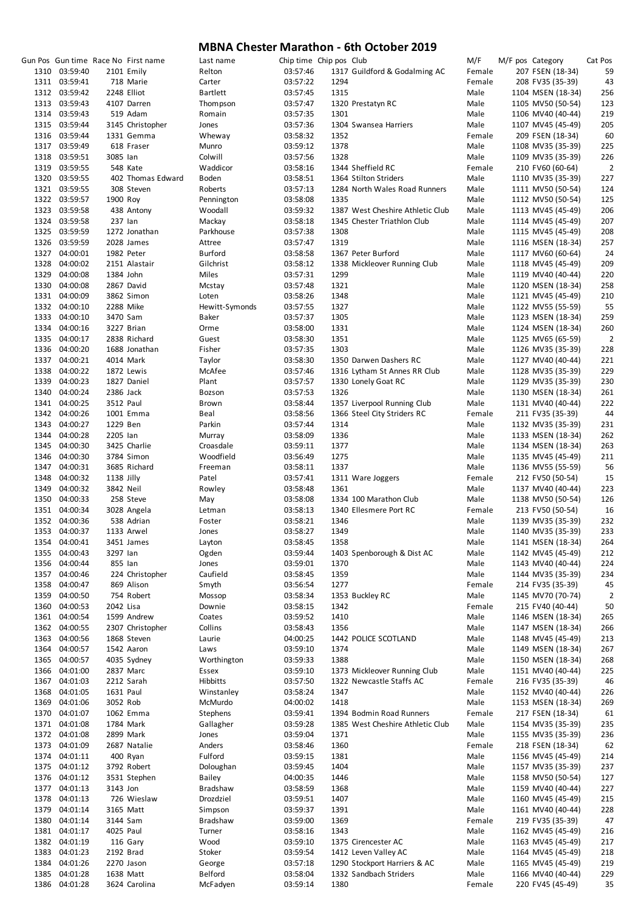|      |               |            | Gun Pos Gun time Race No First name | Last name       | Chip time Chip pos Club |      |                                  | M/F    | M/F pos Category  | Cat Pos        |
|------|---------------|------------|-------------------------------------|-----------------|-------------------------|------|----------------------------------|--------|-------------------|----------------|
|      | 1310 03:59:40 |            | 2101 Emily                          | Relton          | 03:57:46                |      | 1317 Guildford & Godalming AC    | Female | 207 FSEN (18-34)  | 59             |
|      | 1311 03:59:41 |            | 718 Marie                           | Carter          | 03:57:22                | 1294 |                                  | Female | 208 FV35 (35-39)  | 43             |
|      | 1312 03:59:42 |            | 2248 Elliot                         | <b>Bartlett</b> | 03:57:45                | 1315 |                                  | Male   | 1104 MSEN (18-34) | 256            |
|      | 1313 03:59:43 |            | 4107 Darren                         | Thompson        | 03:57:47                |      |                                  | Male   | 1105 MV50 (50-54) | 123            |
|      |               |            |                                     |                 |                         |      | 1320 Prestatyn RC                |        |                   |                |
|      | 1314 03:59:43 |            | 519 Adam                            | Romain          | 03:57:35                | 1301 |                                  | Male   | 1106 MV40 (40-44) | 219            |
|      | 1315 03:59:44 |            | 3145 Christopher                    | Jones           | 03:57:36                |      | 1304 Swansea Harriers            | Male   | 1107 MV45 (45-49) | 205            |
|      | 1316 03:59:44 |            | 1331 Gemma                          | Wheway          | 03:58:32                | 1352 |                                  | Female | 209 FSEN (18-34)  | 60             |
|      | 1317 03:59:49 |            | 618 Fraser                          | Munro           | 03:59:12                | 1378 |                                  | Male   | 1108 MV35 (35-39) | 225            |
|      | 1318 03:59:51 | 3085 lan   |                                     | Colwill         | 03:57:56                | 1328 |                                  | Male   | 1109 MV35 (35-39) | 226            |
|      | 1319 03:59:55 |            | 548 Kate                            | Waddicor        | 03:58:16                |      | 1344 Sheffield RC                | Female | 210 FV60 (60-64)  | $\overline{2}$ |
|      | 1320 03:59:55 |            | 402 Thomas Edward                   | Boden           | 03:58:51                |      | 1364 Stilton Striders            | Male   | 1110 MV35 (35-39) | 227            |
|      | 1321 03:59:55 |            | 308 Steven                          | Roberts         | 03:57:13                |      | 1284 North Wales Road Runners    | Male   | 1111 MV50 (50-54) | 124            |
|      | 1322 03:59:57 | 1900 Roy   |                                     | Pennington      | 03:58:08                | 1335 |                                  | Male   | 1112 MV50 (50-54) | 125            |
|      | 1323 03:59:58 |            | 438 Antony                          | Woodall         | 03:59:32                |      | 1387 West Cheshire Athletic Club | Male   | 1113 MV45 (45-49) | 206            |
|      | 1324 03:59:58 | 237 lan    |                                     | Mackay          | 03:58:18                |      | 1345 Chester Triathlon Club      | Male   | 1114 MV45 (45-49) | 207            |
|      |               |            |                                     |                 |                         |      |                                  |        |                   |                |
|      | 1325 03:59:59 |            | 1272 Jonathan                       | Parkhouse       | 03:57:38                | 1308 |                                  | Male   | 1115 MV45 (45-49) | 208            |
|      | 1326 03:59:59 |            | 2028 James                          | Attree          | 03:57:47                | 1319 |                                  | Male   | 1116 MSEN (18-34) | 257            |
|      | 1327 04:00:01 |            | 1982 Peter                          | Burford         | 03:58:58                |      | 1367 Peter Burford               | Male   | 1117 MV60 (60-64) | 24             |
| 1328 | 04:00:02      |            | 2151 Alastair                       | Gilchrist       | 03:58:12                |      | 1338 Mickleover Running Club     | Male   | 1118 MV45 (45-49) | 209            |
|      | 1329 04:00:08 | 1384 John  |                                     | Miles           | 03:57:31                | 1299 |                                  | Male   | 1119 MV40 (40-44) | 220            |
|      | 1330 04:00:08 |            | 2867 David                          | Mcstay          | 03:57:48                | 1321 |                                  | Male   | 1120 MSEN (18-34) | 258            |
|      | 1331 04:00:09 |            | 3862 Simon                          | Loten           | 03:58:26                | 1348 |                                  | Male   | 1121 MV45 (45-49) | 210            |
|      | 1332 04:00:10 | 2288 Mike  |                                     | Hewitt-Symonds  | 03:57:55                | 1327 |                                  | Male   | 1122 MV55 (55-59) | 55             |
|      | 1333 04:00:10 | 3470 Sam   |                                     | Baker           | 03:57:37                | 1305 |                                  | Male   | 1123 MSEN (18-34) | 259            |
|      | 1334 04:00:16 |            | 3227 Brian                          | Orme            | 03:58:00                | 1331 |                                  | Male   | 1124 MSEN (18-34) | 260            |
|      | 1335 04:00:17 |            | 2838 Richard                        |                 |                         | 1351 |                                  | Male   |                   |                |
|      |               |            |                                     | Guest           | 03:58:30                |      |                                  |        | 1125 MV65 (65-59) | $\overline{2}$ |
|      | 1336 04:00:20 |            | 1688 Jonathan                       | Fisher          | 03:57:35                | 1303 |                                  | Male   | 1126 MV35 (35-39) | 228            |
|      | 1337 04:00:21 |            | 4014 Mark                           | Taylor          | 03:58:30                |      | 1350 Darwen Dashers RC           | Male   | 1127 MV40 (40-44) | 221            |
|      | 1338 04:00:22 |            | 1872 Lewis                          | McAfee          | 03:57:46                |      | 1316 Lytham St Annes RR Club     | Male   | 1128 MV35 (35-39) | 229            |
|      | 1339 04:00:23 |            | 1827 Daniel                         | Plant           | 03:57:57                |      | 1330 Lonely Goat RC              | Male   | 1129 MV35 (35-39) | 230            |
| 1340 | 04:00:24      | 2386 Jack  |                                     | Bozson          | 03:57:53                | 1326 |                                  | Male   | 1130 MSEN (18-34) | 261            |
|      | 1341 04:00:25 | 3512 Paul  |                                     | Brown           | 03:58:44                |      | 1357 Liverpool Running Club      | Male   | 1131 MV40 (40-44) | 222            |
|      | 1342 04:00:26 |            | 1001 Emma                           | Beal            | 03:58:56                |      | 1366 Steel City Striders RC      | Female | 211 FV35 (35-39)  | 44             |
|      | 1343 04:00:27 | 1229 Ben   |                                     | Parkin          | 03:57:44                | 1314 |                                  | Male   | 1132 MV35 (35-39) | 231            |
|      | 1344 04:00:28 | 2205 lan   |                                     | Murray          | 03:58:09                | 1336 |                                  | Male   | 1133 MSEN (18-34) | 262            |
|      | 1345 04:00:30 |            | 3425 Charlie                        | Croasdale       | 03:59:11                | 1377 |                                  | Male   | 1134 MSEN (18-34) | 263            |
|      |               |            |                                     |                 |                         |      |                                  |        |                   |                |
|      | 1346 04:00:30 |            | 3784 Simon                          | Woodfield       | 03:56:49                | 1275 |                                  | Male   | 1135 MV45 (45-49) | 211            |
|      | 1347 04:00:31 |            | 3685 Richard                        | Freeman         | 03:58:11                | 1337 |                                  | Male   | 1136 MV55 (55-59) | 56             |
| 1348 | 04:00:32      | 1138 Jilly |                                     | Patel           | 03:57:41                |      | 1311 Ware Joggers                | Female | 212 FV50 (50-54)  | 15             |
|      | 1349 04:00:32 | 3842 Neil  |                                     | Rowley          | 03:58:48                | 1361 |                                  | Male   | 1137 MV40 (40-44) | 223            |
|      | 1350 04:00:33 |            | 258 Steve                           | May             | 03:58:08                |      | 1334 100 Marathon Club           | Male   | 1138 MV50 (50-54) | 126            |
|      | 1351 04:00:34 |            | 3028 Angela                         | Letman          | 03:58:13                |      | 1340 Ellesmere Port RC           | Female | 213 FV50 (50-54)  | 16             |
|      | 1352 04:00:36 |            | 538 Adrian                          | Foster          | 03:58:21                | 1346 |                                  | Male   | 1139 MV35 (35-39) | 232            |
|      | 1353 04:00:37 |            | 1133 Arwel                          | Jones           | 03:58:27                | 1349 |                                  | Male   | 1140 MV35 (35-39) | 233            |
| 1354 | 04:00:41      |            | 3451 James                          | Layton          | 03:58:45                | 1358 |                                  | Male   | 1141 MSEN (18-34) | 264            |
| 1355 | 04:00:43      | 3297 lan   |                                     | Ogden           | 03:59:44                |      | 1403 Spenborough & Dist AC       | Male   | 1142 MV45 (45-49) | 212            |
| 1356 | 04:00:44      | 855 Ian    |                                     | Jones           | 03:59:01                | 1370 |                                  | Male   | 1143 MV40 (40-44) | 224            |
|      |               |            |                                     |                 |                         |      |                                  |        |                   |                |
|      | 1357 04:00:46 |            | 224 Christopher                     | Caufield        | 03:58:45                | 1359 |                                  | Male   | 1144 MV35 (35-39) | 234            |
| 1358 | 04:00:47      |            | 869 Alison                          | Smyth           | 03:56:54                | 1277 |                                  | Female | 214 FV35 (35-39)  | 45             |
| 1359 | 04:00:50      |            | 754 Robert                          | Mossop          | 03:58:34                |      | 1353 Buckley RC                  | Male   | 1145 MV70 (70-74) | $\overline{2}$ |
| 1360 | 04:00:53      | 2042 Lisa  |                                     | Downie          | 03:58:15                | 1342 |                                  | Female | 215 FV40 (40-44)  | 50             |
| 1361 | 04:00:54      |            | 1599 Andrew                         | Coates          | 03:59:52                | 1410 |                                  | Male   | 1146 MSEN (18-34) | 265            |
|      | 1362 04:00:55 |            | 2307 Christopher                    | Collins         | 03:58:43                | 1356 |                                  | Male   | 1147 MSEN (18-34) | 266            |
| 1363 | 04:00:56      |            | 1868 Steven                         | Laurie          | 04:00:25                |      | 1442 POLICE SCOTLAND             | Male   | 1148 MV45 (45-49) | 213            |
| 1364 | 04:00:57      |            | 1542 Aaron                          | Laws            | 03:59:10                | 1374 |                                  | Male   | 1149 MSEN (18-34) | 267            |
| 1365 | 04:00:57      |            | 4035 Sydney                         | Worthington     | 03:59:33                | 1388 |                                  | Male   | 1150 MSEN (18-34) | 268            |
| 1366 | 04:01:00      |            | 2837 Marc                           | Essex           | 03:59:10                |      | 1373 Mickleover Running Club     | Male   | 1151 MV40 (40-44) | 225            |
|      |               |            |                                     |                 |                         |      | 1322 Newcastle Staffs AC         |        |                   | 46             |
|      | 1367 04:01:03 |            | 2212 Sarah                          | Hibbitts        | 03:57:50                |      |                                  | Female | 216 FV35 (35-39)  |                |
| 1368 | 04:01:05      | 1631 Paul  |                                     | Winstanley      | 03:58:24                | 1347 |                                  | Male   | 1152 MV40 (40-44) | 226            |
| 1369 | 04:01:06      | 3052 Rob   |                                     | McMurdo         | 04:00:02                | 1418 |                                  | Male   | 1153 MSEN (18-34) | 269            |
| 1370 | 04:01:07      |            | 1062 Emma                           | Stephens        | 03:59:41                |      | 1394 Bodmin Road Runners         | Female | 217 FSEN (18-34)  | 61             |
|      | 1371 04:01:08 |            | 1784 Mark                           | Gallagher       | 03:59:28                |      | 1385 West Cheshire Athletic Club | Male   | 1154 MV35 (35-39) | 235            |
|      | 1372 04:01:08 |            | 2899 Mark                           | Jones           | 03:59:04                | 1371 |                                  | Male   | 1155 MV35 (35-39) | 236            |
| 1373 | 04:01:09      |            | 2687 Natalie                        | Anders          | 03:58:46                | 1360 |                                  | Female | 218 FSEN (18-34)  | 62             |
|      | 1374 04:01:11 |            | 400 Ryan                            | Fulford         | 03:59:15                | 1381 |                                  | Male   | 1156 MV45 (45-49) | 214            |
|      | 1375 04:01:12 |            | 3792 Robert                         | Doloughan       | 03:59:45                | 1404 |                                  | Male   | 1157 MV35 (35-39) | 237            |
|      | 1376 04:01:12 |            | 3531 Stephen                        | Bailey          | 04:00:35                | 1446 |                                  | Male   | 1158 MV50 (50-54) | 127            |
|      | 1377 04:01:13 | 3143 Jon   |                                     | Bradshaw        | 03:58:59                | 1368 |                                  | Male   | 1159 MV40 (40-44) |                |
|      |               |            |                                     |                 |                         |      |                                  |        |                   | 227            |
| 1378 | 04:01:13      |            | 726 Wieslaw                         | Drozdziel       | 03:59:51                | 1407 |                                  | Male   | 1160 MV45 (45-49) | 215            |
| 1379 | 04:01:14      |            | 3165 Matt                           | Simpson         | 03:59:37                | 1391 |                                  | Male   | 1161 MV40 (40-44) | 228            |
| 1380 | 04:01:14      | 3144 Sam   |                                     | Bradshaw        | 03:59:00                | 1369 |                                  | Female | 219 FV35 (35-39)  | 47             |
|      | 1381 04:01:17 | 4025 Paul  |                                     | Turner          | 03:58:16                | 1343 |                                  | Male   | 1162 MV45 (45-49) | 216            |
|      | 1382 04:01:19 |            | 116 Gary                            | Wood            | 03:59:10                |      | 1375 Cirencester AC              | Male   | 1163 MV45 (45-49) | 217            |
| 1383 | 04:01:23      | 2192 Brad  |                                     | Stoker          | 03:59:54                |      | 1412 Leven Valley AC             | Male   | 1164 MV45 (45-49) | 218            |
| 1384 | 04:01:26      |            | 2270 Jason                          | George          | 03:57:18                |      | 1290 Stockport Harriers & AC     | Male   | 1165 MV45 (45-49) | 219            |
| 1385 | 04:01:28      |            | 1638 Matt                           | <b>Belford</b>  | 03:58:04                |      | 1332 Sandbach Striders           | Male   | 1166 MV40 (40-44) | 229            |
| 1386 | 04:01:28      |            | 3624 Carolina                       | McFadyen        | 03:59:14                | 1380 |                                  | Female | 220 FV45 (45-49)  | 35             |
|      |               |            |                                     |                 |                         |      |                                  |        |                   |                |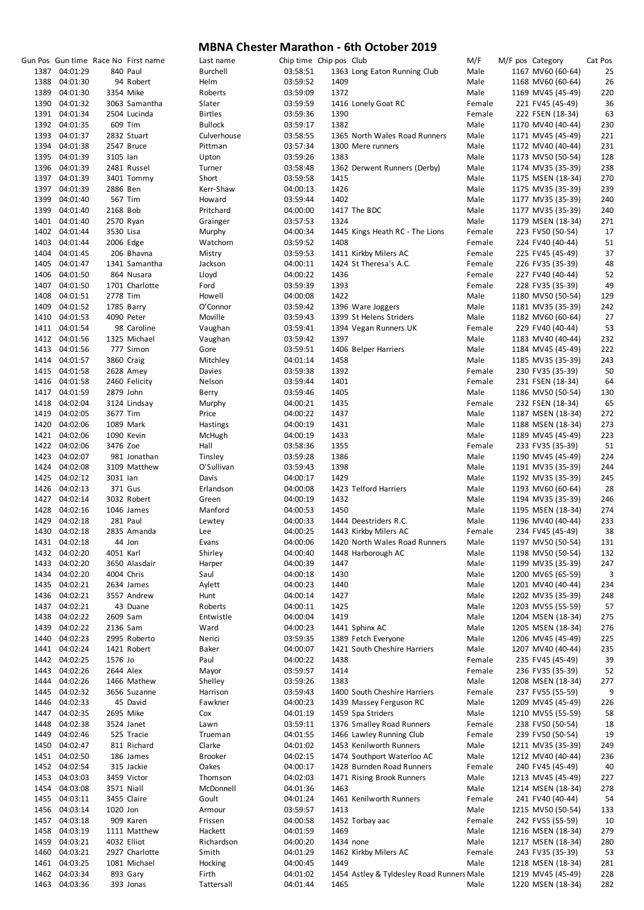|               |           | Gun Pos Gun time Race No First name | Last name      | Chip time Chip pos Club |           |                                           | M/F    | M/F pos Category  | Cat Pos |
|---------------|-----------|-------------------------------------|----------------|-------------------------|-----------|-------------------------------------------|--------|-------------------|---------|
| 1387 04:01:29 |           | 840 Paul                            | Burchell       | 03:58:51                |           | 1363 Long Eaton Running Club              | Male   | 1167 MV60 (60-64) | 25      |
| 1388 04:01:30 |           | 94 Robert                           | Helm           | 03:59:52                | 1409      |                                           | Male   | 1168 MV60 (60-64) | 26      |
| 1389 04:01:30 |           | 3354 Mike                           | Roberts        | 03:59:09                | 1372      |                                           | Male   | 1169 MV45 (45-49) | 220     |
| 1390 04:01:32 |           | 3063 Samantha                       | Slater         | 03:59:59                |           | 1416 Lonely Goat RC                       | Female | 221 FV45 (45-49)  | 36      |
| 1391 04:01:34 |           | 2504 Lucinda                        | <b>Birtles</b> | 03:59:36                | 1390      |                                           | Female | 222 FSEN (18-34)  | 63      |
|               |           |                                     |                |                         |           |                                           |        |                   |         |
| 1392 04:01:35 |           | 609 Tim                             | <b>Bullock</b> | 03:59:17                | 1382      |                                           | Male   | 1170 MV40 (40-44) | 230     |
| 1393 04:01:37 |           | 2832 Stuart                         | Culverhouse    | 03:58:55                |           | 1365 North Wales Road Runners             | Male   | 1171 MV45 (45-49) | 221     |
| 1394 04:01:38 |           | 2547 Bruce                          | Pittman        | 03:57:34                |           | 1300 Mere runners                         | Male   | 1172 MV40 (40-44) | 231     |
| 1395 04:01:39 | 3105 lan  |                                     | Upton          | 03:59:26                | 1383      |                                           | Male   | 1173 MV50 (50-54) | 128     |
| 1396 04:01:39 |           | 2481 Russel                         | Turner         | 03:58:48                |           | 1362 Derwent Runners (Derby)              | Male   | 1174 MV35 (35-39) | 238     |
| 1397 04:01:39 |           | 3401 Tommy                          | Short          | 03:59:58                | 1415      |                                           | Male   | 1175 MSEN (18-34) | 270     |
| 1397 04:01:39 | 2886 Ben  |                                     | Kerr-Shaw      | 04:00:13                | 1426      |                                           | Male   | 1175 MV35 (35-39) | 239     |
| 1399 04:01:40 |           | 567 Tim                             | Howard         | 03:59:44                | 1402      |                                           | Male   | 1177 MV35 (35-39) | 240     |
| 1399 04:01:40 | 2168 Bob  |                                     | Pritchard      | 04:00:00                |           | 1417 The BDC                              | Male   | 1177 MV35 (35-39) | 240     |
| 1401 04:01:40 |           | 2570 Ryan                           | Grainger       | 03:57:53                | 1324      |                                           | Male   | 1179 MSEN (18-34) | 271     |
|               |           |                                     |                |                         |           |                                           | Female |                   |         |
| 1402 04:01:44 | 3530 Lisa |                                     | Murphy         | 04:00:34                |           | 1445 Kings Heath RC - The Lions           |        | 223 FV50 (50-54)  | 17      |
| 1403 04:01:44 |           | 2006 Edge                           | Watchorn       | 03:59:52                | 1408      |                                           | Female | 224 FV40 (40-44)  | 51      |
| 1404 04:01:45 |           | 206 Bhavna                          | Mistry         | 03:59:53                |           | 1411 Kirkby Milers AC                     | Female | 225 FV45 (45-49)  | 37      |
| 1405 04:01:47 |           | 1341 Samantha                       | Jackson        | 04:00:11                |           | 1424 St Theresa's A.C.                    | Female | 226 FV35 (35-39)  | 48      |
| 1406 04:01:50 |           | 864 Nusara                          | Lloyd          | 04:00:22                | 1436      |                                           | Female | 227 FV40 (40-44)  | 52      |
| 1407 04:01:50 |           | 1701 Charlotte                      | Ford           | 03:59:39                | 1393      |                                           | Female | 228 FV35 (35-39)  | 49      |
| 1408 04:01:51 | 2778 Tim  |                                     | Howell         | 04:00:08                | 1422      |                                           | Male   | 1180 MV50 (50-54) | 129     |
| 1409 04:01:52 |           | 1785 Barry                          | O'Connor       | 03:59:42                |           | 1396 Ware Joggers                         | Male   | 1181 MV35 (35-39) | 242     |
| 1410 04:01:53 |           | 4090 Peter                          | Moville        | 03:59:43                |           | 1399 St Helens Striders                   | Male   | 1182 MV60 (60-64) | 27      |
| 1411 04:01:54 |           | 98 Caroline                         | Vaughan        | 03:59:41                |           | 1394 Vegan Runners UK                     | Female | 229 FV40 (40-44)  | 53      |
| 1412 04:01:56 |           | 1325 Michael                        |                |                         | 1397      |                                           |        |                   |         |
|               |           |                                     | Vaughan        | 03:59:42                |           |                                           | Male   | 1183 MV40 (40-44) | 232     |
| 1413 04:01:56 |           | 777 Simon                           | Gore           | 03:59:51                |           | 1406 Belper Harriers                      | Male   | 1184 MV45 (45-49) | 222     |
| 1414 04:01:57 |           | 3860 Craig                          | Mitchley       | 04:01:14                | 1458      |                                           | Male   | 1185 MV35 (35-39) | 243     |
| 1415 04:01:58 |           | 2628 Amey                           | Davies         | 03:59:38                | 1392      |                                           | Female | 230 FV35 (35-39)  | 50      |
| 1416 04:01:58 |           | 2460 Felicity                       | Nelson         | 03:59:44                | 1401      |                                           | Female | 231 FSEN (18-34)  | 64      |
| 1417 04:01:59 | 2879 John |                                     | Berry          | 03:59:46                | 1405      |                                           | Male   | 1186 MV50 (50-54) | 130     |
| 1418 04:02:04 |           | 3124 Lindsay                        | Murphy         | 04:00:21                | 1435      |                                           | Female | 232 FSEN (18-34)  | 65      |
| 1419 04:02:05 | 3677 Tim  |                                     | Price          | 04:00:22                | 1437      |                                           | Male   | 1187 MSEN (18-34) | 272     |
| 1420 04:02:06 |           | 1089 Mark                           | Hastings       | 04:00:19                | 1431      |                                           | Male   | 1188 MSEN (18-34) | 273     |
| 1421 04:02:06 |           | 1090 Kevin                          | McHugh         | 04:00:19                | 1433      |                                           | Male   | 1189 MV45 (45-49) | 223     |
| 1422 04:02:06 | 3476 Zoe  |                                     | Hall           | 03:58:36                | 1355      |                                           | Female | 233 FV35 (35-39)  | 51      |
|               |           |                                     |                |                         |           |                                           |        |                   |         |
| 1423 04:02:07 |           | 981 Jonathan                        | Tinsley        | 03:59:28                | 1386      |                                           | Male   | 1190 MV45 (45-49) | 224     |
| 1424 04:02:08 |           | 3109 Matthew                        | O'Sullivan     | 03:59:43                | 1398      |                                           | Male   | 1191 MV35 (35-39) | 244     |
| 1425 04:02:12 | 3031 lan  |                                     | Davis          | 04:00:17                | 1429      |                                           | Male   | 1192 MV35 (35-39) | 245     |
| 1426 04:02:13 |           | 371 Gus                             | Erlandson      | 04:00:08                |           | 1423 Telford Harriers                     | Male   | 1193 MV60 (60-64) | 28      |
| 1427 04:02:14 |           | 3032 Robert                         | Green          | 04:00:19                | 1432      |                                           | Male   | 1194 MV35 (35-39) | 246     |
| 1428 04:02:16 |           | 1046 James                          | Manford        | 04:00:53                | 1450      |                                           | Male   | 1195 MSEN (18-34) | 274     |
| 1429 04:02:18 |           | 281 Paul                            | Lewtey         | 04:00:33                |           | 1444 Deestriders R.C.                     | Male   | 1196 MV40 (40-44) | 233     |
| 1430 04:02:18 |           | 2835 Amanda                         | Lee            | 04:00:25                |           | 1443 Kirkby Milers AC                     | Female | 234 FV45 (45-49)  | 38      |
| 1431 04:02:18 | 44 Jon    |                                     | Evans          | 04:00:06                |           | 1420 North Wales Road Runners             | Male   | 1197 MV50 (50-54) | 131     |
| 1432 04:02:20 | 4051 Karl |                                     | Shirley        | 04:00:40                |           | 1448 Harborough AC                        | Male   | 1198 MV50 (50-54) | 132     |
|               |           |                                     |                |                         |           |                                           |        | 1199 MV35 (35-39) |         |
| 1433 04:02:20 |           | 3650 Alasdair                       | Harper         | 04:00:39                | 1447      |                                           | Male   |                   | 247     |
| 1434 04:02:20 |           | 4004 Chris                          | Saul           | 04:00:18                | 1430      |                                           | Male   | 1200 MV65 (65-59) | 3       |
| 1435 04:02:21 |           | 2634 James                          | Aylett         | 04:00:23                | 1440      |                                           | Male   | 1201 MV40 (40-44) | 234     |
| 1436 04:02:21 |           | 3557 Andrew                         | Hunt           | 04:00:14                | 1427      |                                           | Male   | 1202 MV35 (35-39) | 248     |
| 1437 04:02:21 |           | 43 Duane                            | Roberts        | 04:00:11                | 1425      |                                           | Male   | 1203 MV55 (55-59) | 57      |
| 1438 04:02:22 | 2609 Sam  |                                     | Entwistle      | 04:00:04                | 1419      |                                           | Male   | 1204 MSEN (18-34) | 275     |
| 1439 04:02:22 | 2136 Sam  |                                     | Ward           | 04:00:23                |           | 1441 Sphinx AC                            | Male   | 1205 MSEN (18-34) | 276     |
| 1440 04:02:23 |           | 2995 Roberto                        | Nerici         | 03:59:35                |           | 1389 Fetch Everyone                       | Male   | 1206 MV45 (45-49) | 225     |
| 1441 04:02:24 |           | 1421 Robert                         | Baker          | 04:00:07                |           | 1421 South Cheshire Harriers              | Male   | 1207 MV40 (40-44) | 235     |
| 1442 04:02:25 | 1576 Jo   |                                     | Paul           | 04:00:22                | 1438      |                                           | Female | 235 FV45 (45-49)  | 39      |
| 1443 04:02:26 | 2644 Alex |                                     |                |                         | 1414      |                                           | Female |                   |         |
|               |           |                                     | Mayor          | 03:59:57                |           |                                           |        | 236 FV35 (35-39)  | 52      |
| 1444 04:02:26 |           | 1466 Mathew                         | Shelley        | 03:59:26                | 1383      |                                           | Male   | 1208 MSEN (18-34) | 277     |
| 1445 04:02:32 |           | 3656 Suzanne                        | Harrison       | 03:59:43                |           | 1400 South Cheshire Harriers              | Female | 237 FV55 (55-59)  | 9       |
| 1446 04:02:33 |           | 45 David                            | Fawkner        | 04:00:23                |           | 1439 Massey Ferguson RC                   | Male   | 1209 MV45 (45-49) | 226     |
| 1447 04:02:35 |           | 2695 Mike                           | Cox            | 04:01:19                |           | 1459 Spa Striders                         | Male   | 1210 MV55 (55-59) | 58      |
| 1448 04:02:38 |           | 3524 Janet                          | Lawn           | 03:59:11                |           | 1376 Smalley Road Runners                 | Female | 238 FV50 (50-54)  | 18      |
| 1449 04:02:46 |           | 525 Tracie                          | Trueman        | 04:01:55                |           | 1466 Lawley Running Club                  | Female | 239 FV50 (50-54)  | 19      |
| 1450 04:02:47 |           | 811 Richard                         | Clarke         | 04:01:02                |           | 1453 Kenilworth Runners                   | Male   | 1211 MV35 (35-39) | 249     |
| 1451 04:02:50 |           | 186 James                           | Brooker        | 04:02:15                |           | 1474 Southport Waterloo AC                | Male   | 1212 MV40 (40-44) | 236     |
| 1452 04:02:54 |           | 315 Jackie                          | Oakes          | 04:00:17                |           | 1428 Burnden Road Runners                 | Female | 240 FV45 (45-49)  | 40      |
|               |           |                                     |                |                         |           |                                           |        |                   |         |
| 1453 04:03:03 |           | 3459 Victor                         | Thomson        | 04:02:03                |           | 1471 Rising Brook Runners                 | Male   | 1213 MV45 (45-49) | 227     |
| 1454 04:03:08 |           | 3571 Niall                          | McDonnell      | 04:01:36                | 1463      |                                           | Male   | 1214 MSEN (18-34) | 278     |
| 1455 04:03:11 |           | 3455 Claire                         | Goult          | 04:01:24                |           | 1461 Kenilworth Runners                   | Female | 241 FV40 (40-44)  | 54      |
| 1456 04:03:14 | 1020 Jon  |                                     | Armour         | 03:59:57                | 1413      |                                           | Male   | 1215 MV50 (50-54) | 133     |
| 1457 04:03:18 |           | 909 Karen                           | Frissen        | 04:00:58                |           | 1452 Torbay aac                           | Female | 242 FV55 (55-59)  | 10      |
| 1458 04:03:19 |           | 1111 Matthew                        | Hackett        | 04:01:59                | 1469      |                                           | Male   | 1216 MSEN (18-34) | 279     |
| 1459 04:03:21 |           | 4032 Elliot                         | Richardson     | 04:00:20                | 1434 none |                                           | Male   | 1217 MSEN (18-34) | 280     |
| 1460 04:03:21 |           | 2927 Charlotte                      | Smith          | 04:01:29                |           | 1462 Kirkby Milers AC                     | Female | 243 FV35 (35-39)  | 53      |
| 1461 04:03:25 |           | 1081 Michael                        | Hocking        | 04:00:45                | 1449      |                                           | Male   | 1218 MSEN (18-34) | 281     |
| 1462 04:03:34 |           | 893 Gary                            | Firth          | 04:01:02                |           | 1454 Astley & Tyldesley Road Runners Male |        | 1219 MV45 (45-49) | 228     |
|               |           |                                     |                |                         |           |                                           |        |                   |         |
| 1463 04:03:36 |           | 393 Jonas                           | Tattersall     | 04:01:44                | 1465      |                                           | Male   | 1220 MSEN (18-34) | 282     |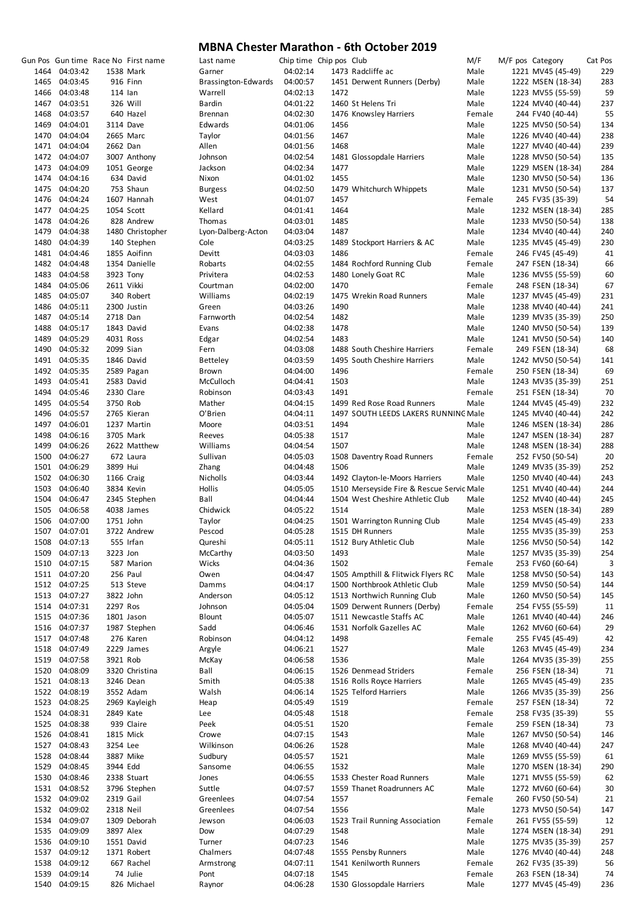|      |                                |           | Gun Pos Gun time Race No First name | Last name           | Chip time Chip pos Club |      |                                           | M/F    | M/F pos Category  | Cat Pos |
|------|--------------------------------|-----------|-------------------------------------|---------------------|-------------------------|------|-------------------------------------------|--------|-------------------|---------|
|      | 1464 04:03:42                  |           | 1538 Mark                           | Garner              | 04:02:14                |      | 1473 Radcliffe ac                         | Male   | 1221 MV45 (45-49) | 229     |
|      | 1465 04:03:45                  |           | 916 Finn                            | Brassington-Edwards | 04:00:57                |      | 1451 Derwent Runners (Derby)              | Male   | 1222 MSEN (18-34) | 283     |
|      | 1466 04:03:48                  | $114$ lan |                                     | Warrell             | 04:02:13                | 1472 |                                           | Male   | 1223 MV55 (55-59) | 59      |
|      | 1467 04:03:51                  |           | 326 Will                            | <b>Bardin</b>       | 04:01:22                |      | 1460 St Helens Tri                        | Male   | 1224 MV40 (40-44) | 237     |
|      | 1468 04:03:57                  |           | 640 Hazel                           | <b>Brennan</b>      | 04:02:30                |      | 1476 Knowsley Harriers                    | Female | 244 FV40 (40-44)  | 55      |
|      | 1469 04:04:01                  |           | 3114 Dave                           | Edwards             | 04:01:06                | 1456 |                                           | Male   | 1225 MV50 (50-54) | 134     |
|      | 1470 04:04:04                  |           | 2665 Marc                           | Taylor              | 04:01:56                | 1467 |                                           | Male   | 1226 MV40 (40-44) | 238     |
|      | 1471 04:04:04                  | 2662 Dan  |                                     | Allen               | 04:01:56                | 1468 |                                           | Male   | 1227 MV40 (40-44) | 239     |
|      | 1472 04:04:07                  |           | 3007 Anthony                        | Johnson             | 04:02:54                |      | 1481 Glossopdale Harriers                 | Male   | 1228 MV50 (50-54) | 135     |
|      | 1473 04:04:09                  |           | 1051 George                         | Jackson             | 04:02:34                | 1477 |                                           | Male   | 1229 MSEN (18-34) | 284     |
|      | 1474 04:04:16                  |           | 634 David                           | Nixon               | 04:01:02                | 1455 |                                           | Male   | 1230 MV50 (50-54) | 136     |
|      | 1475 04:04:20                  |           | 753 Shaun                           | <b>Burgess</b>      | 04:02:50                |      | 1479 Whitchurch Whippets                  | Male   | 1231 MV50 (50-54) | 137     |
|      | 1476 04:04:24                  |           | 1607 Hannah                         | West                | 04:01:07                | 1457 |                                           | Female | 245 FV35 (35-39)  | 54      |
|      | 1477 04:04:25                  |           | 1054 Scott                          | Kellard             | 04:01:41                | 1464 |                                           | Male   | 1232 MSEN (18-34) | 285     |
|      | 1478 04:04:26                  |           | 828 Andrew                          | Thomas              | 04:03:01                | 1485 |                                           | Male   | 1233 MV50 (50-54) | 138     |
|      | 1479 04:04:38                  |           | 1480 Christopher                    | Lyon-Dalberg-Acton  | 04:03:04                | 1487 |                                           | Male   | 1234 MV40 (40-44) | 240     |
|      | 1480 04:04:39                  |           | 140 Stephen                         | Cole                | 04:03:25                |      | 1489 Stockport Harriers & AC              | Male   | 1235 MV45 (45-49) | 230     |
|      | 1481 04:04:46                  |           | 1855 Aoifinn                        | Devitt              | 04:03:03                | 1486 |                                           | Female | 246 FV45 (45-49)  | 41      |
|      | 1482 04:04:48                  |           | 1354 Danielle                       | Robarts             | 04:02:55                |      | 1484 Rochford Running Club                | Female | 247 FSEN (18-34)  | 66      |
|      |                                |           |                                     |                     | 04:02:53                |      |                                           |        | 1236 MV55 (55-59) |         |
|      | 1483 04:04:58<br>1484 04:05:06 |           | 3923 Tony                           | Privitera           |                         |      | 1480 Lonely Goat RC                       | Male   |                   | 60      |
|      |                                |           | 2611 Vikki                          | Courtman            | 04:02:00                | 1470 |                                           | Female | 248 FSEN (18-34)  | 67      |
|      | 1485 04:05:07                  |           | 340 Robert                          | Williams            | 04:02:19                |      | 1475 Wrekin Road Runners                  | Male   | 1237 MV45 (45-49) | 231     |
|      | 1486 04:05:11                  |           | 2300 Justin                         | Green               | 04:03:26                | 1490 |                                           | Male   | 1238 MV40 (40-44) | 241     |
|      | 1487 04:05:14                  | 2718 Dan  |                                     | Farnworth           | 04:02:54                | 1482 |                                           | Male   | 1239 MV35 (35-39) | 250     |
|      | 1488 04:05:17                  |           | 1843 David                          | Evans               | 04:02:38                | 1478 |                                           | Male   | 1240 MV50 (50-54) | 139     |
|      | 1489 04:05:29                  |           | 4031 Ross                           | Edgar               | 04:02:54                | 1483 |                                           | Male   | 1241 MV50 (50-54) | 140     |
|      | 1490 04:05:32                  | 2099 Sian |                                     | Fern                | 04:03:08                |      | 1488 South Cheshire Harriers              | Female | 249 FSEN (18-34)  | 68      |
|      | 1491 04:05:35                  |           | 1846 David                          | <b>Betteley</b>     | 04:03:59                |      | 1495 South Cheshire Harriers              | Male   | 1242 MV50 (50-54) | 141     |
|      | 1492 04:05:35                  |           | 2589 Pagan                          | Brown               | 04:04:00                | 1496 |                                           | Female | 250 FSEN (18-34)  | 69      |
|      | 1493 04:05:41                  |           | 2583 David                          | McCulloch           | 04:04:41                | 1503 |                                           | Male   | 1243 MV35 (35-39) | 251     |
|      | 1494 04:05:46                  |           | 2330 Clare                          | Robinson            | 04:03:43                | 1491 |                                           | Female | 251 FSEN (18-34)  | 70      |
|      | 1495 04:05:54                  | 3750 Rob  |                                     | Mather              | 04:04:15                |      | 1499 Red Rose Road Runners                | Male   | 1244 MV45 (45-49) | 232     |
|      | 1496 04:05:57                  |           | 2765 Kieran                         | O'Brien             | 04:04:11                |      | 1497 SOUTH LEEDS LAKERS RUNNING Male      |        | 1245 MV40 (40-44) | 242     |
|      | 1497 04:06:01                  |           | 1237 Martin                         | Moore               | 04:03:51                | 1494 |                                           | Male   | 1246 MSEN (18-34) | 286     |
|      | 1498 04:06:16                  |           | 3705 Mark                           | Reeves              | 04:05:38                | 1517 |                                           | Male   | 1247 MSEN (18-34) | 287     |
|      | 1499 04:06:26                  |           | 2622 Matthew                        | Williams            | 04:04:54                | 1507 |                                           | Male   | 1248 MSEN (18-34) | 288     |
|      | 1500 04:06:27                  |           | 672 Laura                           | Sullivan            | 04:05:03                |      | 1508 Daventry Road Runners                | Female | 252 FV50 (50-54)  | 20      |
|      | 1501 04:06:29                  | 3899 Hui  |                                     | Zhang               | 04:04:48                | 1506 |                                           | Male   | 1249 MV35 (35-39) | 252     |
|      | 1502 04:06:30                  |           | 1166 Craig                          | Nicholls            | 04:03:44                |      | 1492 Clayton-le-Moors Harriers            | Male   | 1250 MV40 (40-44) | 243     |
|      | 1503 04:06:40                  |           | 3834 Kevin                          | Hollis              | 04:05:05                |      | 1510 Merseyside Fire & Rescue Servic Male |        | 1251 MV40 (40-44) | 244     |
|      | 1504 04:06:47                  |           |                                     |                     |                         |      |                                           |        |                   | 245     |
|      |                                |           | 2345 Stephen                        | Ball<br>Chidwick    | 04:04:44                |      | 1504 West Cheshire Athletic Club          | Male   | 1252 MV40 (40-44) |         |
|      | 1505 04:06:58                  |           | 4038 James                          |                     | 04:05:22                | 1514 |                                           | Male   | 1253 MSEN (18-34) | 289     |
|      | 1506 04:07:00                  | 1751 John |                                     | Taylor              | 04:04:25                |      | 1501 Warrington Running Club              | Male   | 1254 MV45 (45-49) | 233     |
|      | 1507 04:07:01                  |           | 3722 Andrew                         | Pescod              | 04:05:28                |      | 1515 DH Runners                           | Male   | 1255 MV35 (35-39) | 253     |
|      | 1508 04:07:13                  |           | 555 Irfan                           | Qureshi             | 04:05:11                |      | 1512 Bury Athletic Club                   | Male   | 1256 MV50 (50-54) | 142     |
|      | 1509 04:07:13                  | 3223 Jon  |                                     | McCarthy            | 04:03:50                | 1493 |                                           | Male   | 1257 MV35 (35-39) | 254     |
|      | 1510 04:07:15                  |           | 587 Marion                          | Wicks               | 04:04:36                | 1502 |                                           | Female | 253 FV60 (60-64)  | 3       |
|      | 1511 04:07:20                  |           | 256 Paul                            | Owen                | 04:04:47                |      | 1505 Ampthill & Flitwick Flyers RC        | Male   | 1258 MV50 (50-54) | 143     |
|      | 1512 04:07:25                  |           | 513 Steve                           | Damms               | 04:04:17                |      | 1500 Northbrook Athletic Club             | Male   | 1259 MV50 (50-54) | 144     |
|      | 1513 04:07:27                  |           | 3822 John                           | Anderson            | 04:05:12                |      | 1513 Northwich Running Club               | Male   | 1260 MV50 (50-54) | 145     |
|      | 1514 04:07:31                  | 2297 Ros  |                                     | Johnson             | 04:05:04                |      | 1509 Derwent Runners (Derby)              | Female | 254 FV55 (55-59)  | 11      |
|      | 1515 04:07:36                  |           | 1801 Jason                          | Blount              | 04:05:07                |      | 1511 Newcastle Staffs AC                  | Male   | 1261 MV40 (40-44) | 246     |
|      | 1516 04:07:37                  |           | 1987 Stephen                        | Sadd                | 04:06:46                |      | 1531 Norfolk Gazelles AC                  | Male   | 1262 MV60 (60-64) | 29      |
|      | 1517 04:07:48                  |           | 276 Karen                           | Robinson            | 04:04:12                | 1498 |                                           | Female | 255 FV45 (45-49)  | 42      |
|      | 1518 04:07:49                  |           | 2229 James                          | Argyle              | 04:06:21                | 1527 |                                           | Male   | 1263 MV45 (45-49) | 234     |
|      | 1519 04:07:58                  | 3921 Rob  |                                     | McKay               | 04:06:58                | 1536 |                                           | Male   | 1264 MV35 (35-39) | 255     |
|      | 1520 04:08:09                  |           | 3320 Christina                      | Ball                | 04:06:15                |      | 1526 Denmead Striders                     | Female | 256 FSEN (18-34)  | 71      |
|      | 1521 04:08:13                  |           | 3246 Dean                           | Smith               | 04:05:38                |      | 1516 Rolls Royce Harriers                 | Male   | 1265 MV45 (45-49) | 235     |
|      | 1522 04:08:19                  |           | 3552 Adam                           | Walsh               | 04:06:14                |      | 1525 Telford Harriers                     | Male   | 1266 MV35 (35-39) | 256     |
|      | 1523 04:08:25                  |           | 2969 Kayleigh                       | Heap                | 04:05:49                | 1519 |                                           | Female | 257 FSEN (18-34)  | 72      |
|      | 1524 04:08:31                  |           | 2849 Kate                           | Lee                 | 04:05:48                | 1518 |                                           | Female | 258 FV35 (35-39)  | 55      |
|      | 1525 04:08:38                  |           | 939 Claire                          | Peek                | 04:05:51                | 1520 |                                           | Female | 259 FSEN (18-34)  | 73      |
|      | 1526 04:08:41                  |           | 1815 Mick                           | Crowe               | 04:07:15                | 1543 |                                           | Male   | 1267 MV50 (50-54) | 146     |
|      | 1527 04:08:43                  | 3254 Lee  |                                     | Wilkinson           | 04:06:26                | 1528 |                                           | Male   | 1268 MV40 (40-44) | 247     |
|      | 1528 04:08:44                  |           | 3887 Mike                           | Sudbury             | 04:05:57                | 1521 |                                           | Male   | 1269 MV55 (55-59) | 61      |
|      | 1529 04:08:45                  | 3944 Edd  |                                     | Sansome             | 04:06:55                | 1532 |                                           | Male   | 1270 MSEN (18-34) | 290     |
|      |                                |           |                                     |                     |                         |      |                                           |        |                   |         |
|      | 1530 04:08:46                  |           | 2338 Stuart                         | Jones               | 04:06:55                |      | 1533 Chester Road Runners                 | Male   | 1271 MV55 (55-59) | 62      |
|      | 1531 04:08:52                  |           | 3796 Stephen                        | Suttle              | 04:07:57                |      | 1559 Thanet Roadrunners AC                | Male   | 1272 MV60 (60-64) | 30      |
|      | 1532 04:09:02                  | 2319 Gail |                                     | Greenlees           | 04:07:54                | 1557 |                                           | Female | 260 FV50 (50-54)  | 21      |
|      | 1532 04:09:02                  | 2318 Neil |                                     | Greenlees           | 04:07:54                | 1556 |                                           | Male   | 1273 MV50 (50-54) | 147     |
|      | 1534 04:09:07                  |           | 1309 Deborah                        | Jewson              | 04:06:03                |      | 1523 Trail Running Association            | Female | 261 FV55 (55-59)  | 12      |
|      | 1535 04:09:09                  | 3897 Alex |                                     | Dow                 | 04:07:29                | 1548 |                                           | Male   | 1274 MSEN (18-34) | 291     |
|      | 1536 04:09:10                  |           | 1551 David                          | Turner              | 04:07:23                | 1546 |                                           | Male   | 1275 MV35 (35-39) | 257     |
|      | 1537 04:09:12                  |           | 1371 Robert                         | Chalmers            | 04:07:48                |      | 1555 Pensby Runners                       | Male   | 1276 MV40 (40-44) | 248     |
|      | 1538 04:09:12                  |           | 667 Rachel                          | Armstrong           | 04:07:11                |      | 1541 Kenilworth Runners                   | Female | 262 FV35 (35-39)  | 56      |
| 1539 | 04:09:14                       |           | 74 Julie                            | Pont                | 04:07:18                | 1545 |                                           | Female | 263 FSEN (18-34)  | 74      |
|      | 1540 04:09:15                  |           | 826 Michael                         | Raynor              | 04:06:28                |      | 1530 Glossopdale Harriers                 | Male   | 1277 MV45 (45-49) | 236     |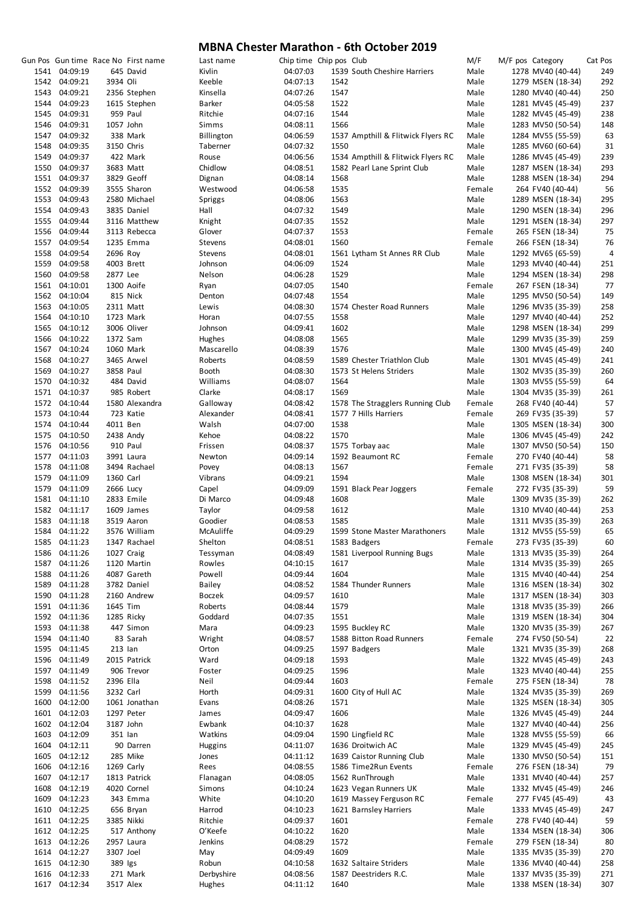|      |               |           | Gun Pos Gun time Race No First name | Last name    | Chip time Chip pos Club |      |                                    | M/F    | M/F pos Category  | Cat Pos |
|------|---------------|-----------|-------------------------------------|--------------|-------------------------|------|------------------------------------|--------|-------------------|---------|
|      | 1541 04:09:19 |           | 645 David                           | Kivlin       | 04:07:03                |      | 1539 South Cheshire Harriers       | Male   | 1278 MV40 (40-44) | 249     |
|      | 1542 04:09:21 | 3934 Oli  |                                     | Keeble       | 04:07:13                | 1542 |                                    | Male   | 1279 MSEN (18-34) | 292     |
|      | 1543 04:09:21 |           | 2356 Stephen                        | Kinsella     | 04:07:26                | 1547 |                                    | Male   | 1280 MV40 (40-44) | 250     |
|      |               |           |                                     |              |                         |      |                                    |        |                   |         |
|      | 1544 04:09:23 |           | 1615 Stephen                        | Barker       | 04:05:58                | 1522 |                                    | Male   | 1281 MV45 (45-49) | 237     |
|      | 1545 04:09:31 |           | 959 Paul                            | Ritchie      | 04:07:16                | 1544 |                                    | Male   | 1282 MV45 (45-49) | 238     |
|      | 1546 04:09:31 | 1057 John |                                     | Simms        | 04:08:11                | 1566 |                                    | Male   | 1283 MV50 (50-54) | 148     |
|      |               |           |                                     |              |                         |      |                                    |        |                   |         |
|      | 1547 04:09:32 |           | 338 Mark                            | Billington   | 04:06:59                |      | 1537 Ampthill & Flitwick Flyers RC | Male   | 1284 MV55 (55-59) | 63      |
|      | 1548 04:09:35 |           | 3150 Chris                          | Taberner     | 04:07:32                | 1550 |                                    | Male   | 1285 MV60 (60-64) | 31      |
|      | 1549 04:09:37 |           | 422 Mark                            | Rouse        | 04:06:56                |      | 1534 Ampthill & Flitwick Flyers RC | Male   | 1286 MV45 (45-49) | 239     |
|      | 1550 04:09:37 |           |                                     | Chidlow      | 04:08:51                |      |                                    | Male   |                   | 293     |
|      |               |           | 3683 Matt                           |              |                         |      | 1582 Pearl Lane Sprint Club        |        | 1287 MSEN (18-34) |         |
|      | 1551 04:09:37 |           | 3829 Geoff                          | Dignan       | 04:08:14                | 1568 |                                    | Male   | 1288 MSEN (18-34) | 294     |
|      | 1552 04:09:39 |           | 3555 Sharon                         | Westwood     | 04:06:58                | 1535 |                                    | Female | 264 FV40 (40-44)  | 56      |
|      | 1553 04:09:43 |           | 2580 Michael                        | Spriggs      | 04:08:06                | 1563 |                                    | Male   | 1289 MSEN (18-34) | 295     |
|      |               |           |                                     |              |                         |      |                                    |        |                   |         |
|      | 1554 04:09:43 |           | 3835 Daniel                         | Hall         | 04:07:32                | 1549 |                                    | Male   | 1290 MSEN (18-34) | 296     |
|      | 1555 04:09:44 |           | 3116 Matthew                        | Knight       | 04:07:35                | 1552 |                                    | Male   | 1291 MSEN (18-34) | 297     |
|      | 1556 04:09:44 |           | 3113 Rebecca                        | Glover       | 04:07:37                | 1553 |                                    | Female | 265 FSEN (18-34)  | 75      |
|      | 1557 04:09:54 |           | 1235 Emma                           | Stevens      | 04:08:01                | 1560 |                                    | Female | 266 FSEN (18-34)  | 76      |
|      |               |           |                                     |              |                         |      |                                    |        |                   |         |
|      | 1558 04:09:54 | 2696 Roy  |                                     | Stevens      | 04:08:01                |      | 1561 Lytham St Annes RR Club       | Male   | 1292 MV65 (65-59) | 4       |
|      | 1559 04:09:58 |           | 4003 Brett                          | Johnson      | 04:06:09                | 1524 |                                    | Male   | 1293 MV40 (40-44) | 251     |
|      | 1560 04:09:58 | 2877 Lee  |                                     | Nelson       | 04:06:28                | 1529 |                                    | Male   | 1294 MSEN (18-34) | 298     |
|      |               |           |                                     |              |                         |      |                                    |        |                   |         |
|      | 1561 04:10:01 |           | 1300 Aoife                          | Ryan         | 04:07:05                | 1540 |                                    | Female | 267 FSEN (18-34)  | 77      |
|      | 1562 04:10:04 |           | 815 Nick                            | Denton       | 04:07:48                | 1554 |                                    | Male   | 1295 MV50 (50-54) | 149     |
|      | 1563 04:10:05 |           | 2311 Matt                           | Lewis        | 04:08:30                |      | 1574 Chester Road Runners          | Male   | 1296 MV35 (35-39) | 258     |
|      | 1564 04:10:10 |           | 1723 Mark                           | Horan        | 04:07:55                | 1558 |                                    | Male   | 1297 MV40 (40-44) | 252     |
|      |               |           |                                     |              |                         |      |                                    |        |                   |         |
|      | 1565 04:10:12 |           | 3006 Oliver                         | Johnson      | 04:09:41                | 1602 |                                    | Male   | 1298 MSEN (18-34) | 299     |
|      | 1566 04:10:22 | 1372 Sam  |                                     | Hughes       | 04:08:08                | 1565 |                                    | Male   | 1299 MV35 (35-39) | 259     |
|      | 1567 04:10:24 |           | 1060 Mark                           | Mascarello   | 04:08:39                | 1576 |                                    | Male   | 1300 MV45 (45-49) | 240     |
|      |               |           |                                     |              |                         |      |                                    |        |                   |         |
|      | 1568 04:10:27 |           | 3465 Arwel                          | Roberts      | 04:08:59                |      | 1589 Chester Triathlon Club        | Male   | 1301 MV45 (45-49) | 241     |
|      | 1569 04:10:27 | 3858 Paul |                                     | <b>Booth</b> | 04:08:30                |      | 1573 St Helens Striders            | Male   | 1302 MV35 (35-39) | 260     |
|      | 1570 04:10:32 |           | 484 David                           | Williams     | 04:08:07                | 1564 |                                    | Male   | 1303 MV55 (55-59) | 64      |
|      | 1571 04:10:37 |           | 985 Robert                          | Clarke       | 04:08:17                | 1569 |                                    | Male   |                   | 261     |
|      |               |           |                                     |              |                         |      |                                    |        | 1304 MV35 (35-39) |         |
|      | 1572 04:10:44 |           | 1580 Alexandra                      | Galloway     | 04:08:42                |      | 1578 The Stragglers Running Club   | Female | 268 FV40 (40-44)  | 57      |
|      | 1573 04:10:44 |           | 723 Katie                           | Alexander    | 04:08:41                |      | 1577 7 Hills Harriers              | Female | 269 FV35 (35-39)  | 57      |
|      | 1574 04:10:44 | 4011 Ben  |                                     | Walsh        | 04:07:00                | 1538 |                                    | Male   | 1305 MSEN (18-34) | 300     |
|      |               |           |                                     |              |                         |      |                                    |        |                   |         |
|      | 1575 04:10:50 |           | 2438 Andy                           | Kehoe        | 04:08:22                | 1570 |                                    | Male   | 1306 MV45 (45-49) | 242     |
|      | 1576 04:10:56 |           | 910 Paul                            | Frissen      | 04:08:37                |      | 1575 Torbay aac                    | Male   | 1307 MV50 (50-54) | 150     |
|      | 1577 04:11:03 |           | 3991 Laura                          | Newton       | 04:09:14                |      | 1592 Beaumont RC                   | Female | 270 FV40 (40-44)  | 58      |
|      | 1578 04:11:08 |           | 3494 Rachael                        | Povey        | 04:08:13                | 1567 |                                    | Female | 271 FV35 (35-39)  | 58      |
|      |               |           |                                     |              |                         |      |                                    |        |                   |         |
|      | 1579 04:11:09 | 1360 Carl |                                     | Vibrans      | 04:09:21                | 1594 |                                    | Male   | 1308 MSEN (18-34) | 301     |
|      | 1579 04:11:09 | 2666 Lucy |                                     | Capel        | 04:09:09                |      | 1591 Black Pear Joggers            | Female | 272 FV35 (35-39)  | 59      |
|      | 1581 04:11:10 |           | 2833 Emile                          | Di Marco     | 04:09:48                | 1608 |                                    | Male   | 1309 MV35 (35-39) | 262     |
|      |               |           |                                     |              |                         |      |                                    |        |                   |         |
|      | 1582 04:11:17 |           | 1609 James                          | Taylor       | 04:09:58                | 1612 |                                    | Male   | 1310 MV40 (40-44) | 253     |
|      | 1583 04:11:18 |           | 3519 Aaron                          | Goodier      | 04:08:53                | 1585 |                                    | Male   | 1311 MV35 (35-39) | 263     |
|      | 1584 04:11:22 |           | 3576 William                        | McAuliffe    | 04:09:29                |      | 1599 Stone Master Marathoners      | Male   | 1312 MV55 (55-59) | 65      |
|      |               |           |                                     |              |                         |      |                                    |        |                   | 60      |
| 1585 | 04:11:23      |           | 1347 Rachael                        | Shelton      | 04:08:51                |      | 1583 Badgers                       | Female | 273 FV35 (35-39)  |         |
|      | 1586 04:11:26 |           | 1027 Craig                          | Tessyman     | 04:08:49                |      | 1581 Liverpool Running Bugs        | Male   | 1313 MV35 (35-39) | 264     |
|      | 1587 04:11:26 |           | 1120 Martin                         | Rowles       | 04:10:15                | 1617 |                                    | Male   | 1314 MV35 (35-39) | 265     |
|      | 1588 04:11:26 |           | 4087 Gareth                         | Powell       | 04:09:44                | 1604 |                                    | Male   | 1315 MV40 (40-44) | 254     |
|      |               |           |                                     |              |                         |      |                                    |        |                   |         |
|      | 1589 04:11:28 |           | 3782 Daniel                         | Bailey       | 04:08:52                |      | 1584 Thunder Runners               | Male   | 1316 MSEN (18-34) | 302     |
|      | 1590 04:11:28 |           | 2160 Andrew                         | Boczek       | 04:09:57                | 1610 |                                    | Male   | 1317 MSEN (18-34) | 303     |
|      | 1591 04:11:36 | 1645 Tim  |                                     | Roberts      | 04:08:44                | 1579 |                                    | Male   | 1318 MV35 (35-39) | 266     |
|      | 1592 04:11:36 |           | 1285 Ricky                          | Goddard      | 04:07:35                | 1551 |                                    | Male   | 1319 MSEN (18-34) | 304     |
|      |               |           |                                     |              |                         |      |                                    |        |                   |         |
|      | 1593 04:11:38 |           | 447 Simon                           | Mara         | 04:09:23                |      | 1595 Buckley RC                    | Male   | 1320 MV35 (35-39) | 267     |
|      | 1594 04:11:40 |           | 83 Sarah                            | Wright       | 04:08:57                |      | 1588 Bitton Road Runners           | Female | 274 FV50 (50-54)  | 22      |
|      | 1595 04:11:45 | 213 Ian   |                                     | Orton        | 04:09:25                |      | 1597 Badgers                       | Male   | 1321 MV35 (35-39) | 268     |
|      | 1596 04:11:49 |           | 2015 Patrick                        | Ward         | 04:09:18                | 1593 |                                    | Male   | 1322 MV45 (45-49) | 243     |
|      |               |           |                                     |              |                         |      |                                    |        |                   |         |
|      | 1597 04:11:49 |           | 906 Trevor                          | Foster       | 04:09:25                | 1596 |                                    | Male   | 1323 MV40 (40-44) | 255     |
|      | 1598 04:11:52 | 2396 Ella |                                     | Neil         | 04:09:44                | 1603 |                                    | Female | 275 FSEN (18-34)  | 78      |
|      | 1599 04:11:56 | 3232 Carl |                                     | Horth        | 04:09:31                |      | 1600 City of Hull AC               | Male   | 1324 MV35 (35-39) | 269     |
|      |               |           |                                     |              |                         |      |                                    |        |                   |         |
|      | 1600 04:12:00 |           | 1061 Jonathan                       | Evans        | 04:08:26                | 1571 |                                    | Male   | 1325 MSEN (18-34) | 305     |
|      | 1601 04:12:03 |           | 1297 Peter                          | James        | 04:09:47                | 1606 |                                    | Male   | 1326 MV45 (45-49) | 244     |
|      | 1602 04:12:04 | 3187 John |                                     | Ewbank       | 04:10:37                | 1628 |                                    | Male   | 1327 MV40 (40-44) | 256     |
|      |               |           |                                     |              |                         |      |                                    |        |                   |         |
|      | 1603 04:12:09 | 351 lan   |                                     | Watkins      | 04:09:04                |      | 1590 Lingfield RC                  | Male   | 1328 MV55 (55-59) | 66      |
|      | 1604 04:12:11 |           | 90 Darren                           | Huggins      | 04:11:07                |      | 1636 Droitwich AC                  | Male   | 1329 MV45 (45-49) | 245     |
|      | 1605 04:12:12 |           | 285 Mike                            | Jones        | 04:11:12                |      | 1639 Caistor Running Club          | Male   | 1330 MV50 (50-54) | 151     |
|      | 1606 04:12:16 |           | 1269 Carly                          | Rees         | 04:08:55                |      | 1586 Time2Run Events               | Female | 276 FSEN (18-34)  | 79      |
|      |               |           |                                     |              |                         |      |                                    |        |                   |         |
|      | 1607 04:12:17 |           | 1813 Patrick                        | Flanagan     | 04:08:05                |      | 1562 RunThrough                    | Male   | 1331 MV40 (40-44) | 257     |
|      | 1608 04:12:19 |           | 4020 Cornel                         | Simons       | 04:10:24                |      | 1623 Vegan Runners UK              | Male   | 1332 MV45 (45-49) | 246     |
|      | 1609 04:12:23 |           | 343 Emma                            | White        | 04:10:20                |      | 1619 Massey Ferguson RC            | Female | 277 FV45 (45-49)  | 43      |
|      |               |           |                                     |              |                         |      |                                    |        |                   |         |
|      | 1610 04:12:25 |           | 656 Bryan                           | Harrod       | 04:10:23                |      | 1621 Barnsley Harriers             | Male   | 1333 MV45 (45-49) | 247     |
|      | 1611 04:12:25 |           | 3385 Nikki                          | Ritchie      | 04:09:37                | 1601 |                                    | Female | 278 FV40 (40-44)  | 59      |
|      | 1612 04:12:25 |           | 517 Anthony                         | O'Keefe      | 04:10:22                | 1620 |                                    | Male   | 1334 MSEN (18-34) | 306     |
|      | 1613 04:12:26 |           | 2957 Laura                          | Jenkins      | 04:08:29                | 1572 |                                    | Female | 279 FSEN (18-34)  | 80      |
|      |               |           |                                     |              |                         |      |                                    |        |                   |         |
|      | 1614 04:12:27 | 3307 Joel |                                     | May          | 04:09:49                | 1609 |                                    | Male   | 1335 MV35 (35-39) | 270     |
|      | 1615 04:12:30 | 389 Igs   |                                     | Robun        | 04:10:58                |      | 1632 Saltaire Striders             | Male   | 1336 MV40 (40-44) | 258     |
|      | 1616 04:12:33 |           | 271 Mark                            | Derbyshire   | 04:08:56                |      | 1587 Deestriders R.C.              | Male   | 1337 MV35 (35-39) | 271     |
|      |               |           |                                     |              |                         |      |                                    |        |                   |         |
|      | 1617 04:12:34 | 3517 Alex |                                     | Hughes       | 04:11:12                | 1640 |                                    | Male   | 1338 MSEN (18-34) | 307     |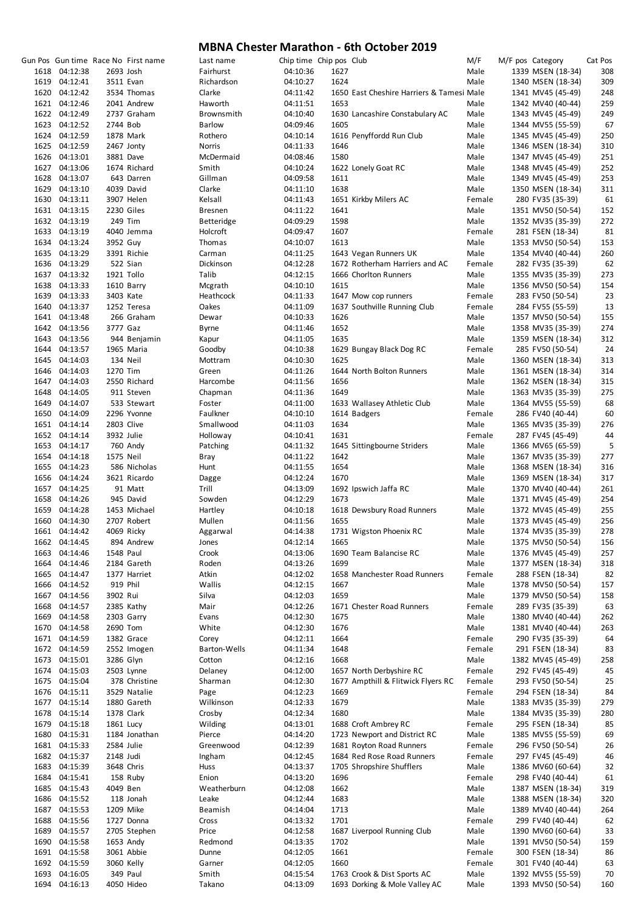|               |           | Gun Pos Gun time Race No First name | Last name         | Chip time Chip pos Club |      |                                           | M/F    | M/F pos Category  | Cat Pos |
|---------------|-----------|-------------------------------------|-------------------|-------------------------|------|-------------------------------------------|--------|-------------------|---------|
| 1618 04:12:38 | 2693 Josh |                                     | Fairhurst         | 04:10:36                | 1627 |                                           | Male   | 1339 MSEN (18-34) | 308     |
| 1619 04:12:41 |           | 3511 Evan                           | Richardson        | 04:10:27                | 1624 |                                           | Male   | 1340 MSEN (18-34) | 309     |
| 1620 04:12:42 |           | 3534 Thomas                         | Clarke            | 04:11:42                |      | 1650 East Cheshire Harriers & Tamesi Male |        | 1341 MV45 (45-49) | 248     |
| 1621 04:12:46 |           | 2041 Andrew                         | Haworth           | 04:11:51                | 1653 |                                           | Male   | 1342 MV40 (40-44) | 259     |
| 1622 04:12:49 |           | 2737 Graham                         | Brownsmith        | 04:10:40                |      | 1630 Lancashire Constabulary AC           | Male   | 1343 MV45 (45-49) | 249     |
| 1623 04:12:52 | 2744 Bob  |                                     | <b>Barlow</b>     | 04:09:46                | 1605 |                                           | Male   | 1344 MV55 (55-59) | 67      |
|               |           |                                     |                   |                         |      |                                           |        |                   |         |
| 1624 04:12:59 |           | 1878 Mark                           | Rothero           | 04:10:14                |      | 1616 Penyffordd Run Club                  | Male   | 1345 MV45 (45-49) | 250     |
| 1625 04:12:59 |           | 2467 Jonty                          | Norris            | 04:11:33                | 1646 |                                           | Male   | 1346 MSEN (18-34) | 310     |
| 1626 04:13:01 |           | 3881 Dave                           | McDermaid         | 04:08:46                | 1580 |                                           | Male   | 1347 MV45 (45-49) | 251     |
| 1627 04:13:06 |           | 1674 Richard                        | Smith             | 04:10:24                |      | 1622 Lonely Goat RC                       | Male   | 1348 MV45 (45-49) | 252     |
| 1628 04:13:07 |           | 643 Darren                          | Gillman           | 04:09:58                | 1611 |                                           | Male   | 1349 MV45 (45-49) | 253     |
| 1629 04:13:10 |           | 4039 David                          | Clarke            | 04:11:10                | 1638 |                                           | Male   | 1350 MSEN (18-34) | 311     |
| 1630 04:13:11 |           | 3907 Helen                          | Kelsall           | 04:11:43                |      | 1651 Kirkby Milers AC                     | Female | 280 FV35 (35-39)  | 61      |
| 1631 04:13:15 |           | 2230 Giles                          | <b>Bresnen</b>    | 04:11:22                | 1641 |                                           | Male   | 1351 MV50 (50-54) | 152     |
| 1632 04:13:19 |           | 249 Tim                             | <b>Betteridge</b> | 04:09:29                | 1598 |                                           | Male   | 1352 MV35 (35-39) | 272     |
| 1633 04:13:19 |           | 4040 Jemma                          | Holcroft          | 04:09:47                | 1607 |                                           | Female | 281 FSEN (18-34)  | 81      |
|               |           |                                     |                   |                         |      |                                           |        |                   |         |
| 1634 04:13:24 | 3952 Guy  |                                     | Thomas            | 04:10:07                | 1613 |                                           | Male   | 1353 MV50 (50-54) | 153     |
| 1635 04:13:29 |           | 3391 Richie                         | Carman            | 04:11:25                |      | 1643 Vegan Runners UK                     | Male   | 1354 MV40 (40-44) | 260     |
| 1636 04:13:29 |           | 522 Sian                            | Dickinson         | 04:12:28                |      | 1672 Rotherham Harriers and AC            | Female | 282 FV35 (35-39)  | 62      |
| 1637 04:13:32 |           | 1921 Tollo                          | Talib             | 04:12:15                |      | 1666 Chorlton Runners                     | Male   | 1355 MV35 (35-39) | 273     |
| 1638 04:13:33 |           | 1610 Barry                          | Mcgrath           | 04:10:10                | 1615 |                                           | Male   | 1356 MV50 (50-54) | 154     |
| 1639 04:13:33 |           | 3403 Kate                           | Heathcock         | 04:11:33                |      | 1647 Mow cop runners                      | Female | 283 FV50 (50-54)  | 23      |
| 1640 04:13:37 |           | 1252 Teresa                         | Oakes             | 04:11:09                |      | 1637 Southville Running Club              | Female | 284 FV55 (55-59)  | 13      |
| 1641 04:13:48 |           | 266 Graham                          | Dewar             | 04:10:33                | 1626 |                                           | Male   | 1357 MV50 (50-54) | 155     |
| 1642 04:13:56 | 3777 Gaz  |                                     | Byrne             | 04:11:46                | 1652 |                                           | Male   | 1358 MV35 (35-39) | 274     |
| 1643 04:13:56 |           | 944 Benjamin                        | Kapur             | 04:11:05                | 1635 |                                           | Male   | 1359 MSEN (18-34) | 312     |
|               |           |                                     |                   |                         |      |                                           |        |                   |         |
| 1644 04:13:57 |           | 1965 Maria                          | Goodby            | 04:10:38                |      | 1629 Bungay Black Dog RC                  | Female | 285 FV50 (50-54)  | 24      |
| 1645 04:14:03 |           | 134 Neil                            | Mottram           | 04:10:30                | 1625 |                                           | Male   | 1360 MSEN (18-34) | 313     |
| 1646 04:14:03 | 1270 Tim  |                                     | Green             | 04:11:26                |      | 1644 North Bolton Runners                 | Male   | 1361 MSEN (18-34) | 314     |
| 1647 04:14:03 |           | 2550 Richard                        | Harcombe          | 04:11:56                | 1656 |                                           | Male   | 1362 MSEN (18-34) | 315     |
| 1648 04:14:05 |           | 911 Steven                          | Chapman           | 04:11:36                | 1649 |                                           | Male   | 1363 MV35 (35-39) | 275     |
| 1649 04:14:07 |           | 533 Stewart                         | Foster            | 04:11:00                |      | 1633 Wallasey Athletic Club               | Male   | 1364 MV55 (55-59) | 68      |
| 1650 04:14:09 |           | 2296 Yvonne                         | Faulkner          | 04:10:10                |      | 1614 Badgers                              | Female | 286 FV40 (40-44)  | 60      |
| 1651 04:14:14 |           | 2803 Clive                          | Smallwood         | 04:11:03                | 1634 |                                           | Male   | 1365 MV35 (35-39) | 276     |
| 1652 04:14:14 |           | 3932 Julie                          | Holloway          | 04:10:41                | 1631 |                                           | Female | 287 FV45 (45-49)  | 44      |
| 1653 04:14:17 |           | 760 Andy                            | Patching          | 04:11:32                |      | 1645 Sittingbourne Striders               | Male   | 1366 MV65 (65-59) | 5       |
| 1654 04:14:18 |           |                                     |                   |                         |      |                                           | Male   |                   |         |
|               | 1575 Neil |                                     | Bray              | 04:11:22                | 1642 |                                           |        | 1367 MV35 (35-39) | 277     |
| 1655 04:14:23 |           | 586 Nicholas                        | Hunt              | 04:11:55                | 1654 |                                           | Male   | 1368 MSEN (18-34) | 316     |
| 1656 04:14:24 |           | 3621 Ricardo                        | Dagge             | 04:12:24                | 1670 |                                           | Male   | 1369 MSEN (18-34) | 317     |
| 1657 04:14:25 |           | 91 Matt                             | Trill             | 04:13:09                |      | 1692 Ipswich Jaffa RC                     | Male   | 1370 MV40 (40-44) | 261     |
| 1658 04:14:26 |           | 945 David                           | Sowden            | 04:12:29                | 1673 |                                           | Male   | 1371 MV45 (45-49) | 254     |
| 1659 04:14:28 |           | 1453 Michael                        | Hartley           | 04:10:18                |      | 1618 Dewsbury Road Runners                | Male   | 1372 MV45 (45-49) | 255     |
| 1660 04:14:30 |           | 2707 Robert                         | Mullen            | 04:11:56                | 1655 |                                           | Male   | 1373 MV45 (45-49) | 256     |
| 1661 04:14:42 |           | 4069 Ricky                          | Aggarwal          | 04:14:38                |      | 1731 Wigston Phoenix RC                   | Male   | 1374 MV35 (35-39) | 278     |
| 1662 04:14:45 |           | 894 Andrew                          | Jones             | 04:12:14                | 1665 |                                           | Male   | 1375 MV50 (50-54) | 156     |
| 1663 04:14:46 | 1548 Paul |                                     | Crook             | 04:13:06                |      | 1690 Team Balancise RC                    | Male   | 1376 MV45 (45-49) | 257     |
| 1664 04:14:46 |           |                                     | Roden             | 04:13:26                | 1699 |                                           | Male   | 1377 MSEN (18-34) | 318     |
|               |           | 2184 Gareth                         |                   |                         |      |                                           |        |                   |         |
| 1665 04:14:47 |           | 1377 Harriet                        | Atkin             | 04:12:02                |      | 1658 Manchester Road Runners              | Female | 288 FSEN (18-34)  | 82      |
| 1666 04:14:52 |           | 919 Phil                            | Wallis            | 04:12:15                | 1667 |                                           | Male   | 1378 MV50 (50-54) | 157     |
| 1667 04:14:56 | 3902 Rui  |                                     | Silva             | 04:12:03                | 1659 |                                           | Male   | 1379 MV50 (50-54) | 158     |
| 1668 04:14:57 |           | 2385 Kathy                          | Mair              | 04:12:26                |      | 1671 Chester Road Runners                 | Female | 289 FV35 (35-39)  | 63      |
| 1669 04:14:58 |           | 2303 Garry                          | Evans             | 04:12:30                | 1675 |                                           | Male   | 1380 MV40 (40-44) | 262     |
| 1670 04:14:58 |           | 2690 Tom                            | White             | 04:12:30                | 1676 |                                           | Male   | 1381 MV40 (40-44) | 263     |
| 1671 04:14:59 |           | 1382 Grace                          | Corey             | 04:12:11                | 1664 |                                           | Female | 290 FV35 (35-39)  | 64      |
| 1672 04:14:59 |           | 2552 Imogen                         | Barton-Wells      | 04:11:34                | 1648 |                                           | Female | 291 FSEN (18-34)  | 83      |
| 1673 04:15:01 |           | 3286 Glyn                           | Cotton            | 04:12:16                | 1668 |                                           | Male   | 1382 MV45 (45-49) | 258     |
| 1674 04:15:03 |           | 2503 Lynne                          | Delaney           | 04:12:00                |      | 1657 North Derbyshire RC                  | Female | 292 FV45 (45-49)  | 45      |
|               |           |                                     |                   |                         |      |                                           |        |                   |         |
| 1675 04:15:04 |           | 378 Christine                       | Sharman           | 04:12:30                |      | 1677 Ampthill & Flitwick Flyers RC        | Female | 293 FV50 (50-54)  | 25      |
| 1676 04:15:11 |           | 3529 Natalie                        | Page              | 04:12:23                | 1669 |                                           | Female | 294 FSEN (18-34)  | 84      |
| 1677 04:15:14 |           | 1880 Gareth                         | Wilkinson         | 04:12:33                | 1679 |                                           | Male   | 1383 MV35 (35-39) | 279     |
| 1678 04:15:14 |           | 1378 Clark                          | Crosby            | 04:12:34                | 1680 |                                           | Male   | 1384 MV35 (35-39) | 280     |
| 1679 04:15:18 |           | 1861 Lucy                           | Wilding           | 04:13:01                |      | 1688 Croft Ambrey RC                      | Female | 295 FSEN (18-34)  | 85      |
| 1680 04:15:31 |           | 1184 Jonathan                       | Pierce            | 04:14:20                |      | 1723 Newport and District RC              | Male   | 1385 MV55 (55-59) | 69      |
| 1681 04:15:33 |           | 2584 Julie                          | Greenwood         | 04:12:39                |      | 1681 Royton Road Runners                  | Female | 296 FV50 (50-54)  | 26      |
| 1682 04:15:37 | 2148 Judi |                                     | Ingham            | 04:12:45                |      | 1684 Red Rose Road Runners                | Female | 297 FV45 (45-49)  | 46      |
| 1683 04:15:39 |           | 3648 Chris                          | Huss              | 04:13:37                |      | 1705 Shropshire Shufflers                 | Male   | 1386 MV60 (60-64) | 32      |
|               |           |                                     |                   |                         |      |                                           |        |                   |         |
| 1684 04:15:41 |           | 158 Ruby                            | Enion             | 04:13:20                | 1696 |                                           | Female | 298 FV40 (40-44)  | 61      |
| 1685 04:15:43 | 4049 Ben  |                                     | Weatherburn       | 04:12:08                | 1662 |                                           | Male   | 1387 MSEN (18-34) | 319     |
| 1686 04:15:52 |           | 118 Jonah                           | Leake             | 04:12:44                | 1683 |                                           | Male   | 1388 MSEN (18-34) | 320     |
| 1687 04:15:53 |           | 1209 Mike                           | Beamish           | 04:14:04                | 1713 |                                           | Male   | 1389 MV40 (40-44) | 264     |
| 1688 04:15:56 |           | 1727 Donna                          | Cross             | 04:13:32                | 1701 |                                           | Female | 299 FV40 (40-44)  | 62      |
| 1689 04:15:57 |           | 2705 Stephen                        | Price             | 04:12:58                |      | 1687 Liverpool Running Club               | Male   | 1390 MV60 (60-64) | 33      |
| 1690 04:15:58 |           | 1653 Andy                           | Redmond           | 04:13:35                | 1702 |                                           | Male   | 1391 MV50 (50-54) | 159     |
| 1691 04:15:58 |           | 3061 Abbie                          | Dunne             | 04:12:05                | 1661 |                                           | Female | 300 FSEN (18-34)  | 86      |
| 1692 04:15:59 |           | 3060 Kelly                          | Garner            | 04:12:05                | 1660 |                                           | Female | 301 FV40 (40-44)  | 63      |
|               |           |                                     |                   |                         |      |                                           |        |                   |         |
| 1693 04:16:05 |           | 349 Paul                            | Smith             | 04:15:54                |      | 1763 Crook & Dist Sports AC               | Male   | 1392 MV55 (55-59) | 70      |
| 1694 04:16:13 |           | 4050 Hideo                          | Takano            | 04:13:09                |      | 1693 Dorking & Mole Valley AC             | Male   | 1393 MV50 (50-54) | 160     |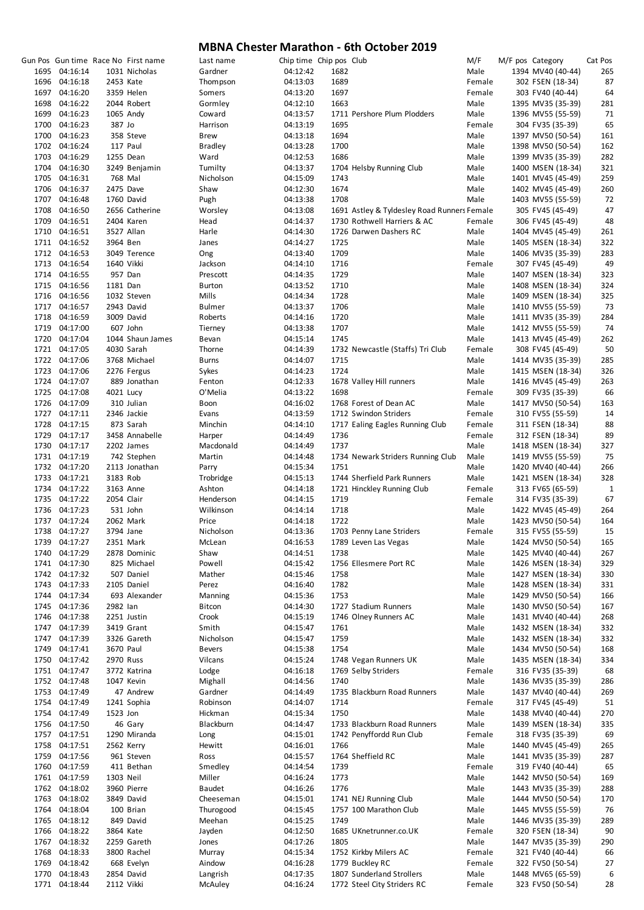|      |               |            | Gun Pos Gun time Race No First name | Last name     | Chip time Chip pos Club |      |                                             | M/F    | M/F pos Category  | Cat Pos      |
|------|---------------|------------|-------------------------------------|---------------|-------------------------|------|---------------------------------------------|--------|-------------------|--------------|
|      | 1695 04:16:14 |            | 1031 Nicholas                       | Gardner       | 04:12:42                | 1682 |                                             | Male   | 1394 MV40 (40-44) | 265          |
|      | 1696 04:16:18 | 2453 Kate  |                                     | Thompson      | 04:13:03                | 1689 |                                             | Female | 302 FSEN (18-34)  | 87           |
|      | 1697 04:16:20 |            | 3359 Helen                          | Somers        | 04:13:20                | 1697 |                                             | Female | 303 FV40 (40-44)  | 64           |
|      | 1698 04:16:22 |            | 2044 Robert                         | Gormley       | 04:12:10                | 1663 |                                             | Male   | 1395 MV35 (35-39) | 281          |
|      | 1699 04:16:23 |            | 1065 Andy                           | Coward        | 04:13:57                |      | 1711 Pershore Plum Plodders                 | Male   | 1396 MV55 (55-59) | 71           |
|      | 1700 04:16:23 |            |                                     |               |                         | 1695 |                                             |        |                   | 65           |
|      |               | 387 Jo     |                                     | Harrison      | 04:13:19                |      |                                             | Female | 304 FV35 (35-39)  |              |
|      | 1700 04:16:23 |            | 358 Steve                           | <b>Brew</b>   | 04:13:18                | 1694 |                                             | Male   | 1397 MV50 (50-54) | 161          |
|      | 1702 04:16:24 |            | 117 Paul                            | Bradley       | 04:13:28                | 1700 |                                             | Male   | 1398 MV50 (50-54) | 162          |
|      | 1703 04:16:29 |            | 1255 Dean                           | Ward          | 04:12:53                | 1686 |                                             | Male   | 1399 MV35 (35-39) | 282          |
|      | 1704 04:16:30 |            | 3249 Benjamin                       | Tumilty       | 04:13:37                |      | 1704 Helsby Running Club                    | Male   | 1400 MSEN (18-34) | 321          |
|      | 1705 04:16:31 | 768 Mal    |                                     | Nicholson     | 04:15:09                | 1743 |                                             | Male   | 1401 MV45 (45-49) | 259          |
|      | 1706 04:16:37 | 2475 Dave  |                                     | Shaw          | 04:12:30                | 1674 |                                             | Male   | 1402 MV45 (45-49) | 260          |
|      | 1707 04:16:48 |            | 1760 David                          | Pugh          | 04:13:38                | 1708 |                                             | Male   | 1403 MV55 (55-59) | 72           |
|      |               |            |                                     |               |                         |      |                                             |        |                   |              |
|      | 1708 04:16:50 |            | 2656 Catherine                      | Worsley       | 04:13:08                |      | 1691 Astley & Tyldesley Road Runners Female |        | 305 FV45 (45-49)  | 47           |
|      | 1709 04:16:51 |            | 2404 Karen                          | Head          | 04:14:37                |      | 1730 Rothwell Harriers & AC                 | Female | 306 FV45 (45-49)  | 48           |
|      | 1710 04:16:51 |            | 3527 Allan                          | Harle         | 04:14:30                |      | 1726 Darwen Dashers RC                      | Male   | 1404 MV45 (45-49) | 261          |
|      | 1711 04:16:52 | 3964 Ben   |                                     | Janes         | 04:14:27                | 1725 |                                             | Male   | 1405 MSEN (18-34) | 322          |
|      | 1712 04:16:53 |            | 3049 Terence                        | Ong           | 04:13:40                | 1709 |                                             | Male   | 1406 MV35 (35-39) | 283          |
|      | 1713 04:16:54 | 1640 Vikki |                                     | Jackson       | 04:14:10                | 1716 |                                             | Female | 307 FV45 (45-49)  | 49           |
|      | 1714 04:16:55 | 957 Dan    |                                     | Prescott      | 04:14:35                | 1729 |                                             | Male   | 1407 MSEN (18-34) | 323          |
|      | 1715 04:16:56 |            |                                     |               |                         | 1710 |                                             | Male   |                   |              |
|      |               | 1181 Dan   |                                     | <b>Burton</b> | 04:13:52                |      |                                             |        | 1408 MSEN (18-34) | 324          |
|      | 1716 04:16:56 |            | 1032 Steven                         | Mills         | 04:14:34                | 1728 |                                             | Male   | 1409 MSEN (18-34) | 325          |
|      | 1717 04:16:57 |            | 2943 David                          | Bulmer        | 04:13:37                | 1706 |                                             | Male   | 1410 MV55 (55-59) | 73           |
|      | 1718 04:16:59 |            | 3009 David                          | Roberts       | 04:14:16                | 1720 |                                             | Male   | 1411 MV35 (35-39) | 284          |
|      | 1719 04:17:00 |            | 607 John                            | Tierney       | 04:13:38                | 1707 |                                             | Male   | 1412 MV55 (55-59) | 74           |
|      | 1720 04:17:04 |            | 1044 Shaun James                    | Bevan         | 04:15:14                | 1745 |                                             | Male   | 1413 MV45 (45-49) | 262          |
|      | 1721 04:17:05 |            | 4030 Sarah                          | Thorne        | 04:14:39                |      | 1732 Newcastle (Staffs) Tri Club            | Female | 308 FV45 (45-49)  | 50           |
|      | 1722 04:17:06 |            |                                     |               |                         |      |                                             |        |                   |              |
|      |               |            | 3768 Michael                        | <b>Burns</b>  | 04:14:07                | 1715 |                                             | Male   | 1414 MV35 (35-39) | 285          |
|      | 1723 04:17:06 |            | 2276 Fergus                         | Sykes         | 04:14:23                | 1724 |                                             | Male   | 1415 MSEN (18-34) | 326          |
|      | 1724 04:17:07 |            | 889 Jonathan                        | Fenton        | 04:12:33                |      | 1678 Valley Hill runners                    | Male   | 1416 MV45 (45-49) | 263          |
|      | 1725 04:17:08 | 4021 Lucy  |                                     | O'Melia       | 04:13:22                | 1698 |                                             | Female | 309 FV35 (35-39)  | 66           |
|      | 1726 04:17:09 |            | 310 Julian                          | Boon          | 04:16:02                |      | 1768 Forest of Dean AC                      | Male   | 1417 MV50 (50-54) | 163          |
|      | 1727 04:17:11 |            | 2346 Jackie                         | Evans         | 04:13:59                |      | 1712 Swindon Striders                       | Female | 310 FV55 (55-59)  | 14           |
|      | 1728 04:17:15 |            | 873 Sarah                           | Minchin       | 04:14:10                |      | 1717 Ealing Eagles Running Club             | Female | 311 FSEN (18-34)  | 88           |
|      |               |            |                                     |               |                         |      |                                             |        |                   |              |
|      | 1729 04:17:17 |            | 3458 Annabelle                      | Harper        | 04:14:49                | 1736 |                                             | Female | 312 FSEN (18-34)  | 89           |
|      | 1730 04:17:17 |            | 2202 James                          | Macdonald     | 04:14:49                | 1737 |                                             | Male   | 1418 MSEN (18-34) | 327          |
|      | 1731 04:17:19 |            | 742 Stephen                         | Martin        | 04:14:48                |      | 1734 Newark Striders Running Club           | Male   | 1419 MV55 (55-59) | 75           |
|      | 1732 04:17:20 |            | 2113 Jonathan                       | Parry         | 04:15:34                | 1751 |                                             | Male   | 1420 MV40 (40-44) | 266          |
|      | 1733 04:17:21 | 3183 Rob   |                                     | Trobridge     | 04:15:13                |      | 1744 Sherfield Park Runners                 | Male   | 1421 MSEN (18-34) | 328          |
|      | 1734 04:17:22 |            | 3163 Anne                           | Ashton        | 04:14:18                |      | 1721 Hinckley Running Club                  | Female | 313 FV65 (65-59)  | $\mathbf{1}$ |
|      | 1735 04:17:22 | 2054 Clair |                                     | Henderson     | 04:14:15                | 1719 |                                             | Female | 314 FV35 (35-39)  | 67           |
|      |               |            |                                     | Wilkinson     |                         |      |                                             |        |                   |              |
|      | 1736 04:17:23 |            | 531 John                            |               | 04:14:14                | 1718 |                                             | Male   | 1422 MV45 (45-49) | 264          |
|      | 1737 04:17:24 |            | 2062 Mark                           | Price         | 04:14:18                | 1722 |                                             | Male   | 1423 MV50 (50-54) | 164          |
|      | 1738 04:17:27 | 3794 Jane  |                                     | Nicholson     | 04:13:36                |      | 1703 Penny Lane Striders                    | Female | 315 FV55 (55-59)  | 15           |
|      | 1739 04:17:27 |            | 2351 Mark                           | McLean        | 04:16:53                |      | 1789 Leven Las Vegas                        | Male   | 1424 MV50 (50-54) | 165          |
|      | 1740 04:17:29 |            | 2878 Dominic                        | Shaw          | 04:14:51                | 1738 |                                             | Male   | 1425 MV40 (40-44) | 267          |
|      | 1741 04:17:30 |            | 825 Michael                         | Powell        | 04:15:42                |      | 1756 Ellesmere Port RC                      | Male   | 1426 MSEN (18-34) | 329          |
|      | 1742 04:17:32 |            | 507 Daniel                          | Mather        | 04:15:46                | 1758 |                                             | Male   | 1427 MSEN (18-34) | 330          |
|      |               |            |                                     |               |                         |      |                                             |        |                   |              |
|      | 1743 04:17:33 |            | 2105 Daniel                         | Perez         | 04:16:40                | 1782 |                                             | Male   | 1428 MSEN (18-34) | 331          |
| 1744 | 04:17:34      |            | 693 Alexander                       | Manning       | 04:15:36                | 1753 |                                             | Male   | 1429 MV50 (50-54) | 166          |
|      | 1745 04:17:36 | 2982 lan   |                                     | <b>Bitcon</b> | 04:14:30                |      | 1727 Stadium Runners                        | Male   | 1430 MV50 (50-54) | 167          |
|      | 1746 04:17:38 |            | 2251 Justin                         | Crook         | 04:15:19                |      | 1746 Olney Runners AC                       | Male   | 1431 MV40 (40-44) | 268          |
|      | 1747 04:17:39 |            | 3419 Grant                          | Smith         | 04:15:47                | 1761 |                                             | Male   | 1432 MSEN (18-34) | 332          |
| 1747 | 04:17:39      |            | 3326 Gareth                         | Nicholson     | 04:15:47                | 1759 |                                             | Male   | 1432 MSEN (18-34) | 332          |
| 1749 | 04:17:41      | 3670 Paul  |                                     | <b>Bevers</b> | 04:15:38                | 1754 |                                             | Male   | 1434 MV50 (50-54) | 168          |
|      | 1750 04:17:42 | 2970 Russ  |                                     | Vilcans       | 04:15:24                |      | 1748 Vegan Runners UK                       | Male   | 1435 MSEN (18-34) | 334          |
|      | 1751 04:17:47 |            | 3772 Katrina                        |               | 04:16:18                |      |                                             | Female |                   | 68           |
|      |               |            |                                     | Lodge         |                         |      | 1769 Selby Striders                         |        | 316 FV35 (35-39)  |              |
|      | 1752 04:17:48 |            | 1047 Kevin                          | Mighall       | 04:14:56                | 1740 |                                             | Male   | 1436 MV35 (35-39) | 286          |
|      | 1753 04:17:49 |            | 47 Andrew                           | Gardner       | 04:14:49                |      | 1735 Blackburn Road Runners                 | Male   | 1437 MV40 (40-44) | 269          |
|      | 1754 04:17:49 |            | 1241 Sophia                         | Robinson      | 04:14:07                | 1714 |                                             | Female | 317 FV45 (45-49)  | 51           |
|      | 1754 04:17:49 | 1523 Jon   |                                     | Hickman       | 04:15:34                | 1750 |                                             | Male   | 1438 MV40 (40-44) | 270          |
|      | 1756 04:17:50 |            | 46 Gary                             | Blackburn     | 04:14:47                |      | 1733 Blackburn Road Runners                 | Male   | 1439 MSEN (18-34) | 335          |
|      | 1757 04:17:51 |            | 1290 Miranda                        | Long          | 04:15:01                |      | 1742 Penyffordd Run Club                    | Female | 318 FV35 (35-39)  | 69           |
|      | 1758 04:17:51 |            | 2562 Kerry                          | Hewitt        | 04:16:01                | 1766 |                                             | Male   | 1440 MV45 (45-49) | 265          |
|      |               |            |                                     |               |                         |      |                                             |        |                   |              |
| 1759 | 04:17:56      |            | 961 Steven                          | Ross          | 04:15:57                |      | 1764 Sheffield RC                           | Male   | 1441 MV35 (35-39) | 287          |
|      | 1760 04:17:59 |            | 411 Bethan                          | Smedley       | 04:14:54                | 1739 |                                             | Female | 319 FV40 (40-44)  | 65           |
|      | 1761 04:17:59 | 1303 Neil  |                                     | Miller        | 04:16:24                | 1773 |                                             | Male   | 1442 MV50 (50-54) | 169          |
|      | 1762 04:18:02 |            | 3960 Pierre                         | Baudet        | 04:16:26                | 1776 |                                             | Male   | 1443 MV35 (35-39) | 288          |
|      | 1763 04:18:02 |            | 3849 David                          | Cheeseman     | 04:15:01                |      | 1741 NEJ Running Club                       | Male   | 1444 MV50 (50-54) | 170          |
|      | 1764 04:18:04 |            | 100 Brian                           | Thurogood     | 04:15:45                |      | 1757 100 Marathon Club                      | Male   | 1445 MV55 (55-59) | 76           |
|      | 1765 04:18:12 |            | 849 David                           | Meehan        | 04:15:25                | 1749 |                                             | Male   | 1446 MV35 (35-39) | 289          |
| 1766 | 04:18:22      | 3864 Kate  |                                     |               | 04:12:50                |      | 1685 UKnetrunner.co.UK                      | Female |                   |              |
|      |               |            |                                     | Jayden        |                         |      |                                             |        | 320 FSEN (18-34)  | 90           |
|      | 1767 04:18:32 |            | 2259 Gareth                         | Jones         | 04:17:26                | 1805 |                                             | Male   | 1447 MV35 (35-39) | 290          |
|      | 1768 04:18:33 |            | 3800 Rachel                         | Murray        | 04:15:34                |      | 1752 Kirkby Milers AC                       | Female | 321 FV40 (40-44)  | 66           |
| 1769 | 04:18:42      |            | 668 Evelyn                          | Aindow        | 04:16:28                |      | 1779 Buckley RC                             | Female | 322 FV50 (50-54)  | 27           |
| 1770 | 04:18:43      |            | 2854 David                          | Langrish      | 04:17:35                |      | 1807 Sunderland Strollers                   | Male   | 1448 MV65 (65-59) | 6            |
| 1771 | 04:18:44      | 2112 Vikki |                                     | McAuley       | 04:16:24                |      | 1772 Steel City Striders RC                 | Female | 323 FV50 (50-54)  | 28           |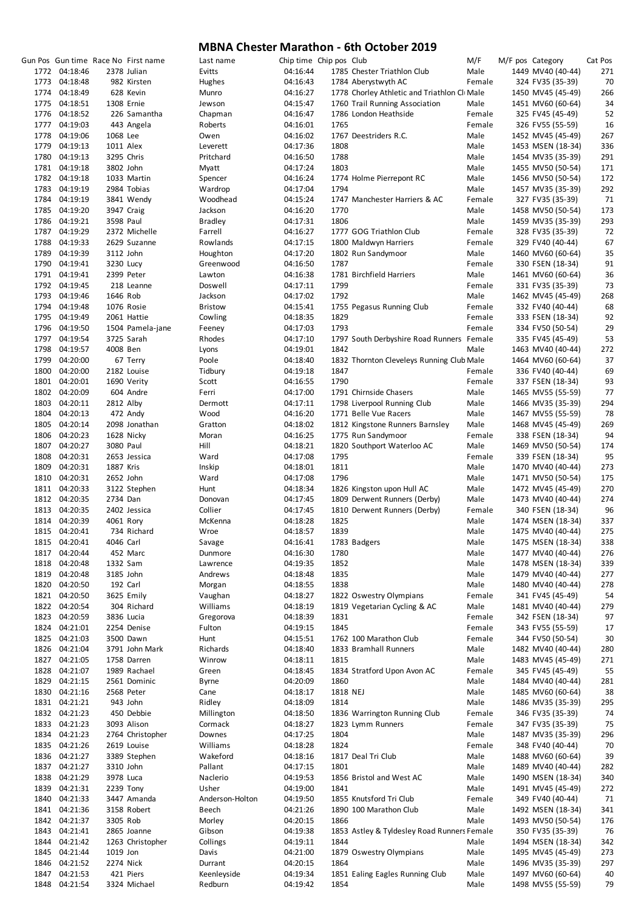|      |               |            | Gun Pos Gun time Race No First name | Last name       | Chip time Chip pos Club |          |                                              | M/F    | M/F pos Category |                   | Cat Pos |
|------|---------------|------------|-------------------------------------|-----------------|-------------------------|----------|----------------------------------------------|--------|------------------|-------------------|---------|
|      | 1772 04:18:46 |            | 2378 Julian                         | Evitts          | 04:16:44                |          | 1785 Chester Triathlon Club                  | Male   |                  | 1449 MV40 (40-44) | 271     |
|      | 1773 04:18:48 |            | 982 Kirsten                         | Hughes          | 04:16:43                |          | 1784 Aberystwyth AC                          | Female |                  | 324 FV35 (35-39)  | 70      |
|      | 1774 04:18:49 |            | 628 Kevin                           | Munro           | 04:16:27                |          | 1778 Chorley Athletic and Triathlon Cli Male |        |                  | 1450 MV45 (45-49) | 266     |
|      | 1775 04:18:51 |            | 1308 Ernie                          | Jewson          | 04:15:47                |          | 1760 Trail Running Association               | Male   |                  | 1451 MV60 (60-64) | 34      |
|      | 1776 04:18:52 |            | 226 Samantha                        | Chapman         | 04:16:47                |          | 1786 London Heathside                        | Female |                  | 325 FV45 (45-49)  | 52      |
|      | 1777 04:19:03 |            | 443 Angela                          | Roberts         | 04:16:01                | 1765     |                                              | Female |                  | 326 FV55 (55-59)  | 16      |
| 1778 | 04:19:06      | 1068 Lee   |                                     | Owen            | 04:16:02                |          | 1767 Deestriders R.C.                        | Male   |                  | 1452 MV45 (45-49) | 267     |
|      | 1779 04:19:13 | 1011 Alex  |                                     | Leverett        | 04:17:36                | 1808     |                                              | Male   |                  | 1453 MSEN (18-34) | 336     |
| 1780 | 04:19:13      | 3295 Chris |                                     | Pritchard       | 04:16:50                | 1788     |                                              | Male   |                  | 1454 MV35 (35-39) | 291     |
|      | 1781 04:19:18 | 3802 John  |                                     | Myatt           | 04:17:24                | 1803     |                                              | Male   |                  | 1455 MV50 (50-54) | 171     |
|      | 1782 04:19:18 |            | 1033 Martin                         | Spencer         | 04:16:24                |          | 1774 Holme Pierrepont RC                     | Male   |                  | 1456 MV50 (50-54) | 172     |
|      | 1783 04:19:19 |            | 2984 Tobias                         | Wardrop         | 04:17:04                | 1794     |                                              | Male   |                  | 1457 MV35 (35-39) | 292     |
|      | 1784 04:19:19 |            | 3841 Wendy                          | Woodhead        | 04:15:24                |          | 1747 Manchester Harriers & AC                | Female |                  | 327 FV35 (35-39)  | 71      |
|      | 1785 04:19:20 |            | 3947 Craig                          | Jackson         | 04:16:20                | 1770     |                                              | Male   |                  | 1458 MV50 (50-54) | 173     |
|      | 1786 04:19:21 | 3598 Paul  |                                     | <b>Bradley</b>  | 04:17:31                | 1806     |                                              | Male   |                  | 1459 MV35 (35-39) | 293     |
|      | 1787 04:19:29 |            | 2372 Michelle                       | Farrell         | 04:16:27                |          | 1777 GOG Triathlon Club                      | Female |                  | 328 FV35 (35-39)  | 72      |
| 1788 | 04:19:33      |            | 2629 Suzanne                        | Rowlands        | 04:17:15                |          | 1800 Maldwyn Harriers                        | Female |                  | 329 FV40 (40-44)  | 67      |
|      | 1789 04:19:39 | 3112 John  |                                     | Houghton        | 04:17:20                |          | 1802 Run Sandymoor                           | Male   |                  | 1460 MV60 (60-64) | 35      |
|      | 1790 04:19:41 | 3230 Lucy  |                                     | Greenwood       | 04:16:50                | 1787     |                                              | Female |                  | 330 FSEN (18-34)  | 91      |
|      | 1791 04:19:41 |            | 2399 Peter                          | Lawton          | 04:16:38                |          | 1781 Birchfield Harriers                     | Male   |                  | 1461 MV60 (60-64) | 36      |
|      | 1792 04:19:45 |            | 218 Leanne                          | Doswell         | 04:17:11                | 1799     |                                              | Female |                  | 331 FV35 (35-39)  | 73      |
|      | 1793 04:19:46 | 1646 Rob   |                                     | Jackson         | 04:17:02                | 1792     |                                              | Male   |                  | 1462 MV45 (45-49) | 268     |
|      | 1794 04:19:48 |            | 1076 Rosie                          | <b>Bristow</b>  | 04:15:41                |          | 1755 Pegasus Running Club                    | Female |                  | 332 FV40 (40-44)  | 68      |
|      | 1795 04:19:49 |            | 2061 Hattie                         | Cowling         | 04:18:35                | 1829     |                                              | Female |                  | 333 FSEN (18-34)  | 92      |
|      | 1796 04:19:50 |            | 1504 Pamela-jane                    | Feeney          | 04:17:03                | 1793     |                                              | Female |                  | 334 FV50 (50-54)  | 29      |
|      | 1797 04:19:54 |            | 3725 Sarah                          | Rhodes          | 04:17:10                |          | 1797 South Derbyshire Road Runners Female    |        |                  | 335 FV45 (45-49)  | 53      |
| 1798 | 04:19:57      | 4008 Ben   |                                     | Lyons           | 04:19:01                | 1842     |                                              | Male   |                  | 1463 MV40 (40-44) | 272     |
|      | 1799 04:20:00 |            | 67 Terry                            | Poole           | 04:18:40                |          | 1832 Thornton Cleveleys Running Club Male    |        |                  | 1464 MV60 (60-64) | 37      |
| 1800 | 04:20:00      |            | 2182 Louise                         | Tidbury         | 04:19:18                | 1847     |                                              | Female |                  | 336 FV40 (40-44)  | 69      |
| 1801 | 04:20:01      |            | 1690 Verity                         | Scott           | 04:16:55                | 1790     |                                              | Female |                  | 337 FSEN (18-34)  | 93      |
|      | 1802 04:20:09 |            | 604 Andre                           | Ferri           | 04:17:00                |          | 1791 Chirnside Chasers                       | Male   |                  | 1465 MV55 (55-59) | 77      |
| 1803 | 04:20:11      | 2812 Alby  |                                     | Dermott         | 04:17:11                |          | 1798 Liverpool Running Club                  | Male   |                  | 1466 MV35 (35-39) | 294     |
|      | 1804 04:20:13 |            | 472 Andy                            | Wood            | 04:16:20                |          | 1771 Belle Vue Racers                        | Male   |                  | 1467 MV55 (55-59) | 78      |
|      | 1805 04:20:14 |            | 2098 Jonathan                       | Gratton         | 04:18:02                |          | 1812 Kingstone Runners Barnsley              | Male   |                  | 1468 MV45 (45-49) | 269     |
| 1806 | 04:20:23      |            | 1628 Nicky                          | Moran           | 04:16:25                |          | 1775 Run Sandymoor                           | Female |                  | 338 FSEN (18-34)  | 94      |
|      | 1807 04:20:27 | 3080 Paul  |                                     | Hill            | 04:18:21                |          | 1820 Southport Waterloo AC                   | Male   |                  | 1469 MV50 (50-54) | 174     |
| 1808 | 04:20:31      |            | 2653 Jessica                        | Ward            | 04:17:08                | 1795     |                                              | Female |                  | 339 FSEN (18-34)  | 95      |
| 1809 | 04:20:31      | 1887 Kris  |                                     | Inskip          | 04:18:01                | 1811     |                                              | Male   |                  | 1470 MV40 (40-44) | 273     |
|      | 1810 04:20:31 | 2652 John  |                                     | Ward            | 04:17:08                | 1796     |                                              | Male   |                  | 1471 MV50 (50-54) | 175     |
|      | 1811 04:20:33 |            | 3122 Stephen                        | Hunt            | 04:18:34                |          | 1826 Kingston upon Hull AC                   | Male   |                  | 1472 MV45 (45-49) | 270     |
|      | 1812 04:20:35 | 2734 Dan   |                                     | Donovan         | 04:17:45                |          | 1809 Derwent Runners (Derby)                 | Male   |                  | 1473 MV40 (40-44) | 274     |
|      | 1813 04:20:35 |            | 2402 Jessica                        | Collier         | 04:17:45                |          | 1810 Derwent Runners (Derby)                 | Female |                  | 340 FSEN (18-34)  | 96      |
|      | 1814 04:20:39 | 4061 Rory  |                                     | McKenna         | 04:18:28                | 1825     |                                              | Male   |                  | 1474 MSEN (18-34) | 337     |
|      | 1815 04:20:41 |            | 734 Richard                         | Wroe            | 04:18:57                | 1839     |                                              | Male   |                  | 1475 MV40 (40-44) | 275     |
|      | 1815 04:20:41 | 4046 Carl  |                                     | Savage          | 04:16:41                |          | 1783 Badgers                                 | Male   |                  | 1475 MSEN (18-34) | 338     |
|      | 1817 04:20:44 |            | 452 Marc                            | Dunmore         | 04:16:30                | 1780     |                                              | Male   |                  | 1477 MV40 (40-44) | 276     |
| 1818 | 04:20:48      | 1332 Sam   |                                     | Lawrence        | 04:19:35                | 1852     |                                              | Male   |                  | 1478 MSEN (18-34) | 339     |
|      | 1819 04:20:48 | 3185 John  |                                     | Andrews         | 04:18:48                | 1835     |                                              | Male   |                  | 1479 MV40 (40-44) | 277     |
|      | 1820 04:20:50 |            | 192 Carl                            | Morgan          | 04:18:55                | 1838     |                                              | Male   |                  | 1480 MV40 (40-44) | 278     |
| 1821 | 04:20:50      |            | 3625 Emily                          | Vaughan         | 04:18:27                |          | 1822 Oswestry Olympians                      | Female |                  | 341 FV45 (45-49)  | 54      |
|      | 1822 04:20:54 |            | 304 Richard                         | Williams        | 04:18:19                |          | 1819 Vegetarian Cycling & AC                 | Male   |                  | 1481 MV40 (40-44) | 279     |
|      | 1823 04:20:59 |            | 3836 Lucia                          | Gregorova       | 04:18:39                | 1831     |                                              | Female |                  | 342 FSEN (18-34)  | 97      |
|      | 1824 04:21:01 |            | 2254 Denise                         | Fulton          | 04:19:15                | 1845     |                                              | Female |                  | 343 FV55 (55-59)  | 17      |
|      | 1825 04:21:03 |            | 3500 Dawn                           | Hunt            | 04:15:51                |          | 1762 100 Marathon Club                       | Female |                  | 344 FV50 (50-54)  | 30      |
|      | 1826 04:21:04 |            | 3791 John Mark                      | Richards        | 04:18:40                |          | 1833 Bramhall Runners                        | Male   |                  | 1482 MV40 (40-44) | 280     |
|      | 1827 04:21:05 |            | 1758 Darren                         | Winrow          | 04:18:11                | 1815     |                                              | Male   |                  | 1483 MV45 (45-49) | 271     |
|      | 1828 04:21:07 |            | 1989 Rachael                        | Green           | 04:18:45                |          | 1834 Stratford Upon Avon AC                  | Female |                  | 345 FV45 (45-49)  | 55      |
| 1829 | 04:21:15      |            | 2561 Dominic                        | <b>Byrne</b>    | 04:20:09                | 1860     |                                              | Male   |                  | 1484 MV40 (40-44) | 281     |
|      | 1830 04:21:16 |            | 2568 Peter                          | Cane            | 04:18:17                | 1818 NEJ |                                              | Male   |                  | 1485 MV60 (60-64) | 38      |
|      | 1831 04:21:21 |            | 943 John                            | Ridley          | 04:18:09                | 1814     |                                              | Male   |                  | 1486 MV35 (35-39) | 295     |
|      | 1832 04:21:23 |            | 450 Debbie                          | Millington      | 04:18:50                |          | 1836 Warrington Running Club                 | Female |                  | 346 FV35 (35-39)  | 74      |
|      | 1833 04:21:23 |            | 3093 Alison                         | Cormack         | 04:18:27                |          | 1823 Lymm Runners                            | Female |                  | 347 FV35 (35-39)  | 75      |
|      | 1834 04:21:23 |            | 2764 Christopher                    | Downes          | 04:17:25                | 1804     |                                              | Male   |                  | 1487 MV35 (35-39) | 296     |
|      | 1835 04:21:26 |            | 2619 Louise                         | Williams        | 04:18:28                | 1824     |                                              | Female |                  | 348 FV40 (40-44)  | 70      |
|      | 1836 04:21:27 |            | 3389 Stephen                        | Wakeford        | 04:18:16                |          | 1817 Deal Tri Club                           | Male   |                  | 1488 MV60 (60-64) | 39      |
|      | 1837 04:21:27 | 3310 John  |                                     | Pallant         | 04:17:15                | 1801     |                                              | Male   |                  | 1489 MV40 (40-44) | 282     |
| 1838 | 04:21:29      | 3978 Luca  |                                     | Naclerio        | 04:19:53                |          | 1856 Bristol and West AC                     | Male   |                  | 1490 MSEN (18-34) | 340     |
| 1839 | 04:21:31      | 2239 Tony  |                                     | Usher           | 04:19:00                | 1841     |                                              | Male   |                  | 1491 MV45 (45-49) | 272     |
|      | 1840 04:21:33 |            | 3447 Amanda                         | Anderson-Holton | 04:19:50                |          | 1855 Knutsford Tri Club                      | Female |                  | 349 FV40 (40-44)  | 71      |
|      | 1841 04:21:36 |            | 3158 Robert                         | Beech           | 04:21:26                |          | 1890 100 Marathon Club                       | Male   |                  | 1492 MSEN (18-34) | 341     |
|      | 1842 04:21:37 | 3305 Rob   |                                     | Morley          | 04:20:15                | 1866     |                                              | Male   |                  | 1493 MV50 (50-54) | 176     |
| 1843 | 04:21:41      |            | 2865 Joanne                         | Gibson          | 04:19:38                |          | 1853 Astley & Tyldesley Road Runners Female  |        |                  | 350 FV35 (35-39)  | 76      |
| 1844 | 04:21:42      |            | 1263 Christopher                    | Collings        | 04:19:11                | 1844     |                                              | Male   |                  | 1494 MSEN (18-34) | 342     |
|      | 1845 04:21:44 | 1019 Jon   |                                     | Davis           | 04:21:00                |          | 1879 Oswestry Olympians                      | Male   |                  | 1495 MV45 (45-49) | 273     |
| 1846 | 04:21:52      | 2274 Nick  |                                     | Durrant         | 04:20:15                | 1864     |                                              | Male   |                  | 1496 MV35 (35-39) | 297     |
|      | 1847 04:21:53 |            | 421 Piers                           | Keenleyside     | 04:19:34                |          | 1851 Ealing Eagles Running Club              | Male   |                  | 1497 MV60 (60-64) | 40      |
|      | 1848 04:21:54 |            | 3324 Michael                        | Redburn         | 04:19:42                | 1854     |                                              | Male   |                  | 1498 MV55 (55-59) | 79      |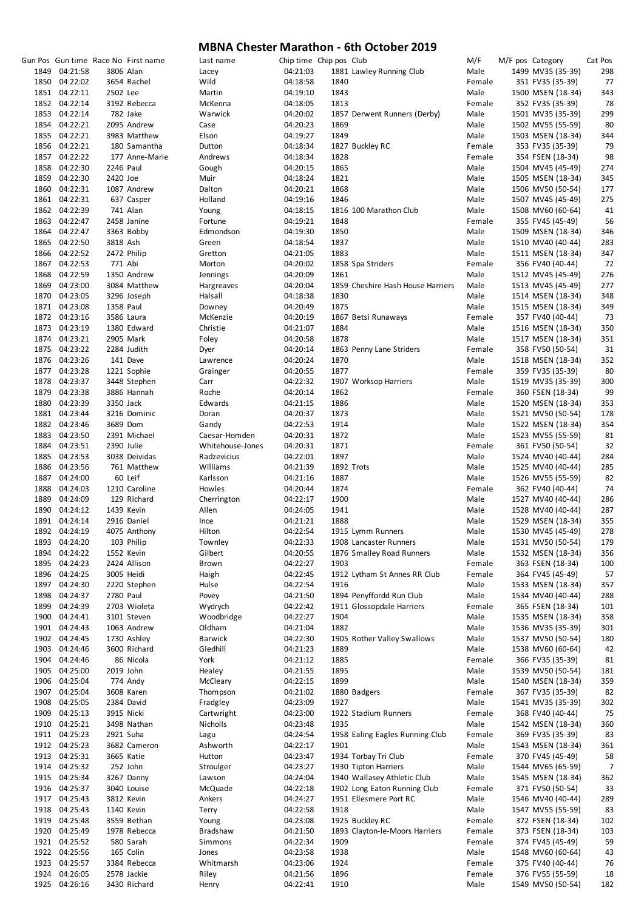|               |           | Gun Pos Gun time Race No First name | Last name        | Chip time Chip pos Club |      |                                   | M/F    | M/F pos Category  | Cat Pos |
|---------------|-----------|-------------------------------------|------------------|-------------------------|------|-----------------------------------|--------|-------------------|---------|
| 1849 04:21:58 |           | 3806 Alan                           | Lacey            | 04:21:03                |      | 1881 Lawley Running Club          | Male   | 1499 MV35 (35-39) | 298     |
| 1850 04:22:02 |           | 3654 Rachel                         | Wild             | 04:18:58                | 1840 |                                   | Female | 351 FV35 (35-39)  | 77      |
| 1851 04:22:11 | 2502 Lee  |                                     | Martin           | 04:19:10                | 1843 |                                   | Male   | 1500 MSEN (18-34) | 343     |
| 1852 04:22:14 |           | 3192 Rebecca                        | McKenna          | 04:18:05                | 1813 |                                   | Female | 352 FV35 (35-39)  | 78      |
| 1853 04:22:14 |           | 782 Jake                            | Warwick          | 04:20:02                |      | 1857 Derwent Runners (Derby)      | Male   | 1501 MV35 (35-39) | 299     |
| 1854 04:22:21 |           | 2095 Andrew                         | Case             | 04:20:23                | 1869 |                                   | Male   | 1502 MV55 (55-59) | 80      |
|               |           |                                     |                  |                         |      |                                   |        |                   |         |
| 1855 04:22:21 |           | 3983 Matthew                        | Elson            | 04:19:27                | 1849 |                                   | Male   | 1503 MSEN (18-34) | 344     |
| 1856 04:22:21 |           | 180 Samantha                        | Dutton           | 04:18:34                |      | 1827 Buckley RC                   | Female | 353 FV35 (35-39)  | 79      |
| 1857 04:22:22 |           | 177 Anne-Marie                      | Andrews          | 04:18:34                | 1828 |                                   | Female | 354 FSEN (18-34)  | 98      |
| 1858 04:22:30 | 2246 Paul |                                     | Gough            | 04:20:15                | 1865 |                                   | Male   | 1504 MV45 (45-49) | 274     |
| 1859 04:22:30 | 2420 Joe  |                                     | Muir             | 04:18:24                | 1821 |                                   | Male   | 1505 MSEN (18-34) | 345     |
| 1860 04:22:31 |           | 1087 Andrew                         | Dalton           | 04:20:21                | 1868 |                                   | Male   | 1506 MV50 (50-54) | 177     |
| 1861 04:22:31 |           | 637 Casper                          | Holland          | 04:19:16                | 1846 |                                   | Male   | 1507 MV45 (45-49) | 275     |
| 1862 04:22:39 |           | 741 Alan                            | Young            | 04:18:15                |      | 1816 100 Marathon Club            | Male   | 1508 MV60 (60-64) | 41      |
|               |           |                                     |                  |                         |      |                                   | Female |                   |         |
| 1863 04:22:47 |           | 2458 Janine                         | Fortune          | 04:19:21                | 1848 |                                   |        | 355 FV45 (45-49)  | 56      |
| 1864 04:22:47 |           | 3363 Bobby                          | Edmondson        | 04:19:30                | 1850 |                                   | Male   | 1509 MSEN (18-34) | 346     |
| 1865 04:22:50 | 3818 Ash  |                                     | Green            | 04:18:54                | 1837 |                                   | Male   | 1510 MV40 (40-44) | 283     |
| 1866 04:22:52 |           | 2472 Philip                         | Gretton          | 04:21:05                | 1883 |                                   | Male   | 1511 MSEN (18-34) | 347     |
| 1867 04:22:53 | 771 Abi   |                                     | Morton           | 04:20:02                |      | 1858 Spa Striders                 | Female | 356 FV40 (40-44)  | 72      |
| 1868 04:22:59 |           | 1350 Andrew                         | Jennings         | 04:20:09                | 1861 |                                   | Male   | 1512 MV45 (45-49) | 276     |
| 1869 04:23:00 |           | 3084 Matthew                        | Hargreaves       | 04:20:04                |      | 1859 Cheshire Hash House Harriers | Male   | 1513 MV45 (45-49) | 277     |
| 1870 04:23:05 |           | 3296 Joseph                         | Halsall          | 04:18:38                | 1830 |                                   | Male   | 1514 MSEN (18-34) | 348     |
| 1871 04:23:08 | 1358 Paul |                                     | Downey           | 04:20:49                | 1875 |                                   | Male   | 1515 MSEN (18-34) | 349     |
|               |           |                                     |                  |                         |      |                                   |        |                   |         |
| 1872 04:23:16 |           | 3586 Laura                          | McKenzie         | 04:20:19                |      | 1867 Betsi Runaways               | Female | 357 FV40 (40-44)  | 73      |
| 1873 04:23:19 |           | 1380 Edward                         | Christie         | 04:21:07                | 1884 |                                   | Male   | 1516 MSEN (18-34) | 350     |
| 1874 04:23:21 |           | 2905 Mark                           | Foley            | 04:20:58                | 1878 |                                   | Male   | 1517 MSEN (18-34) | 351     |
| 1875 04:23:22 |           | 2284 Judith                         | Dyer             | 04:20:14                |      | 1863 Penny Lane Striders          | Female | 358 FV50 (50-54)  | 31      |
| 1876 04:23:26 |           | 141 Dave                            | Lawrence         | 04:20:24                | 1870 |                                   | Male   | 1518 MSEN (18-34) | 352     |
| 1877 04:23:28 |           | 1221 Sophie                         | Grainger         | 04:20:55                | 1877 |                                   | Female | 359 FV35 (35-39)  | 80      |
| 1878 04:23:37 |           | 3448 Stephen                        | Carr             | 04:22:32                |      | 1907 Worksop Harriers             | Male   | 1519 MV35 (35-39) | 300     |
| 1879 04:23:38 |           | 3886 Hannah                         | Roche            | 04:20:14                | 1862 |                                   | Female | 360 FSEN (18-34)  | 99      |
| 1880 04:23:39 | 3350 Jack |                                     | Edwards          | 04:21:15                | 1886 |                                   | Male   | 1520 MSEN (18-34) | 353     |
|               |           |                                     |                  |                         |      |                                   |        |                   |         |
| 1881 04:23:44 |           | 3216 Dominic                        | Doran            | 04:20:37                | 1873 |                                   | Male   | 1521 MV50 (50-54) | 178     |
| 1882 04:23:46 |           | 3689 Dom                            | Gandy            | 04:22:53                | 1914 |                                   | Male   | 1522 MSEN (18-34) | 354     |
| 1883 04:23:50 |           | 2391 Michael                        | Caesar-Homden    | 04:20:31                | 1872 |                                   | Male   | 1523 MV55 (55-59) | 81      |
| 1884 04:23:51 |           | 2390 Julie                          | Whitehouse-Jones | 04:20:31                | 1871 |                                   | Female | 361 FV50 (50-54)  | 32      |
| 1885 04:23:53 |           | 3038 Deividas                       | Radzevicius      | 04:22:01                | 1897 |                                   | Male   | 1524 MV40 (40-44) | 284     |
| 1886 04:23:56 |           | 761 Matthew                         | Williams         | 04:21:39                |      | 1892 Trots                        | Male   | 1525 MV40 (40-44) | 285     |
| 1887 04:24:00 |           | 60 Leif                             | Karlsson         | 04:21:16                | 1887 |                                   | Male   | 1526 MV55 (55-59) | 82      |
| 1888 04:24:03 |           | 1210 Caroline                       | Howles           | 04:20:44                | 1874 |                                   | Female | 362 FV40 (40-44)  | 74      |
| 1889 04:24:09 |           | 129 Richard                         | Cherrington      | 04:22:17                | 1900 |                                   | Male   | 1527 MV40 (40-44) | 286     |
| 1890 04:24:12 |           | 1439 Kevin                          | Allen            | 04:24:05                | 1941 |                                   | Male   | 1528 MV40 (40-44) | 287     |
|               |           |                                     |                  | 04:21:21                |      |                                   |        |                   |         |
| 1891 04:24:14 |           | 2916 Daniel                         | Ince             |                         | 1888 |                                   | Male   | 1529 MSEN (18-34) | 355     |
| 1892 04:24:19 |           | 4075 Anthony                        | Hilton           | 04:22:54                |      | 1915 Lymm Runners                 | Male   | 1530 MV45 (45-49) | 278     |
| 1893 04:24:20 |           | 103 Philip                          | Townley          | 04:22:33                |      | 1908 Lancaster Runners            | Male   | 1531 MV50 (50-54) | 179     |
| 1894 04:24:22 |           | 1552 Kevin                          | Gilbert          | 04:20:55                |      | 1876 Smalley Road Runners         | Male   | 1532 MSEN (18-34) | 356     |
| 1895 04:24:23 |           | 2424 Allison                        | Brown            | 04:22:27                | 1903 |                                   | Female | 363 FSEN (18-34)  | 100     |
| 1896 04:24:25 |           | 3005 Heidi                          | Haigh            | 04:22:45                |      | 1912 Lytham St Annes RR Club      | Female | 364 FV45 (45-49)  | 57      |
| 1897 04:24:30 |           | 2220 Stephen                        | Hulse            | 04:22:54                | 1916 |                                   | Male   | 1533 MSEN (18-34) | 357     |
| 1898 04:24:37 | 2780 Paul |                                     | Povey            | 04:21:50                |      | 1894 Penyffordd Run Club          | Male   | 1534 MV40 (40-44) | 288     |
| 1899 04:24:39 |           | 2703 Wioleta                        | Wydrych          | 04:22:42                |      | 1911 Glossopdale Harriers         | Female | 365 FSEN (18-34)  | 101     |
| 1900 04:24:41 |           | 3101 Steven                         | Woodbridge       | 04:22:27                | 1904 |                                   | Male   | 1535 MSEN (18-34) | 358     |
| 1901 04:24:43 |           |                                     |                  |                         | 1882 |                                   | Male   |                   |         |
|               |           | 1063 Andrew                         | Oldham           | 04:21:04                |      |                                   |        | 1536 MV35 (35-39) | 301     |
| 1902 04:24:45 |           | 1730 Ashley                         | <b>Barwick</b>   | 04:22:30                |      | 1905 Rother Valley Swallows       | Male   | 1537 MV50 (50-54) | 180     |
| 1903 04:24:46 |           | 3600 Richard                        | Gledhill         | 04:21:23                | 1889 |                                   | Male   | 1538 MV60 (60-64) | 42      |
| 1904 04:24:46 |           | 86 Nicola                           | York             | 04:21:12                | 1885 |                                   | Female | 366 FV35 (35-39)  | 81      |
| 1905 04:25:00 |           | 2019 John                           | Healey           | 04:21:55                | 1895 |                                   | Male   | 1539 MV50 (50-54) | 181     |
| 1906 04:25:04 |           | 774 Andy                            | McCleary         | 04:22:15                | 1899 |                                   | Male   | 1540 MSEN (18-34) | 359     |
| 1907 04:25:04 |           | 3608 Karen                          | Thompson         | 04:21:02                |      | 1880 Badgers                      | Female | 367 FV35 (35-39)  | 82      |
| 1908 04:25:05 |           | 2384 David                          | Fradgley         | 04:23:09                | 1927 |                                   | Male   | 1541 MV35 (35-39) | 302     |
| 1909 04:25:13 |           | 3915 Nicki                          | Cartwright       | 04:23:00                |      | 1922 Stadium Runners              | Female | 368 FV40 (40-44)  | 75      |
| 1910 04:25:21 |           | 3498 Nathan                         | Nicholls         | 04:23:48                | 1935 |                                   | Male   | 1542 MSEN (18-34) | 360     |
|               |           |                                     |                  |                         |      |                                   |        |                   |         |
| 1911 04:25:23 |           | 2921 Suha                           | Lagu             | 04:24:54                |      | 1958 Ealing Eagles Running Club   | Female | 369 FV35 (35-39)  | 83      |
| 1912 04:25:23 |           | 3682 Cameron                        | Ashworth         | 04:22:17                | 1901 |                                   | Male   | 1543 MSEN (18-34) | 361     |
| 1913 04:25:31 |           | 3665 Katie                          | Hutton           | 04:23:47                |      | 1934 Torbay Tri Club              | Female | 370 FV45 (45-49)  | 58      |
| 1914 04:25:32 |           | 252 John                            | Stroulger        | 04:23:27                |      | 1930 Tipton Harriers              | Male   | 1544 MV65 (65-59) | 7       |
| 1915 04:25:34 |           | 3267 Danny                          | Lawson           | 04:24:04                |      | 1940 Wallasey Athletic Club       | Male   | 1545 MSEN (18-34) | 362     |
| 1916 04:25:37 |           | 3040 Louise                         | McQuade          | 04:22:18                |      | 1902 Long Eaton Running Club      | Female | 371 FV50 (50-54)  | 33      |
| 1917 04:25:43 |           | 3812 Kevin                          | Ankers           | 04:24:27                |      | 1951 Ellesmere Port RC            | Male   | 1546 MV40 (40-44) | 289     |
| 1918 04:25:43 |           | 1140 Kevin                          | Terry            | 04:22:58                | 1918 |                                   | Male   | 1547 MV55 (55-59) | 83      |
| 1919 04:25:48 |           | 3559 Bethan                         | Young            | 04:23:08                |      | 1925 Buckley RC                   | Female | 372 FSEN (18-34)  | 102     |
| 1920 04:25:49 |           | 1978 Rebecca                        | Bradshaw         | 04:21:50                |      | 1893 Clayton-le-Moors Harriers    | Female | 373 FSEN (18-34)  | 103     |
|               |           |                                     |                  |                         |      |                                   |        |                   |         |
| 1921 04:25:52 |           | 580 Sarah                           | Simmons          | 04:22:34                | 1909 |                                   | Female | 374 FV45 (45-49)  | 59      |
| 1922 04:25:56 |           | 165 Colin                           | Jones            | 04:23:58                | 1938 |                                   | Male   | 1548 MV60 (60-64) | 43      |
| 1923 04:25:57 |           | 3384 Rebecca                        | Whitmarsh        | 04:23:06                | 1924 |                                   | Female | 375 FV40 (40-44)  | 76      |
| 1924 04:26:05 |           | 2578 Jackie                         | Riley            | 04:21:56                | 1896 |                                   | Female | 376 FV55 (55-59)  | 18      |
| 1925 04:26:16 |           | 3430 Richard                        | Henry            | 04:22:41                | 1910 |                                   | Male   | 1549 MV50 (50-54) | 182     |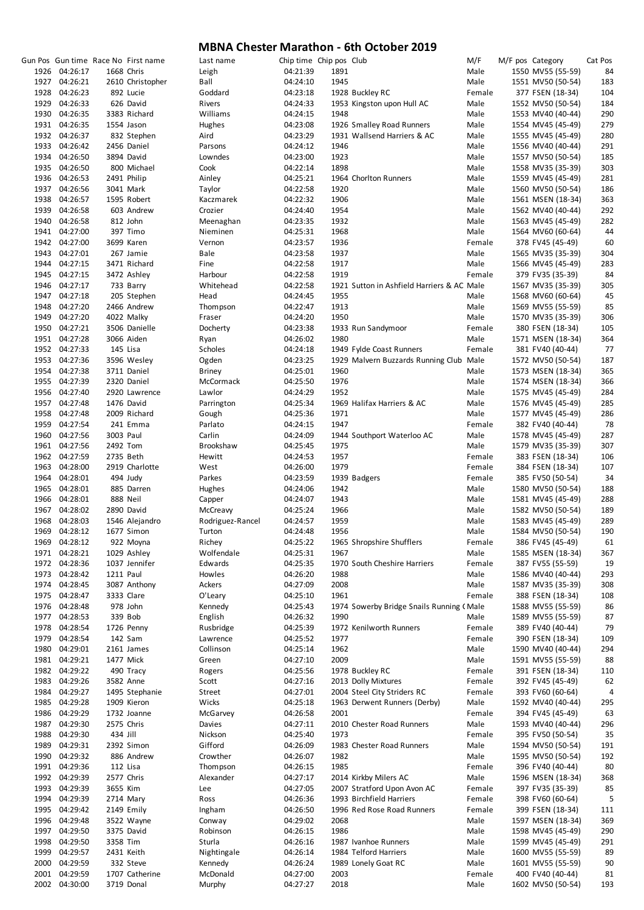|               |           | Gun Pos Gun time Race No First name | Last name        | Chip time Chip pos Club |      |                                            | M/F    | M/F pos Category |                   | Cat Pos |
|---------------|-----------|-------------------------------------|------------------|-------------------------|------|--------------------------------------------|--------|------------------|-------------------|---------|
| 1926 04:26:17 |           | 1668 Chris                          | Leigh            | 04:21:39                | 1891 |                                            | Male   |                  | 1550 MV55 (55-59) | 84      |
| 1927 04:26:21 |           | 2610 Christopher                    | Ball             | 04:24:10                | 1945 |                                            | Male   |                  | 1551 MV50 (50-54) | 183     |
| 1928 04:26:23 |           | 892 Lucie                           | Goddard          | 04:23:18                |      | 1928 Buckley RC                            | Female |                  | 377 FSEN (18-34)  | 104     |
| 1929 04:26:33 |           | 626 David                           | Rivers           | 04:24:33                |      | 1953 Kingston upon Hull AC                 | Male   |                  | 1552 MV50 (50-54) | 184     |
| 1930 04:26:35 |           | 3383 Richard                        | Williams         | 04:24:15                | 1948 |                                            | Male   |                  | 1553 MV40 (40-44) | 290     |
| 1931 04:26:35 |           | 1554 Jason                          | Hughes           | 04:23:08                |      | 1926 Smalley Road Runners                  | Male   |                  | 1554 MV45 (45-49) | 279     |
| 1932 04:26:37 |           | 832 Stephen                         | Aird             | 04:23:29                |      | 1931 Wallsend Harriers & AC                | Male   |                  | 1555 MV45 (45-49) | 280     |
| 1933 04:26:42 |           | 2456 Daniel                         | Parsons          | 04:24:12                | 1946 |                                            | Male   |                  | 1556 MV40 (40-44) | 291     |
| 1934 04:26:50 |           | 3894 David                          | Lowndes          | 04:23:00                | 1923 |                                            | Male   |                  | 1557 MV50 (50-54) | 185     |
| 1935 04:26:50 |           | 800 Michael                         | Cook             | 04:22:14                | 1898 |                                            | Male   |                  | 1558 MV35 (35-39) | 303     |
| 1936 04:26:53 |           | 2491 Philip                         | Ainley           | 04:25:21                |      | 1964 Chorlton Runners                      | Male   |                  | 1559 MV45 (45-49) | 281     |
| 1937 04:26:56 |           | 3041 Mark                           | Taylor           | 04:22:58                | 1920 |                                            | Male   |                  | 1560 MV50 (50-54) | 186     |
| 1938 04:26:57 |           | 1595 Robert                         | Kaczmarek        | 04:22:32                | 1906 |                                            | Male   |                  | 1561 MSEN (18-34) | 363     |
| 1939 04:26:58 |           | 603 Andrew                          | Crozier          | 04:24:40                | 1954 |                                            | Male   |                  | 1562 MV40 (40-44) | 292     |
| 1940 04:26:58 |           | 812 John                            | Meenaghan        | 04:23:35                | 1932 |                                            | Male   |                  | 1563 MV45 (45-49) | 282     |
| 1941 04:27:00 |           | 397 Timo                            | Nieminen         | 04:25:31                | 1968 |                                            | Male   |                  | 1564 MV60 (60-64) | 44      |
| 1942 04:27:00 |           | 3699 Karen                          | Vernon           | 04:23:57                | 1936 |                                            | Female |                  | 378 FV45 (45-49)  | 60      |
| 1943 04:27:01 |           | 267 Jamie                           | Bale             | 04:23:58                | 1937 |                                            | Male   |                  | 1565 MV35 (35-39) | 304     |
| 1944 04:27:15 |           | 3471 Richard                        | Fine             |                         | 1917 |                                            | Male   |                  |                   | 283     |
| 1945 04:27:15 |           |                                     |                  | 04:22:58                | 1919 |                                            | Female |                  | 1566 MV45 (45-49) | 84      |
|               |           | 3472 Ashley                         | Harbour          | 04:22:58                |      | 1921 Sutton in Ashfield Harriers & AC Male |        |                  | 379 FV35 (35-39)  | 305     |
| 1946 04:27:17 |           | 733 Barry                           | Whitehead        | 04:22:58                |      |                                            |        |                  | 1567 MV35 (35-39) |         |
| 1947 04:27:18 |           | 205 Stephen                         | Head             | 04:24:45                | 1955 |                                            | Male   |                  | 1568 MV60 (60-64) | 45      |
| 1948 04:27:20 |           | 2466 Andrew                         | Thompson         | 04:22:47                | 1913 |                                            | Male   |                  | 1569 MV55 (55-59) | 85      |
| 1949 04:27:20 |           | 4022 Malky                          | Fraser           | 04:24:20                | 1950 |                                            | Male   |                  | 1570 MV35 (35-39) | 306     |
| 1950 04:27:21 |           | 3506 Danielle                       | Docherty         | 04:23:38                |      | 1933 Run Sandymoor                         | Female |                  | 380 FSEN (18-34)  | 105     |
| 1951 04:27:28 |           | 3066 Aiden                          | Ryan             | 04:26:02                | 1980 |                                            | Male   |                  | 1571 MSEN (18-34) | 364     |
| 1952 04:27:33 |           | 145 Lisa                            | Scholes          | 04:24:18                |      | 1949 Fylde Coast Runners                   | Female |                  | 381 FV40 (40-44)  | 77      |
| 1953 04:27:36 |           | 3596 Wesley                         | Ogden            | 04:23:25                |      | 1929 Malvern Buzzards Running Club Male    |        |                  | 1572 MV50 (50-54) | 187     |
| 1954 04:27:38 |           | 3711 Daniel                         | <b>Briney</b>    | 04:25:01                | 1960 |                                            | Male   |                  | 1573 MSEN (18-34) | 365     |
| 1955 04:27:39 |           | 2320 Daniel                         | McCormack        | 04:25:50                | 1976 |                                            | Male   |                  | 1574 MSEN (18-34) | 366     |
| 1956 04:27:40 |           | 2920 Lawrence                       | Lawlor           | 04:24:29                | 1952 |                                            | Male   |                  | 1575 MV45 (45-49) | 284     |
| 1957 04:27:48 |           | 1476 David                          | Parrington       | 04:25:34                |      | 1969 Halifax Harriers & AC                 | Male   |                  | 1576 MV45 (45-49) | 285     |
| 1958 04:27:48 |           | 2009 Richard                        | Gough            | 04:25:36                | 1971 |                                            | Male   |                  | 1577 MV45 (45-49) | 286     |
| 1959 04:27:54 |           | 241 Emma                            | Parlato          | 04:24:15                | 1947 |                                            | Female |                  | 382 FV40 (40-44)  | 78      |
| 1960 04:27:56 | 3003 Paul |                                     | Carlin           | 04:24:09                |      | 1944 Southport Waterloo AC                 | Male   |                  | 1578 MV45 (45-49) | 287     |
| 1961 04:27:56 | 2492 Tom  |                                     | Brookshaw        | 04:25:45                | 1975 |                                            | Male   |                  | 1579 MV35 (35-39) | 307     |
| 1962 04:27:59 |           | 2735 Beth                           | Hewitt           | 04:24:53                | 1957 |                                            | Female |                  | 383 FSEN (18-34)  | 106     |
| 1963 04:28:00 |           | 2919 Charlotte                      | West             | 04:26:00                | 1979 |                                            | Female |                  | 384 FSEN (18-34)  | 107     |
| 1964 04:28:01 |           | 494 Judy                            | Parkes           | 04:23:59                |      | 1939 Badgers                               | Female |                  | 385 FV50 (50-54)  | 34      |
| 1965 04:28:01 |           | 885 Darren                          | Hughes           | 04:24:06                | 1942 |                                            | Male   |                  | 1580 MV50 (50-54) | 188     |
|               |           |                                     |                  |                         | 1943 |                                            |        |                  | 1581 MV45 (45-49) | 288     |
| 1966 04:28:01 |           | 888 Neil                            | Capper           | 04:24:07                |      |                                            | Male   |                  |                   |         |
| 1967 04:28:02 |           | 2890 David                          | McCreavy         | 04:25:24                | 1966 |                                            | Male   |                  | 1582 MV50 (50-54) | 189     |
| 1968 04:28:03 |           | 1546 Alejandro                      | Rodriguez-Rancel | 04:24:57                | 1959 |                                            | Male   |                  | 1583 MV45 (45-49) | 289     |
| 1969 04:28:12 |           | 1677 Simon                          | Turton           | 04:24:48                | 1956 |                                            | Male   |                  | 1584 MV50 (50-54) | 190     |
| 1969 04:28:12 |           | 922 Moyna                           | Richey           | 04:25:22                |      | 1965 Shropshire Shufflers                  | Female |                  | 386 FV45 (45-49)  | 61      |
| 1971 04:28:21 |           | 1029 Ashley                         | Wolfendale       | 04:25:31                | 1967 |                                            | Male   |                  | 1585 MSEN (18-34) | 367     |
| 1972 04:28:36 |           | 1037 Jennifer                       | Edwards          | 04:25:35                |      | 1970 South Cheshire Harriers               | Female |                  | 387 FV55 (55-59)  | 19      |
| 1973 04:28:42 | 1211 Paul |                                     | Howles           | 04:26:20                | 1988 |                                            | Male   |                  | 1586 MV40 (40-44) | 293     |
| 1974 04:28:45 |           | 3087 Anthony                        | Ackers           | 04:27:09                | 2008 |                                            | Male   |                  | 1587 MV35 (35-39) | 308     |
| 1975 04:28:47 |           | 3333 Clare                          | O'Leary          | 04:25:10                | 1961 |                                            | Female |                  | 388 FSEN (18-34)  | 108     |
| 1976 04:28:48 |           | 978 John                            | Kennedy          | 04:25:43                |      | 1974 Sowerby Bridge Snails Running (Male   |        |                  | 1588 MV55 (55-59) | 86      |
| 1977 04:28:53 |           | 339 Bob                             | English          | 04:26:32                | 1990 |                                            | Male   |                  | 1589 MV55 (55-59) | 87      |
| 1978 04:28:54 |           | 1726 Penny                          | Rusbridge        | 04:25:39                |      | 1972 Kenilworth Runners                    | Female |                  | 389 FV40 (40-44)  | 79      |
| 1979 04:28:54 |           | 142 Sam                             | Lawrence         | 04:25:52                | 1977 |                                            | Female |                  | 390 FSEN (18-34)  | 109     |
| 1980 04:29:01 |           | 2161 James                          | Collinson        | 04:25:14                | 1962 |                                            | Male   |                  | 1590 MV40 (40-44) | 294     |
| 1981 04:29:21 |           | 1477 Mick                           | Green            | 04:27:10                | 2009 |                                            | Male   |                  | 1591 MV55 (55-59) | 88      |
| 1982 04:29:22 |           | 490 Tracy                           | Rogers           | 04:25:56                |      | 1978 Buckley RC                            | Female |                  | 391 FSEN (18-34)  | 110     |
| 1983 04:29:26 |           | 3582 Anne                           | Scott            | 04:27:16                |      | 2013 Dolly Mixtures                        | Female |                  | 392 FV45 (45-49)  | 62      |
| 1984 04:29:27 |           | 1495 Stephanie                      | Street           | 04:27:01                |      | 2004 Steel City Striders RC                | Female |                  | 393 FV60 (60-64)  | 4       |
| 1985 04:29:28 |           | 1909 Kieron                         | Wicks            | 04:25:18                |      | 1963 Derwent Runners (Derby)               | Male   |                  | 1592 MV40 (40-44) | 295     |
| 1986 04:29:29 |           | 1732 Joanne                         | McGarvey         | 04:26:58                | 2001 |                                            | Female |                  | 394 FV45 (45-49)  | 63      |
| 1987 04:29:30 |           | 2575 Chris                          | Davies           | 04:27:11                |      | 2010 Chester Road Runners                  | Male   |                  | 1593 MV40 (40-44) | 296     |
| 1988 04:29:30 | 434 Jill  |                                     | Nickson          | 04:25:40                | 1973 |                                            | Female |                  | 395 FV50 (50-54)  | 35      |
| 1989 04:29:31 |           | 2392 Simon                          | Gifford          | 04:26:09                |      | 1983 Chester Road Runners                  | Male   |                  | 1594 MV50 (50-54) | 191     |
| 1990 04:29:32 |           | 886 Andrew                          | Crowther         | 04:26:07                | 1982 |                                            | Male   |                  | 1595 MV50 (50-54) | 192     |
| 1991 04:29:36 |           | 112 Lisa                            | Thompson         | 04:26:15                | 1985 |                                            | Female |                  | 396 FV40 (40-44)  | 80      |
|               |           |                                     |                  |                         |      |                                            |        |                  |                   |         |
| 1992 04:29:39 |           | 2577 Chris                          | Alexander        | 04:27:17                |      | 2014 Kirkby Milers AC                      | Male   |                  | 1596 MSEN (18-34) | 368     |
| 1993 04:29:39 | 3655 Kim  |                                     | Lee              | 04:27:05                |      | 2007 Stratford Upon Avon AC                | Female |                  | 397 FV35 (35-39)  | 85      |
| 1994 04:29:39 |           | 2714 Mary                           | Ross             | 04:26:36                |      | 1993 Birchfield Harriers                   | Female |                  | 398 FV60 (60-64)  | 5       |
| 1995 04:29:42 |           | 2149 Emily                          | Ingham           | 04:26:50                |      | 1996 Red Rose Road Runners                 | Female |                  | 399 FSEN (18-34)  | 111     |
| 1996 04:29:48 |           | 3522 Wayne                          | Conway           | 04:29:02                | 2068 |                                            | Male   |                  | 1597 MSEN (18-34) | 369     |
| 1997 04:29:50 |           | 3375 David                          | Robinson         | 04:26:15                | 1986 |                                            | Male   |                  | 1598 MV45 (45-49) | 290     |
| 1998 04:29:50 | 3358 Tim  |                                     | Sturla           | 04:26:16                |      | 1987 Ivanhoe Runners                       | Male   |                  | 1599 MV45 (45-49) | 291     |
| 1999 04:29:57 |           | 2431 Keith                          | Nightingale      | 04:26:14                |      | 1984 Telford Harriers                      | Male   |                  | 1600 MV55 (55-59) | 89      |
| 2000 04:29:59 |           | 332 Steve                           | Kennedy          | 04:26:24                |      | 1989 Lonely Goat RC                        | Male   |                  | 1601 MV55 (55-59) | 90      |
| 2001 04:29:59 |           | 1707 Catherine                      | McDonald         | 04:27:00                | 2003 |                                            | Female |                  | 400 FV40 (40-44)  | 81      |
| 2002 04:30:00 |           | 3719 Donal                          | Murphy           | 04:27:27                | 2018 |                                            | Male   |                  | 1602 MV50 (50-54) | 193     |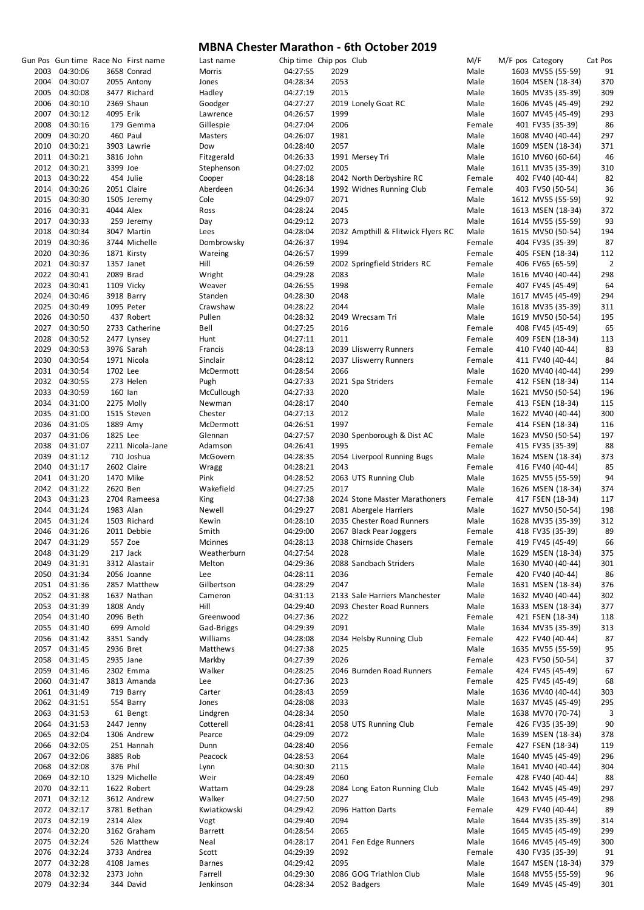|               |           | Gun Pos Gun time Race No First name | Last name      | Chip time Chip pos Club |      |                                    | M/F    | M/F pos Category  | Cat Pos        |
|---------------|-----------|-------------------------------------|----------------|-------------------------|------|------------------------------------|--------|-------------------|----------------|
| 2003 04:30:06 |           | 3658 Conrad                         | Morris         | 04:27:55                | 2029 |                                    | Male   | 1603 MV55 (55-59) | 91             |
| 2004 04:30:07 |           | 2055 Antony                         | Jones          | 04:28:34                | 2053 |                                    | Male   | 1604 MSEN (18-34) | 370            |
|               |           |                                     |                |                         |      |                                    |        |                   |                |
| 2005 04:30:08 |           | 3477 Richard                        | Hadley         | 04:27:19                | 2015 |                                    | Male   | 1605 MV35 (35-39) | 309            |
| 2006 04:30:10 |           | 2369 Shaun                          | Goodger        | 04:27:27                |      | 2019 Lonely Goat RC                | Male   | 1606 MV45 (45-49) | 292            |
| 2007 04:30:12 | 4095 Erik |                                     | Lawrence       | 04:26:57                | 1999 |                                    | Male   | 1607 MV45 (45-49) | 293            |
| 2008 04:30:16 |           | 179 Gemma                           | Gillespie      | 04:27:04                | 2006 |                                    | Female | 401 FV35 (35-39)  | 86             |
| 2009 04:30:20 |           | 460 Paul                            | Masters        | 04:26:07                | 1981 |                                    | Male   | 1608 MV40 (40-44) | 297            |
| 2010 04:30:21 |           | 3903 Lawrie                         | Dow            | 04:28:40                | 2057 |                                    | Male   | 1609 MSEN (18-34) | 371            |
|               |           |                                     |                |                         |      |                                    |        |                   |                |
| 2011 04:30:21 | 3816 John |                                     | Fitzgerald     | 04:26:33                |      | 1991 Mersey Tri                    | Male   | 1610 MV60 (60-64) | 46             |
| 2012 04:30:21 | 3399 Joe  |                                     | Stephenson     | 04:27:02                | 2005 |                                    | Male   | 1611 MV35 (35-39) | 310            |
| 2013 04:30:22 |           | 454 Julie                           | Cooper         | 04:28:18                |      | 2042 North Derbyshire RC           | Female | 402 FV40 (40-44)  | 82             |
| 2014 04:30:26 |           | 2051 Claire                         | Aberdeen       | 04:26:34                |      | 1992 Widnes Running Club           | Female | 403 FV50 (50-54)  | 36             |
| 2015 04:30:30 |           | 1505 Jeremy                         | Cole           | 04:29:07                | 2071 |                                    | Male   | 1612 MV55 (55-59) | 92             |
| 2016 04:30:31 | 4044 Alex |                                     | Ross           | 04:28:24                | 2045 |                                    | Male   | 1613 MSEN (18-34) | 372            |
|               |           |                                     |                |                         |      |                                    |        |                   |                |
| 2017 04:30:33 |           | 259 Jeremy                          | Day            | 04:29:12                | 2073 |                                    | Male   | 1614 MV55 (55-59) | 93             |
| 2018 04:30:34 |           | 3047 Martin                         | Lees           | 04:28:04                |      | 2032 Ampthill & Flitwick Flyers RC | Male   | 1615 MV50 (50-54) | 194            |
| 2019 04:30:36 |           | 3744 Michelle                       | Dombrowsky     | 04:26:37                | 1994 |                                    | Female | 404 FV35 (35-39)  | 87             |
| 2020 04:30:36 |           | 1871 Kirsty                         | Wareing        | 04:26:57                | 1999 |                                    | Female | 405 FSEN (18-34)  | 112            |
| 2021 04:30:37 |           | 1357 Janet                          | Hill           | 04:26:59                |      | 2002 Springfield Striders RC       | Female | 406 FV65 (65-59)  | $\overline{2}$ |
| 2022 04:30:41 |           | 2089 Brad                           | Wright         | 04:29:28                | 2083 |                                    | Male   | 1616 MV40 (40-44) | 298            |
|               |           |                                     |                |                         |      |                                    |        |                   |                |
| 2023 04:30:41 |           | 1109 Vicky                          | Weaver         | 04:26:55                | 1998 |                                    | Female | 407 FV45 (45-49)  | 64             |
| 2024 04:30:46 |           | 3918 Barry                          | Standen        | 04:28:30                | 2048 |                                    | Male   | 1617 MV45 (45-49) | 294            |
| 2025 04:30:49 |           | 1095 Peter                          | Crawshaw       | 04:28:22                | 2044 |                                    | Male   | 1618 MV35 (35-39) | 311            |
| 2026 04:30:50 |           | 437 Robert                          | Pullen         | 04:28:32                |      | 2049 Wrecsam Tri                   | Male   | 1619 MV50 (50-54) | 195            |
| 2027 04:30:50 |           | 2733 Catherine                      | Bell           | 04:27:25                | 2016 |                                    | Female | 408 FV45 (45-49)  | 65             |
| 2028 04:30:52 |           | 2477 Lynsey                         | Hunt           | 04:27:11                | 2011 |                                    | Female | 409 FSEN (18-34)  | 113            |
|               |           |                                     |                |                         |      |                                    |        |                   |                |
| 2029 04:30:53 |           | 3976 Sarah                          | Francis        | 04:28:13                |      | 2039 Lliswerry Runners             | Female | 410 FV40 (40-44)  | 83             |
| 2030 04:30:54 |           | 1971 Nicola                         | Sinclair       | 04:28:12                |      | 2037 Lliswerry Runners             | Female | 411 FV40 (40-44)  | 84             |
| 2031 04:30:54 | 1702 Lee  |                                     | McDermott      | 04:28:54                | 2066 |                                    | Male   | 1620 MV40 (40-44) | 299            |
| 2032 04:30:55 |           | 273 Helen                           | Pugh           | 04:27:33                |      | 2021 Spa Striders                  | Female | 412 FSEN (18-34)  | 114            |
| 2033 04:30:59 | 160 lan   |                                     | McCullough     | 04:27:33                | 2020 |                                    | Male   | 1621 MV50 (50-54) | 196            |
|               |           |                                     |                |                         |      |                                    |        |                   |                |
| 2034 04:31:00 |           | 2275 Molly                          | Newman         | 04:28:17                | 2040 |                                    | Female | 413 FSEN (18-34)  | 115            |
| 2035 04:31:00 |           | 1515 Steven                         | Chester        | 04:27:13                | 2012 |                                    | Male   | 1622 MV40 (40-44) | 300            |
| 2036 04:31:05 | 1889 Amy  |                                     | McDermott      | 04:26:51                | 1997 |                                    | Female | 414 FSEN (18-34)  | 116            |
| 2037 04:31:06 | 1825 Lee  |                                     | Glennan        | 04:27:57                |      | 2030 Spenborough & Dist AC         | Male   | 1623 MV50 (50-54) | 197            |
| 2038 04:31:07 |           | 2211 Nicola-Jane                    | Adamson        | 04:26:41                | 1995 |                                    | Female | 415 FV35 (35-39)  | 88             |
| 2039 04:31:12 |           | 710 Joshua                          | McGovern       | 04:28:35                |      | 2054 Liverpool Running Bugs        | Male   | 1624 MSEN (18-34) | 373            |
|               |           |                                     |                |                         |      |                                    |        |                   |                |
| 2040 04:31:17 |           | 2602 Claire                         | Wragg          | 04:28:21                | 2043 |                                    | Female | 416 FV40 (40-44)  | 85             |
| 2041 04:31:20 |           | 1470 Mike                           | Pink           | 04:28:52                |      | 2063 UTS Running Club              | Male   | 1625 MV55 (55-59) | 94             |
| 2042 04:31:22 | 2620 Ben  |                                     | Wakefield      | 04:27:25                | 2017 |                                    | Male   | 1626 MSEN (18-34) | 374            |
| 2043 04:31:23 |           | 2704 Rameesa                        | King           | 04:27:38                |      | 2024 Stone Master Marathoners      | Female | 417 FSEN (18-34)  | 117            |
| 2044 04:31:24 | 1983 Alan |                                     | Newell         | 04:29:27                |      | 2081 Abergele Harriers             | Male   | 1627 MV50 (50-54) | 198            |
| 2045 04:31:24 |           | 1503 Richard                        | Kewin          | 04:28:10                |      | 2035 Chester Road Runners          | Male   | 1628 MV35 (35-39) | 312            |
|               |           | 2011 Debbie                         |                | 04:29:00                |      |                                    |        |                   |                |
| 2046 04:31:26 |           |                                     | Smith          |                         |      | 2067 Black Pear Joggers            | Female | 418 FV35 (35-39)  | 89             |
| 2047 04:31:29 | 557 Zoe   |                                     | Mcinnes        | 04:28:13                |      | 2038 Chirnside Chasers             | Female | 419 FV45 (45-49)  | 66             |
| 2048 04:31:29 |           | 217 Jack                            | Weatherburn    | 04:27:54                | 2028 |                                    | Male   | 1629 MSEN (18-34) | 375            |
| 2049 04:31:31 |           | 3312 Alastair                       | Melton         | 04:29:36                |      | 2088 Sandbach Striders             | Male   | 1630 MV40 (40-44) | 301            |
| 2050 04:31:34 |           | 2056 Joanne                         | Lee            | 04:28:11                | 2036 |                                    | Female | 420 FV40 (40-44)  | 86             |
| 2051 04:31:36 |           | 2857 Matthew                        | Gilbertson     | 04:28:29                | 2047 |                                    | Male   | 1631 MSEN (18-34) | 376            |
|               |           |                                     |                |                         |      |                                    |        |                   |                |
| 2052 04:31:38 |           | 1637 Nathan                         | Cameron        | 04:31:13                |      | 2133 Sale Harriers Manchester      | Male   | 1632 MV40 (40-44) | 302            |
| 2053 04:31:39 |           | 1808 Andy                           | Hill           | 04:29:40                |      | 2093 Chester Road Runners          | Male   | 1633 MSEN (18-34) | 377            |
| 2054 04:31:40 |           | 2096 Beth                           | Greenwood      | 04:27:36                | 2022 |                                    | Female | 421 FSEN (18-34)  | 118            |
| 2055 04:31:40 |           | 699 Arnold                          | Gad-Briggs     | 04:29:39                | 2091 |                                    | Male   | 1634 MV35 (35-39) | 313            |
| 2056 04:31:42 |           | 3351 Sandy                          | Williams       | 04:28:08                |      | 2034 Helsby Running Club           | Female | 422 FV40 (40-44)  | 87             |
| 2057 04:31:45 | 2936 Bret |                                     | Matthews       | 04:27:38                | 2025 |                                    | Male   | 1635 MV55 (55-59) | 95             |
|               | 2935 Jane |                                     | Markby         | 04:27:39                | 2026 |                                    | Female |                   | 37             |
| 2058 04:31:45 |           |                                     |                |                         |      |                                    |        | 423 FV50 (50-54)  |                |
| 2059 04:31:46 |           | 2302 Emma                           | Walker         | 04:28:25                |      | 2046 Burnden Road Runners          | Female | 424 FV45 (45-49)  | 67             |
| 2060 04:31:47 |           | 3813 Amanda                         | Lee            | 04:27:36                | 2023 |                                    | Female | 425 FV45 (45-49)  | 68             |
| 2061 04:31:49 |           | 719 Barry                           | Carter         | 04:28:43                | 2059 |                                    | Male   | 1636 MV40 (40-44) | 303            |
| 2062 04:31:51 |           | 554 Barry                           | Jones          | 04:28:08                | 2033 |                                    | Male   | 1637 MV45 (45-49) | 295            |
| 2063 04:31:53 |           | 61 Bengt                            | Lindgren       | 04:28:34                | 2050 |                                    | Male   | 1638 MV70 (70-74) | 3              |
|               |           |                                     |                |                         |      |                                    |        |                   |                |
| 2064 04:31:53 |           | 2447 Jenny                          | Cotterell      | 04:28:41                |      | 2058 UTS Running Club              | Female | 426 FV35 (35-39)  | 90             |
| 2065 04:32:04 |           | 1306 Andrew                         | Pearce         | 04:29:09                | 2072 |                                    | Male   | 1639 MSEN (18-34) | 378            |
| 2066 04:32:05 |           | 251 Hannah                          | Dunn           | 04:28:40                | 2056 |                                    | Female | 427 FSEN (18-34)  | 119            |
| 2067 04:32:06 | 3885 Rob  |                                     | Peacock        | 04:28:53                | 2064 |                                    | Male   | 1640 MV45 (45-49) | 296            |
| 2068 04:32:08 |           | 376 Phil                            | Lynn           | 04:30:30                | 2115 |                                    | Male   | 1641 MV40 (40-44) | 304            |
| 2069 04:32:10 |           | 1329 Michelle                       | Weir           | 04:28:49                | 2060 |                                    | Female | 428 FV40 (40-44)  | 88             |
|               |           |                                     |                |                         |      |                                    |        |                   |                |
| 2070 04:32:11 |           | 1622 Robert                         | Wattam         | 04:29:28                |      | 2084 Long Eaton Running Club       | Male   | 1642 MV45 (45-49) | 297            |
| 2071 04:32:12 |           | 3612 Andrew                         | Walker         | 04:27:50                | 2027 |                                    | Male   | 1643 MV45 (45-49) | 298            |
| 2072 04:32:17 |           | 3781 Bethan                         | Kwiatkowski    | 04:29:42                |      | 2096 Hatton Darts                  | Female | 429 FV40 (40-44)  | 89             |
| 2073 04:32:19 | 2314 Alex |                                     | Vogt           | 04:29:40                | 2094 |                                    | Male   | 1644 MV35 (35-39) | 314            |
| 2074 04:32:20 |           | 3162 Graham                         | <b>Barrett</b> | 04:28:54                | 2065 |                                    | Male   | 1645 MV45 (45-49) | 299            |
| 2075 04:32:24 |           | 526 Matthew                         | Neal           | 04:28:17                |      | 2041 Fen Edge Runners              | Male   | 1646 MV45 (45-49) | 300            |
|               |           |                                     |                |                         |      |                                    |        |                   |                |
| 2076 04:32:24 |           | 3733 Andrea                         | Scott          | 04:29:39                | 2092 |                                    | Female | 430 FV35 (35-39)  | 91             |
| 2077 04:32:28 |           | 4108 James                          | <b>Barnes</b>  | 04:29:42                | 2095 |                                    | Male   | 1647 MSEN (18-34) | 379            |
| 2078 04:32:32 | 2373 John |                                     | Farrell        | 04:29:30                |      | 2086 GOG Triathlon Club            | Male   | 1648 MV55 (55-59) | 96             |
| 2079 04:32:34 |           | 344 David                           | Jenkinson      | 04:28:34                |      | 2052 Badgers                       | Male   | 1649 MV45 (45-49) | 301            |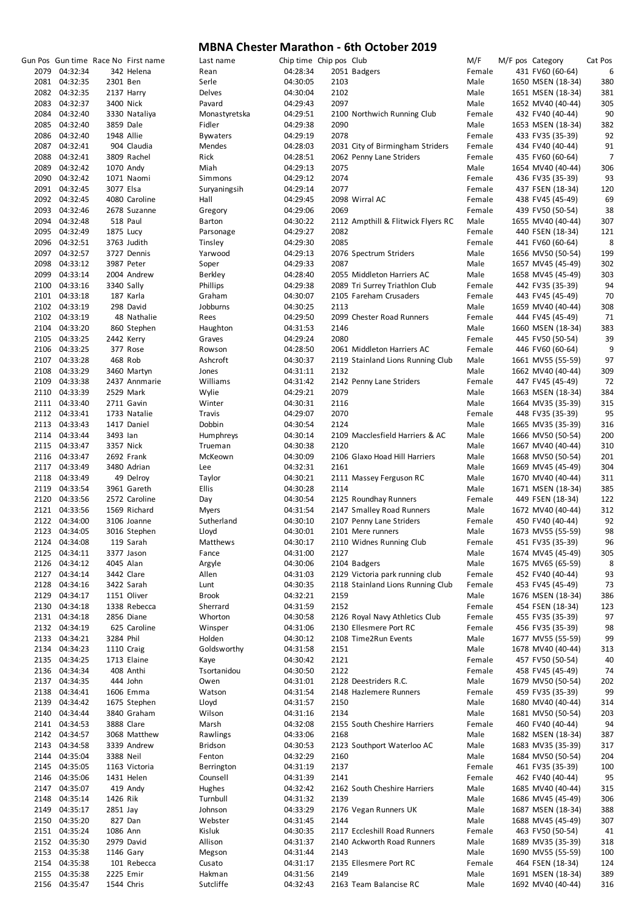|               |           | Gun Pos Gun time Race No First name | Last name       | Chip time Chip pos Club |      |                                    | M/F    | M/F pos Category |                   | Cat Pos |
|---------------|-----------|-------------------------------------|-----------------|-------------------------|------|------------------------------------|--------|------------------|-------------------|---------|
| 2079 04:32:34 |           | 342 Helena                          | Rean            | 04:28:34                |      | 2051 Badgers                       | Female |                  | 431 FV60 (60-64)  | 6       |
| 2081 04:32:35 | 2301 Ben  |                                     | Serle           | 04:30:05                | 2103 |                                    | Male   |                  | 1650 MSEN (18-34) | 380     |
| 2082 04:32:35 |           | 2137 Harry                          | Delves          | 04:30:04                | 2102 |                                    | Male   |                  | 1651 MSEN (18-34) | 381     |
| 2083 04:32:37 |           | 3400 Nick                           | Pavard          | 04:29:43                | 2097 |                                    | Male   |                  | 1652 MV40 (40-44) | 305     |
| 2084 04:32:40 |           | 3330 Nataliya                       | Monastyretska   | 04:29:51                |      | 2100 Northwich Running Club        | Female |                  | 432 FV40 (40-44)  | 90      |
| 2085 04:32:40 |           | 3859 Dale                           | Fidler          | 04:29:38                | 2090 |                                    | Male   |                  | 1653 MSEN (18-34) | 382     |
| 2086 04:32:40 |           | 1948 Allie                          | <b>Bywaters</b> | 04:29:19                | 2078 |                                    | Female |                  | 433 FV35 (35-39)  | 92      |
| 2087 04:32:41 |           | 904 Claudia                         | Mendes          | 04:28:03                |      | 2031 City of Birmingham Striders   | Female |                  | 434 FV40 (40-44)  | 91      |
| 2088 04:32:41 |           | 3809 Rachel                         | Rick            | 04:28:51                |      | 2062 Penny Lane Striders           | Female |                  | 435 FV60 (60-64)  | 7       |
| 2089 04:32:42 |           | 1070 Andy                           | Miah            | 04:29:13                | 2075 |                                    | Male   |                  | 1654 MV40 (40-44) | 306     |
| 2090 04:32:42 |           | 1071 Naomi                          | Simmons         | 04:29:12                | 2074 |                                    | Female |                  | 436 FV35 (35-39)  | 93      |
| 2091 04:32:45 | 3077 Elsa |                                     | Suryaningsih    | 04:29:14                | 2077 |                                    | Female |                  | 437 FSEN (18-34)  | 120     |
| 2092 04:32:45 |           | 4080 Caroline                       | Hall            | 04:29:45                |      | 2098 Wirral AC                     | Female |                  | 438 FV45 (45-49)  | 69      |
| 2093 04:32:46 |           | 2678 Suzanne                        | Gregory         | 04:29:06                | 2069 |                                    | Female |                  | 439 FV50 (50-54)  | 38      |
| 2094 04:32:48 |           | 518 Paul                            | Barton          | 04:30:22                |      | 2112 Ampthill & Flitwick Flyers RC | Male   |                  | 1655 MV40 (40-44) | 307     |
| 2095 04:32:49 |           | 1875 Lucy                           | Parsonage       | 04:29:27                | 2082 |                                    | Female |                  | 440 FSEN (18-34)  | 121     |
| 2096 04:32:51 |           | 3763 Judith                         | Tinsley         | 04:29:30                | 2085 |                                    | Female |                  | 441 FV60 (60-64)  | 8       |
| 2097 04:32:57 |           | 3727 Dennis                         | Yarwood         | 04:29:13                |      | 2076 Spectrum Striders             |        |                  |                   | 199     |
|               |           |                                     |                 |                         |      |                                    | Male   |                  | 1656 MV50 (50-54) |         |
| 2098 04:33:12 |           | 3987 Peter                          | Soper           | 04:29:33                | 2087 |                                    | Male   |                  | 1657 MV45 (45-49) | 302     |
| 2099 04:33:14 |           | 2004 Andrew                         | Berkley         | 04:28:40                |      | 2055 Middleton Harriers AC         | Male   |                  | 1658 MV45 (45-49) | 303     |
| 2100 04:33:16 |           | 3340 Sally                          | Phillips        | 04:29:38                |      | 2089 Tri Surrey Triathlon Club     | Female |                  | 442 FV35 (35-39)  | 94      |
| 2101 04:33:18 |           | 187 Karla                           | Graham          | 04:30:07                |      | 2105 Fareham Crusaders             | Female |                  | 443 FV45 (45-49)  | 70      |
| 2102 04:33:19 |           | 298 David                           | Jobburns        | 04:30:25                | 2113 |                                    | Male   |                  | 1659 MV40 (40-44) | 308     |
| 2102 04:33:19 |           | 48 Nathalie                         | Rees            | 04:29:50                |      | 2099 Chester Road Runners          | Female |                  | 444 FV45 (45-49)  | 71      |
| 2104 04:33:20 |           | 860 Stephen                         | Haughton        | 04:31:53                | 2146 |                                    | Male   |                  | 1660 MSEN (18-34) | 383     |
| 2105 04:33:25 |           | 2442 Kerry                          | Graves          | 04:29:24                | 2080 |                                    | Female |                  | 445 FV50 (50-54)  | 39      |
| 2106 04:33:25 |           | 377 Rose                            | Rowson          | 04:28:50                |      | 2061 Middleton Harriers AC         | Female |                  | 446 FV60 (60-64)  | 9       |
| 2107 04:33:28 |           | 468 Rob                             | Ashcroft        | 04:30:37                |      | 2119 Stainland Lions Running Club  | Male   |                  | 1661 MV55 (55-59) | 97      |
| 2108 04:33:29 |           | 3460 Martyn                         | Jones           | 04:31:11                | 2132 |                                    | Male   |                  | 1662 MV40 (40-44) | 309     |
| 2109 04:33:38 |           | 2437 Annmarie                       | Williams        | 04:31:42                |      | 2142 Penny Lane Striders           | Female |                  | 447 FV45 (45-49)  | 72      |
| 2110 04:33:39 |           | 2529 Mark                           | Wylie           | 04:29:21                | 2079 |                                    | Male   |                  | 1663 MSEN (18-34) | 384     |
| 2111 04:33:40 |           | 2711 Gavin                          | Winter          | 04:30:31                | 2116 |                                    | Male   |                  | 1664 MV35 (35-39) | 315     |
| 2112 04:33:41 |           | 1733 Natalie                        | Travis          | 04:29:07                | 2070 |                                    | Female |                  | 448 FV35 (35-39)  | 95      |
| 2113 04:33:43 |           | 1417 Daniel                         | Dobbin          | 04:30:54                | 2124 |                                    | Male   |                  | 1665 MV35 (35-39) | 316     |
|               |           |                                     |                 |                         |      |                                    |        |                  |                   |         |
| 2114 04:33:44 | 3493 lan  |                                     | Humphreys       | 04:30:14                |      | 2109 Macclesfield Harriers & AC    | Male   |                  | 1666 MV50 (50-54) | 200     |
| 2115 04:33:47 |           | 3357 Nick                           | Trueman         | 04:30:38                | 2120 |                                    | Male   |                  | 1667 MV40 (40-44) | 310     |
| 2116 04:33:47 |           | 2692 Frank                          | McKeown         | 04:30:09                |      | 2106 Glaxo Hoad Hill Harriers      | Male   |                  | 1668 MV50 (50-54) | 201     |
| 2117 04:33:49 |           | 3480 Adrian                         | Lee             | 04:32:31                | 2161 |                                    | Male   |                  | 1669 MV45 (45-49) | 304     |
| 2118 04:33:49 |           | 49 Delroy                           | Taylor          | 04:30:21                |      | 2111 Massey Ferguson RC            | Male   |                  | 1670 MV40 (40-44) | 311     |
| 2119 04:33:54 |           | 3961 Gareth                         | Ellis           | 04:30:28                | 2114 |                                    | Male   |                  | 1671 MSEN (18-34) | 385     |
| 2120 04:33:56 |           | 2572 Caroline                       | Day             | 04:30:54                |      | 2125 Roundhay Runners              | Female |                  | 449 FSEN (18-34)  | 122     |
| 2121 04:33:56 |           | 1569 Richard                        | <b>Myers</b>    | 04:31:54                |      | 2147 Smalley Road Runners          | Male   |                  | 1672 MV40 (40-44) | 312     |
| 2122 04:34:00 |           | 3106 Joanne                         | Sutherland      | 04:30:10                |      | 2107 Penny Lane Striders           | Female |                  | 450 FV40 (40-44)  | 92      |
| 2123 04:34:05 |           | 3016 Stephen                        | Lloyd           | 04:30:01                |      | 2101 Mere runners                  | Male   |                  | 1673 MV55 (55-59) | 98      |
| 2124 04:34:08 |           | 119 Sarah                           | Matthews        | 04:30:17                |      | 2110 Widnes Running Club           | Female |                  | 451 FV35 (35-39)  | 96      |
| 2125 04:34:11 |           | 3377 Jason                          | Fance           | 04:31:00                | 2127 |                                    | Male   |                  | 1674 MV45 (45-49) | 305     |
| 2126 04:34:12 |           | 4045 Alan                           | Argyle          | 04:30:06                |      | 2104 Badgers                       | Male   |                  | 1675 MV65 (65-59) | 8       |
| 2127 04:34:14 |           | 3442 Clare                          | Allen           | 04:31:03                |      | 2129 Victoria park running club    | Female |                  | 452 FV40 (40-44)  | 93      |
| 2128 04:34:16 |           | 3422 Sarah                          | Lunt            | 04:30:35                |      | 2118 Stainland Lions Running Club  | Female |                  | 453 FV45 (45-49)  | 73      |
| 2129 04:34:17 |           | 1151 Oliver                         | Brook           | 04:32:21                | 2159 |                                    | Male   |                  | 1676 MSEN (18-34) | 386     |
| 2130 04:34:18 |           | 1338 Rebecca                        | Sherrard        | 04:31:59                | 2152 |                                    | Female |                  | 454 FSEN (18-34)  | 123     |
| 2131 04:34:18 |           | 2856 Diane                          | Whorton         | 04:30:58                |      | 2126 Royal Navy Athletics Club     | Female |                  | 455 FV35 (35-39)  | 97      |
| 2132 04:34:19 |           | 625 Caroline                        | Winsper         | 04:31:06                |      | 2130 Ellesmere Port RC             | Female |                  | 456 FV35 (35-39)  | 98      |
| 2133 04:34:21 | 3284 Phil |                                     | Holden          | 04:30:12                |      | 2108 Time2Run Events               | Male   |                  | 1677 MV55 (55-59) | 99      |
| 2134 04:34:23 |           |                                     | Goldsworthy     |                         |      |                                    | Male   |                  |                   | 313     |
|               |           | 1110 Craig                          |                 | 04:31:58                | 2151 |                                    |        |                  | 1678 MV40 (40-44) |         |
| 2135 04:34:25 |           | 1713 Elaine                         | Kaye            | 04:30:42                | 2121 |                                    | Female |                  | 457 FV50 (50-54)  | 40      |
| 2136 04:34:34 |           | 408 Anthi                           | Tsortanidou     | 04:30:50                | 2122 |                                    | Female |                  | 458 FV45 (45-49)  | 74      |
| 2137 04:34:35 |           | 444 John                            | Owen            | 04:31:01                |      | 2128 Deestriders R.C.              | Male   |                  | 1679 MV50 (50-54) | 202     |
| 2138 04:34:41 |           | 1606 Emma                           | Watson          | 04:31:54                |      | 2148 Hazlemere Runners             | Female |                  | 459 FV35 (35-39)  | 99      |
| 2139 04:34:42 |           | 1675 Stephen                        | Lloyd           | 04:31:57                | 2150 |                                    | Male   |                  | 1680 MV40 (40-44) | 314     |
| 2140 04:34:44 |           | 3840 Graham                         | Wilson          | 04:31:16                | 2134 |                                    | Male   |                  | 1681 MV50 (50-54) | 203     |
| 2141 04:34:53 |           | 3888 Clare                          | Marsh           | 04:32:08                |      | 2155 South Cheshire Harriers       | Female |                  | 460 FV40 (40-44)  | 94      |
| 2142 04:34:57 |           | 3068 Matthew                        | Rawlings        | 04:33:06                | 2168 |                                    | Male   |                  | 1682 MSEN (18-34) | 387     |
| 2143 04:34:58 |           | 3339 Andrew                         | Bridson         | 04:30:53                |      | 2123 Southport Waterloo AC         | Male   |                  | 1683 MV35 (35-39) | 317     |
| 2144 04:35:04 | 3388 Neil |                                     | Fenton          | 04:32:29                | 2160 |                                    | Male   |                  | 1684 MV50 (50-54) | 204     |
| 2145 04:35:05 |           | 1163 Victoria                       | Berrington      | 04:31:19                | 2137 |                                    | Female |                  | 461 FV35 (35-39)  | 100     |
| 2146 04:35:06 |           | 1431 Helen                          | Counsell        | 04:31:39                | 2141 |                                    | Female |                  | 462 FV40 (40-44)  | 95      |
| 2147 04:35:07 |           | 419 Andy                            | Hughes          | 04:32:42                |      | 2162 South Cheshire Harriers       | Male   |                  | 1685 MV40 (40-44) | 315     |
| 2148 04:35:14 | 1426 Rik  |                                     | Turnbull        | 04:31:32                | 2139 |                                    | Male   |                  | 1686 MV45 (45-49) | 306     |
| 2149 04:35:17 | 2851 Jay  |                                     | Johnson         | 04:33:29                |      | 2176 Vegan Runners UK              | Male   |                  | 1687 MSEN (18-34) | 388     |
| 2150 04:35:20 |           | 827 Dan                             | Webster         | 04:31:45                | 2144 |                                    | Male   |                  | 1688 MV45 (45-49) | 307     |
| 2151 04:35:24 | 1086 Ann  |                                     | Kisluk          | 04:30:35                |      | 2117 Eccleshill Road Runners       | Female |                  | 463 FV50 (50-54)  | 41      |
|               |           |                                     |                 |                         |      |                                    |        |                  |                   |         |
| 2152 04:35:30 |           | 2979 David                          | Allison         | 04:31:37                |      | 2140 Ackworth Road Runners         | Male   |                  | 1689 MV35 (35-39) | 318     |
| 2153 04:35:38 |           | 1146 Gary                           | Megson          | 04:31:44                | 2143 |                                    | Male   |                  | 1690 MV55 (55-59) | 100     |
| 2154 04:35:38 |           | 101 Rebecca                         | Cusato          | 04:31:17                |      | 2135 Ellesmere Port RC             | Female |                  | 464 FSEN (18-34)  | 124     |
| 2155 04:35:38 |           | 2225 Emir                           | Hakman          | 04:31:56                | 2149 |                                    | Male   |                  | 1691 MSEN (18-34) | 389     |
| 2156 04:35:47 |           | 1544 Chris                          | Sutcliffe       | 04:32:43                |      | 2163 Team Balancise RC             | Male   |                  | 1692 MV40 (40-44) | 316     |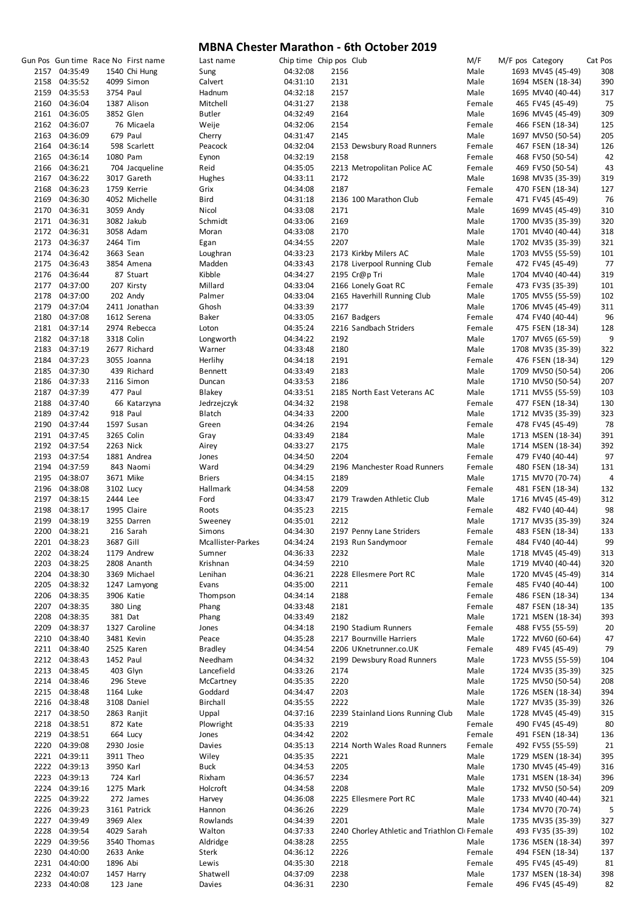|      |               |           | Gun Pos Gun time Race No First name | Last name         | Chip time Chip pos Club |      |                                               | M/F    | M/F pos Category  | Cat Pos |
|------|---------------|-----------|-------------------------------------|-------------------|-------------------------|------|-----------------------------------------------|--------|-------------------|---------|
|      | 2157 04:35:49 |           | 1540 Chi Hung                       | Sung              | 04:32:08                | 2156 |                                               | Male   | 1693 MV45 (45-49) | 308     |
|      |               |           |                                     |                   |                         |      |                                               |        |                   |         |
|      | 2158 04:35:52 |           | 4099 Simon                          | Calvert           | 04:31:10                | 2131 |                                               | Male   | 1694 MSEN (18-34) | 390     |
|      | 2159 04:35:53 | 3754 Paul |                                     | Hadnum            | 04:32:18                | 2157 |                                               | Male   | 1695 MV40 (40-44) | 317     |
|      | 2160 04:36:04 |           | 1387 Alison                         | Mitchell          | 04:31:27                | 2138 |                                               | Female | 465 FV45 (45-49)  | 75      |
|      | 2161 04:36:05 |           | 3852 Glen                           | Butler            | 04:32:49                | 2164 |                                               | Male   | 1696 MV45 (45-49) | 309     |
|      | 2162 04:36:07 |           | 76 Micaela                          | Weije             | 04:32:06                | 2154 |                                               | Female | 466 FSEN (18-34)  | 125     |
|      | 2163 04:36:09 |           | 679 Paul                            | Cherry            | 04:31:47                | 2145 |                                               | Male   | 1697 MV50 (50-54) | 205     |
|      |               |           | 598 Scarlett                        |                   |                         |      |                                               |        |                   |         |
|      | 2164 04:36:14 |           |                                     | Peacock           | 04:32:04                |      | 2153 Dewsbury Road Runners                    | Female | 467 FSEN (18-34)  | 126     |
|      | 2165 04:36:14 | 1080 Pam  |                                     | Eynon             | 04:32:19                | 2158 |                                               | Female | 468 FV50 (50-54)  | 42      |
|      | 2166 04:36:21 |           | 704 Jacqueline                      | Reid              | 04:35:05                |      | 2213 Metropolitan Police AC                   | Female | 469 FV50 (50-54)  | 43      |
|      | 2167 04:36:22 |           | 3017 Gareth                         | Hughes            | 04:33:11                | 2172 |                                               | Male   | 1698 MV35 (35-39) | 319     |
|      | 2168 04:36:23 |           | 1759 Kerrie                         | Grix              | 04:34:08                | 2187 |                                               | Female | 470 FSEN (18-34)  | 127     |
|      | 2169 04:36:30 |           | 4052 Michelle                       | Bird              | 04:31:18                |      | 2136 100 Marathon Club                        | Female | 471 FV45 (45-49)  | 76      |
|      |               |           |                                     |                   |                         |      |                                               |        |                   |         |
|      | 2170 04:36:31 |           | 3059 Andy                           | Nicol             | 04:33:08                | 2171 |                                               | Male   | 1699 MV45 (45-49) | 310     |
|      | 2171 04:36:31 |           | 3082 Jakub                          | Schmidt           | 04:33:06                | 2169 |                                               | Male   | 1700 MV35 (35-39) | 320     |
|      | 2172 04:36:31 |           | 3058 Adam                           | Moran             | 04:33:08                | 2170 |                                               | Male   | 1701 MV40 (40-44) | 318     |
|      | 2173 04:36:37 | 2464 Tim  |                                     | Egan              | 04:34:55                | 2207 |                                               | Male   | 1702 MV35 (35-39) | 321     |
|      | 2174 04:36:42 |           | 3663 Sean                           | Loughran          | 04:33:23                |      | 2173 Kirkby Milers AC                         | Male   | 1703 MV55 (55-59) | 101     |
|      |               |           |                                     |                   |                         |      |                                               |        |                   |         |
|      | 2175 04:36:43 |           | 3854 Amena                          | Madden            | 04:33:43                |      | 2178 Liverpool Running Club                   | Female | 472 FV45 (45-49)  | 77      |
|      | 2176 04:36:44 |           | 87 Stuart                           | Kibble            | 04:34:27                |      | 2195 Cr@p Tri                                 | Male   | 1704 MV40 (40-44) | 319     |
|      | 2177 04:37:00 |           | 207 Kirsty                          | Millard           | 04:33:04                |      | 2166 Lonely Goat RC                           | Female | 473 FV35 (35-39)  | 101     |
|      | 2178 04:37:00 |           | 202 Andy                            | Palmer            | 04:33:04                |      | 2165 Haverhill Running Club                   | Male   | 1705 MV55 (55-59) | 102     |
| 2179 | 04:37:04      |           | 2411 Jonathan                       | Ghosh             | 04:33:39                | 2177 |                                               | Male   | 1706 MV45 (45-49) | 311     |
|      | 2180 04:37:08 |           |                                     |                   |                         |      |                                               |        |                   |         |
|      |               |           | 1612 Serena                         | Baker             | 04:33:05                |      | 2167 Badgers                                  | Female | 474 FV40 (40-44)  | 96      |
|      | 2181 04:37:14 |           | 2974 Rebecca                        | Loton             | 04:35:24                |      | 2216 Sandbach Striders                        | Female | 475 FSEN (18-34)  | 128     |
|      | 2182 04:37:18 |           | 3318 Colin                          | Longworth         | 04:34:22                | 2192 |                                               | Male   | 1707 MV65 (65-59) | 9       |
|      | 2183 04:37:19 |           | 2677 Richard                        | Warner            | 04:33:48                | 2180 |                                               | Male   | 1708 MV35 (35-39) | 322     |
|      | 2184 04:37:23 |           | 3055 Joanna                         | Herlihy           | 04:34:18                | 2191 |                                               | Female | 476 FSEN (18-34)  | 129     |
|      | 2185 04:37:30 |           | 439 Richard                         |                   |                         | 2183 |                                               | Male   |                   | 206     |
|      |               |           |                                     | Bennett           | 04:33:49                |      |                                               |        | 1709 MV50 (50-54) |         |
|      | 2186 04:37:33 |           | 2116 Simon                          | Duncan            | 04:33:53                | 2186 |                                               | Male   | 1710 MV50 (50-54) | 207     |
|      | 2187 04:37:39 |           | 477 Paul                            | Blakey            | 04:33:51                |      | 2185 North East Veterans AC                   | Male   | 1711 MV55 (55-59) | 103     |
|      | 2188 04:37:40 |           | 66 Katarzyna                        | Jedrzejczyk       | 04:34:32                | 2198 |                                               | Female | 477 FSEN (18-34)  | 130     |
|      | 2189 04:37:42 |           | 918 Paul                            | <b>Blatch</b>     | 04:34:33                | 2200 |                                               | Male   | 1712 MV35 (35-39) | 323     |
|      | 2190 04:37:44 |           | 1597 Susan                          | Green             | 04:34:26                | 2194 |                                               | Female | 478 FV45 (45-49)  | 78      |
|      |               |           |                                     |                   |                         |      |                                               |        |                   |         |
|      | 2191 04:37:45 |           | 3265 Colin                          | Gray              | 04:33:49                | 2184 |                                               | Male   | 1713 MSEN (18-34) | 391     |
|      | 2192 04:37:54 | 2263 Nick |                                     | Airey             | 04:33:27                | 2175 |                                               | Male   | 1714 MSEN (18-34) | 392     |
|      | 2193 04:37:54 |           | 1881 Andrea                         | Jones             | 04:34:50                | 2204 |                                               | Female | 479 FV40 (40-44)  | 97      |
|      | 2194 04:37:59 |           | 843 Naomi                           | Ward              | 04:34:29                |      | 2196 Manchester Road Runners                  | Female | 480 FSEN (18-34)  | 131     |
|      | 2195 04:38:07 |           | 3671 Mike                           | Briers            | 04:34:15                | 2189 |                                               | Male   | 1715 MV70 (70-74) | 4       |
|      | 2196 04:38:08 | 3102 Lucy |                                     | Hallmark          | 04:34:58                | 2209 |                                               | Female | 481 FSEN (18-34)  | 132     |
|      |               |           |                                     |                   |                         |      |                                               |        |                   |         |
|      | 2197 04:38:15 | 2444 Lee  |                                     | Ford              | 04:33:47                |      | 2179 Trawden Athletic Club                    | Male   | 1716 MV45 (45-49) | 312     |
|      | 2198 04:38:17 |           | 1995 Claire                         | Roots             | 04:35:23                | 2215 |                                               | Female | 482 FV40 (40-44)  | 98      |
|      | 2199 04:38:19 |           | 3255 Darren                         | Sweeney           | 04:35:01                | 2212 |                                               | Male   | 1717 MV35 (35-39) | 324     |
|      | 2200 04:38:21 |           | 216 Sarah                           | Simons            | 04:34:30                |      | 2197 Penny Lane Striders                      | Female | 483 FSEN (18-34)  | 133     |
|      | 2201 04:38:23 | 3687 Gill |                                     | Mcallister-Parkes | 04:34:24                |      | 2193 Run Sandymoor                            | Female | 484 FV40 (40-44)  | 99      |
|      |               |           |                                     |                   |                         |      |                                               |        |                   |         |
|      | 2202 04:38:24 |           | 1179 Andrew                         | Sumner            | 04:36:33                | 2232 |                                               | Male   | 1718 MV45 (45-49) | 313     |
| 2203 | 04:38:25      |           | 2808 Ananth                         | Krishnan          | 04:34:59                | 2210 |                                               | Male   | 1719 MV40 (40-44) | 320     |
|      | 2204 04:38:30 |           | 3369 Michael                        | Lenihan           | 04:36:21                |      | 2228 Ellesmere Port RC                        | Male   | 1720 MV45 (45-49) | 314     |
|      | 2205 04:38:32 |           | 1247 Lamyong                        | Evans             | 04:35:00                | 2211 |                                               | Female | 485 FV40 (40-44)  | 100     |
| 2206 | 04:38:35      |           | 3906 Katie                          | Thompson          | 04:34:14                | 2188 |                                               | Female | 486 FSEN (18-34)  | 134     |
|      |               |           |                                     |                   |                         |      |                                               |        |                   |         |
|      | 2207 04:38:35 |           | 380 Ling                            | Phang             | 04:33:48                | 2181 |                                               | Female | 487 FSEN (18-34)  | 135     |
|      | 2208 04:38:35 |           | 381 Dat                             | Phang             | 04:33:49                | 2182 |                                               | Male   | 1721 MSEN (18-34) | 393     |
| 2209 | 04:38:37      |           | 1327 Caroline                       | Jones             | 04:34:18                |      | 2190 Stadium Runners                          | Female | 488 FV55 (55-59)  | 20      |
|      | 2210 04:38:40 |           | 3481 Kevin                          | Peace             | 04:35:28                |      | 2217 Bournville Harriers                      | Male   | 1722 MV60 (60-64) | 47      |
|      | 2211 04:38:40 |           | 2525 Karen                          | <b>Bradley</b>    | 04:34:54                |      | 2206 UKnetrunner.co.UK                        | Female | 489 FV45 (45-49)  | 79      |
|      | 2212 04:38:43 | 1452 Paul |                                     | Needham           | 04:34:32                |      | 2199 Dewsbury Road Runners                    | Male   | 1723 MV55 (55-59) | 104     |
|      |               |           |                                     |                   |                         |      |                                               |        |                   |         |
|      | 2213 04:38:45 |           | 403 Glyn                            | Lancefield        | 04:33:26                | 2174 |                                               | Male   | 1724 MV35 (35-39) | 325     |
|      | 2214 04:38:46 |           | 296 Steve                           | McCartney         | 04:35:35                | 2220 |                                               | Male   | 1725 MV50 (50-54) | 208     |
|      | 2215 04:38:48 | 1164 Luke |                                     | Goddard           | 04:34:47                | 2203 |                                               | Male   | 1726 MSEN (18-34) | 394     |
|      | 2216 04:38:48 |           | 3108 Daniel                         | Birchall          | 04:35:55                | 2222 |                                               | Male   | 1727 MV35 (35-39) | 326     |
|      | 2217 04:38:50 |           | 2863 Ranjit                         | Uppal             | 04:37:16                |      | 2239 Stainland Lions Running Club             | Male   | 1728 MV45 (45-49) | 315     |
|      |               |           |                                     |                   |                         |      |                                               |        |                   |         |
| 2218 | 04:38:51      |           | 872 Kate                            | Plowright         | 04:35:33                | 2219 |                                               | Female | 490 FV45 (45-49)  | 80      |
|      | 2219 04:38:51 |           | 664 Lucy                            | Jones             | 04:34:42                | 2202 |                                               | Female | 491 FSEN (18-34)  | 136     |
|      | 2220 04:39:08 |           | 2930 Josie                          | Davies            | 04:35:13                |      | 2214 North Wales Road Runners                 | Female | 492 FV55 (55-59)  | 21      |
|      | 2221 04:39:11 |           | 3911 Theo                           | Wiley             | 04:35:35                | 2221 |                                               | Male   | 1729 MSEN (18-34) | 395     |
|      | 2222 04:39:13 | 3950 Karl |                                     | Buck              | 04:34:53                | 2205 |                                               | Male   | 1730 MV45 (45-49) | 316     |
|      | 2223 04:39:13 |           |                                     |                   |                         | 2234 |                                               |        | 1731 MSEN (18-34) |         |
|      |               |           | 724 Karl                            | Rixham            | 04:36:57                |      |                                               | Male   |                   | 396     |
|      | 2224 04:39:16 |           | 1275 Mark                           | Holcroft          | 04:34:58                | 2208 |                                               | Male   | 1732 MV50 (50-54) | 209     |
|      | 2225 04:39:22 |           | 272 James                           | Harvey            | 04:36:08                |      | 2225 Ellesmere Port RC                        | Male   | 1733 MV40 (40-44) | 321     |
|      | 2226 04:39:23 |           | 3161 Patrick                        | Hannon            | 04:36:26                | 2229 |                                               | Male   | 1734 MV70 (70-74) | 5       |
|      | 2227 04:39:49 | 3969 Alex |                                     | Rowlands          | 04:34:39                | 2201 |                                               | Male   | 1735 MV35 (35-39) | 327     |
| 2228 | 04:39:54      |           | 4029 Sarah                          | Walton            | 04:37:33                |      | 2240 Chorley Athletic and Triathlon CliFemale |        | 493 FV35 (35-39)  | 102     |
|      |               |           |                                     |                   |                         |      |                                               |        |                   |         |
| 2229 | 04:39:56      |           | 3540 Thomas                         | Aldridge          | 04:38:28                | 2255 |                                               | Male   | 1736 MSEN (18-34) | 397     |
|      | 2230 04:40:00 |           | 2633 Anke                           | Sterk             | 04:36:12                | 2226 |                                               | Female | 494 FSEN (18-34)  | 137     |
|      | 2231 04:40:00 | 1896 Abi  |                                     | Lewis             | 04:35:30                | 2218 |                                               | Female | 495 FV45 (45-49)  | 81      |
| 2232 | 04:40:07      |           | 1457 Harry                          | Shatwell          | 04:37:09                | 2238 |                                               | Male   | 1737 MSEN (18-34) | 398     |
|      | 2233 04:40:08 |           | 123 Jane                            | Davies            | 04:36:31                | 2230 |                                               | Female | 496 FV45 (45-49)  | 82      |
|      |               |           |                                     |                   |                         |      |                                               |        |                   |         |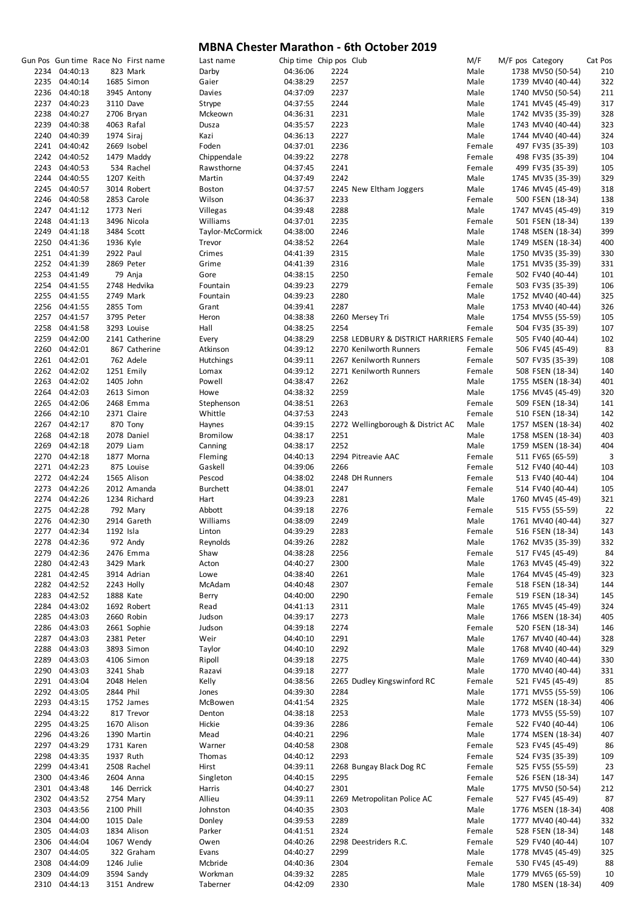|      |               |            | Gun Pos Gun time Race No First name | Last name        | Chip time Chip pos Club |      |                                         | M/F    | M/F pos Category  | Cat Pos |
|------|---------------|------------|-------------------------------------|------------------|-------------------------|------|-----------------------------------------|--------|-------------------|---------|
|      | 2234 04:40:13 |            | 823 Mark                            | Darby            | 04:36:06                | 2224 |                                         | Male   | 1738 MV50 (50-54) | 210     |
|      |               |            |                                     |                  |                         |      |                                         |        |                   |         |
|      | 2235 04:40:14 |            | 1685 Simon                          | Gaier            | 04:38:29                | 2257 |                                         | Male   | 1739 MV40 (40-44) | 322     |
|      | 2236 04:40:18 |            | 3945 Antony                         | Davies           | 04:37:09                | 2237 |                                         | Male   | 1740 MV50 (50-54) | 211     |
|      | 2237 04:40:23 |            | 3110 Dave                           | Strype           | 04:37:55                | 2244 |                                         | Male   | 1741 MV45 (45-49) | 317     |
|      | 2238 04:40:27 |            | 2706 Bryan                          | Mckeown          | 04:36:31                | 2231 |                                         | Male   | 1742 MV35 (35-39) | 328     |
|      | 2239 04:40:38 |            | 4063 Rafal                          | Dusza            | 04:35:57                | 2223 |                                         | Male   | 1743 MV40 (40-44) | 323     |
| 2240 | 04:40:39      | 1974 Siraj |                                     | Kazi             | 04:36:13                | 2227 |                                         | Male   | 1744 MV40 (40-44) | 324     |
|      |               |            |                                     |                  |                         |      |                                         |        |                   |         |
|      | 2241 04:40:42 |            | 2669 Isobel                         | Foden            | 04:37:01                | 2236 |                                         | Female | 497 FV35 (35-39)  | 103     |
|      | 2242 04:40:52 |            | 1479 Maddy                          | Chippendale      | 04:39:22                | 2278 |                                         | Female | 498 FV35 (35-39)  | 104     |
|      | 2243 04:40:53 |            | 534 Rachel                          | Rawsthorne       | 04:37:45                | 2241 |                                         | Female | 499 FV35 (35-39)  | 105     |
|      | 2244 04:40:55 |            | 1207 Keith                          | Martin           | 04:37:49                | 2242 |                                         | Male   | 1745 MV35 (35-39) | 329     |
|      | 2245 04:40:57 |            | 3014 Robert                         | Boston           | 04:37:57                |      | 2245 New Eltham Joggers                 | Male   | 1746 MV45 (45-49) | 318     |
|      | 2246 04:40:58 |            | 2853 Carole                         | Wilson           | 04:36:37                | 2233 |                                         | Female | 500 FSEN (18-34)  | 138     |
|      |               |            |                                     |                  |                         |      |                                         |        |                   |         |
|      | 2247 04:41:12 | 1773 Neri  |                                     | Villegas         | 04:39:48                | 2288 |                                         | Male   | 1747 MV45 (45-49) | 319     |
|      | 2248 04:41:13 |            | 3496 Nicola                         | Williams         | 04:37:01                | 2235 |                                         | Female | 501 FSEN (18-34)  | 139     |
|      | 2249 04:41:18 |            | 3484 Scott                          | Taylor-McCormick | 04:38:00                | 2246 |                                         | Male   | 1748 MSEN (18-34) | 399     |
|      | 2250 04:41:36 | 1936 Kyle  |                                     | Trevor           | 04:38:52                | 2264 |                                         | Male   | 1749 MSEN (18-34) | 400     |
|      | 2251 04:41:39 | 2922 Paul  |                                     | Crimes           | 04:41:39                | 2315 |                                         | Male   | 1750 MV35 (35-39) | 330     |
|      | 2252 04:41:39 |            | 2869 Peter                          | Grime            | 04:41:39                | 2316 |                                         | Male   | 1751 MV35 (35-39) | 331     |
|      |               |            |                                     |                  |                         |      |                                         |        |                   |         |
|      | 2253 04:41:49 |            | 79 Anja                             | Gore             | 04:38:15                | 2250 |                                         | Female | 502 FV40 (40-44)  | 101     |
|      | 2254 04:41:55 |            | 2748 Hedvika                        | Fountain         | 04:39:23                | 2279 |                                         | Female | 503 FV35 (35-39)  | 106     |
|      | 2255 04:41:55 |            | 2749 Mark                           | Fountain         | 04:39:23                | 2280 |                                         | Male   | 1752 MV40 (40-44) | 325     |
|      | 2256 04:41:55 | 2855 Tom   |                                     | Grant            | 04:39:41                | 2287 |                                         | Male   | 1753 MV40 (40-44) | 326     |
|      | 2257 04:41:57 |            | 3795 Peter                          | Heron            | 04:38:38                |      | 2260 Mersey Tri                         | Male   | 1754 MV55 (55-59) | 105     |
|      | 2258 04:41:58 |            | 3293 Louise                         | Hall             | 04:38:25                | 2254 |                                         | Female |                   | 107     |
|      |               |            |                                     |                  |                         |      |                                         |        | 504 FV35 (35-39)  |         |
|      | 2259 04:42:00 |            | 2141 Catherine                      | Every            | 04:38:29                |      | 2258 LEDBURY & DISTRICT HARRIERS Female |        | 505 FV40 (40-44)  | 102     |
|      | 2260 04:42:01 |            | 867 Catherine                       | Atkinson         | 04:39:12                |      | 2270 Kenilworth Runners                 | Female | 506 FV45 (45-49)  | 83      |
|      | 2261 04:42:01 |            | 762 Adele                           | <b>Hutchings</b> | 04:39:11                |      | 2267 Kenilworth Runners                 | Female | 507 FV35 (35-39)  | 108     |
|      | 2262 04:42:02 |            | 1251 Emily                          | Lomax            | 04:39:12                |      | 2271 Kenilworth Runners                 | Female | 508 FSEN (18-34)  | 140     |
|      | 2263 04:42:02 |            | 1405 John                           | Powell           | 04:38:47                | 2262 |                                         | Male   | 1755 MSEN (18-34) | 401     |
|      |               |            |                                     |                  |                         |      |                                         |        |                   |         |
|      | 2264 04:42:03 |            | 2613 Simon                          | Howe             | 04:38:32                | 2259 |                                         | Male   | 1756 MV45 (45-49) | 320     |
|      | 2265 04:42:06 |            | 2468 Emma                           | Stephenson       | 04:38:51                | 2263 |                                         | Female | 509 FSEN (18-34)  | 141     |
|      | 2266 04:42:10 |            | 2371 Claire                         | Whittle          | 04:37:53                | 2243 |                                         | Female | 510 FSEN (18-34)  | 142     |
|      | 2267 04:42:17 |            | 870 Tony                            | Haynes           | 04:39:15                |      | 2272 Wellingborough & District AC       | Male   | 1757 MSEN (18-34) | 402     |
| 2268 | 04:42:18      |            | 2078 Daniel                         | <b>Bromilow</b>  | 04:38:17                | 2251 |                                         | Male   | 1758 MSEN (18-34) | 403     |
|      | 2269 04:42:18 |            | 2079 Liam                           | Canning          | 04:38:17                | 2252 |                                         | Male   | 1759 MSEN (18-34) | 404     |
|      |               |            |                                     |                  |                         |      |                                         |        |                   |         |
|      | 2270 04:42:18 |            | 1877 Morna                          | Fleming          | 04:40:13                |      | 2294 Pitreavie AAC                      | Female | 511 FV65 (65-59)  | 3       |
|      | 2271 04:42:23 |            | 875 Louise                          | Gaskell          | 04:39:06                | 2266 |                                         | Female | 512 FV40 (40-44)  | 103     |
|      | 2272 04:42:24 |            | 1565 Alison                         | Pescod           | 04:38:02                |      | 2248 DH Runners                         | Female | 513 FV40 (40-44)  | 104     |
|      | 2273 04:42:26 |            | 2012 Amanda                         | <b>Burchett</b>  | 04:38:01                | 2247 |                                         | Female | 514 FV40 (40-44)  | 105     |
|      | 2274 04:42:26 |            | 1234 Richard                        | Hart             | 04:39:23                | 2281 |                                         | Male   | 1760 MV45 (45-49) | 321     |
|      | 2275 04:42:28 |            |                                     | Abbott           | 04:39:18                | 2276 |                                         | Female |                   | 22      |
|      |               |            | 792 Mary                            |                  |                         |      |                                         |        | 515 FV55 (55-59)  |         |
|      | 2276 04:42:30 |            | 2914 Gareth                         | Williams         | 04:38:09                | 2249 |                                         | Male   | 1761 MV40 (40-44) | 327     |
|      | 2277 04:42:34 | 1192 Isla  |                                     | Linton           | 04:39:29                | 2283 |                                         | Female | 516 FSEN (18-34)  | 143     |
|      | 2278 04:42:36 |            | 972 Andy                            | Reynolds         | 04:39:26                | 2282 |                                         | Male   | 1762 MV35 (35-39) | 332     |
|      | 2279 04:42:36 |            | 2476 Emma                           | Shaw             | 04:38:28                | 2256 |                                         | Female | 517 FV45 (45-49)  | 84      |
| 2280 | 04:42:43      |            | 3429 Mark                           | Acton            | 04:40:27                | 2300 |                                         | Male   | 1763 MV45 (45-49) | 322     |
|      | 2281 04:42:45 |            |                                     | Lowe             | 04:38:40                | 2261 |                                         | Male   |                   | 323     |
|      |               |            | 3914 Adrian                         |                  |                         |      |                                         |        | 1764 MV45 (45-49) |         |
|      | 2282 04:42:52 |            | 2243 Holly                          | McAdam           | 04:40:48                | 2307 |                                         | Female | 518 FSEN (18-34)  | 144     |
| 2283 | 04:42:52      | 1888 Kate  |                                     | Berry            | 04:40:00                | 2290 |                                         | Female | 519 FSEN (18-34)  | 145     |
| 2284 | 04:43:02      |            | 1692 Robert                         | Read             | 04:41:13                | 2311 |                                         | Male   | 1765 MV45 (45-49) | 324     |
| 2285 | 04:43:03      |            | 2660 Robin                          | Judson           | 04:39:17                | 2273 |                                         | Male   | 1766 MSEN (18-34) | 405     |
| 2286 | 04:43:03      |            | 2661 Sophie                         | Judson           | 04:39:18                | 2274 |                                         | Female | 520 FSEN (18-34)  | 146     |
| 2287 | 04:43:03      |            | 2381 Peter                          | Weir             | 04:40:10                | 2291 |                                         | Male   | 1767 MV40 (40-44) | 328     |
|      |               |            |                                     |                  |                         |      |                                         |        |                   |         |
| 2288 | 04:43:03      |            | 3893 Simon                          | Taylor           | 04:40:10                | 2292 |                                         | Male   | 1768 MV40 (40-44) | 329     |
| 2289 | 04:43:03      |            | 4106 Simon                          | Ripoll           | 04:39:18                | 2275 |                                         | Male   | 1769 MV40 (40-44) | 330     |
|      | 2290 04:43:03 |            | 3241 Shab                           | Razavi           | 04:39:18                | 2277 |                                         | Male   | 1770 MV40 (40-44) | 331     |
|      | 2291 04:43:04 |            | 2048 Helen                          | Kelly            | 04:38:56                |      | 2265 Dudley Kingswinford RC             | Female | 521 FV45 (45-49)  | 85      |
|      | 2292 04:43:05 | 2844 Phil  |                                     | Jones            | 04:39:30                | 2284 |                                         | Male   | 1771 MV55 (55-59) | 106     |
|      | 2293 04:43:15 |            | 1752 James                          | McBowen          |                         | 2325 |                                         | Male   |                   |         |
|      |               |            |                                     |                  | 04:41:54                |      |                                         |        | 1772 MSEN (18-34) | 406     |
|      | 2294 04:43:22 |            | 817 Trevor                          | Denton           | 04:38:18                | 2253 |                                         | Male   | 1773 MV55 (55-59) | 107     |
|      | 2295 04:43:25 |            | 1670 Alison                         | Hickie           | 04:39:36                | 2286 |                                         | Female | 522 FV40 (40-44)  | 106     |
|      | 2296 04:43:26 |            | 1390 Martin                         | Mead             | 04:40:21                | 2296 |                                         | Male   | 1774 MSEN (18-34) | 407     |
|      | 2297 04:43:29 |            | 1731 Karen                          | Warner           | 04:40:58                | 2308 |                                         | Female | 523 FV45 (45-49)  | 86      |
|      | 2298 04:43:35 |            | 1937 Ruth                           | Thomas           | 04:40:12                | 2293 |                                         | Female | 524 FV35 (35-39)  | 109     |
|      | 2299 04:43:41 |            |                                     |                  |                         |      |                                         |        |                   | 23      |
|      |               |            | 2508 Rachel                         | Hirst            | 04:39:11                |      | 2268 Bungay Black Dog RC                | Female | 525 FV55 (55-59)  |         |
|      | 2300 04:43:46 |            | 2604 Anna                           | Singleton        | 04:40:15                | 2295 |                                         | Female | 526 FSEN (18-34)  | 147     |
|      | 2301 04:43:48 |            | 146 Derrick                         | Harris           | 04:40:27                | 2301 |                                         | Male   | 1775 MV50 (50-54) | 212     |
|      | 2302 04:43:52 |            | 2754 Mary                           | Allieu           | 04:39:11                |      | 2269 Metropolitan Police AC             | Female | 527 FV45 (45-49)  | 87      |
|      | 2303 04:43:56 | 2100 Phill |                                     | Johnston         | 04:40:35                | 2303 |                                         | Male   | 1776 MSEN (18-34) | 408     |
|      | 2304 04:44:00 | 1015 Dale  |                                     | Donley           | 04:39:53                | 2289 |                                         | Male   | 1777 MV40 (40-44) | 332     |
| 2305 | 04:44:03      |            | 1834 Alison                         | Parker           | 04:41:51                | 2324 |                                         | Female | 528 FSEN (18-34)  | 148     |
|      |               |            |                                     |                  |                         |      |                                         |        |                   |         |
| 2306 | 04:44:04      |            | 1067 Wendy                          | Owen             | 04:40:26                |      | 2298 Deestriders R.C.                   | Female | 529 FV40 (40-44)  | 107     |
| 2307 | 04:44:05      |            | 322 Graham                          | Evans            | 04:40:27                | 2299 |                                         | Male   | 1778 MV45 (45-49) | 325     |
| 2308 | 04:44:09      | 1246 Julie |                                     | Mcbride          | 04:40:36                | 2304 |                                         | Female | 530 FV45 (45-49)  | 88      |
| 2309 | 04:44:09      |            | 3594 Sandy                          | Workman          | 04:39:32                | 2285 |                                         | Male   | 1779 MV65 (65-59) | 10      |
|      | 2310 04:44:13 |            | 3151 Andrew                         | Taberner         | 04:42:09                | 2330 |                                         | Male   | 1780 MSEN (18-34) | 409     |
|      |               |            |                                     |                  |                         |      |                                         |        |                   |         |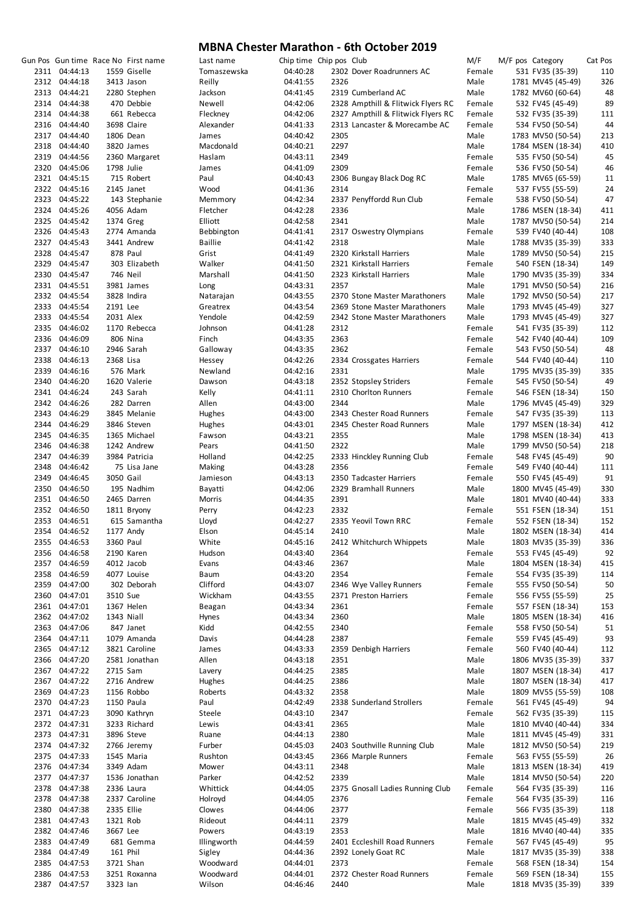|                                |            | Gun Pos Gun time Race No First name | Last name           | Chip time Chip pos Club |              |                                    | M/F            | M/F pos Category |                                        | Cat Pos    |
|--------------------------------|------------|-------------------------------------|---------------------|-------------------------|--------------|------------------------------------|----------------|------------------|----------------------------------------|------------|
| 2311 04:44:13                  |            | 1559 Giselle                        | Tomaszewska         | 04:40:28                |              | 2302 Dover Roadrunners AC          | Female         |                  | 531 FV35 (35-39)                       | 110        |
| 2312 04:44:18<br>2313 04:44:21 |            | 3413 Jason<br>2280 Stephen          | Reilly<br>Jackson   | 04:41:55<br>04:41:45    | 2326         | 2319 Cumberland AC                 | Male<br>Male   |                  | 1781 MV45 (45-49)<br>1782 MV60 (60-64) | 326<br>48  |
| 2314 04:44:38                  |            | 470 Debbie                          | Newell              | 04:42:06                |              | 2328 Ampthill & Flitwick Flyers RC | Female         |                  | 532 FV45 (45-49)                       | 89         |
| 2314 04:44:38                  |            | 661 Rebecca                         | Fleckney            | 04:42:06                |              | 2327 Ampthill & Flitwick Flyers RC | Female         |                  | 532 FV35 (35-39)                       | 111        |
| 2316 04:44:40                  |            | 3698 Claire                         | Alexander           | 04:41:33                |              | 2313 Lancaster & Morecambe AC      | Female         |                  | 534 FV50 (50-54)                       | 44         |
| 2317 04:44:40                  |            | 1806 Dean                           | James               | 04:40:42                | 2305         |                                    | Male           |                  | 1783 MV50 (50-54)                      | 213        |
| 2318 04:44:40                  |            | 3820 James                          | Macdonald           | 04:40:21                | 2297         |                                    | Male           |                  | 1784 MSEN (18-34)                      | 410        |
| 2319 04:44:56                  |            | 2360 Margaret                       | Haslam              | 04:43:11                | 2349         |                                    | Female         |                  | 535 FV50 (50-54)                       | 45         |
| 2320 04:45:06                  | 1798 Julie |                                     | James               | 04:41:09                | 2309         |                                    | Female         |                  | 536 FV50 (50-54)                       | 46         |
| 2321 04:45:15                  |            | 715 Robert                          | Paul                | 04:40:43                |              | 2306 Bungay Black Dog RC           | Male           |                  | 1785 MV65 (65-59)                      | 11         |
| 2322 04:45:16                  |            | 2145 Janet                          | Wood                | 04:41:36                | 2314         |                                    | Female         |                  | 537 FV55 (55-59)                       | 24         |
| 2323 04:45:22<br>2324 04:45:26 |            | 143 Stephanie                       | Memmory             | 04:42:34                |              | 2337 Penyffordd Run Club           | Female         |                  | 538 FV50 (50-54)                       | 47         |
| 2325 04:45:42                  |            | 4056 Adam<br>1374 Greg              | Fletcher<br>Elliott | 04:42:28<br>04:42:58    | 2336<br>2341 |                                    | Male<br>Male   |                  | 1786 MSEN (18-34)<br>1787 MV50 (50-54) | 411<br>214 |
| 2326 04:45:43                  |            | 2774 Amanda                         | Bebbington          | 04:41:41                |              | 2317 Oswestry Olympians            | Female         |                  | 539 FV40 (40-44)                       | 108        |
| 2327 04:45:43                  |            | 3441 Andrew                         | <b>Baillie</b>      | 04:41:42                | 2318         |                                    | Male           |                  | 1788 MV35 (35-39)                      | 333        |
| 2328 04:45:47                  |            | 878 Paul                            | Grist               | 04:41:49                |              | 2320 Kirkstall Harriers            | Male           |                  | 1789 MV50 (50-54)                      | 215        |
| 2329 04:45:47                  |            | 303 Elizabeth                       | Walker              | 04:41:50                |              | 2321 Kirkstall Harriers            | Female         |                  | 540 FSEN (18-34)                       | 149        |
| 2330 04:45:47                  |            | 746 Neil                            | Marshall            | 04:41:50                |              | 2323 Kirkstall Harriers            | Male           |                  | 1790 MV35 (35-39)                      | 334        |
| 2331 04:45:51                  |            | 3981 James                          | Long                | 04:43:31                | 2357         |                                    | Male           |                  | 1791 MV50 (50-54)                      | 216        |
| 2332 04:45:54                  |            | 3828 Indira                         | Natarajan           | 04:43:55                |              | 2370 Stone Master Marathoners      | Male           |                  | 1792 MV50 (50-54)                      | 217        |
| 2333 04:45:54                  | 2191 Lee   |                                     | Greatrex            | 04:43:54                |              | 2369 Stone Master Marathoners      | Male           |                  | 1793 MV45 (45-49)                      | 327        |
| 2333 04:45:54<br>2335 04:46:02 | 2031 Alex  | 1170 Rebecca                        | Yendole             | 04:42:59                |              | 2342 Stone Master Marathoners      | Male<br>Female |                  | 1793 MV45 (45-49)                      | 327<br>112 |
| 2336 04:46:09                  |            | 806 Nina                            | Johnson<br>Finch    | 04:41:28<br>04:43:35    | 2312<br>2363 |                                    | Female         |                  | 541 FV35 (35-39)<br>542 FV40 (40-44)   | 109        |
| 2337 04:46:10                  |            | 2946 Sarah                          | Galloway            | 04:43:35                | 2362         |                                    | Female         |                  | 543 FV50 (50-54)                       | 48         |
| 2338 04:46:13                  | 2368 Lisa  |                                     | Hessey              | 04:42:26                |              | 2334 Crossgates Harriers           | Female         |                  | 544 FV40 (40-44)                       | 110        |
| 2339 04:46:16                  |            | 576 Mark                            | Newland             | 04:42:16                | 2331         |                                    | Male           |                  | 1795 MV35 (35-39)                      | 335        |
| 2340 04:46:20                  |            | 1620 Valerie                        | Dawson              | 04:43:18                |              | 2352 Stopsley Striders             | Female         |                  | 545 FV50 (50-54)                       | 49         |
| 2341 04:46:24                  |            | 243 Sarah                           | Kelly               | 04:41:11                |              | 2310 Chorlton Runners              | Female         |                  | 546 FSEN (18-34)                       | 150        |
| 2342 04:46:26                  |            | 282 Darren                          | Allen               | 04:43:00                | 2344         |                                    | Male           |                  | 1796 MV45 (45-49)                      | 329        |
| 2343 04:46:29                  |            | 3845 Melanie                        | Hughes              | 04:43:00                |              | 2343 Chester Road Runners          | Female         |                  | 547 FV35 (35-39)                       | 113        |
| 2344 04:46:29                  |            | 3846 Steven                         | Hughes              | 04:43:01                |              | 2345 Chester Road Runners          | Male           |                  | 1797 MSEN (18-34)                      | 412        |
| 2345 04:46:35<br>2346 04:46:38 |            | 1365 Michael                        | Fawson              | 04:43:21                | 2355<br>2322 |                                    | Male           |                  | 1798 MSEN (18-34)                      | 413<br>218 |
| 2347 04:46:39                  |            | 1242 Andrew<br>3984 Patricia        | Pears<br>Holland    | 04:41:50<br>04:42:25    |              | 2333 Hinckley Running Club         | Male<br>Female |                  | 1799 MV50 (50-54)<br>548 FV45 (45-49)  | 90         |
| 2348 04:46:42                  |            | 75 Lisa Jane                        | Making              | 04:43:28                | 2356         |                                    | Female         |                  | 549 FV40 (40-44)                       | 111        |
| 2349 04:46:45                  | 3050 Gail  |                                     | Jamieson            | 04:43:13                |              | 2350 Tadcaster Harriers            | Female         |                  | 550 FV45 (45-49)                       | 91         |
| 2350 04:46:50                  |            | 195 Nadhim                          | Bayatti             | 04:42:06                |              | 2329 Bramhall Runners              | Male           |                  | 1800 MV45 (45-49)                      | 330        |
| 2351 04:46:50                  |            | 2465 Darren                         | Morris              | 04:44:35                | 2391         |                                    | Male           |                  | 1801 MV40 (40-44)                      | 333        |
| 2352 04:46:50                  |            | 1811 Bryony                         | Perry               | 04:42:23                | 2332         |                                    | Female         |                  | 551 FSEN (18-34)                       | 151        |
| 2353 04:46:51                  |            | 615 Samantha                        | Lloyd               | 04:42:27                |              | 2335 Yeovil Town RRC               | Female         |                  | 552 FSEN (18-34)                       | 152        |
| 2354 04:46:52                  |            | 1177 Andy                           | Elson               | 04:45:14                | 2410         |                                    | Male           |                  | 1802 MSEN (18-34)                      | 414        |
| 2355 04:46:53                  | 3360 Paul  |                                     | White               | 04:45:16                |              | 2412 Whitchurch Whippets           | Male           |                  | 1803 MV35 (35-39)                      | 336<br>92  |
| 2356 04:46:58<br>2357 04:46:59 |            | 2190 Karen<br>4012 Jacob            | Hudson<br>Evans     | 04:43:40<br>04:43:46    | 2364<br>2367 |                                    | Female<br>Male |                  | 553 FV45 (45-49)<br>1804 MSEN (18-34)  | 415        |
| 2358 04:46:59                  |            | 4077 Louise                         | <b>Baum</b>         | 04:43:20                | 2354         |                                    | Female         |                  | 554 FV35 (35-39)                       | 114        |
| 2359 04:47:00                  |            | 302 Deborah                         | Clifford            | 04:43:07                |              | 2346 Wye Valley Runners            | Female         |                  | 555 FV50 (50-54)                       | 50         |
| 2360 04:47:01                  | 3510 Sue   |                                     | Wickham             | 04:43:55                |              | 2371 Preston Harriers              | Female         |                  | 556 FV55 (55-59)                       | 25         |
| 2361 04:47:01                  |            | 1367 Helen                          | Beagan              | 04:43:34                | 2361         |                                    | Female         |                  | 557 FSEN (18-34)                       | 153        |
| 2362 04:47:02                  |            | 1343 Niall                          | Hynes               | 04:43:34                | 2360         |                                    | Male           |                  | 1805 MSEN (18-34)                      | 416        |
| 2363 04:47:06                  |            | 847 Janet                           | Kidd                | 04:42:55                | 2340         |                                    | Female         |                  | 558 FV50 (50-54)                       | 51         |
| 2364 04:47:11                  |            | 1079 Amanda                         | Davis               | 04:44:28                | 2387         |                                    | Female         |                  | 559 FV45 (45-49)                       | 93         |
| 2365 04:47:12<br>2366 04:47:20 |            | 3821 Caroline                       | James               | 04:43:33                |              | 2359 Denbigh Harriers              | Female         |                  | 560 FV40 (40-44)                       | 112        |
| 2367 04:47:22                  | 2715 Sam   | 2581 Jonathan                       | Allen<br>Lavery     | 04:43:18<br>04:44:25    | 2351<br>2385 |                                    | Male<br>Male   |                  | 1806 MV35 (35-39)<br>1807 MSEN (18-34) | 337<br>417 |
| 2367 04:47:22                  |            | 2716 Andrew                         | Hughes              | 04:44:25                | 2386         |                                    | Male           |                  | 1807 MSEN (18-34)                      | 417        |
| 2369 04:47:23                  |            | 1156 Robbo                          | Roberts             | 04:43:32                | 2358         |                                    | Male           |                  | 1809 MV55 (55-59)                      | 108        |
| 2370 04:47:23                  |            | 1150 Paula                          | Paul                | 04:42:49                |              | 2338 Sunderland Strollers          | Female         |                  | 561 FV45 (45-49)                       | 94         |
| 2371 04:47:23                  |            | 3090 Kathryn                        | Steele              | 04:43:10                | 2347         |                                    | Female         |                  | 562 FV35 (35-39)                       | 115        |
| 2372 04:47:31                  |            | 3233 Richard                        | Lewis               | 04:43:41                | 2365         |                                    | Male           |                  | 1810 MV40 (40-44)                      | 334        |
| 2373 04:47:31                  |            | 3896 Steve                          | Ruane               | 04:44:13                | 2380         |                                    | Male           |                  | 1811 MV45 (45-49)                      | 331        |
| 2374 04:47:32                  |            | 2766 Jeremy                         | Furber              | 04:45:03                |              | 2403 Southville Running Club       | Male           |                  | 1812 MV50 (50-54)                      | 219        |
| 2375 04:47:33                  |            | 1545 Maria                          | Rushton             | 04:43:45                |              | 2366 Marple Runners                | Female         |                  | 563 FV55 (55-59)                       | 26         |
| 2376 04:47:34                  |            | 3349 Adam                           | Mower               | 04:43:11                | 2348<br>2339 |                                    | Male<br>Male   |                  | 1813 MSEN (18-34)                      | 419        |
| 2377 04:47:37<br>2378 04:47:38 |            | 1536 Jonathan<br>2336 Laura         | Parker<br>Whittick  | 04:42:52<br>04:44:05    |              | 2375 Gnosall Ladies Running Club   | Female         |                  | 1814 MV50 (50-54)<br>564 FV35 (35-39)  | 220<br>116 |
| 2378 04:47:38                  |            | 2337 Caroline                       | Holroyd             | 04:44:05                | 2376         |                                    | Female         |                  | 564 FV35 (35-39)                       | 116        |
| 2380 04:47:38                  | 2335 Ellie |                                     | Clowes              | 04:44:06                | 2377         |                                    | Female         |                  | 566 FV35 (35-39)                       | 118        |
| 2381 04:47:43                  | 1321 Rob   |                                     | Rideout             | 04:44:11                | 2379         |                                    | Male           |                  | 1815 MV45 (45-49)                      | 332        |
| 2382 04:47:46                  | 3667 Lee   |                                     | Powers              | 04:43:19                | 2353         |                                    | Male           |                  | 1816 MV40 (40-44)                      | 335        |
| 2383 04:47:49                  |            | 681 Gemma                           | Illingworth         | 04:44:59                |              | 2401 Eccleshill Road Runners       | Female         |                  | 567 FV45 (45-49)                       | 95         |
| 2384 04:47:49                  | 161 Phil   |                                     | Sigley              | 04:44:36                |              | 2392 Lonely Goat RC                | Male           |                  | 1817 MV35 (35-39)                      | 338        |
| 2385 04:47:53                  |            | 3721 Shan                           | Woodward            | 04:44:01                | 2373         |                                    | Female         |                  | 568 FSEN (18-34)                       | 154        |
| 2386 04:47:53<br>2387 04:47:57 | 3323 lan   | 3251 Roxanna                        | Woodward<br>Wilson  | 04:44:01<br>04:46:46    | 2440         | 2372 Chester Road Runners          | Female<br>Male |                  | 569 FSEN (18-34)<br>1818 MV35 (35-39)  | 155<br>339 |
|                                |            |                                     |                     |                         |              |                                    |                |                  |                                        |            |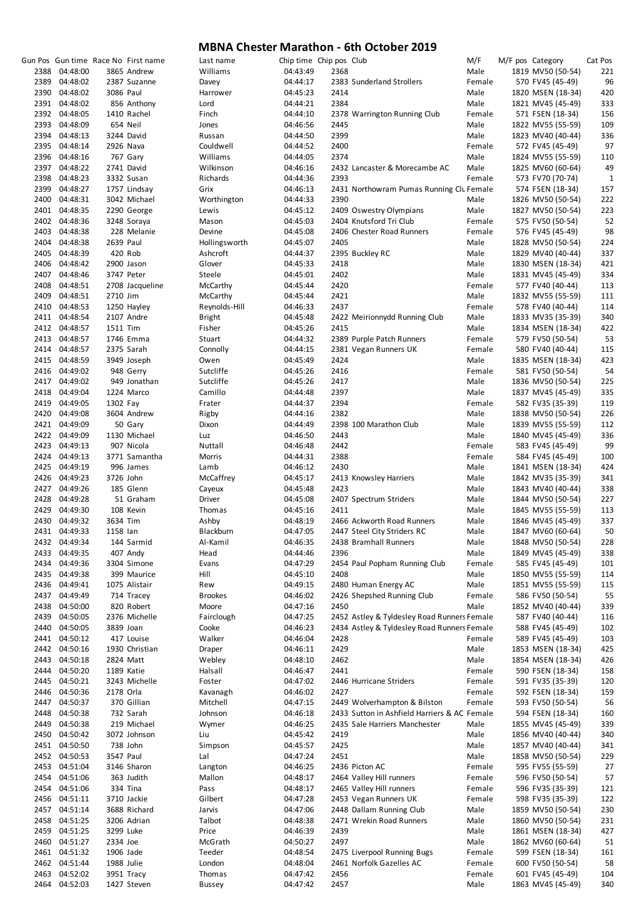|               |           | Gun Pos Gun time Race No First name | Last name      | Chip time Chip pos Club |      |                                              | M/F    | M/F pos Category  | Cat Pos      |
|---------------|-----------|-------------------------------------|----------------|-------------------------|------|----------------------------------------------|--------|-------------------|--------------|
| 2388 04:48:00 |           | 3865 Andrew                         | Williams       | 04:43:49                | 2368 |                                              | Male   | 1819 MV50 (50-54) | 221          |
| 2389 04:48:02 |           | 2387 Suzanne                        | Davey          | 04:44:17                |      | 2383 Sunderland Strollers                    | Female | 570 FV45 (45-49)  | 96           |
| 2390 04:48:02 | 3086 Paul |                                     | Harrower       | 04:45:23                | 2414 |                                              | Male   | 1820 MSEN (18-34) | 420          |
| 2391 04:48:02 |           | 856 Anthony                         | Lord           | 04:44:21                | 2384 |                                              | Male   | 1821 MV45 (45-49) | 333          |
| 2392 04:48:05 |           | 1410 Rachel                         | Finch          | 04:44:10                |      | 2378 Warrington Running Club                 | Female | 571 FSEN (18-34)  | 156          |
|               |           |                                     |                |                         |      |                                              |        |                   |              |
| 2393 04:48:09 |           | 654 Neil                            | Jones          | 04:46:56                | 2445 |                                              | Male   | 1822 MV55 (55-59) | 109          |
| 2394 04:48:13 |           | 3244 David                          | Russan         | 04:44:50                | 2399 |                                              | Male   | 1823 MV40 (40-44) | 336          |
| 2395 04:48:14 |           | 2926 Nava                           | Couldwell      | 04:44:52                | 2400 |                                              | Female | 572 FV45 (45-49)  | 97           |
| 2396 04:48:16 |           | 767 Gary                            | Williams       | 04:44:05                | 2374 |                                              | Male   | 1824 MV55 (55-59) | 110          |
|               |           |                                     |                |                         |      |                                              |        |                   |              |
| 2397 04:48:22 |           | 2741 David                          | Wilkinson      | 04:46:16                |      | 2432 Lancaster & Morecambe AC                | Male   | 1825 MV60 (60-64) | 49           |
| 2398 04:48:23 |           | 3332 Susan                          | Richards       | 04:44:36                | 2393 |                                              | Female | 573 FV70 (70-74)  | $\mathbf{1}$ |
| 2399 04:48:27 |           | 1757 Lindsay                        | Grix           | 04:46:13                |      | 2431 Northowram Pumas Running Clu Female     |        | 574 FSEN (18-34)  | 157          |
| 2400 04:48:31 |           | 3042 Michael                        | Worthington    | 04:44:33                | 2390 |                                              | Male   | 1826 MV50 (50-54) | 222          |
|               |           |                                     |                |                         |      |                                              |        |                   |              |
| 2401 04:48:35 |           | 2290 George                         | Lewis          | 04:45:12                |      | 2409 Oswestry Olympians                      | Male   | 1827 MV50 (50-54) | 223          |
| 2402 04:48:36 |           | 3248 Soraya                         | Mason          | 04:45:03                |      | 2404 Knutsford Tri Club                      | Female | 575 FV50 (50-54)  | 52           |
| 2403 04:48:38 |           | 228 Melanie                         | Devine         | 04:45:08                |      | 2406 Chester Road Runners                    | Female | 576 FV45 (45-49)  | 98           |
| 2404 04:48:38 | 2639 Paul |                                     | Hollingsworth  | 04:45:07                | 2405 |                                              | Male   | 1828 MV50 (50-54) | 224          |
| 2405 04:48:39 |           | 420 Rob                             | Ashcroft       | 04:44:37                |      | 2395 Buckley RC                              | Male   |                   | 337          |
|               |           |                                     |                |                         |      |                                              |        | 1829 MV40 (40-44) |              |
| 2406 04:48:42 |           | 2900 Jason                          | Glover         | 04:45:33                | 2418 |                                              | Male   | 1830 MSEN (18-34) | 421          |
| 2407 04:48:46 |           | 3747 Peter                          | Steele         | 04:45:01                | 2402 |                                              | Male   | 1831 MV45 (45-49) | 334          |
| 2408 04:48:51 |           | 2708 Jacqueline                     | McCarthy       | 04:45:44                | 2420 |                                              | Female | 577 FV40 (40-44)  | 113          |
| 2409 04:48:51 | 2710 Jim  |                                     | McCarthy       | 04:45:44                | 2421 |                                              | Male   | 1832 MV55 (55-59) | 111          |
|               |           |                                     |                |                         |      |                                              |        |                   |              |
| 2410 04:48:53 |           | 1250 Hayley                         | Reynolds-Hill  | 04:46:33                | 2437 |                                              | Female | 578 FV40 (40-44)  | 114          |
| 2411 04:48:54 |           | 2107 Andre                          | <b>Bright</b>  | 04:45:48                |      | 2422 Meirionnydd Running Club                | Male   | 1833 MV35 (35-39) | 340          |
| 2412 04:48:57 | 1511 Tim  |                                     | Fisher         | 04:45:26                | 2415 |                                              | Male   | 1834 MSEN (18-34) | 422          |
| 2413 04:48:57 |           | 1746 Emma                           | Stuart         | 04:44:32                |      | 2389 Purple Patch Runners                    | Female | 579 FV50 (50-54)  | 53           |
|               |           |                                     |                |                         |      |                                              |        |                   |              |
| 2414 04:48:57 |           | 2375 Sarah                          | Connolly       | 04:44:15                |      | 2381 Vegan Runners UK                        | Female | 580 FV40 (40-44)  | 115          |
| 2415 04:48:59 |           | 3949 Joseph                         | Owen           | 04:45:49                | 2424 |                                              | Male   | 1835 MSEN (18-34) | 423          |
| 2416 04:49:02 |           | 948 Gerry                           | Sutcliffe      | 04:45:26                | 2416 |                                              | Female | 581 FV50 (50-54)  | 54           |
| 2417 04:49:02 |           | 949 Jonathan                        | Sutcliffe      | 04:45:26                | 2417 |                                              | Male   | 1836 MV50 (50-54) | 225          |
| 2418 04:49:04 |           | 1224 Marco                          | Camillo        | 04:44:48                | 2397 |                                              | Male   | 1837 MV45 (45-49) | 335          |
|               |           |                                     |                |                         |      |                                              |        |                   |              |
| 2419 04:49:05 | 1302 Fay  |                                     | Frater         | 04:44:37                | 2394 |                                              | Female | 582 FV35 (35-39)  | 119          |
| 2420 04:49:08 |           | 3604 Andrew                         | Rigby          | 04:44:16                | 2382 |                                              | Male   | 1838 MV50 (50-54) | 226          |
| 2421 04:49:09 |           | 50 Gary                             | Dixon          | 04:44:49                |      | 2398 100 Marathon Club                       | Male   | 1839 MV55 (55-59) | 112          |
| 2422 04:49:09 |           | 1130 Michael                        | Luz            | 04:46:50                | 2443 |                                              | Male   | 1840 MV45 (45-49) | 336          |
|               |           |                                     |                |                         |      |                                              |        |                   |              |
| 2423 04:49:13 |           | 907 Nicola                          | Nuttall        | 04:46:48                | 2442 |                                              | Female | 583 FV45 (45-49)  | 99           |
| 2424 04:49:13 |           | 3771 Samantha                       | Morris         | 04:44:31                | 2388 |                                              | Female | 584 FV45 (45-49)  | 100          |
| 2425 04:49:19 |           | 996 James                           | Lamb           | 04:46:12                | 2430 |                                              | Male   | 1841 MSEN (18-34) | 424          |
| 2426 04:49:23 |           | 3726 John                           | McCaffrey      | 04:45:17                |      | 2413 Knowsley Harriers                       | Male   | 1842 MV35 (35-39) | 341          |
| 2427 04:49:26 |           | 185 Glenn                           | Cayeux         | 04:45:48                | 2423 |                                              | Male   | 1843 MV40 (40-44) | 338          |
|               |           |                                     |                |                         |      |                                              |        |                   |              |
| 2428 04:49:28 |           | 51 Graham                           | Driver         | 04:45:08                |      | 2407 Spectrum Striders                       | Male   | 1844 MV50 (50-54) | 227          |
| 2429 04:49:30 |           | 108 Kevin                           | Thomas         | 04:45:16                | 2411 |                                              | Male   | 1845 MV55 (55-59) | 113          |
| 2430 04:49:32 | 3634 Tim  |                                     | Ashby          | 04:48:19                |      | 2466 Ackworth Road Runners                   | Male   | 1846 MV45 (45-49) | 337          |
| 2431 04:49:33 | 1158 lan  |                                     | Blackburn      | 04:47:05                |      | 2447 Steel City Striders RC                  | Male   | 1847 MV60 (60-64) | 50           |
|               |           |                                     |                |                         |      |                                              |        |                   |              |
| 2432 04:49:34 |           | 144 Sarmid                          | Al-Kamil       | 04:46:35                |      | 2438 Bramhall Runners                        | Male   | 1848 MV50 (50-54) | 228          |
| 2433 04:49:35 |           | 407 Andy                            | Head           | 04:44:46                | 2396 |                                              | Male   | 1849 MV45 (45-49) | 338          |
| 2434 04:49:36 |           | 3304 Simone                         | Evans          | 04:47:29                |      | 2454 Paul Popham Running Club                | Female | 585 FV45 (45-49)  | 101          |
| 2435 04:49:38 |           | 399 Maurice                         | Hill           | 04:45:10                | 2408 |                                              | Male   | 1850 MV55 (55-59) | 114          |
| 2436 04:49:41 |           | 1075 Alistair                       | Rew            | 04:49:15                |      | 2480 Human Energy AC                         | Male   |                   | 115          |
|               |           |                                     |                |                         |      |                                              |        | 1851 MV55 (55-59) |              |
| 2437 04:49:49 |           | 714 Tracey                          | <b>Brookes</b> | 04:46:02                |      | 2426 Shepshed Running Club                   | Female | 586 FV50 (50-54)  | 55           |
| 2438 04:50:00 |           | 820 Robert                          | Moore          | 04:47:16                | 2450 |                                              | Male   | 1852 MV40 (40-44) | 339          |
| 2439 04:50:05 |           | 2376 Michelle                       | Fairclough     | 04:47:25                |      | 2452 Astley & Tyldesley Road Runners Female  |        | 587 FV40 (40-44)  | 116          |
| 2440 04:50:05 |           | 3839 Joan                           | Cooke          | 04:46:23                |      | 2434 Astley & Tyldesley Road Runners Female  |        | 588 FV45 (45-49)  | 102          |
|               |           |                                     |                |                         |      |                                              |        |                   |              |
| 2441 04:50:12 |           | 417 Louise                          | Walker         | 04:46:04                | 2428 |                                              | Female | 589 FV45 (45-49)  | 103          |
| 2442 04:50:16 |           | 1930 Christian                      | Draper         | 04:46:11                | 2429 |                                              | Male   | 1853 MSEN (18-34) | 425          |
| 2443 04:50:18 |           | 2824 Matt                           | Webley         | 04:48:10                | 2462 |                                              | Male   | 1854 MSEN (18-34) | 426          |
| 2444 04:50:20 |           | 1189 Katie                          | Halsall        | 04:46:47                | 2441 |                                              | Female | 590 FSEN (18-34)  | 158          |
| 2445 04:50:21 |           | 3243 Michelle                       | Foster         | 04:47:02                |      | 2446 Hurricane Striders                      | Female | 591 FV35 (35-39)  | 120          |
|               |           |                                     |                |                         |      |                                              |        |                   |              |
| 2446 04:50:36 | 2178 Orla |                                     | Kavanagh       | 04:46:02                | 2427 |                                              | Female | 592 FSEN (18-34)  | 159          |
| 2447 04:50:37 |           | 370 Gillian                         | Mitchell       | 04:47:15                |      | 2449 Wolverhampton & Bilston                 | Female | 593 FV50 (50-54)  | 56           |
| 2448 04:50:38 |           | 732 Sarah                           | Johnson        | 04:46:18                |      | 2433 Sutton in Ashfield Harriers & AC Female |        | 594 FSEN (18-34)  | 160          |
| 2449 04:50:38 |           | 219 Michael                         | Wymer          | 04:46:25                |      | 2435 Sale Harriers Manchester                | Male   | 1855 MV45 (45-49) | 339          |
|               |           |                                     |                |                         |      |                                              |        |                   |              |
| 2450 04:50:42 |           | 3072 Johnson                        | Liu            | 04:45:42                | 2419 |                                              | Male   | 1856 MV40 (40-44) | 340          |
| 2451 04:50:50 |           | 738 John                            | Simpson        | 04:45:57                | 2425 |                                              | Male   | 1857 MV40 (40-44) | 341          |
| 2452 04:50:53 | 3547 Paul |                                     | Lal            | 04:47:24                | 2451 |                                              | Male   | 1858 MV50 (50-54) | 229          |
| 2453 04:51:04 |           | 3146 Sharon                         | Langton        | 04:46:25                |      | 2436 Picton AC                               | Female | 595 FV55 (55-59)  | 27           |
| 2454 04:51:06 |           | 363 Judith                          | Mallon         | 04:48:17                |      | 2464 Valley Hill runners                     | Female | 596 FV50 (50-54)  | 57           |
|               |           |                                     |                |                         |      |                                              |        |                   |              |
| 2454 04:51:06 |           | 334 Tina                            | Pass           | 04:48:17                |      | 2465 Valley Hill runners                     | Female | 596 FV35 (35-39)  | 121          |
| 2456 04:51:11 |           | 3710 Jackie                         | Gilbert        | 04:47:28                |      | 2453 Vegan Runners UK                        | Female | 598 FV35 (35-39)  | 122          |
| 2457 04:51:14 |           | 3688 Richard                        | Jarvis         | 04:47:06                |      | 2448 Dallam Running Club                     | Male   | 1859 MV50 (50-54) | 230          |
| 2458 04:51:25 |           | 3206 Adrian                         | Talbot         | 04:48:38                |      | 2471 Wrekin Road Runners                     | Male   | 1860 MV50 (50-54) | 231          |
| 2459 04:51:25 |           | 3299 Luke                           | Price          | 04:46:39                | 2439 |                                              | Male   |                   | 427          |
|               |           |                                     |                |                         |      |                                              |        | 1861 MSEN (18-34) |              |
| 2460 04:51:27 | 2334 Joe  |                                     | McGrath        | 04:50:27                | 2497 |                                              | Male   | 1862 MV60 (60-64) | 51           |
| 2461 04:51:32 |           | 1906 Jade                           | Teeder         | 04:48:54                |      | 2475 Liverpool Running Bugs                  | Female | 599 FSEN (18-34)  | 161          |
| 2462 04:51:44 |           | 1988 Julie                          | London         | 04:48:04                |      | 2461 Norfolk Gazelles AC                     | Female | 600 FV50 (50-54)  | 58           |
| 2463 04:52:02 |           | 3951 Tracy                          | Thomas         | 04:47:42                | 2456 |                                              | Female | 601 FV45 (45-49)  | 104          |
|               |           |                                     |                |                         |      |                                              |        |                   |              |
| 2464 04:52:03 |           | 1427 Steven                         | <b>Bussey</b>  | 04:47:42                | 2457 |                                              | Male   | 1863 MV45 (45-49) | 340          |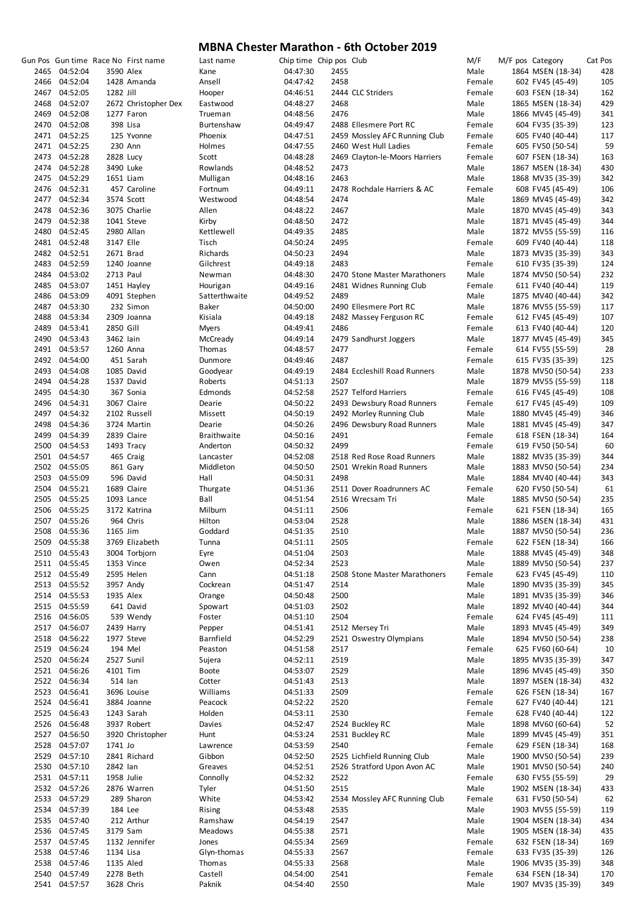|      |               |            | Gun Pos Gun time Race No First name | Last name          | Chip time Chip pos Club |      |                                | M/F    | M/F pos Category  | Cat Pos |
|------|---------------|------------|-------------------------------------|--------------------|-------------------------|------|--------------------------------|--------|-------------------|---------|
|      | 2465 04:52:04 | 3590 Alex  |                                     | Kane               | 04:47:30                | 2455 |                                | Male   | 1864 MSEN (18-34) | 428     |
|      | 2466 04:52:04 |            | 1428 Amanda                         | Ansell             | 04:47:42                | 2458 |                                | Female | 602 FV45 (45-49)  | 105     |
|      | 2467 04:52:05 | 1282 Jill  |                                     | Hooper             | 04:46:51                |      | 2444 CLC Striders              | Female | 603 FSEN (18-34)  | 162     |
|      | 2468 04:52:07 |            | 2672 Christopher Dex                | Eastwood           | 04:48:27                | 2468 |                                | Male   | 1865 MSEN (18-34) | 429     |
|      | 2469 04:52:08 |            | 1277 Faron                          | Trueman            | 04:48:56                | 2476 |                                | Male   | 1866 MV45 (45-49) | 341     |
|      |               |            |                                     |                    |                         |      |                                |        |                   |         |
|      | 2470 04:52:08 |            | 398 Lisa                            | Burtenshaw         | 04:49:47                |      | 2488 Ellesmere Port RC         | Female | 604 FV35 (35-39)  | 123     |
|      | 2471 04:52:25 |            | 125 Yvonne                          | Phoenix            | 04:47:51                |      | 2459 Mossley AFC Running Club  | Female | 605 FV40 (40-44)  | 117     |
|      | 2471 04:52:25 |            | 230 Ann                             | Holmes             | 04:47:55                |      | 2460 West Hull Ladies          | Female | 605 FV50 (50-54)  | 59      |
|      | 2473 04:52:28 | 2828 Lucy  |                                     | Scott              | 04:48:28                |      | 2469 Clayton-le-Moors Harriers | Female | 607 FSEN (18-34)  | 163     |
|      | 2474 04:52:28 | 3490 Luke  |                                     | Rowlands           | 04:48:52                | 2473 |                                | Male   | 1867 MSEN (18-34) | 430     |
|      | 2475 04:52:29 | 1651 Liam  |                                     | Mulligan           | 04:48:16                | 2463 |                                | Male   | 1868 MV35 (35-39) | 342     |
|      | 2476 04:52:31 |            | 457 Caroline                        | Fortnum            | 04:49:11                |      | 2478 Rochdale Harriers & AC    | Female | 608 FV45 (45-49)  | 106     |
|      | 2477 04:52:34 |            | 3574 Scott                          | Westwood           | 04:48:54                | 2474 |                                | Male   | 1869 MV45 (45-49) | 342     |
|      |               |            |                                     |                    |                         |      |                                |        |                   |         |
|      | 2478 04:52:36 |            | 3075 Charlie                        | Allen              | 04:48:22                | 2467 |                                | Male   | 1870 MV45 (45-49) | 343     |
|      | 2479 04:52:38 |            | 1041 Steve                          | Kirby              | 04:48:50                | 2472 |                                | Male   | 1871 MV45 (45-49) | 344     |
|      | 2480 04:52:45 |            | 2980 Allan                          | Kettlewell         | 04:49:35                | 2485 |                                | Male   | 1872 MV55 (55-59) | 116     |
|      | 2481 04:52:48 | 3147 Elle  |                                     | Tisch              | 04:50:24                | 2495 |                                | Female | 609 FV40 (40-44)  | 118     |
|      | 2482 04:52:51 | 2671 Brad  |                                     | Richards           | 04:50:23                | 2494 |                                | Male   | 1873 MV35 (35-39) | 343     |
|      | 2483 04:52:59 |            | 1240 Joanne                         | Gilchrest          | 04:49:18                | 2483 |                                | Female | 610 FV35 (35-39)  | 124     |
|      | 2484 04:53:02 | 2713 Paul  |                                     | Newman             | 04:48:30                |      | 2470 Stone Master Marathoners  | Male   | 1874 MV50 (50-54) | 232     |
|      | 2485 04:53:07 |            | 1451 Hayley                         | Hourigan           | 04:49:16                |      | 2481 Widnes Running Club       | Female | 611 FV40 (40-44)  | 119     |
|      |               |            |                                     |                    |                         | 2489 |                                |        | 1875 MV40 (40-44) |         |
|      | 2486 04:53:09 |            | 4091 Stephen                        | Satterthwaite      | 04:49:52                |      |                                | Male   |                   | 342     |
|      | 2487 04:53:30 |            | 232 Simon                           | Baker              | 04:50:00                |      | 2490 Ellesmere Port RC         | Male   | 1876 MV55 (55-59) | 117     |
|      | 2488 04:53:34 |            | 2309 Joanna                         | Kisiala            | 04:49:18                |      | 2482 Massey Ferguson RC        | Female | 612 FV45 (45-49)  | 107     |
|      | 2489 04:53:41 | 2850 Gill  |                                     | <b>Myers</b>       | 04:49:41                | 2486 |                                | Female | 613 FV40 (40-44)  | 120     |
|      | 2490 04:53:43 | 3462 lain  |                                     | McCready           | 04:49:14                |      | 2479 Sandhurst Joggers         | Male   | 1877 MV45 (45-49) | 345     |
|      | 2491 04:53:57 |            | 1260 Anna                           | Thomas             | 04:48:57                | 2477 |                                | Female | 614 FV55 (55-59)  | 28      |
|      | 2492 04:54:00 |            | 451 Sarah                           | Dunmore            | 04:49:46                | 2487 |                                | Female | 615 FV35 (35-39)  | 125     |
|      | 2493 04:54:08 |            |                                     |                    |                         |      |                                | Male   |                   | 233     |
|      |               |            | 1085 David                          | Goodyear           | 04:49:19                |      | 2484 Eccleshill Road Runners   |        | 1878 MV50 (50-54) |         |
|      | 2494 04:54:28 |            | 1537 David                          | Roberts            | 04:51:13                | 2507 |                                | Male   | 1879 MV55 (55-59) | 118     |
|      | 2495 04:54:30 |            | 367 Sonia                           | Edmonds            | 04:52:58                |      | 2527 Telford Harriers          | Female | 616 FV45 (45-49)  | 108     |
|      | 2496 04:54:31 |            | 3067 Claire                         | Dearie             | 04:50:22                |      | 2493 Dewsbury Road Runners     | Female | 617 FV45 (45-49)  | 109     |
|      | 2497 04:54:32 |            | 2102 Russell                        | Missett            | 04:50:19                |      | 2492 Morley Running Club       | Male   | 1880 MV45 (45-49) | 346     |
|      | 2498 04:54:36 |            | 3724 Martin                         | Dearie             | 04:50:26                |      | 2496 Dewsbury Road Runners     | Male   | 1881 MV45 (45-49) | 347     |
|      | 2499 04:54:39 |            | 2839 Claire                         | <b>Braithwaite</b> | 04:50:16                | 2491 |                                | Female | 618 FSEN (18-34)  | 164     |
|      | 2500 04:54:53 |            | 1493 Tracy                          | Anderton           | 04:50:32                | 2499 |                                | Female | 619 FV50 (50-54)  | 60      |
|      |               |            |                                     |                    |                         |      |                                |        |                   |         |
|      | 2501 04:54:57 |            | 465 Craig                           | Lancaster          | 04:52:08                |      | 2518 Red Rose Road Runners     | Male   | 1882 MV35 (35-39) | 344     |
|      | 2502 04:55:05 |            | 861 Gary                            | Middleton          | 04:50:50                |      | 2501 Wrekin Road Runners       | Male   | 1883 MV50 (50-54) | 234     |
|      | 2503 04:55:09 |            | 596 David                           | Hall               | 04:50:31                | 2498 |                                | Male   | 1884 MV40 (40-44) | 343     |
|      | 2504 04:55:21 |            | 1689 Claire                         | Thurgate           | 04:51:36                |      | 2511 Dover Roadrunners AC      | Female | 620 FV50 (50-54)  | 61      |
|      | 2505 04:55:25 |            | 1093 Lance                          | Ball               | 04:51:54                |      | 2516 Wrecsam Tri               | Male   | 1885 MV50 (50-54) | 235     |
|      | 2506 04:55:25 |            | 3172 Katrina                        | Milburn            | 04:51:11                | 2506 |                                | Female | 621 FSEN (18-34)  | 165     |
|      | 2507 04:55:26 |            | 964 Chris                           | Hilton             | 04:53:04                | 2528 |                                | Male   | 1886 MSEN (18-34) | 431     |
|      | 2508 04:55:36 | 1165 Jim   |                                     | Goddard            | 04:51:35                | 2510 |                                | Male   | 1887 MV50 (50-54) | 236     |
|      |               |            |                                     |                    |                         |      |                                |        |                   |         |
|      | 2509 04:55:38 |            | 3769 Elizabeth                      | Tunna              | 04:51:11                | 2505 |                                | Female | 622 FSEN (18-34)  | 166     |
|      | 2510 04:55:43 |            | 3004 Torbjorn                       | Eyre               | 04:51:04                | 2503 |                                | Male   | 1888 MV45 (45-49) | 348     |
|      | 2511 04:55:45 |            | 1353 Vince                          | Owen               | 04:52:34                | 2523 |                                | Male   | 1889 MV50 (50-54) | 237     |
|      | 2512 04:55:49 |            | 2595 Helen                          | Cann               | 04:51:18                |      | 2508 Stone Master Marathoners  | Female | 623 FV45 (45-49)  | 110     |
|      | 2513 04:55:52 |            | 3957 Andy                           | Cockrean           | 04:51:47                | 2514 |                                | Male   | 1890 MV35 (35-39) | 345     |
|      | 2514 04:55:53 | 1935 Alex  |                                     | Orange             | 04:50:48                | 2500 |                                | Male   | 1891 MV35 (35-39) | 346     |
|      | 2515 04:55:59 |            | 641 David                           | Spowart            | 04:51:03                | 2502 |                                | Male   | 1892 MV40 (40-44) | 344     |
|      | 2516 04:56:05 |            | 539 Wendy                           | Foster             |                         | 2504 |                                | Female |                   |         |
|      |               |            |                                     |                    | 04:51:10                |      |                                |        | 624 FV45 (45-49)  | 111     |
|      | 2517 04:56:07 |            | 2439 Harry                          | Pepper             | 04:51:41                |      | 2512 Mersey Tri                | Male   | 1893 MV45 (45-49) | 349     |
|      | 2518 04:56:22 |            | 1977 Steve                          | Barnfield          | 04:52:29                |      | 2521 Oswestry Olympians        | Male   | 1894 MV50 (50-54) | 238     |
|      | 2519 04:56:24 | 194 Mel    |                                     | Peaston            | 04:51:58                | 2517 |                                | Female | 625 FV60 (60-64)  | 10      |
|      | 2520 04:56:24 |            | 2527 Sunil                          | Sujera             | 04:52:11                | 2519 |                                | Male   | 1895 MV35 (35-39) | 347     |
|      | 2521 04:56:26 | 4101 Tim   |                                     | <b>Boote</b>       | 04:53:07                | 2529 |                                | Male   | 1896 MV45 (45-49) | 350     |
|      | 2522 04:56:34 | 514 lan    |                                     | Cotter             | 04:51:43                | 2513 |                                | Male   | 1897 MSEN (18-34) | 432     |
|      | 2523 04:56:41 |            | 3696 Louise                         | Williams           | 04:51:33                | 2509 |                                | Female | 626 FSEN (18-34)  | 167     |
|      | 2524 04:56:41 |            | 3884 Joanne                         | Peacock            | 04:52:22                | 2520 |                                | Female | 627 FV40 (40-44)  | 121     |
|      |               |            |                                     |                    |                         |      |                                |        |                   |         |
|      | 2525 04:56:43 |            | 1243 Sarah                          | Holden             | 04:53:11                | 2530 |                                | Female | 628 FV40 (40-44)  | 122     |
|      | 2526 04:56:48 |            | 3937 Robert                         | Davies             | 04:52:47                |      | 2524 Buckley RC                | Male   | 1898 MV60 (60-64) | 52      |
|      | 2527 04:56:50 |            | 3920 Christopher                    | Hunt               | 04:53:24                |      | 2531 Buckley RC                | Male   | 1899 MV45 (45-49) | 351     |
|      | 2528 04:57:07 | 1741 Jo    |                                     | Lawrence           | 04:53:59                | 2540 |                                | Female | 629 FSEN (18-34)  | 168     |
|      | 2529 04:57:10 |            | 2841 Richard                        | Gibbon             | 04:52:50                |      | 2525 Lichfield Running Club    | Male   | 1900 MV50 (50-54) | 239     |
|      | 2530 04:57:10 | 2842 lan   |                                     | Greaves            | 04:52:51                |      | 2526 Stratford Upon Avon AC    | Male   | 1901 MV50 (50-54) | 240     |
|      | 2531 04:57:11 | 1958 Julie |                                     | Connolly           | 04:52:32                | 2522 |                                | Female | 630 FV55 (55-59)  | 29      |
|      | 2532 04:57:26 |            |                                     |                    |                         | 2515 |                                | Male   |                   | 433     |
|      |               |            | 2876 Warren                         | Tyler              | 04:51:50                |      |                                |        | 1902 MSEN (18-34) |         |
|      | 2533 04:57:29 |            | 289 Sharon                          | White              | 04:53:42                |      | 2534 Mossley AFC Running Club  | Female | 631 FV50 (50-54)  | 62      |
|      | 2534 04:57:39 | 184 Lee    |                                     | Rising             | 04:53:48                | 2535 |                                | Male   | 1903 MV55 (55-59) | 119     |
|      | 2535 04:57:40 |            | 212 Arthur                          | Ramshaw            | 04:54:19                | 2547 |                                | Male   | 1904 MSEN (18-34) | 434     |
|      | 2536 04:57:45 | 3179 Sam   |                                     | Meadows            | 04:55:38                | 2571 |                                | Male   | 1905 MSEN (18-34) | 435     |
|      | 2537 04:57:45 |            | 1132 Jennifer                       | Jones              | 04:55:34                | 2569 |                                | Female | 632 FSEN (18-34)  | 169     |
|      | 2538 04:57:46 | 1134 Lisa  |                                     | Glyn-thomas        | 04:55:33                | 2567 |                                | Female | 633 FV35 (35-39)  | 126     |
| 2538 | 04:57:46      | 1135 Aled  |                                     | Thomas             | 04:55:33                | 2568 |                                | Male   | 1906 MV35 (35-39) | 348     |
| 2540 | 04:57:49      |            | 2278 Beth                           | Castell            | 04:54:00                | 2541 |                                | Female | 634 FSEN (18-34)  | 170     |
|      | 2541 04:57:57 |            | 3628 Chris                          | Paknik             | 04:54:40                | 2550 |                                | Male   |                   | 349     |
|      |               |            |                                     |                    |                         |      |                                |        | 1907 MV35 (35-39) |         |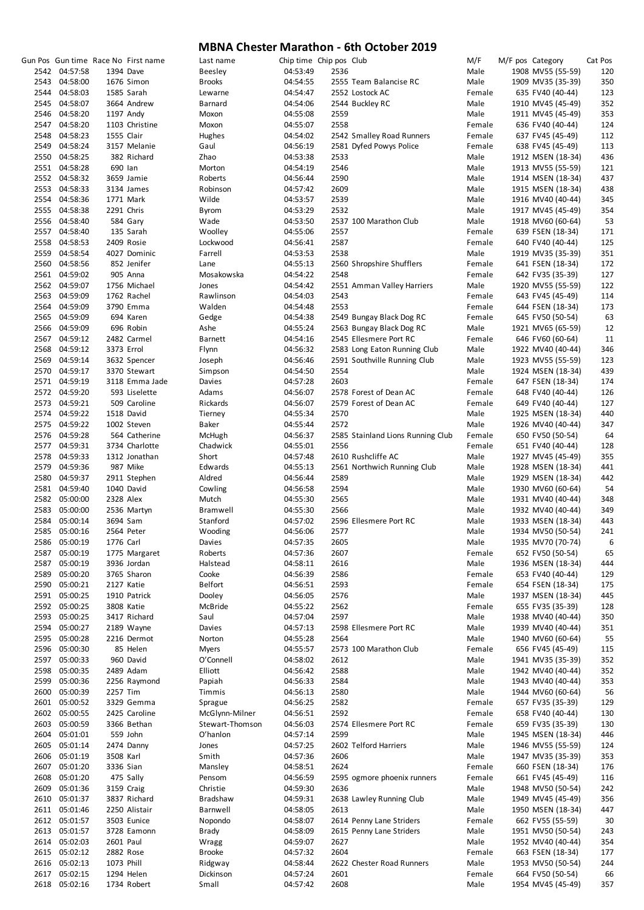|      |               |            | Gun Pos Gun time Race No First name | Last name       | Chip time Chip pos Club |      |                                   | M/F    | M/F pos Category  | Cat Pos |
|------|---------------|------------|-------------------------------------|-----------------|-------------------------|------|-----------------------------------|--------|-------------------|---------|
|      | 2542 04:57:58 |            | 1394 Dave                           | <b>Beesley</b>  | 04:53:49                | 2536 |                                   | Male   | 1908 MV55 (55-59) | 120     |
| 2543 | 04:58:00      |            | 1676 Simon                          | <b>Brooks</b>   | 04:54:55                |      | 2555 Team Balancise RC            | Male   | 1909 MV35 (35-39) | 350     |
| 2544 | 04:58:03      |            | 1585 Sarah                          | Lewarne         | 04:54:47                |      | 2552 Lostock AC                   | Female | 635 FV40 (40-44)  | 123     |
|      | 2545 04:58:07 |            |                                     |                 |                         |      |                                   | Male   |                   | 352     |
|      |               |            | 3664 Andrew                         | <b>Barnard</b>  | 04:54:06                |      | 2544 Buckley RC                   |        | 1910 MV45 (45-49) |         |
|      | 2546 04:58:20 |            | 1197 Andy                           | Moxon           | 04:55:08                | 2559 |                                   | Male   | 1911 MV45 (45-49) | 353     |
|      | 2547 04:58:20 |            | 1103 Christine                      | Moxon           | 04:55:07                | 2558 |                                   | Female | 636 FV40 (40-44)  | 124     |
| 2548 | 04:58:23      | 1555 Clair |                                     | Hughes          | 04:54:02                |      | 2542 Smalley Road Runners         | Female | 637 FV45 (45-49)  | 112     |
|      | 2549 04:58:24 |            | 3157 Melanie                        | Gaul            | 04:56:19                |      | 2581 Dyfed Powys Police           | Female | 638 FV45 (45-49)  | 113     |
|      | 2550 04:58:25 |            | 382 Richard                         | Zhao            | 04:53:38                | 2533 |                                   | Male   | 1912 MSEN (18-34) | 436     |
|      | 2551 04:58:28 | 690 lan    |                                     | Morton          | 04:54:19                | 2546 |                                   | Male   | 1913 MV55 (55-59) | 121     |
|      | 2552 04:58:32 |            | 3659 Jamie                          | Roberts         | 04:56:44                | 2590 |                                   | Male   | 1914 MSEN (18-34) | 437     |
|      | 2553 04:58:33 |            | 3134 James                          | Robinson        | 04:57:42                | 2609 |                                   | Male   | 1915 MSEN (18-34) | 438     |
|      |               |            |                                     |                 |                         |      |                                   |        |                   |         |
|      | 2554 04:58:36 |            | 1771 Mark                           | Wilde           | 04:53:57                | 2539 |                                   | Male   | 1916 MV40 (40-44) | 345     |
|      | 2555 04:58:38 |            | 2291 Chris                          | Byrom           | 04:53:29                | 2532 |                                   | Male   | 1917 MV45 (45-49) | 354     |
|      | 2556 04:58:40 |            | 584 Gary                            | Wade            | 04:53:50                |      | 2537 100 Marathon Club            | Male   | 1918 MV60 (60-64) | 53      |
|      | 2557 04:58:40 |            | 135 Sarah                           | Woolley         | 04:55:06                | 2557 |                                   | Female | 639 FSEN (18-34)  | 171     |
|      | 2558 04:58:53 |            | 2409 Rosie                          | Lockwood        | 04:56:41                | 2587 |                                   | Female | 640 FV40 (40-44)  | 125     |
|      | 2559 04:58:54 |            | 4027 Dominic                        | Farrell         | 04:53:53                | 2538 |                                   | Male   | 1919 MV35 (35-39) | 351     |
|      | 2560 04:58:56 |            | 852 Jenifer                         | Lane            | 04:55:13                |      | 2560 Shropshire Shufflers         | Female | 641 FSEN (18-34)  | 172     |
|      | 2561 04:59:02 |            | 905 Anna                            | Mosakowska      | 04:54:22                | 2548 |                                   | Female | 642 FV35 (35-39)  | 127     |
|      |               |            | 1756 Michael                        |                 |                         |      | 2551 Amman Valley Harriers        |        |                   |         |
|      | 2562 04:59:07 |            |                                     | Jones           | 04:54:42                |      |                                   | Male   | 1920 MV55 (55-59) | 122     |
|      | 2563 04:59:09 |            | 1762 Rachel                         | Rawlinson       | 04:54:03                | 2543 |                                   | Female | 643 FV45 (45-49)  | 114     |
|      | 2564 04:59:09 |            | 3790 Emma                           | Walden          | 04:54:48                | 2553 |                                   | Female | 644 FSEN (18-34)  | 173     |
|      | 2565 04:59:09 |            | 694 Karen                           | Gedge           | 04:54:38                |      | 2549 Bungay Black Dog RC          | Female | 645 FV50 (50-54)  | 63      |
|      | 2566 04:59:09 |            | 696 Robin                           | Ashe            | 04:55:24                |      | 2563 Bungay Black Dog RC          | Male   | 1921 MV65 (65-59) | 12      |
|      | 2567 04:59:12 |            | 2482 Carmel                         | <b>Barnett</b>  | 04:54:16                |      | 2545 Ellesmere Port RC            | Female | 646 FV60 (60-64)  | 11      |
| 2568 | 04:59:12      | 3373 Errol |                                     | Flynn           | 04:56:32                |      | 2583 Long Eaton Running Club      | Male   | 1922 MV40 (40-44) | 346     |
|      | 2569 04:59:14 |            |                                     |                 |                         |      |                                   |        |                   |         |
|      |               |            | 3632 Spencer                        | Joseph          | 04:56:46                |      | 2591 Southville Running Club      | Male   | 1923 MV55 (55-59) | 123     |
|      | 2570 04:59:17 |            | 3370 Stewart                        | Simpson         | 04:54:50                | 2554 |                                   | Male   | 1924 MSEN (18-34) | 439     |
|      | 2571 04:59:19 |            | 3118 Emma Jade                      | Davies          | 04:57:28                | 2603 |                                   | Female | 647 FSEN (18-34)  | 174     |
|      | 2572 04:59:20 |            | 593 Liselette                       | Adams           | 04:56:07                |      | 2578 Forest of Dean AC            | Female | 648 FV40 (40-44)  | 126     |
|      | 2573 04:59:21 |            | 509 Caroline                        | Rickards        | 04:56:07                |      | 2579 Forest of Dean AC            | Female | 649 FV40 (40-44)  | 127     |
|      | 2574 04:59:22 |            | 1518 David                          | Tierney         | 04:55:34                | 2570 |                                   | Male   | 1925 MSEN (18-34) | 440     |
|      | 2575 04:59:22 |            | 1002 Steven                         | Baker           | 04:55:44                | 2572 |                                   | Male   | 1926 MV40 (40-44) | 347     |
|      | 2576 04:59:28 |            | 564 Catherine                       | McHugh          | 04:56:37                |      | 2585 Stainland Lions Running Club | Female | 650 FV50 (50-54)  | 64      |
|      |               |            |                                     |                 |                         |      |                                   |        |                   |         |
|      | 2577 04:59:31 |            | 3734 Charlotte                      | Chadwick        | 04:55:01                | 2556 |                                   | Female | 651 FV40 (40-44)  | 128     |
|      | 2578 04:59:33 |            | 1312 Jonathan                       | Short           | 04:57:48                |      | 2610 Rushcliffe AC                | Male   | 1927 MV45 (45-49) | 355     |
|      | 2579 04:59:36 |            | 987 Mike                            | Edwards         | 04:55:13                |      | 2561 Northwich Running Club       | Male   | 1928 MSEN (18-34) | 441     |
| 2580 | 04:59:37      |            | 2911 Stephen                        | Aldred          | 04:56:44                | 2589 |                                   | Male   | 1929 MSEN (18-34) | 442     |
|      | 2581 04:59:40 |            | 1040 David                          | Cowling         | 04:56:58                | 2594 |                                   | Male   | 1930 MV60 (60-64) | 54      |
|      | 2582 05:00:00 | 2328 Alex  |                                     | Mutch           | 04:55:30                | 2565 |                                   | Male   | 1931 MV40 (40-44) | 348     |
| 2583 | 05:00:00      |            | 2536 Martyn                         | <b>Bramwell</b> | 04:55:30                | 2566 |                                   | Male   | 1932 MV40 (40-44) | 349     |
| 2584 | 05:00:14      | 3694 Sam   |                                     | Stanford        | 04:57:02                |      | 2596 Ellesmere Port RC            | Male   |                   | 443     |
|      |               |            |                                     |                 |                         |      |                                   |        | 1933 MSEN (18-34) |         |
|      | 2585 05:00:16 |            | 2564 Peter                          | Wooding         | 04:56:06                | 2577 |                                   | Male   | 1934 MV50 (50-54) | 241     |
| 2586 | 05:00:19      | 1776 Carl  |                                     | Davies          | 04:57:35                | 2605 |                                   | Male   | 1935 MV70 (70-74) | 6       |
| 2587 | 05:00:19      |            | 1775 Margaret                       | Roberts         | 04:57:36                | 2607 |                                   | Female | 652 FV50 (50-54)  | 65      |
| 2587 | 05:00:19      |            | 3936 Jordan                         | Halstead        | 04:58:11                | 2616 |                                   | Male   | 1936 MSEN (18-34) | 444     |
| 2589 | 05:00:20      |            | 3765 Sharon                         | Cooke           | 04:56:39                | 2586 |                                   | Female | 653 FV40 (40-44)  | 129     |
| 2590 | 05:00:21      |            | 2127 Katie                          | Belfort         | 04:56:51                | 2593 |                                   | Female | 654 FSEN (18-34)  | 175     |
| 2591 | 05:00:25      |            | 1910 Patrick                        | Dooley          | 04:56:05                | 2576 |                                   | Male   | 1937 MSEN (18-34) | 445     |
|      |               |            |                                     |                 |                         |      |                                   |        | 655 FV35 (35-39)  |         |
| 2592 | 05:00:25      |            | 3808 Katie                          | McBride         | 04:55:22                | 2562 |                                   | Female |                   | 128     |
| 2593 | 05:00:25      |            | 3417 Richard                        | Saul            | 04:57:04                | 2597 |                                   | Male   | 1938 MV40 (40-44) | 350     |
| 2594 | 05:00:27      |            | 2189 Wayne                          | Davies          | 04:57:13                |      | 2598 Ellesmere Port RC            | Male   | 1939 MV40 (40-44) | 351     |
|      | 2595 05:00:28 |            | 2216 Dermot                         | Norton          | 04:55:28                | 2564 |                                   | Male   | 1940 MV60 (60-64) | 55      |
|      | 2596 05:00:30 |            | 85 Helen                            | <b>Myers</b>    | 04:55:57                |      | 2573 100 Marathon Club            | Female | 656 FV45 (45-49)  | 115     |
| 2597 | 05:00:33      |            | 960 David                           | O'Connell       | 04:58:02                | 2612 |                                   | Male   | 1941 MV35 (35-39) | 352     |
| 2598 | 05:00:35      |            | 2489 Adam                           | Elliott         | 04:56:42                | 2588 |                                   | Male   | 1942 MV40 (40-44) | 352     |
| 2599 | 05:00:36      |            | 2256 Raymond                        | Papiah          | 04:56:33                | 2584 |                                   | Male   | 1943 MV40 (40-44) | 353     |
| 2600 | 05:00:39      | 2257 Tim   |                                     | Timmis          | 04:56:13                | 2580 |                                   | Male   | 1944 MV60 (60-64) | 56      |
|      | 2601 05:00:52 |            |                                     |                 |                         | 2582 |                                   | Female |                   |         |
|      |               |            | 3329 Gemma                          | Sprague         | 04:56:25                |      |                                   |        | 657 FV35 (35-39)  | 129     |
| 2602 | 05:00:55      |            | 2425 Caroline                       | McGlynn-Milner  | 04:56:51                | 2592 |                                   | Female | 658 FV40 (40-44)  | 130     |
| 2603 | 05:00:59      |            | 3366 Bethan                         | Stewart-Thomson | 04:56:03                |      | 2574 Ellesmere Port RC            | Female | 659 FV35 (35-39)  | 130     |
| 2604 | 05:01:01      |            | 559 John                            | O'hanlon        | 04:57:14                | 2599 |                                   | Male   | 1945 MSEN (18-34) | 446     |
| 2605 | 05:01:14      |            | 2474 Danny                          | Jones           | 04:57:25                |      | 2602 Telford Harriers             | Male   | 1946 MV55 (55-59) | 124     |
| 2606 | 05:01:19      | 3508 Karl  |                                     | Smith           | 04:57:36                | 2606 |                                   | Male   | 1947 MV35 (35-39) | 353     |
| 2607 | 05:01:20      | 3336 Sian  |                                     | Mansley         | 04:58:51                | 2624 |                                   | Female | 660 FSEN (18-34)  | 176     |
| 2608 | 05:01:20      |            | 475 Sally                           | Pensom          | 04:56:59                |      | 2595 ogmore phoenix runners       | Female | 661 FV45 (45-49)  | 116     |
|      |               |            |                                     |                 |                         |      |                                   |        |                   |         |
| 2609 | 05:01:36      |            | 3159 Craig                          | Christie        | 04:59:30                | 2636 |                                   | Male   | 1948 MV50 (50-54) | 242     |
|      | 2610 05:01:37 |            | 3837 Richard                        | Bradshaw        | 04:59:31                |      | 2638 Lawley Running Club          | Male   | 1949 MV45 (45-49) | 356     |
|      | 2611 05:01:46 |            | 2250 Alistair                       | Barnwell        | 04:58:05                | 2613 |                                   | Male   | 1950 MSEN (18-34) | 447     |
|      | 2612 05:01:57 |            | 3503 Eunice                         | Nopondo         | 04:58:07                |      | 2614 Penny Lane Striders          | Female | 662 FV55 (55-59)  | 30      |
|      | 2613 05:01:57 |            | 3728 Eamonn                         | <b>Brady</b>    | 04:58:09                |      | 2615 Penny Lane Striders          | Male   | 1951 MV50 (50-54) | 243     |
|      | 2614 05:02:03 | 2601 Paul  |                                     | Wragg           | 04:59:07                | 2627 |                                   | Male   | 1952 MV40 (40-44) | 354     |
|      | 2615 05:02:12 |            | 2882 Rose                           | <b>Brooke</b>   | 04:57:32                | 2604 |                                   | Female | 663 FSEN (18-34)  | 177     |
|      | 2616 05:02:13 | 1073 Phill |                                     | Ridgway         | 04:58:44                |      | 2622 Chester Road Runners         | Male   | 1953 MV50 (50-54) | 244     |
|      | 2617 05:02:15 |            | 1294 Helen                          | Dickinson       | 04:57:24                | 2601 |                                   | Female | 664 FV50 (50-54)  | 66      |
|      |               |            |                                     |                 |                         |      |                                   |        |                   |         |
|      | 2618 05:02:16 |            | 1734 Robert                         | Small           | 04:57:42                | 2608 |                                   | Male   | 1954 MV45 (45-49) | 357     |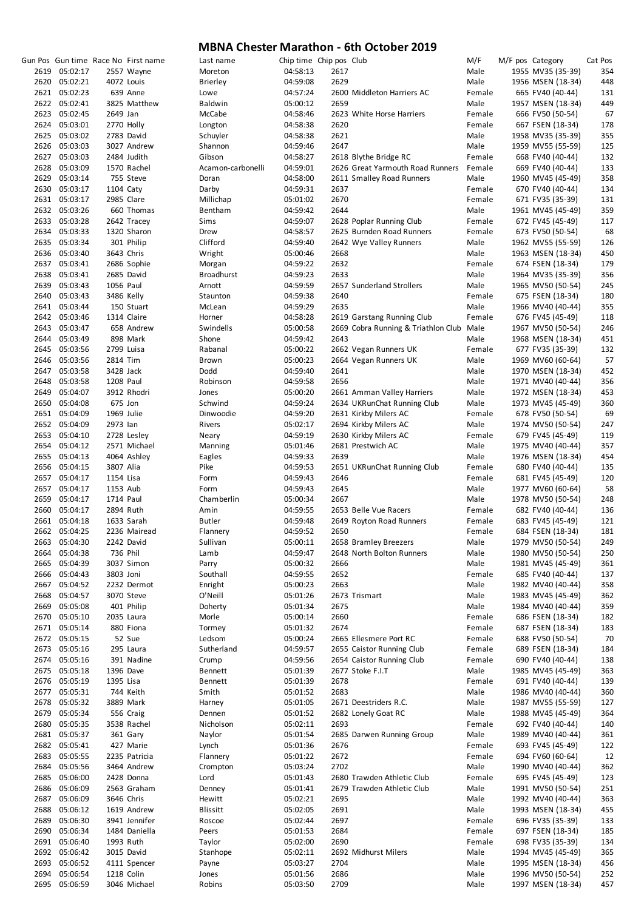|               |           | Gun Pos Gun time Race No First name | Last name         | Chip time Chip pos Club |      |                                          | M/F    | M/F pos Category  | Cat Pos |
|---------------|-----------|-------------------------------------|-------------------|-------------------------|------|------------------------------------------|--------|-------------------|---------|
| 2619 05:02:17 |           | 2557 Wayne                          | Moreton           | 04:58:13                | 2617 |                                          | Male   | 1955 MV35 (35-39) | 354     |
| 2620 05:02:21 |           | 4072 Louis                          | <b>Brierley</b>   | 04:59:08                | 2629 |                                          | Male   | 1956 MSEN (18-34) | 448     |
| 2621 05:02:23 |           | 639 Anne                            | Lowe              | 04:57:24                |      | 2600 Middleton Harriers AC               | Female | 665 FV40 (40-44)  | 131     |
| 2622 05:02:41 |           | 3825 Matthew                        | Baldwin           | 05:00:12                | 2659 |                                          | Male   | 1957 MSEN (18-34) | 449     |
| 2623 05:02:45 | 2649 Jan  |                                     | McCabe            | 04:58:46                |      | 2623 White Horse Harriers                | Female | 666 FV50 (50-54)  | 67      |
| 2624 05:03:01 |           | 2770 Holly                          | Longton           | 04:58:38                | 2620 |                                          | Female | 667 FSEN (18-34)  | 178     |
|               |           |                                     |                   |                         | 2621 |                                          |        |                   |         |
| 2625 05:03:02 |           | 2783 David                          | Schuyler          | 04:58:38                |      |                                          | Male   | 1958 MV35 (35-39) | 355     |
| 2626 05:03:03 |           | 3027 Andrew                         | Shannon           | 04:59:46                | 2647 |                                          | Male   | 1959 MV55 (55-59) | 125     |
| 2627 05:03:03 |           | 2484 Judith                         | Gibson            | 04:58:27                |      | 2618 Blythe Bridge RC                    | Female | 668 FV40 (40-44)  | 132     |
| 2628 05:03:09 |           | 1570 Rachel                         | Acamon-carbonelli | 04:59:01                |      | 2626 Great Yarmouth Road Runners         | Female | 669 FV40 (40-44)  | 133     |
| 2629 05:03:14 |           | 755 Steve                           | Doran             | 04:58:00                |      | 2611 Smalley Road Runners                | Male   | 1960 MV45 (45-49) | 358     |
| 2630 05:03:17 |           | 1104 Caty                           | Darby             | 04:59:31                | 2637 |                                          | Female | 670 FV40 (40-44)  | 134     |
| 2631 05:03:17 |           | 2985 Clare                          | Millichap         | 05:01:02                | 2670 |                                          | Female | 671 FV35 (35-39)  | 131     |
| 2632 05:03:26 |           | 660 Thomas                          | Bentham           | 04:59:42                | 2644 |                                          | Male   | 1961 MV45 (45-49) | 359     |
| 2633 05:03:28 |           | 2642 Tracey                         | Sims              | 04:59:07                |      | 2628 Poplar Running Club                 | Female | 672 FV45 (45-49)  | 117     |
| 2634 05:03:33 |           | 1320 Sharon                         | Drew              | 04:58:57                |      | 2625 Burnden Road Runners                | Female | 673 FV50 (50-54)  | 68      |
| 2635 05:03:34 |           | 301 Philip                          | Clifford          | 04:59:40                |      | 2642 Wye Valley Runners                  | Male   | 1962 MV55 (55-59) | 126     |
|               |           |                                     |                   |                         |      |                                          |        |                   |         |
| 2636 05:03:40 |           | 3643 Chris                          | Wright            | 05:00:46                | 2668 |                                          | Male   | 1963 MSEN (18-34) | 450     |
| 2637 05:03:41 |           | 2686 Sophie                         | Morgan            | 04:59:22                | 2632 |                                          | Female | 674 FSEN (18-34)  | 179     |
| 2638 05:03:41 |           | 2685 David                          | <b>Broadhurst</b> | 04:59:23                | 2633 |                                          | Male   | 1964 MV35 (35-39) | 356     |
| 2639 05:03:43 | 1056 Paul |                                     | Arnott            | 04:59:59                |      | 2657 Sunderland Strollers                | Male   | 1965 MV50 (50-54) | 245     |
| 2640 05:03:43 |           | 3486 Kelly                          | Staunton          | 04:59:38                | 2640 |                                          | Female | 675 FSEN (18-34)  | 180     |
| 2641 05:03:44 |           | 150 Stuart                          | McLean            | 04:59:29                | 2635 |                                          | Male   | 1966 MV40 (40-44) | 355     |
| 2642 05:03:46 |           | 1314 Claire                         | Horner            | 04:58:28                |      | 2619 Garstang Running Club               | Female | 676 FV45 (45-49)  | 118     |
| 2643 05:03:47 |           | 658 Andrew                          | Swindells         | 05:00:58                |      | 2669 Cobra Running & Triathlon Club Male |        | 1967 MV50 (50-54) | 246     |
| 2644 05:03:49 |           | 898 Mark                            | Shone             | 04:59:42                | 2643 |                                          | Male   | 1968 MSEN (18-34) | 451     |
| 2645 05:03:56 |           | 2799 Luisa                          | Rabanal           | 05:00:22                |      | 2662 Vegan Runners UK                    | Female | 677 FV35 (35-39)  | 132     |
| 2646 05:03:56 |           |                                     |                   |                         |      |                                          |        |                   |         |
|               | 2814 Tim  |                                     | Brown             | 05:00:23                |      | 2664 Vegan Runners UK                    | Male   | 1969 MV60 (60-64) | 57      |
| 2647 05:03:58 | 3428 Jack |                                     | Dodd              | 04:59:40                | 2641 |                                          | Male   | 1970 MSEN (18-34) | 452     |
| 2648 05:03:58 | 1208 Paul |                                     | Robinson          | 04:59:58                | 2656 |                                          | Male   | 1971 MV40 (40-44) | 356     |
| 2649 05:04:07 |           | 3912 Rhodri                         | Jones             | 05:00:20                |      | 2661 Amman Valley Harriers               | Male   | 1972 MSEN (18-34) | 453     |
| 2650 05:04:08 | 675 Jon   |                                     | Schwind           | 04:59:24                |      | 2634 UKRunChat Running Club              | Male   | 1973 MV45 (45-49) | 360     |
| 2651 05:04:09 |           | 1969 Julie                          | Dinwoodie         | 04:59:20                |      | 2631 Kirkby Milers AC                    | Female | 678 FV50 (50-54)  | 69      |
| 2652 05:04:09 | 2973 lan  |                                     | Rivers            | 05:02:17                |      | 2694 Kirkby Milers AC                    | Male   | 1974 MV50 (50-54) | 247     |
| 2653 05:04:10 |           | 2728 Lesley                         | Neary             | 04:59:19                |      | 2630 Kirkby Milers AC                    | Female | 679 FV45 (45-49)  | 119     |
| 2654 05:04:12 |           | 2571 Michael                        | Manning           | 05:01:46                |      | 2681 Prestwich AC                        | Male   | 1975 MV40 (40-44) | 357     |
| 2655 05:04:13 |           | 4064 Ashley                         | Eagles            | 04:59:33                | 2639 |                                          | Male   | 1976 MSEN (18-34) | 454     |
|               |           |                                     |                   |                         |      |                                          |        |                   |         |
| 2656 05:04:15 | 3807 Alia |                                     | Pike              | 04:59:53                |      | 2651 UKRunChat Running Club              | Female | 680 FV40 (40-44)  | 135     |
| 2657 05:04:17 | 1154 Lisa |                                     | Form              | 04:59:43                | 2646 |                                          | Female | 681 FV45 (45-49)  | 120     |
| 2657 05:04:17 | 1153 Aub  |                                     | Form              | 04:59:43                | 2645 |                                          | Male   | 1977 MV60 (60-64) | 58      |
| 2659 05:04:17 | 1714 Paul |                                     | Chamberlin        | 05:00:34                | 2667 |                                          | Male   | 1978 MV50 (50-54) | 248     |
| 2660 05:04:17 |           | 2894 Ruth                           | Amin              | 04:59:55                |      | 2653 Belle Vue Racers                    | Female | 682 FV40 (40-44)  | 136     |
| 2661 05:04:18 |           | 1633 Sarah                          | <b>Butler</b>     | 04:59:48                |      | 2649 Royton Road Runners                 | Female | 683 FV45 (45-49)  | 121     |
| 2662 05:04:25 |           | 2236 Mairead                        | Flannery          | 04:59:52                | 2650 |                                          | Female | 684 FSEN (18-34)  | 181     |
| 2663 05:04:30 |           | 2242 David                          | Sullivan          | 05:00:11                |      | 2658 Bramley Breezers                    | Male   | 1979 MV50 (50-54) | 249     |
| 2664 05:04:38 |           | 736 Phil                            | Lamb              | 04:59:47                |      | 2648 North Bolton Runners                | Male   | 1980 MV50 (50-54) | 250     |
| 2665 05:04:39 |           | 3037 Simon                          | Parry             | 05:00:32                | 2666 |                                          | Male   | 1981 MV45 (45-49) | 361     |
|               |           |                                     |                   |                         |      |                                          |        |                   |         |
| 2666 05:04:43 | 3803 Joni |                                     | Southall          | 04:59:55                | 2652 |                                          | Female | 685 FV40 (40-44)  | 137     |
| 2667 05:04:52 |           | 2232 Dermot                         | Enright           | 05:00:23                | 2663 |                                          | Male   | 1982 MV40 (40-44) | 358     |
| 2668 05:04:57 |           | 3070 Steve                          | O'Neill           | 05:01:26                |      | 2673 Trismart                            | Male   | 1983 MV45 (45-49) | 362     |
| 2669 05:05:08 |           | 401 Philip                          | Doherty           | 05:01:34                | 2675 |                                          | Male   | 1984 MV40 (40-44) | 359     |
| 2670 05:05:10 |           | 2035 Laura                          | Morle             | 05:00:14                | 2660 |                                          | Female | 686 FSEN (18-34)  | 182     |
| 2671 05:05:14 |           | 880 Fiona                           | Tormey            | 05:01:32                | 2674 |                                          | Female | 687 FSEN (18-34)  | 183     |
| 2672 05:05:15 |           | 52 Sue                              | Ledsom            | 05:00:24                |      | 2665 Ellesmere Port RC                   | Female | 688 FV50 (50-54)  | 70      |
| 2673 05:05:16 |           | 295 Laura                           | Sutherland        | 04:59:57                |      | 2655 Caistor Running Club                | Female | 689 FSEN (18-34)  | 184     |
| 2674 05:05:16 |           | 391 Nadine                          | Crump             | 04:59:56                |      | 2654 Caistor Running Club                | Female | 690 FV40 (40-44)  | 138     |
| 2675 05:05:18 |           | 1396 Dave                           | <b>Bennett</b>    | 05:01:39                |      | 2677 Stoke F.I.T                         | Male   | 1985 MV45 (45-49) | 363     |
| 2676 05:05:19 |           |                                     |                   |                         |      |                                          |        |                   |         |
|               | 1395 Lisa |                                     | <b>Bennett</b>    | 05:01:39                | 2678 |                                          | Female | 691 FV40 (40-44)  | 139     |
| 2677 05:05:31 |           | 744 Keith                           | Smith             | 05:01:52                | 2683 |                                          | Male   | 1986 MV40 (40-44) | 360     |
| 2678 05:05:32 |           | 3889 Mark                           | Harney            | 05:01:05                |      | 2671 Deestriders R.C.                    | Male   | 1987 MV55 (55-59) | 127     |
| 2679 05:05:34 |           | 556 Craig                           | Dennen            | 05:01:52                |      | 2682 Lonely Goat RC                      | Male   | 1988 MV45 (45-49) | 364     |
| 2680 05:05:35 |           | 3538 Rachel                         | Nicholson         | 05:02:11                | 2693 |                                          | Female | 692 FV40 (40-44)  | 140     |
| 2681 05:05:37 |           | 361 Gary                            | Naylor            | 05:01:54                |      | 2685 Darwen Running Group                | Male   | 1989 MV40 (40-44) | 361     |
| 2682 05:05:41 |           | 427 Marie                           | Lynch             | 05:01:36                | 2676 |                                          | Female | 693 FV45 (45-49)  | 122     |
| 2683 05:05:55 |           | 2235 Patricia                       | Flannery          | 05:01:22                | 2672 |                                          | Female | 694 FV60 (60-64)  | 12      |
| 2684 05:05:56 |           | 3464 Andrew                         | Crompton          | 05:03:24                | 2702 |                                          | Male   | 1990 MV40 (40-44) | 362     |
| 2685 05:06:00 |           | 2428 Donna                          | Lord              | 05:01:43                |      | 2680 Trawden Athletic Club               | Female | 695 FV45 (45-49)  | 123     |
|               |           |                                     |                   |                         |      |                                          |        |                   |         |
| 2686 05:06:09 |           | 2563 Graham                         | Denney            | 05:01:41                |      | 2679 Trawden Athletic Club               | Male   | 1991 MV50 (50-54) | 251     |
| 2687 05:06:09 |           | 3646 Chris                          | Hewitt            | 05:02:21                | 2695 |                                          | Male   | 1992 MV40 (40-44) | 363     |
| 2688 05:06:12 |           | 1619 Andrew                         | Blissitt          | 05:02:05                | 2691 |                                          | Male   | 1993 MSEN (18-34) | 455     |
| 2689 05:06:30 |           | 3941 Jennifer                       | Roscoe            | 05:02:44                | 2697 |                                          | Female | 696 FV35 (35-39)  | 133     |
| 2690 05:06:34 |           | 1484 Daniella                       | Peers             | 05:01:53                | 2684 |                                          | Female | 697 FSEN (18-34)  | 185     |
| 2691 05:06:40 |           | 1993 Ruth                           | Taylor            | 05:02:00                | 2690 |                                          | Female | 698 FV35 (35-39)  | 134     |
| 2692 05:06:42 |           | 3015 David                          | Stanhope          | 05:02:11                |      | 2692 Midhurst Milers                     | Male   | 1994 MV45 (45-49) | 365     |
| 2693 05:06:52 |           | 4111 Spencer                        | Payne             | 05:03:27                | 2704 |                                          | Male   | 1995 MSEN (18-34) | 456     |
| 2694 05:06:54 |           | 1218 Colin                          | Jones             | 05:01:56                | 2686 |                                          | Male   | 1996 MV50 (50-54) | 252     |
|               |           |                                     |                   |                         |      |                                          |        |                   |         |
| 2695 05:06:59 |           | 3046 Michael                        | Robins            | 05:03:50                | 2709 |                                          | Male   | 1997 MSEN (18-34) | 457     |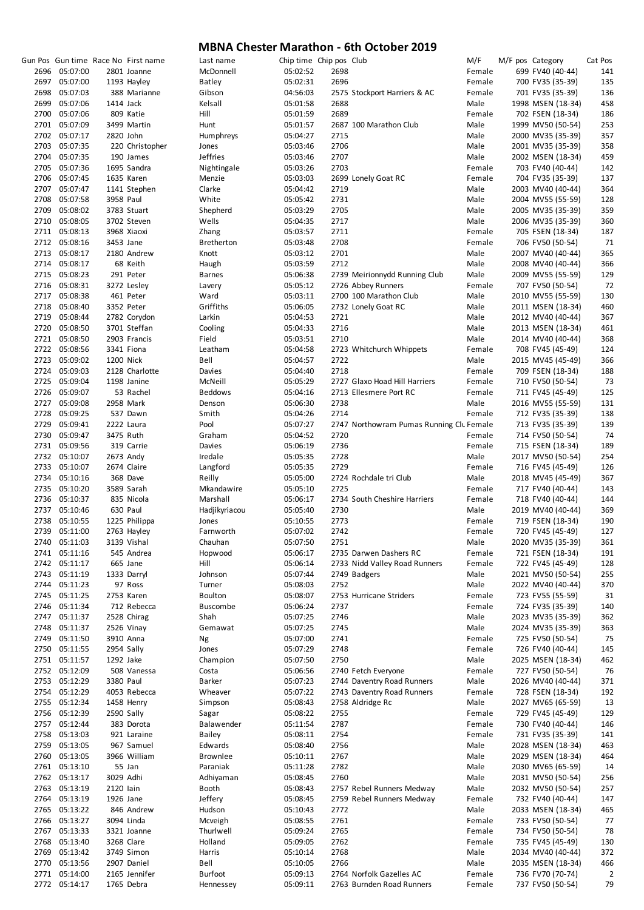|               |           | Gun Pos Gun time Race No First name | Last name       | Chip time Chip pos Club |      |                                          | M/F    | M/F pos Category |                   | Cat Pos        |
|---------------|-----------|-------------------------------------|-----------------|-------------------------|------|------------------------------------------|--------|------------------|-------------------|----------------|
| 2696 05:07:00 |           | 2801 Joanne                         | McDonnell       | 05:02:52                | 2698 |                                          | Female |                  | 699 FV40 (40-44)  | 141            |
| 2697 05:07:00 |           | 1193 Hayley                         | Batley          | 05:02:31                | 2696 |                                          | Female |                  | 700 FV35 (35-39)  | 135            |
| 2698 05:07:03 |           | 388 Marianne                        | Gibson          | 04:56:03                |      | 2575 Stockport Harriers & AC             | Female |                  | 701 FV35 (35-39)  | 136            |
| 2699 05:07:06 |           | 1414 Jack                           | Kelsall         | 05:01:58                | 2688 |                                          | Male   |                  | 1998 MSEN (18-34) | 458            |
| 2700 05:07:06 |           | 809 Katie                           | Hill            | 05:01:59                | 2689 |                                          | Female |                  | 702 FSEN (18-34)  | 186            |
| 2701 05:07:09 |           | 3499 Martin                         | Hunt            | 05:01:57                |      | 2687 100 Marathon Club                   | Male   |                  | 1999 MV50 (50-54) | 253            |
|               |           |                                     | Humphreys       | 05:04:27                | 2715 |                                          |        |                  |                   | 357            |
| 2702 05:07:17 |           | 2820 John                           |                 |                         |      |                                          | Male   |                  | 2000 MV35 (35-39) |                |
| 2703 05:07:35 |           | 220 Christopher                     | Jones           | 05:03:46                | 2706 |                                          | Male   |                  | 2001 MV35 (35-39) | 358            |
| 2704 05:07:35 |           | 190 James                           | <b>Jeffries</b> | 05:03:46                | 2707 |                                          | Male   |                  | 2002 MSEN (18-34) | 459            |
| 2705 05:07:36 |           | 1695 Sandra                         | Nightingale     | 05:03:26                | 2703 |                                          | Female |                  | 703 FV40 (40-44)  | 142            |
| 2706 05:07:45 |           | 1635 Karen                          | Menzie          | 05:03:03                |      | 2699 Lonely Goat RC                      | Female |                  | 704 FV35 (35-39)  | 137            |
| 2707 05:07:47 |           | 1141 Stephen                        | Clarke          | 05:04:42                | 2719 |                                          | Male   |                  | 2003 MV40 (40-44) | 364            |
| 2708 05:07:58 |           | 3958 Paul                           | White           | 05:05:42                | 2731 |                                          | Male   |                  | 2004 MV55 (55-59) | 128            |
| 2709 05:08:02 |           | 3783 Stuart                         | Shepherd        | 05:03:29                | 2705 |                                          | Male   |                  | 2005 MV35 (35-39) | 359            |
| 2710 05:08:05 |           | 3702 Steven                         | Wells           | 05:04:35                | 2717 |                                          | Male   |                  | 2006 MV35 (35-39) | 360            |
| 2711 05:08:13 |           | 3968 Xiaoxi                         | Zhang           | 05:03:57                | 2711 |                                          | Female |                  | 705 FSEN (18-34)  | 187            |
| 2712 05:08:16 |           | 3453 Jane                           | Bretherton      | 05:03:48                | 2708 |                                          | Female |                  | 706 FV50 (50-54)  | 71             |
|               |           |                                     |                 |                         |      |                                          |        |                  |                   |                |
| 2713 05:08:17 |           | 2180 Andrew                         | Knott           | 05:03:12                | 2701 |                                          | Male   |                  | 2007 MV40 (40-44) | 365            |
| 2714 05:08:17 |           | 68 Keith                            | Haugh           | 05:03:59                | 2712 |                                          | Male   |                  | 2008 MV40 (40-44) | 366            |
| 2715 05:08:23 |           | 291 Peter                           | <b>Barnes</b>   | 05:06:38                |      | 2739 Meirionnydd Running Club            | Male   |                  | 2009 MV55 (55-59) | 129            |
| 2716 05:08:31 |           | 3272 Lesley                         | Lavery          | 05:05:12                |      | 2726 Abbey Runners                       | Female |                  | 707 FV50 (50-54)  | 72             |
| 2717 05:08:38 |           | 461 Peter                           | Ward            | 05:03:11                |      | 2700 100 Marathon Club                   | Male   |                  | 2010 MV55 (55-59) | 130            |
| 2718 05:08:40 |           | 3352 Peter                          | Griffiths       | 05:06:05                |      | 2732 Lonely Goat RC                      | Male   |                  | 2011 MSEN (18-34) | 460            |
| 2719 05:08:44 |           | 2782 Corydon                        | Larkin          | 05:04:53                | 2721 |                                          | Male   |                  | 2012 MV40 (40-44) | 367            |
| 2720 05:08:50 |           | 3701 Steffan                        | Cooling         | 05:04:33                | 2716 |                                          | Male   |                  | 2013 MSEN (18-34) | 461            |
| 2721 05:08:50 |           | 2903 Francis                        | Field           | 05:03:51                | 2710 |                                          | Male   |                  | 2014 MV40 (40-44) | 368            |
| 2722 05:08:56 |           | 3341 Fiona                          | Leatham         | 05:04:58                |      | 2723 Whitchurch Whippets                 | Female |                  | 708 FV45 (45-49)  | 124            |
|               |           |                                     |                 |                         |      |                                          |        |                  |                   |                |
| 2723 05:09:02 |           | 1200 Nick                           | Bell            | 05:04:57                | 2722 |                                          | Male   |                  | 2015 MV45 (45-49) | 366            |
| 2724 05:09:03 |           | 2128 Charlotte                      | Davies          | 05:04:40                | 2718 |                                          | Female |                  | 709 FSEN (18-34)  | 188            |
| 2725 05:09:04 |           | 1198 Janine                         | McNeill         | 05:05:29                |      | 2727 Glaxo Hoad Hill Harriers            | Female |                  | 710 FV50 (50-54)  | 73             |
| 2726 05:09:07 |           | 53 Rachel                           | <b>Beddows</b>  | 05:04:16                |      | 2713 Ellesmere Port RC                   | Female |                  | 711 FV45 (45-49)  | 125            |
| 2727 05:09:08 |           | 2958 Mark                           | Denson          | 05:06:30                | 2738 |                                          | Male   |                  | 2016 MV55 (55-59) | 131            |
| 2728 05:09:25 |           | 537 Dawn                            | Smith           | 05:04:26                | 2714 |                                          | Female |                  | 712 FV35 (35-39)  | 138            |
| 2729 05:09:41 |           | 2222 Laura                          | Pool            | 05:07:27                |      | 2747 Northowram Pumas Running Clu Female |        |                  | 713 FV35 (35-39)  | 139            |
| 2730 05:09:47 |           | 3475 Ruth                           | Graham          | 05:04:52                | 2720 |                                          | Female |                  | 714 FV50 (50-54)  | 74             |
| 2731 05:09:56 |           | 319 Carrie                          | Davies          | 05:06:19                | 2736 |                                          | Female |                  | 715 FSEN (18-34)  | 189            |
| 2732 05:10:07 |           | 2673 Andy                           | Iredale         | 05:05:35                | 2728 |                                          | Male   |                  | 2017 MV50 (50-54) | 254            |
|               |           |                                     |                 |                         | 2729 |                                          |        |                  |                   |                |
| 2733 05:10:07 |           | 2674 Claire                         | Langford        | 05:05:35                |      |                                          | Female |                  | 716 FV45 (45-49)  | 126            |
| 2734 05:10:16 |           | 368 Dave                            | Reilly          | 05:05:00                |      | 2724 Rochdale tri Club                   | Male   |                  | 2018 MV45 (45-49) | 367            |
| 2735 05:10:20 |           | 3589 Sarah                          | Mkandawire      | 05:05:10                | 2725 |                                          | Female |                  | 717 FV40 (40-44)  | 143            |
| 2736 05:10:37 |           | 835 Nicola                          | Marshall        | 05:06:17                |      | 2734 South Cheshire Harriers             | Female |                  | 718 FV40 (40-44)  | 144            |
| 2737 05:10:46 |           | 630 Paul                            | Hadjikyriacou   | 05:05:40                | 2730 |                                          | Male   |                  | 2019 MV40 (40-44) | 369            |
| 2738 05:10:55 |           | 1225 Philippa                       | Jones           | 05:10:55                | 2773 |                                          | Female |                  | 719 FSEN (18-34)  | 190            |
| 2739 05:11:00 |           | 2763 Hayley                         | Farnworth       | 05:07:02                | 2742 |                                          | Female |                  | 720 FV45 (45-49)  | 127            |
| 2740 05:11:03 |           | 3139 Vishal                         | Chauhan         | 05:07:50                | 2751 |                                          | Male   |                  | 2020 MV35 (35-39) | 361            |
| 2741 05:11:16 |           | 545 Andrea                          | Hopwood         | 05:06:17                |      | 2735 Darwen Dashers RC                   | Female |                  | 721 FSEN (18-34)  | 191            |
| 2742 05:11:17 |           | 665 Jane                            | Hill            | 05:06:14                |      | 2733 Nidd Valley Road Runners            | Female |                  | 722 FV45 (45-49)  | 128            |
|               |           |                                     |                 |                         |      |                                          |        |                  |                   |                |
| 2743 05:11:19 |           | 1333 Darryl                         | Johnson         | 05:07:44                |      | 2749 Badgers                             | Male   |                  | 2021 MV50 (50-54) | 255            |
| 2744 05:11:23 |           | 97 Ross                             | Turner          | 05:08:03                | 2752 |                                          | Male   |                  | 2022 MV40 (40-44) | 370            |
| 2745 05:11:25 |           | 2753 Karen                          | Boulton         | 05:08:07                |      | 2753 Hurricane Striders                  | Female |                  | 723 FV55 (55-59)  | 31             |
| 2746 05:11:34 |           | 712 Rebecca                         | <b>Buscombe</b> | 05:06:24                | 2737 |                                          | Female |                  | 724 FV35 (35-39)  | 140            |
| 2747 05:11:37 |           | 2528 Chirag                         | Shah            | 05:07:25                | 2746 |                                          | Male   |                  | 2023 MV35 (35-39) | 362            |
| 2748 05:11:37 |           | 2526 Vinay                          | Gemawat         | 05:07:25                | 2745 |                                          | Male   |                  | 2024 MV35 (35-39) | 363            |
| 2749 05:11:50 |           | 3910 Anna                           | Ng              | 05:07:00                | 2741 |                                          | Female |                  | 725 FV50 (50-54)  | 75             |
| 2750 05:11:55 |           | 2954 Sally                          | Jones           | 05:07:29                | 2748 |                                          | Female |                  | 726 FV40 (40-44)  | 145            |
| 2751 05:11:57 |           | 1292 Jake                           | Champion        | 05:07:50                | 2750 |                                          | Male   |                  | 2025 MSEN (18-34) | 462            |
| 2752 05:12:09 |           | 508 Vanessa                         | Costa           | 05:06:56                |      | 2740 Fetch Everyone                      | Female |                  | 727 FV50 (50-54)  | 76             |
| 2753 05:12:29 | 3380 Paul |                                     | Barker          | 05:07:23                |      | 2744 Daventry Road Runners               | Male   |                  | 2026 MV40 (40-44) | 371            |
|               |           |                                     |                 |                         |      |                                          |        |                  |                   |                |
| 2754 05:12:29 |           | 4053 Rebecca                        | Wheaver         | 05:07:22                |      | 2743 Daventry Road Runners               | Female |                  | 728 FSEN (18-34)  | 192            |
| 2755 05:12:34 |           | 1458 Henry                          | Simpson         | 05:08:43                |      | 2758 Aldridge Rc                         | Male   |                  | 2027 MV65 (65-59) | 13             |
| 2756 05:12:39 |           | 2590 Sally                          | Sagar           | 05:08:22                | 2755 |                                          | Female |                  | 729 FV45 (45-49)  | 129            |
| 2757 05:12:44 |           | 383 Dorota                          | Balawender      | 05:11:54                | 2787 |                                          | Female |                  | 730 FV40 (40-44)  | 146            |
| 2758 05:13:03 |           | 921 Laraine                         | <b>Bailey</b>   | 05:08:11                | 2754 |                                          | Female |                  | 731 FV35 (35-39)  | 141            |
| 2759 05:13:05 |           | 967 Samuel                          | Edwards         | 05:08:40                | 2756 |                                          | Male   |                  | 2028 MSEN (18-34) | 463            |
| 2760 05:13:05 |           | 3966 William                        | <b>Brownlee</b> | 05:10:11                | 2767 |                                          | Male   |                  | 2029 MSEN (18-34) | 464            |
| 2761 05:13:10 |           | 55 Jan                              | Paraniak        | 05:11:28                | 2782 |                                          | Male   |                  | 2030 MV65 (65-59) | 14             |
| 2762 05:13:17 |           | 3029 Adhi                           | Adhiyaman       | 05:08:45                | 2760 |                                          | Male   |                  | 2031 MV50 (50-54) | 256            |
|               |           |                                     |                 |                         |      |                                          |        |                  |                   |                |
| 2763 05:13:19 | 2120 lain |                                     | Booth           | 05:08:43                |      | 2757 Rebel Runners Medway                | Male   |                  | 2032 MV50 (50-54) | 257            |
| 2764 05:13:19 |           | 1926 Jane                           | Jeffery         | 05:08:45                |      | 2759 Rebel Runners Medway                | Female |                  | 732 FV40 (40-44)  | 147            |
| 2765 05:13:22 |           | 846 Andrew                          | Hudson          | 05:10:43                | 2772 |                                          | Male   |                  | 2033 MSEN (18-34) | 465            |
| 2766 05:13:27 |           | 3094 Linda                          | Mcveigh         | 05:08:55                | 2761 |                                          | Female |                  | 733 FV50 (50-54)  | 77             |
| 2767 05:13:33 |           | 3321 Joanne                         | Thurlwell       | 05:09:24                | 2765 |                                          | Female |                  | 734 FV50 (50-54)  | 78             |
| 2768 05:13:40 |           | 3268 Clare                          | Holland         | 05:09:05                | 2762 |                                          | Female |                  | 735 FV45 (45-49)  | 130            |
| 2769 05:13:42 |           | 3749 Simon                          | Harris          | 05:10:14                | 2768 |                                          | Male   |                  | 2034 MV40 (40-44) | 372            |
| 2770 05:13:56 |           | 2907 Daniel                         | Bell            | 05:10:05                | 2766 |                                          | Male   |                  | 2035 MSEN (18-34) | 466            |
| 2771 05:14:00 |           | 2165 Jennifer                       | Burfoot         | 05:09:13                |      | 2764 Norfolk Gazelles AC                 | Female |                  | 736 FV70 (70-74)  | $\overline{2}$ |
|               |           |                                     |                 |                         |      |                                          |        |                  | 737 FV50 (50-54)  |                |
| 2772 05:14:17 |           | 1765 Debra                          | Hennessey       | 05:09:11                |      | 2763 Burnden Road Runners                | Female |                  |                   | 79             |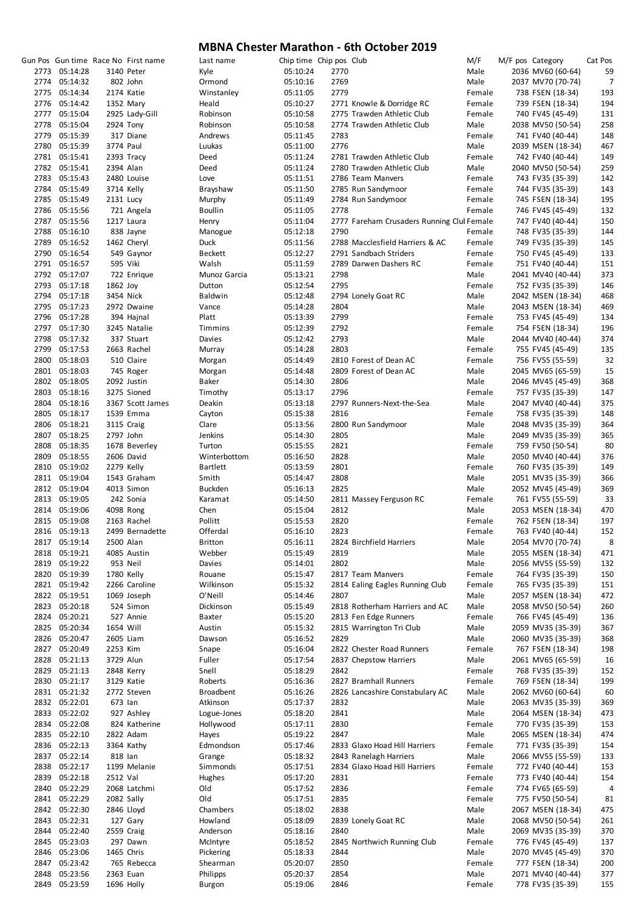|                                |           | Gun Pos Gun time Race No First name | Last name        | Chip time Chip pos Club |      |                                            | M/F    | M/F pos Category                       | Cat Pos |
|--------------------------------|-----------|-------------------------------------|------------------|-------------------------|------|--------------------------------------------|--------|----------------------------------------|---------|
| 2773 05:14:28                  |           | 3140 Peter                          | Kyle             | 05:10:24                | 2770 |                                            | Male   | 2036 MV60 (60-64)                      | 59      |
| 2774 05:14:32                  |           | 802 John                            | Ormond           | 05:10:16                | 2769 |                                            | Male   | 2037 MV70 (70-74)                      | 7       |
| 2775 05:14:34                  |           | 2174 Katie                          | Winstanley       | 05:11:05                | 2779 |                                            | Female | 738 FSEN (18-34)                       | 193     |
| 2776 05:14:42                  |           | 1352 Mary                           | Heald            | 05:10:27                |      | 2771 Knowle & Dorridge RC                  | Female | 739 FSEN (18-34)                       | 194     |
| 2777 05:15:04                  |           | 2925 Lady-Gill                      | Robinson         | 05:10:58                |      | 2775 Trawden Athletic Club                 | Female | 740 FV45 (45-49)                       | 131     |
| 2778 05:15:04                  |           | 2924 Tony                           | Robinson         | 05:10:58                |      | 2774 Trawden Athletic Club                 | Male   | 2038 MV50 (50-54)                      | 258     |
| 2779 05:15:39                  |           | 317 Diane                           | Andrews          | 05:11:45                | 2783 |                                            | Female | 741 FV40 (40-44)                       | 148     |
| 2780 05:15:39                  | 3774 Paul |                                     | Luukas           | 05:11:00                | 2776 |                                            | Male   | 2039 MSEN (18-34)                      | 467     |
| 2781 05:15:41                  |           | 2393 Tracy                          | Deed             | 05:11:24                |      | 2781 Trawden Athletic Club                 | Female | 742 FV40 (40-44)                       | 149     |
| 2782 05:15:41                  |           | 2394 Alan                           | Deed             | 05:11:24                |      | 2780 Trawden Athletic Club                 | Male   | 2040 MV50 (50-54)                      | 259     |
| 2783 05:15:43                  |           | 2480 Louise                         | Love             | 05:11:51                |      | 2786 Team Manvers                          | Female | 743 FV35 (35-39)                       | 142     |
| 2784 05:15:49                  |           | 3714 Kelly                          | Brayshaw         | 05:11:50                |      | 2785 Run Sandymoor                         | Female | 744 FV35 (35-39)                       | 143     |
| 2785 05:15:49                  | 2131 Lucy |                                     | Murphy           | 05:11:49                |      | 2784 Run Sandymoor                         | Female | 745 FSEN (18-34)                       | 195     |
| 2786 05:15:56                  |           | 721 Angela                          | <b>Boullin</b>   | 05:11:05                | 2778 |                                            | Female | 746 FV45 (45-49)                       | 132     |
| 2787 05:15:56                  |           | 1217 Laura                          | Henry            | 05:11:04                |      | 2777 Fareham Crusaders Running Clul Female |        | 747 FV40 (40-44)                       | 150     |
| 2788 05:16:10                  |           | 838 Jayne                           | Manogue          | 05:12:18                | 2790 |                                            | Female | 748 FV35 (35-39)                       | 144     |
| 2789 05:16:52                  |           | 1462 Cheryl                         | Duck             | 05:11:56                |      | 2788 Macclesfield Harriers & AC            | Female | 749 FV35 (35-39)                       | 145     |
| 2790 05:16:54                  |           | 549 Gaynor                          | Beckett          | 05:12:27                |      | 2791 Sandbach Striders                     | Female | 750 FV45 (45-49)                       | 133     |
| 2791 05:16:57                  |           | 595 Viki                            | Walsh            | 05:11:59                |      | 2789 Darwen Dashers RC                     | Female | 751 FV40 (40-44)                       | 151     |
| 2792 05:17:07                  |           | 722 Enrique                         | Munoz Garcia     | 05:13:21                | 2798 |                                            | Male   | 2041 MV40 (40-44)                      | 373     |
| 2793 05:17:18                  | 1862 Joy  |                                     | Dutton           | 05:12:54                | 2795 |                                            | Female | 752 FV35 (35-39)                       | 146     |
| 2794 05:17:18                  | 3454 Nick |                                     | <b>Baldwin</b>   | 05:12:48                |      | 2794 Lonely Goat RC                        | Male   | 2042 MSEN (18-34)                      | 468     |
| 2795 05:17:23                  |           | 2972 Dwaine                         | Vance            | 05:14:28                | 2804 |                                            | Male   | 2043 MSEN (18-34)                      | 469     |
| 2796 05:17:28                  |           | 394 Hajnal                          | Platt            | 05:13:39                | 2799 |                                            | Female | 753 FV45 (45-49)                       | 134     |
| 2797 05:17:30                  |           | 3245 Natalie                        | <b>Timmins</b>   | 05:12:39                | 2792 |                                            | Female | 754 FSEN (18-34)                       | 196     |
| 2798 05:17:32                  |           | 337 Stuart                          | Davies           | 05:12:42                | 2793 |                                            | Male   | 2044 MV40 (40-44)                      | 374     |
| 2799 05:17:53                  |           | 2663 Rachel                         | Murray           | 05:14:28                | 2803 |                                            | Female | 755 FV45 (45-49)                       | 135     |
| 2800 05:18:03                  |           | 510 Claire                          | Morgan           | 05:14:49                |      | 2810 Forest of Dean AC                     | Female | 756 FV55 (55-59)                       | 32      |
| 2801 05:18:03                  |           | 745 Roger                           | Morgan           | 05:14:48                |      | 2809 Forest of Dean AC                     | Male   | 2045 MV65 (65-59)                      | 15      |
| 2802 05:18:05                  |           | 2092 Justin                         | Baker            | 05:14:30                | 2806 |                                            | Male   | 2046 MV45 (45-49)                      | 368     |
| 2803 05:18:16                  |           | 3275 Sioned                         | Timothy          | 05:13:17                | 2796 |                                            | Female | 757 FV35 (35-39)                       | 147     |
| 2804 05:18:16                  |           | 3367 Scott James                    | Deakin           | 05:13:18                |      | 2797 Runners-Next-the-Sea                  | Male   | 2047 MV40 (40-44)                      | 375     |
| 2805 05:18:17                  |           | 1539 Emma                           | Cayton           | 05:15:38                | 2816 |                                            | Female | 758 FV35 (35-39)                       | 148     |
| 2806 05:18:21                  |           | 3115 Craig                          | Clare            | 05:13:56                |      | 2800 Run Sandymoor                         | Male   | 2048 MV35 (35-39)                      | 364     |
| 2807 05:18:25                  |           | 2797 John                           | Jenkins          | 05:14:30                | 2805 |                                            | Male   | 2049 MV35 (35-39)                      | 365     |
| 2808 05:18:35                  |           | 1678 Beverley                       | Turton           | 05:15:55                | 2821 |                                            | Female | 759 FV50 (50-54)                       | 80      |
| 2809 05:18:55                  |           | 2606 David                          | Winterbottom     | 05:16:50                | 2828 |                                            | Male   | 2050 MV40 (40-44)                      | 376     |
| 2810 05:19:02                  |           | 2279 Kelly                          | <b>Bartlett</b>  | 05:13:59                | 2801 |                                            | Female | 760 FV35 (35-39)                       | 149     |
| 2811 05:19:04                  |           | 1543 Graham                         | Smith            | 05:14:47                | 2808 |                                            | Male   | 2051 MV35 (35-39)                      | 366     |
| 2812 05:19:04                  |           | 4013 Simon                          | <b>Buckden</b>   | 05:16:13                | 2825 |                                            | Male   | 2052 MV45 (45-49)                      | 369     |
| 2813 05:19:05                  |           | 242 Sonia                           | Karamat          | 05:14:50                |      | 2811 Massey Ferguson RC                    | Female | 761 FV55 (55-59)                       | 33      |
| 2814 05:19:06                  |           | 4098 Rong                           | Chen             |                         | 2812 |                                            | Male   | 2053 MSEN (18-34)                      | 470     |
| 2815 05:19:08                  |           | 2163 Rachel                         | Pollitt          | 05:15:04<br>05:15:53    | 2820 |                                            | Female |                                        | 197     |
| 2816 05:19:13                  |           |                                     | Offerdal         | 05:16:10                | 2823 |                                            | Female | 762 FSEN (18-34)<br>763 FV40 (40-44)   | 152     |
| 2817 05:19:14                  |           | 2499 Bernadette<br>2500 Alan        |                  | 05:16:11                |      | 2824 Birchfield Harriers                   |        |                                        | ٤       |
|                                |           |                                     | <b>Britton</b>   |                         |      |                                            | Male   | 2054 MV70 (70-74)                      |         |
| 2818 05:19:21<br>2819 05:19:22 |           | 4085 Austin                         | Webber           | 05:15:49                | 2819 |                                            | Male   | 2055 MSEN (18-34)<br>2056 MV55 (55-59) | 471     |
|                                |           | 953 Neil                            | Davies           | 05:14:01                | 2802 |                                            | Male   |                                        | 132     |
| 2820 05:19:39                  |           | 1780 Kelly                          | Rouane           | 05:15:47                |      | 2817 Team Manvers                          | Female | 764 FV35 (35-39)                       | 150     |
| 2821 05:19:42                  |           | 2266 Caroline                       | Wilkinson        | 05:15:32                |      | 2814 Ealing Eagles Running Club            | Female | 765 FV35 (35-39)                       | 151     |
| 2822 05:19:51                  |           | 1069 Joseph                         | O'Neill          | 05:14:46                | 2807 |                                            | Male   | 2057 MSEN (18-34)                      | 472     |
| 2823 05:20:18                  |           | 524 Simon                           | Dickinson        | 05:15:49                |      | 2818 Rotherham Harriers and AC             | Male   | 2058 MV50 (50-54)                      | 260     |
| 2824 05:20:21                  |           | 527 Annie                           | <b>Baxter</b>    | 05:15:20                |      | 2813 Fen Edge Runners                      | Female | 766 FV45 (45-49)                       | 136     |
| 2825 05:20:34                  | 1654 Will |                                     | Austin           | 05:15:32                |      | 2815 Warrington Tri Club                   | Male   | 2059 MV35 (35-39)                      | 367     |
| 2826 05:20:47                  |           | 2605 Liam                           | Dawson           | 05:16:52                | 2829 |                                            | Male   | 2060 MV35 (35-39)                      | 368     |
| 2827 05:20:49                  | 2253 Kim  |                                     | Snape            | 05:16:04                |      | 2822 Chester Road Runners                  | Female | 767 FSEN (18-34)                       | 198     |
| 2828 05:21:13                  |           | 3729 Alun                           | Fuller           | 05:17:54                |      | 2837 Chepstow Harriers                     | Male   | 2061 MV65 (65-59)                      | 16      |
| 2829 05:21:13                  |           | 2848 Kerry                          | Snell            | 05:18:29                | 2842 |                                            | Female | 768 FV35 (35-39)                       | 152     |
| 2830 05:21:17                  |           | 3129 Katie                          | Roberts          | 05:16:36                |      | 2827 Bramhall Runners                      | Female | 769 FSEN (18-34)                       | 199     |
| 2831 05:21:32                  |           | 2772 Steven                         | <b>Broadbent</b> | 05:16:26                |      | 2826 Lancashire Constabulary AC            | Male   | 2062 MV60 (60-64)                      | 60      |
| 2832 05:22:01                  | 673 lan   |                                     | Atkinson         | 05:17:37                | 2832 |                                            | Male   | 2063 MV35 (35-39)                      | 369     |
| 2833 05:22:02                  |           | 927 Ashley                          | Logue-Jones      | 05:18:20                | 2841 |                                            | Male   | 2064 MSEN (18-34)                      | 473     |
| 2834 05:22:08                  |           | 824 Katherine                       | Hollywood        | 05:17:11                | 2830 |                                            | Female | 770 FV35 (35-39)                       | 153     |
| 2835 05:22:10                  |           | 2822 Adam                           | Hayes            | 05:19:22                | 2847 |                                            | Male   | 2065 MSEN (18-34)                      | 474     |
| 2836 05:22:13                  |           | 3364 Kathy                          | Edmondson        | 05:17:46                |      | 2833 Glaxo Hoad Hill Harriers              | Female | 771 FV35 (35-39)                       | 154     |
| 2837 05:22:14                  | 818 lan   |                                     | Grange           | 05:18:32                |      | 2843 Ranelagh Harriers                     | Male   | 2066 MV55 (55-59)                      | 133     |
| 2838 05:22:17                  |           | 1199 Melanie                        | Simmonds         | 05:17:51                |      | 2834 Glaxo Hoad Hill Harriers              | Female | 772 FV40 (40-44)                       | 153     |
| 2839 05:22:18                  | 2512 Val  |                                     | Hughes           | 05:17:20                | 2831 |                                            | Female | 773 FV40 (40-44)                       | 154     |
| 2840 05:22:29                  |           | 2068 Latchmi                        | Old              | 05:17:52                | 2836 |                                            | Female | 774 FV65 (65-59)                       | 4       |
| 2841 05:22:29                  |           | 2082 Sally                          | Old              | 05:17:51                | 2835 |                                            | Female | 775 FV50 (50-54)                       | 81      |
| 2842 05:22:30                  |           | 2846 Lloyd                          | Chambers         | 05:18:02                | 2838 |                                            | Male   | 2067 MSEN (18-34)                      | 475     |
| 2843 05:22:31                  |           | 127 Gary                            | Howland          | 05:18:09                |      | 2839 Lonely Goat RC                        | Male   | 2068 MV50 (50-54)                      | 261     |
| 2844 05:22:40                  |           | 2559 Craig                          | Anderson         | 05:18:16                | 2840 |                                            | Male   | 2069 MV35 (35-39)                      | 370     |
| 2845 05:23:03                  |           | 297 Dawn                            | McIntyre         | 05:18:52                |      | 2845 Northwich Running Club                | Female | 776 FV45 (45-49)                       | 137     |
| 2846 05:23:06                  |           | 1465 Chris                          | Pickering        | 05:18:33                | 2844 |                                            | Male   | 2070 MV45 (45-49)                      | 370     |
| 2847 05:23:42                  |           | 765 Rebecca                         | Shearman         | 05:20:07                | 2850 |                                            | Female | 777 FSEN (18-34)                       | 200     |
| 2848 05:23:56                  |           | 2363 Euan                           | Philipps         | 05:20:37                | 2854 |                                            | Male   | 2071 MV40 (40-44)                      | 377     |
| 2849 05:23:59                  |           | 1696 Holly                          | Burgon           | 05:19:06                | 2846 |                                            | Female | 778 FV35 (35-39)                       | 155     |
|                                |           |                                     |                  |                         |      |                                            |        |                                        |         |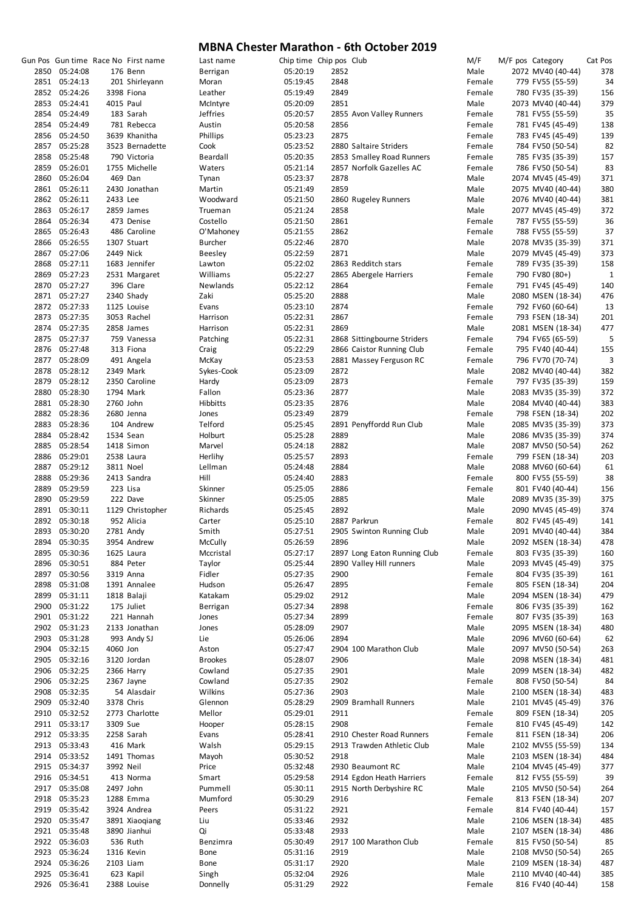|               |           | Gun Pos Gun time Race No First name | Last name      | Chip time Chip pos Club |      |                              | M/F    | M/F pos Category  | Cat Pos     |
|---------------|-----------|-------------------------------------|----------------|-------------------------|------|------------------------------|--------|-------------------|-------------|
| 2850 05:24:08 |           | 176 Benn                            | Berrigan       | 05:20:19                | 2852 |                              | Male   | 2072 MV40 (40-44) | 378         |
| 2851 05:24:13 |           | 201 Shirleyann                      | Moran          | 05:19:45                | 2848 |                              | Female | 779 FV55 (55-59)  | 34          |
| 2852 05:24:26 |           | 3398 Fiona                          | Leather        | 05:19:49                | 2849 |                              | Female | 780 FV35 (35-39)  | 156         |
| 2853 05:24:41 | 4015 Paul |                                     | McIntyre       | 05:20:09                | 2851 |                              | Male   | 2073 MV40 (40-44) | 379         |
| 2854 05:24:49 |           | 183 Sarah                           | Jeffries       | 05:20:57                |      | 2855 Avon Valley Runners     | Female | 781 FV55 (55-59)  | 35          |
| 2854 05:24:49 |           | 781 Rebecca                         | Austin         | 05:20:58                | 2856 |                              | Female | 781 FV45 (45-49)  | 138         |
|               |           |                                     |                |                         |      |                              |        |                   |             |
| 2856 05:24:50 |           | 3639 Khanitha                       | Phillips       | 05:23:23                | 2875 |                              | Female | 783 FV45 (45-49)  | 139         |
| 2857 05:25:28 |           | 3523 Bernadette                     | Cook           | 05:23:52                |      | 2880 Saltaire Striders       | Female | 784 FV50 (50-54)  | 82          |
| 2858 05:25:48 |           | 790 Victoria                        | Beardall       | 05:20:35                |      | 2853 Smalley Road Runners    | Female | 785 FV35 (35-39)  | 157         |
| 2859 05:26:01 |           | 1755 Michelle                       | Waters         | 05:21:14                |      | 2857 Norfolk Gazelles AC     | Female | 786 FV50 (50-54)  | 83          |
| 2860 05:26:04 |           | 469 Dan                             | Tynan          | 05:23:37                | 2878 |                              | Male   | 2074 MV45 (45-49) | 371         |
| 2861 05:26:11 |           | 2430 Jonathan                       | Martin         | 05:21:49                | 2859 |                              | Male   | 2075 MV40 (40-44) | 380         |
|               |           |                                     |                |                         |      |                              |        |                   |             |
| 2862 05:26:11 | 2433 Lee  |                                     | Woodward       | 05:21:50                |      | 2860 Rugeley Runners         | Male   | 2076 MV40 (40-44) | 381         |
| 2863 05:26:17 |           | 2859 James                          | Trueman        | 05:21:24                | 2858 |                              | Male   | 2077 MV45 (45-49) | 372         |
| 2864 05:26:34 |           | 473 Denise                          | Costello       | 05:21:50                | 2861 |                              | Female | 787 FV55 (55-59)  | 36          |
| 2865 05:26:43 |           | 486 Caroline                        | O'Mahoney      | 05:21:55                | 2862 |                              | Female | 788 FV55 (55-59)  | 37          |
| 2866 05:26:55 |           | 1307 Stuart                         | <b>Burcher</b> | 05:22:46                | 2870 |                              | Male   | 2078 MV35 (35-39) | 371         |
| 2867 05:27:06 | 2449 Nick |                                     | <b>Beesley</b> | 05:22:59                | 2871 |                              | Male   | 2079 MV45 (45-49) | 373         |
| 2868 05:27:11 |           | 1683 Jennifer                       | Lawton         | 05:22:02                |      | 2863 Redditch stars          | Female | 789 FV35 (35-39)  | 158         |
|               |           |                                     |                |                         |      |                              |        |                   |             |
| 2869 05:27:23 |           | 2531 Margaret                       | Williams       | 05:22:27                |      | 2865 Abergele Harriers       | Female | 790 FV80 (80+)    | $\mathbf 1$ |
| 2870 05:27:27 |           | 396 Clare                           | Newlands       | 05:22:12                | 2864 |                              | Female | 791 FV45 (45-49)  | 140         |
| 2871 05:27:27 |           | 2340 Shady                          | Zaki           | 05:25:20                | 2888 |                              | Male   | 2080 MSEN (18-34) | 476         |
| 2872 05:27:33 |           | 1125 Louise                         | Evans          | 05:23:10                | 2874 |                              | Female | 792 FV60 (60-64)  | 13          |
| 2873 05:27:35 |           | 3053 Rachel                         | Harrison       | 05:22:31                | 2867 |                              | Female | 793 FSEN (18-34)  | 201         |
| 2874 05:27:35 |           | 2858 James                          | Harrison       | 05:22:31                | 2869 |                              | Male   | 2081 MSEN (18-34) | 477         |
| 2875 05:27:37 |           | 759 Vanessa                         | Patching       | 05:22:31                |      |                              | Female |                   | 5           |
|               |           |                                     |                |                         |      | 2868 Sittingbourne Striders  |        | 794 FV65 (65-59)  |             |
| 2876 05:27:48 |           | 313 Fiona                           | Craig          | 05:22:29                |      | 2866 Caistor Running Club    | Female | 795 FV40 (40-44)  | 155         |
| 2877 05:28:09 |           | 491 Angela                          | McKay          | 05:23:53                |      | 2881 Massey Ferguson RC      | Female | 796 FV70 (70-74)  | 3           |
| 2878 05:28:12 |           | 2349 Mark                           | Sykes-Cook     | 05:23:09                | 2872 |                              | Male   | 2082 MV40 (40-44) | 382         |
| 2879 05:28:12 |           | 2350 Caroline                       | Hardy          | 05:23:09                | 2873 |                              | Female | 797 FV35 (35-39)  | 159         |
| 2880 05:28:30 |           | 1794 Mark                           | Fallon         | 05:23:36                | 2877 |                              | Male   | 2083 MV35 (35-39) | 372         |
| 2881 05:28:30 |           | 2760 John                           | Hibbitts       | 05:23:35                | 2876 |                              | Male   | 2084 MV40 (40-44) | 383         |
|               |           |                                     |                |                         |      |                              |        |                   |             |
| 2882 05:28:36 |           | 2680 Jenna                          | Jones          | 05:23:49                | 2879 |                              | Female | 798 FSEN (18-34)  | 202         |
| 2883 05:28:36 |           | 104 Andrew                          | Telford        | 05:25:45                |      | 2891 Penyffordd Run Club     | Male   | 2085 MV35 (35-39) | 373         |
| 2884 05:28:42 |           | 1534 Sean                           | Holburt        | 05:25:28                | 2889 |                              | Male   | 2086 MV35 (35-39) | 374         |
| 2885 05:28:54 |           | 1418 Simon                          | Marvel         | 05:24:18                | 2882 |                              | Male   | 2087 MV50 (50-54) | 262         |
| 2886 05:29:01 |           | 2538 Laura                          | Herlihy        | 05:25:57                | 2893 |                              | Female | 799 FSEN (18-34)  | 203         |
| 2887 05:29:12 |           | 3811 Noel                           | Lellman        | 05:24:48                | 2884 |                              | Male   | 2088 MV60 (60-64) | 61          |
| 2888 05:29:36 |           | 2413 Sandra                         | Hill           | 05:24:40                | 2883 |                              | Female | 800 FV55 (55-59)  | 38          |
|               |           |                                     |                |                         |      |                              |        |                   |             |
| 2889 05:29:59 |           | 223 Lisa                            | Skinner        | 05:25:05                | 2886 |                              | Female | 801 FV40 (40-44)  | 156         |
| 2890 05:29:59 |           | 222 Dave                            | Skinner        | 05:25:05                | 2885 |                              | Male   | 2089 MV35 (35-39) | 375         |
| 2891 05:30:11 |           | 1129 Christopher                    | Richards       | 05:25:45                | 2892 |                              | Male   | 2090 MV45 (45-49) | 374         |
| 2892 05:30:18 |           | 952 Alicia                          | Carter         | 05:25:10                |      | 2887 Parkrun                 | Female | 802 FV45 (45-49)  | 141         |
| 2893 05:30:20 |           | 2781 Andy                           | Smith          | 05:27:51                |      | 2905 Swinton Running Club    | Male   | 2091 MV40 (40-44) | 384         |
| 2894 05:30:35 |           | 3954 Andrew                         | McCully        | 05:26:59                | 2896 |                              | Male   | 2092 MSEN (18-34) | 478         |
|               |           |                                     |                | 05:27:17                |      | 2897 Long Eaton Running Club |        |                   |             |
| 2895 05:30:36 |           | 1625 Laura                          | Mccristal      |                         |      |                              | Female | 803 FV35 (35-39)  | 160         |
| 2896 05:30:51 |           | 884 Peter                           | Taylor         | 05:25:44                |      | 2890 Valley Hill runners     | Male   | 2093 MV45 (45-49) | 375         |
| 2897 05:30:56 |           | 3319 Anna                           | Fidler         | 05:27:35                | 2900 |                              | Female | 804 FV35 (35-39)  | 161         |
| 2898 05:31:08 |           | 1391 Annalee                        | Hudson         | 05:26:47                | 2895 |                              | Female | 805 FSEN (18-34)  | 204         |
| 2899 05:31:11 |           | 1818 Balaji                         | Katakam        | 05:29:02                | 2912 |                              | Male   | 2094 MSEN (18-34) | 479         |
| 2900 05:31:22 |           | 175 Juliet                          | Berrigan       | 05:27:34                | 2898 |                              | Female | 806 FV35 (35-39)  | 162         |
| 2901 05:31:22 |           | 221 Hannah                          | Jones          | 05:27:34                | 2899 |                              | Female | 807 FV35 (35-39)  | 163         |
|               |           |                                     |                |                         |      |                              |        | 2095 MSEN (18-34) |             |
| 2902 05:31:23 |           | 2133 Jonathan                       | Jones          | 05:28:09                | 2907 |                              | Male   |                   | 480         |
| 2903 05:31:28 |           | 993 Andy SJ                         | Lie            | 05:26:06                | 2894 |                              | Male   | 2096 MV60 (60-64) | 62          |
| 2904 05:32:15 | 4060 Jon  |                                     | Aston          | 05:27:47                |      | 2904 100 Marathon Club       | Male   | 2097 MV50 (50-54) | 263         |
| 2905 05:32:16 |           | 3120 Jordan                         | <b>Brookes</b> | 05:28:07                | 2906 |                              | Male   | 2098 MSEN (18-34) | 481         |
| 2906 05:32:25 |           | 2366 Harry                          | Cowland        | 05:27:35                | 2901 |                              | Male   | 2099 MSEN (18-34) | 482         |
| 2906 05:32:25 |           | 2367 Jayne                          | Cowland        | 05:27:35                | 2902 |                              | Female | 808 FV50 (50-54)  | 84          |
| 2908 05:32:35 |           | 54 Alasdair                         | Wilkins        | 05:27:36                | 2903 |                              | Male   | 2100 MSEN (18-34) | 483         |
| 2909 05:32:40 |           | 3378 Chris                          | Glennon        | 05:28:29                |      | 2909 Bramhall Runners        | Male   | 2101 MV45 (45-49) | 376         |
|               |           |                                     |                |                         |      |                              |        |                   |             |
| 2910 05:32:52 |           | 2773 Charlotte                      | Mellor         | 05:29:01                | 2911 |                              | Female | 809 FSEN (18-34)  | 205         |
| 2911 05:33:17 | 3309 Sue  |                                     | Hooper         | 05:28:15                | 2908 |                              | Female | 810 FV45 (45-49)  | 142         |
| 2912 05:33:35 |           | 2258 Sarah                          | Evans          | 05:28:41                |      | 2910 Chester Road Runners    | Female | 811 FSEN (18-34)  | 206         |
| 2913 05:33:43 |           | 416 Mark                            | Walsh          | 05:29:15                |      | 2913 Trawden Athletic Club   | Male   | 2102 MV55 (55-59) | 134         |
| 2914 05:33:52 |           | 1491 Thomas                         | Mayoh          | 05:30:52                | 2918 |                              | Male   | 2103 MSEN (18-34) | 484         |
| 2915 05:34:37 | 3992 Neil |                                     | Price          | 05:32:48                |      | 2930 Beaumont RC             | Male   | 2104 MV45 (45-49) | 377         |
| 2916 05:34:51 |           | 413 Norma                           | Smart          | 05:29:58                |      | 2914 Egdon Heath Harriers    | Female | 812 FV55 (55-59)  | 39          |
|               |           |                                     |                |                         |      |                              |        |                   |             |
| 2917 05:35:08 |           | 2497 John                           | Pummell        | 05:30:11                |      | 2915 North Derbyshire RC     | Male   | 2105 MV50 (50-54) | 264         |
| 2918 05:35:23 |           | 1288 Emma                           | Mumford        | 05:30:29                | 2916 |                              | Female | 813 FSEN (18-34)  | 207         |
| 2919 05:35:42 |           | 3924 Andrea                         | Peers          | 05:31:22                | 2921 |                              | Female | 814 FV40 (40-44)  | 157         |
| 2920 05:35:47 |           | 3891 Xiaoqiang                      | Liu            | 05:33:46                | 2932 |                              | Male   | 2106 MSEN (18-34) | 485         |
| 2921 05:35:48 |           | 3890 Jianhui                        | Qi             | 05:33:48                | 2933 |                              | Male   | 2107 MSEN (18-34) | 486         |
| 2922 05:36:03 |           | 536 Ruth                            | Benzimra       | 05:30:49                |      | 2917 100 Marathon Club       | Female | 815 FV50 (50-54)  | 85          |
| 2923 05:36:24 |           | 1316 Kevin                          | Bone           | 05:31:16                | 2919 |                              | Male   | 2108 MV50 (50-54) | 265         |
| 2924 05:36:26 |           | 2103 Liam                           | Bone           | 05:31:17                | 2920 |                              | Male   | 2109 MSEN (18-34) | 487         |
|               |           |                                     |                |                         |      |                              |        |                   |             |
| 2925 05:36:41 |           | 623 Kapil                           | Singh          | 05:32:04                | 2926 |                              | Male   | 2110 MV40 (40-44) | 385         |
| 2926 05:36:41 |           | 2388 Louise                         | Donnelly       | 05:31:29                | 2922 |                              | Female | 816 FV40 (40-44)  | 158         |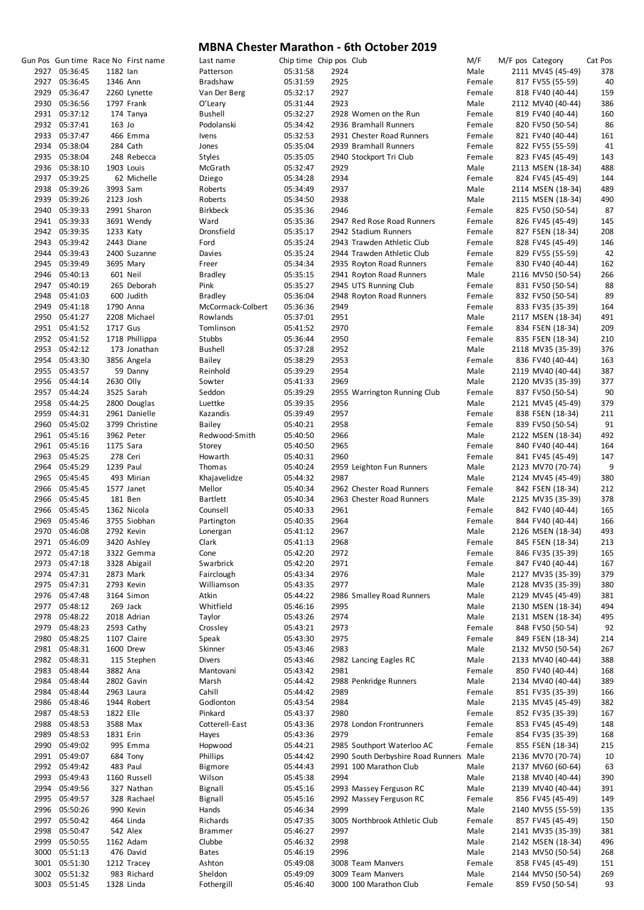|               |           | Gun Pos Gun time Race No First name | Last name         | Chip time Chip pos Club |      |                                         | M/F    | M/F pos Category  | Cat Pos        |
|---------------|-----------|-------------------------------------|-------------------|-------------------------|------|-----------------------------------------|--------|-------------------|----------------|
| 2927 05:36:45 | 1182 lan  |                                     | Patterson         | 05:31:58                | 2924 |                                         | Male   | 2111 MV45 (45-49) | 378            |
| 2927 05:36:45 | 1346 Ann  |                                     | Bradshaw          | 05:31:59                | 2925 |                                         | Female | 817 FV55 (55-59)  | 40             |
| 2929 05:36:47 |           | 2260 Lynette                        | Van Der Berg      | 05:32:17                | 2927 |                                         | Female | 818 FV40 (40-44)  | 159            |
| 2930 05:36:56 |           | 1797 Frank                          | O'Leary           | 05:31:44                | 2923 |                                         | Male   | 2112 MV40 (40-44) | 386            |
| 2931 05:37:12 |           | 174 Tanya                           | <b>Bushell</b>    | 05:32:27                |      | 2928 Women on the Run                   | Female | 819 FV40 (40-44)  | 160            |
|               |           |                                     |                   |                         |      |                                         |        |                   |                |
| 2932 05:37:41 | 163 Jo    |                                     | Podolanski        | 05:34:42                |      | 2936 Bramhall Runners                   | Female | 820 FV50 (50-54)  | 86             |
| 2933 05:37:47 |           | 466 Emma                            | Ivens             | 05:32:53                |      | 2931 Chester Road Runners               | Female | 821 FV40 (40-44)  | 161            |
| 2934 05:38:04 |           | 284 Cath                            | Jones             | 05:35:04                |      | 2939 Bramhall Runners                   | Female | 822 FV55 (55-59)  | 41             |
| 2935 05:38:04 |           | 248 Rebecca                         | Styles            | 05:35:05                |      | 2940 Stockport Tri Club                 | Female | 823 FV45 (45-49)  | 143            |
| 2936 05:38:10 |           | 1903 Louis                          | McGrath           | 05:32:47                | 2929 |                                         | Male   | 2113 MSEN (18-34) | 488            |
|               |           |                                     |                   |                         |      |                                         |        |                   |                |
| 2937 05:39:25 |           | 62 Michelle                         | Dziego            | 05:34:28                | 2934 |                                         | Female | 824 FV45 (45-49)  | 144            |
| 2938 05:39:26 | 3993 Sam  |                                     | Roberts           | 05:34:49                | 2937 |                                         | Male   | 2114 MSEN (18-34) | 489            |
| 2939 05:39:26 | 2123 Josh |                                     | Roberts           | 05:34:50                | 2938 |                                         | Male   | 2115 MSEN (18-34) | 490            |
| 2940 05:39:33 |           | 2991 Sharon                         | <b>Birkbeck</b>   | 05:35:36                | 2946 |                                         | Female | 825 FV50 (50-54)  | 87             |
| 2941 05:39:33 |           | 3691 Wendy                          | Ward              | 05:35:36                |      | 2947 Red Rose Road Runners              | Female | 826 FV45 (45-49)  | 145            |
| 2942 05:39:35 | 1233 Katy |                                     | Dronsfield        | 05:35:17                |      | 2942 Stadium Runners                    | Female | 827 FSEN (18-34)  | 208            |
|               |           |                                     |                   |                         |      |                                         |        |                   |                |
| 2943 05:39:42 |           | 2443 Diane                          | Ford              | 05:35:24                |      | 2943 Trawden Athletic Club              | Female | 828 FV45 (45-49)  | 146            |
| 2944 05:39:43 |           | 2400 Suzanne                        | Davies            | 05:35:24                |      | 2944 Trawden Athletic Club              | Female | 829 FV55 (55-59)  | 42             |
| 2945 05:39:49 |           | 3695 Mary                           | Freer             | 05:34:34                |      | 2935 Royton Road Runners                | Female | 830 FV40 (40-44)  | 162            |
| 2946 05:40:13 |           | 601 Neil                            | <b>Bradley</b>    | 05:35:15                |      | 2941 Royton Road Runners                | Male   | 2116 MV50 (50-54) | 266            |
| 2947 05:40:19 |           | 265 Deborah                         | Pink              | 05:35:27                |      | 2945 UTS Running Club                   | Female | 831 FV50 (50-54)  | 88             |
| 2948 05:41:03 |           | 600 Judith                          | <b>Bradley</b>    | 05:36:04                |      | 2948 Royton Road Runners                | Female | 832 FV50 (50-54)  | 89             |
|               |           |                                     |                   |                         |      |                                         |        |                   |                |
| 2949 05:41:18 |           | 1790 Anna                           | McCormack-Colbert | 05:36:36                | 2949 |                                         | Female | 833 FV35 (35-39)  | 164            |
| 2950 05:41:27 |           | 2208 Michael                        | Rowlands          | 05:37:01                | 2951 |                                         | Male   | 2117 MSEN (18-34) | 491            |
| 2951 05:41:52 | 1717 Gus  |                                     | Tomlinson         | 05:41:52                | 2970 |                                         | Female | 834 FSEN (18-34)  | 209            |
| 2952 05:41:52 |           | 1718 Phillippa                      | Stubbs            | 05:36:44                | 2950 |                                         | Female | 835 FSEN (18-34)  | 210            |
| 2953 05:42:12 |           | 173 Jonathan                        | <b>Bushell</b>    | 05:37:28                | 2952 |                                         | Male   | 2118 MV35 (35-39) | 376            |
|               |           |                                     |                   |                         |      |                                         |        |                   |                |
| 2954 05:43:30 |           | 3856 Angela                         | Bailey            | 05:38:29                | 2953 |                                         | Female | 836 FV40 (40-44)  | 163            |
| 2955 05:43:57 |           | 59 Danny                            | Reinhold          | 05:39:29                | 2954 |                                         | Male   | 2119 MV40 (40-44) | 387            |
| 2956 05:44:14 | 2630 Olly |                                     | Sowter            | 05:41:33                | 2969 |                                         | Male   | 2120 MV35 (35-39) | 377            |
| 2957 05:44:24 |           | 3525 Sarah                          | Seddon            | 05:39:29                |      | 2955 Warrington Running Club            | Female | 837 FV50 (50-54)  | 90             |
| 2958 05:44:25 |           | 2800 Douglas                        | Luettke           | 05:39:35                | 2956 |                                         | Male   | 2121 MV45 (45-49) | 379            |
|               |           |                                     |                   |                         |      |                                         |        |                   |                |
| 2959 05:44:31 |           | 2961 Danielle                       | Kazandis          | 05:39:49                | 2957 |                                         | Female | 838 FSEN (18-34)  | 211            |
| 2960 05:45:02 |           | 3799 Christine                      | <b>Bailey</b>     | 05:40:21                | 2958 |                                         | Female | 839 FV50 (50-54)  | 91             |
| 2961 05:45:16 |           | 3962 Peter                          | Redwood-Smith     | 05:40:50                | 2966 |                                         | Male   | 2122 MSEN (18-34) | 492            |
| 2961 05:45:16 | 1175 Sara |                                     | Storey            | 05:40:50                | 2965 |                                         | Female | 840 FV40 (40-44)  | 164            |
| 2963 05:45:25 |           | 278 Ceri                            | Howarth           | 05:40:31                | 2960 |                                         | Female | 841 FV45 (45-49)  | 147            |
| 2964 05:45:29 | 1239 Paul |                                     | Thomas            | 05:40:24                |      | 2959 Leighton Fun Runners               | Male   | 2123 MV70 (70-74) | $\overline{c}$ |
|               |           |                                     |                   |                         |      |                                         |        |                   |                |
| 2965 05:45:45 |           | 493 Mirian                          | Khajavelidze      | 05:44:32                | 2987 |                                         | Male   | 2124 MV45 (45-49) | 380            |
| 2966 05:45:45 |           | 1577 Janet                          | Mellor            | 05:40:34                |      | 2962 Chester Road Runners               | Female | 842 FSEN (18-34)  | 212            |
| 2966 05:45:45 |           | 181 Ben                             | <b>Bartlett</b>   | 05:40:34                |      | 2963 Chester Road Runners               | Male   | 2125 MV35 (35-39) | 378            |
| 2966 05:45:45 |           | 1362 Nicola                         | Counsell          | 05:40:33                | 2961 |                                         | Female | 842 FV40 (40-44)  | 165            |
| 2969 05:45:46 |           | 3755 Siobhan                        | Partington        | 05:40:35                | 2964 |                                         | Female | 844 FV40 (40-44)  | 166            |
| 2970 05:46:08 |           |                                     |                   |                         |      |                                         |        |                   |                |
|               |           | 2792 Kevin                          | Lonergan          | 05:41:12                | 2967 |                                         | Male   | 2126 MSEN (18-34) | 493            |
| 2971 05:46:09 |           | 3420 Ashley                         | Clark             | 05:41:13                | 2968 |                                         | Female | 845 FSEN (18-34)  | 213            |
| 2972 05:47:18 |           | 3322 Gemma                          | Cone              | 05:42:20                | 2972 |                                         | Female | 846 FV35 (35-39)  | 165            |
| 2973 05:47:18 |           | 3328 Abigail                        | Swarbrick         | 05:42:20                | 2971 |                                         | Female | 847 FV40 (40-44)  | 167            |
| 2974 05:47:31 |           | 2873 Mark                           | Fairclough        | 05:43:34                | 2976 |                                         | Male   | 2127 MV35 (35-39) | 379            |
| 2975 05:47:31 |           | 2793 Kevin                          | Williamson        | 05:43:35                | 2977 |                                         | Male   | 2128 MV35 (35-39) | 380            |
|               |           |                                     |                   |                         |      |                                         |        |                   |                |
| 2976 05:47:48 |           | 3164 Simon                          | Atkin             | 05:44:22                |      | 2986 Smalley Road Runners               | Male   | 2129 MV45 (45-49) | 381            |
| 2977 05:48:12 |           | 269 Jack                            | Whitfield         | 05:46:16                | 2995 |                                         | Male   | 2130 MSEN (18-34) | 494            |
| 2978 05:48:22 |           | 2018 Adrian                         | Taylor            | 05:43:26                | 2974 |                                         | Male   | 2131 MSEN (18-34) | 495            |
| 2979 05:48:23 |           | 2593 Cathy                          | Crossley          | 05:43:21                | 2973 |                                         | Female | 848 FV50 (50-54)  | 92             |
| 2980 05:48:25 |           | 1107 Claire                         | Speak             | 05:43:30                | 2975 |                                         | Female | 849 FSEN (18-34)  | 214            |
| 2981 05:48:31 |           | 1600 Drew                           | Skinner           | 05:43:46                | 2983 |                                         | Male   | 2132 MV50 (50-54) | 267            |
|               |           |                                     |                   |                         |      |                                         |        |                   |                |
| 2982 05:48:31 |           | 115 Stephen                         | Divers            | 05:43:46                |      | 2982 Lancing Eagles RC                  | Male   | 2133 MV40 (40-44) | 388            |
| 2983 05:48:44 | 3882 Ana  |                                     | Mantovani         | 05:43:42                | 2981 |                                         | Female | 850 FV40 (40-44)  | 168            |
| 2984 05:48:44 |           | 2802 Gavin                          | Marsh             | 05:44:42                |      | 2988 Penkridge Runners                  | Male   | 2134 MV40 (40-44) | 389            |
| 2984 05:48:44 |           | 2963 Laura                          | Cahill            | 05:44:42                | 2989 |                                         | Female | 851 FV35 (35-39)  | 166            |
| 2986 05:48:46 |           | 1944 Robert                         | Godlonton         | 05:43:54                | 2984 |                                         | Male   | 2135 MV45 (45-49) | 382            |
|               |           |                                     |                   |                         |      |                                         |        |                   |                |
| 2987 05:48:53 | 1822 Elle |                                     | Pinkard           | 05:43:37                | 2980 |                                         | Female | 852 FV35 (35-39)  | 167            |
| 2988 05:48:53 | 3588 Max  |                                     | Cotterell-East    | 05:43:36                |      | 2978 London Frontrunners                | Female | 853 FV45 (45-49)  | 148            |
| 2989 05:48:53 | 1831 Erin |                                     | Hayes             | 05:43:36                | 2979 |                                         | Female | 854 FV35 (35-39)  | 168            |
| 2990 05:49:02 |           | 995 Emma                            | Hopwood           | 05:44:21                |      | 2985 Southport Waterloo AC              | Female | 855 FSEN (18-34)  | 215            |
| 2991 05:49:07 |           | 684 Tony                            | Phillips          | 05:44:42                |      | 2990 South Derbyshire Road Runners Male |        | 2136 MV70 (70-74) | 10             |
|               |           |                                     |                   |                         |      |                                         |        |                   |                |
| 2992 05:49:42 |           | 483 Paul                            | Bigmore           | 05:44:43                |      | 2991 100 Marathon Club                  | Male   | 2137 MV60 (60-64) | 63             |
| 2993 05:49:43 |           | 1160 Russell                        | Wilson            | 05:45:38                | 2994 |                                         | Male   | 2138 MV40 (40-44) | 390            |
| 2994 05:49:56 |           | 327 Nathan                          | <b>Bignall</b>    | 05:45:16                |      | 2993 Massey Ferguson RC                 | Male   | 2139 MV40 (40-44) | 391            |
| 2995 05:49:57 |           | 328 Rachael                         | Bignall           | 05:45:16                |      | 2992 Massey Ferguson RC                 | Female | 856 FV45 (45-49)  | 149            |
| 2996 05:50:26 |           | 990 Kevin                           | Hands             | 05:46:34                | 2999 |                                         | Male   | 2140 MV55 (55-59) | 135            |
|               |           |                                     |                   |                         |      |                                         |        |                   |                |
| 2997 05:50:42 |           | 464 Linda                           | Richards          | 05:47:35                |      | 3005 Northbrook Athletic Club           | Female | 857 FV45 (45-49)  | 150            |
| 2998 05:50:47 |           | 542 Alex                            | <b>Brammer</b>    | 05:46:27                | 2997 |                                         | Male   | 2141 MV35 (35-39) | 381            |
| 2999 05:50:55 |           | 1162 Adam                           | Clubbe            | 05:46:32                | 2998 |                                         | Male   | 2142 MSEN (18-34) | 496            |
| 3000 05:51:13 |           | 476 David                           | <b>Bates</b>      | 05:46:19                | 2996 |                                         | Male   | 2143 MV50 (50-54) | 268            |
| 3001 05:51:30 |           | 1212 Tracey                         | Ashton            | 05:49:08                |      | 3008 Team Manvers                       | Female | 858 FV45 (45-49)  | 151            |
| 3002 05:51:32 |           |                                     |                   |                         |      |                                         |        |                   |                |
|               |           | 983 Richard                         | Sheldon           | 05:49:09                |      | 3009 Team Manvers                       | Male   | 2144 MV50 (50-54) | 269            |
| 3003 05:51:45 |           | 1328 Linda                          | Fothergill        | 05:46:40                |      | 3000 100 Marathon Club                  | Female | 859 FV50 (50-54)  | 93             |